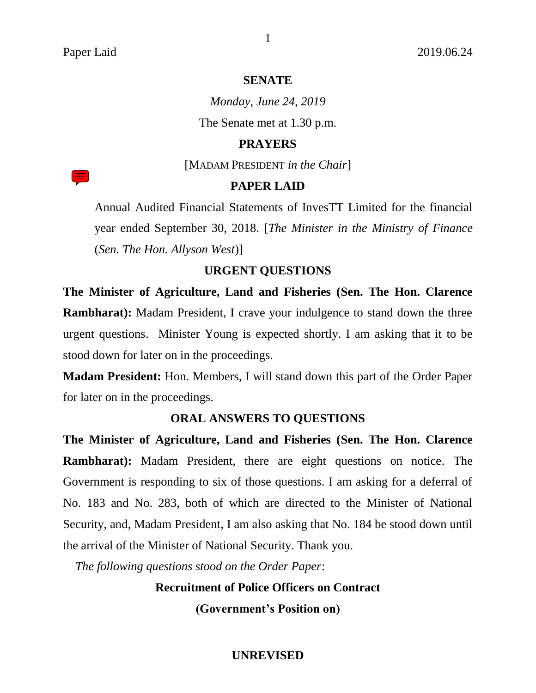# **SENATE**

1

*Monday, June 24, 2019* The Senate met at 1.30 p.m.

# **PRAYERS**

[MADAM PRESIDENT *in the Chair*]

# **PAPER LAID**

Annual Audited Financial Statements of InvesTT Limited for the financial year ended September 30, 2018. [*The Minister in the Ministry of Finance* (*Sen. The Hon. Allyson West*)]

# **URGENT QUESTIONS**

**The Minister of Agriculture, Land and Fisheries (Sen. The Hon. Clarence Rambharat):** Madam President, I crave your indulgence to stand down the three urgent questions. Minister Young is expected shortly. I am asking that it to be stood down for later on in the proceedings.

**Madam President:** Hon. Members, I will stand down this part of the Order Paper for later on in the proceedings.

# **ORAL ANSWERS TO QUESTIONS**

**The Minister of Agriculture, Land and Fisheries (Sen. The Hon. Clarence Rambharat):** Madam President, there are eight questions on notice. The Government is responding to six of those questions. I am asking for a deferral of No. 183 and No. 283, both of which are directed to the Minister of National Security, and, Madam President, I am also asking that No. 184 be stood down until the arrival of the Minister of National Security. Thank you.

*The following questions stood on the Order Paper*:

**Recruitment of Police Officers on Contract**

**(Government's Position on)**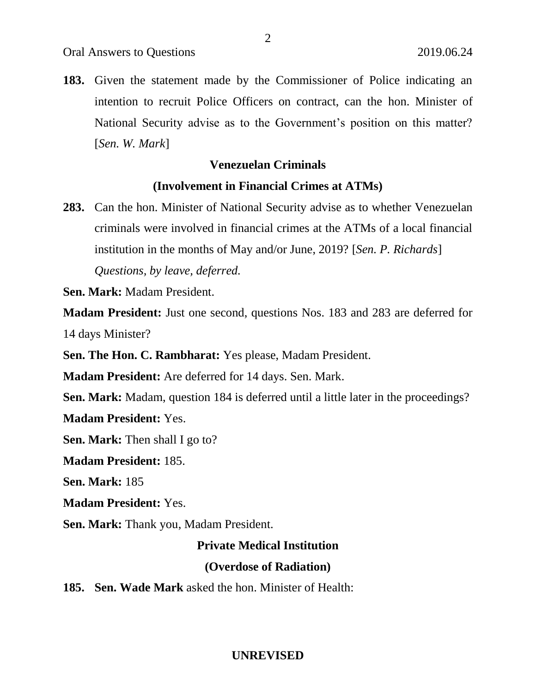**183.** Given the statement made by the Commissioner of Police indicating an intention to recruit Police Officers on contract, can the hon. Minister of National Security advise as to the Government's position on this matter? [*Sen. W. Mark*]

# **Venezuelan Criminals**

# **(Involvement in Financial Crimes at ATMs)**

**283.** Can the hon. Minister of National Security advise as to whether Venezuelan criminals were involved in financial crimes at the ATMs of a local financial institution in the months of May and/or June, 2019? [*Sen. P. Richards*] *Questions, by leave, deferred.*

**Sen. Mark:** Madam President.

**Madam President:** Just one second, questions Nos. 183 and 283 are deferred for 14 days Minister?

**Sen. The Hon. C. Rambharat:** Yes please, Madam President.

**Madam President:** Are deferred for 14 days. Sen. Mark.

**Sen. Mark:** Madam, question 184 is deferred until a little later in the proceedings?

**Madam President:** Yes.

**Sen. Mark:** Then shall I go to?

**Madam President:** 185.

**Sen. Mark:** 185

**Madam President:** Yes.

**Sen. Mark:** Thank you, Madam President.

# **Private Medical Institution**

#### **(Overdose of Radiation)**

**185. Sen. Wade Mark** asked the hon. Minister of Health: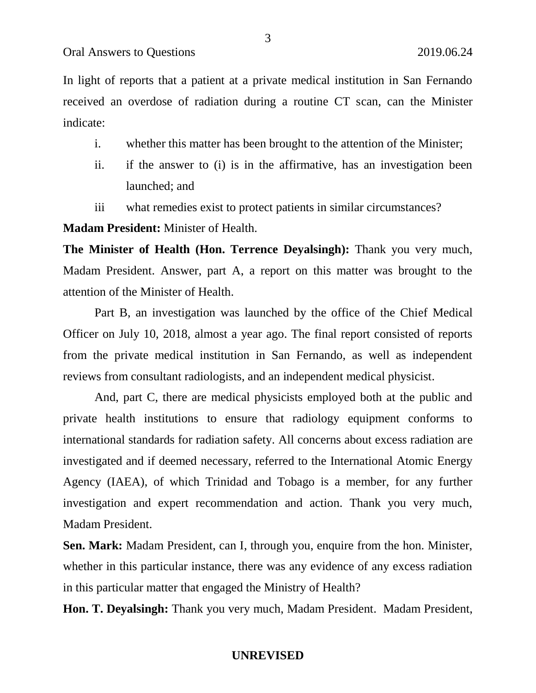In light of reports that a patient at a private medical institution in San Fernando received an overdose of radiation during a routine CT scan, can the Minister indicate:

- i. whether this matter has been brought to the attention of the Minister;
- ii. if the answer to (i) is in the affirmative, has an investigation been launched; and
- iii what remedies exist to protect patients in similar circumstances?

**Madam President:** Minister of Health.

**The Minister of Health (Hon. Terrence Deyalsingh):** Thank you very much, Madam President. Answer, part A, a report on this matter was brought to the attention of the Minister of Health.

Part B, an investigation was launched by the office of the Chief Medical Officer on July 10, 2018, almost a year ago. The final report consisted of reports from the private medical institution in San Fernando, as well as independent reviews from consultant radiologists, and an independent medical physicist.

And, part C, there are medical physicists employed both at the public and private health institutions to ensure that radiology equipment conforms to international standards for radiation safety. All concerns about excess radiation are investigated and if deemed necessary, referred to the International Atomic Energy Agency (IAEA), of which Trinidad and Tobago is a member, for any further investigation and expert recommendation and action. Thank you very much, Madam President.

**Sen. Mark:** Madam President, can I, through you, enquire from the hon. Minister, whether in this particular instance, there was any evidence of any excess radiation in this particular matter that engaged the Ministry of Health?

**Hon. T. Deyalsingh:** Thank you very much, Madam President. Madam President,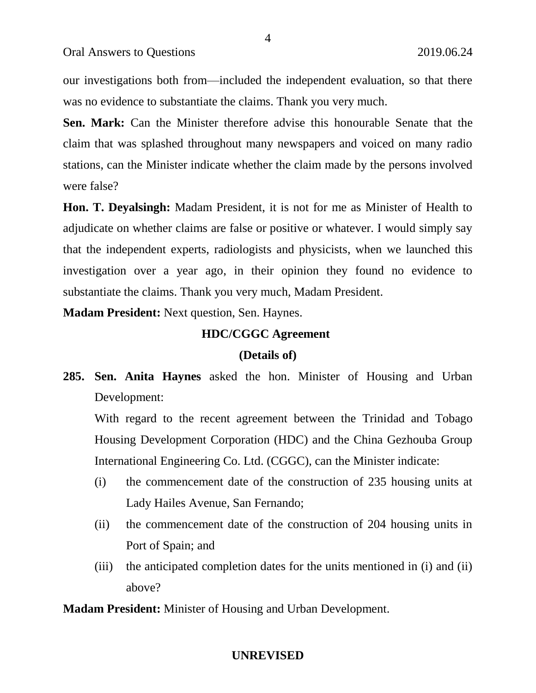our investigations both from—included the independent evaluation, so that there was no evidence to substantiate the claims. Thank you very much.

**Sen. Mark:** Can the Minister therefore advise this honourable Senate that the claim that was splashed throughout many newspapers and voiced on many radio stations, can the Minister indicate whether the claim made by the persons involved were false?

**Hon. T. Deyalsingh:** Madam President, it is not for me as Minister of Health to adjudicate on whether claims are false or positive or whatever. I would simply say that the independent experts, radiologists and physicists, when we launched this investigation over a year ago, in their opinion they found no evidence to substantiate the claims. Thank you very much, Madam President.

**Madam President:** Next question, Sen. Haynes.

# **HDC/CGGC Agreement**

#### **(Details of)**

**285. Sen. Anita Haynes** asked the hon. Minister of Housing and Urban Development:

With regard to the recent agreement between the Trinidad and Tobago Housing Development Corporation (HDC) and the China Gezhouba Group International Engineering Co. Ltd. (CGGC), can the Minister indicate:

- (i) the commencement date of the construction of 235 housing units at Lady Hailes Avenue, San Fernando;
- (ii) the commencement date of the construction of 204 housing units in Port of Spain; and
- (iii) the anticipated completion dates for the units mentioned in (i) and (ii) above?

**Madam President:** Minister of Housing and Urban Development.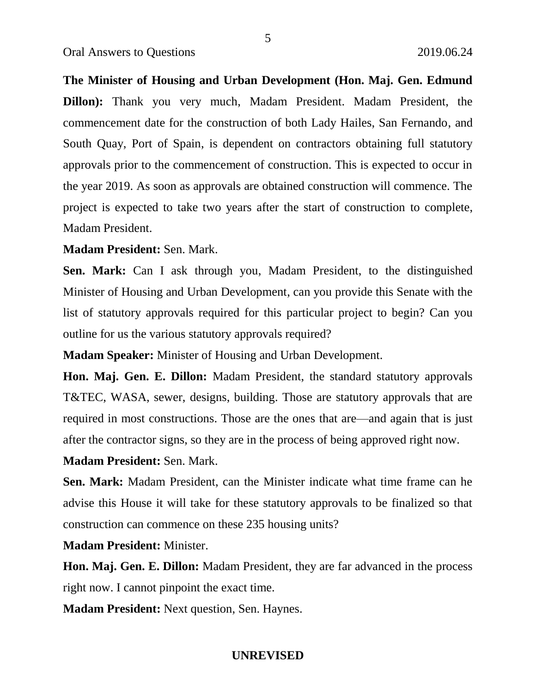**The Minister of Housing and Urban Development (Hon. Maj. Gen. Edmund Dillon):** Thank you very much, Madam President. Madam President, the commencement date for the construction of both Lady Hailes, San Fernando, and South Quay, Port of Spain, is dependent on contractors obtaining full statutory approvals prior to the commencement of construction. This is expected to occur in the year 2019. As soon as approvals are obtained construction will commence. The project is expected to take two years after the start of construction to complete, Madam President.

**Madam President:** Sen. Mark.

**Sen. Mark:** Can I ask through you, Madam President, to the distinguished Minister of Housing and Urban Development, can you provide this Senate with the list of statutory approvals required for this particular project to begin? Can you outline for us the various statutory approvals required?

**Madam Speaker:** Minister of Housing and Urban Development.

**Hon. Maj. Gen. E. Dillon:** Madam President, the standard statutory approvals T&TEC, WASA, sewer, designs, building. Those are statutory approvals that are required in most constructions. Those are the ones that are—and again that is just after the contractor signs, so they are in the process of being approved right now.

**Madam President:** Sen. Mark.

**Sen. Mark:** Madam President, can the Minister indicate what time frame can he advise this House it will take for these statutory approvals to be finalized so that construction can commence on these 235 housing units?

**Madam President:** Minister.

**Hon. Maj. Gen. E. Dillon:** Madam President, they are far advanced in the process right now. I cannot pinpoint the exact time.

**Madam President:** Next question, Sen. Haynes.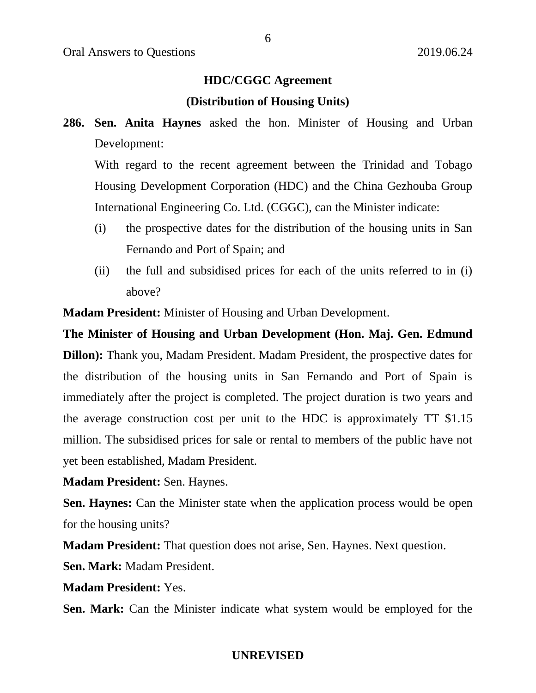# **HDC/CGGC Agreement**

#### **(Distribution of Housing Units)**

**286. Sen. Anita Haynes** asked the hon. Minister of Housing and Urban Development:

With regard to the recent agreement between the Trinidad and Tobago Housing Development Corporation (HDC) and the China Gezhouba Group International Engineering Co. Ltd. (CGGC), can the Minister indicate:

- (i) the prospective dates for the distribution of the housing units in San Fernando and Port of Spain; and
- (ii) the full and subsidised prices for each of the units referred to in (i) above?

**Madam President:** Minister of Housing and Urban Development.

**The Minister of Housing and Urban Development (Hon. Maj. Gen. Edmund** 

**Dillon):** Thank you, Madam President. Madam President, the prospective dates for the distribution of the housing units in San Fernando and Port of Spain is immediately after the project is completed. The project duration is two years and the average construction cost per unit to the HDC is approximately TT \$1.15 million. The subsidised prices for sale or rental to members of the public have not yet been established, Madam President.

**Madam President:** Sen. Haynes.

**Sen. Haynes:** Can the Minister state when the application process would be open for the housing units?

**Madam President:** That question does not arise, Sen. Haynes. Next question.

**Sen. Mark:** Madam President.

**Madam President:** Yes.

**Sen. Mark:** Can the Minister indicate what system would be employed for the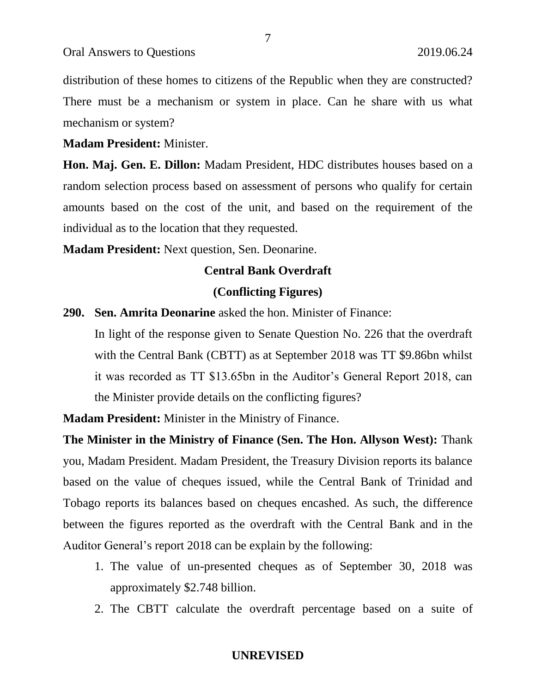distribution of these homes to citizens of the Republic when they are constructed? There must be a mechanism or system in place. Can he share with us what mechanism or system?

7

**Madam President:** Minister.

**Hon. Maj. Gen. E. Dillon:** Madam President, HDC distributes houses based on a random selection process based on assessment of persons who qualify for certain amounts based on the cost of the unit, and based on the requirement of the individual as to the location that they requested.

**Madam President:** Next question, Sen. Deonarine.

# **Central Bank Overdraft (Conflicting Figures)**

**290. Sen. Amrita Deonarine** asked the hon. Minister of Finance:

In light of the response given to Senate Question No. 226 that the overdraft with the Central Bank (CBTT) as at September 2018 was TT \$9.86bn whilst it was recorded as TT \$13.65bn in the Auditor's General Report 2018, can the Minister provide details on the conflicting figures?

**Madam President:** Minister in the Ministry of Finance.

**The Minister in the Ministry of Finance (Sen. The Hon. Allyson West):** Thank you, Madam President. Madam President, the Treasury Division reports its balance based on the value of cheques issued, while the Central Bank of Trinidad and Tobago reports its balances based on cheques encashed. As such, the difference between the figures reported as the overdraft with the Central Bank and in the Auditor General's report 2018 can be explain by the following:

- 1. The value of un-presented cheques as of September 30, 2018 was approximately \$2.748 billion.
- 2. The CBTT calculate the overdraft percentage based on a suite of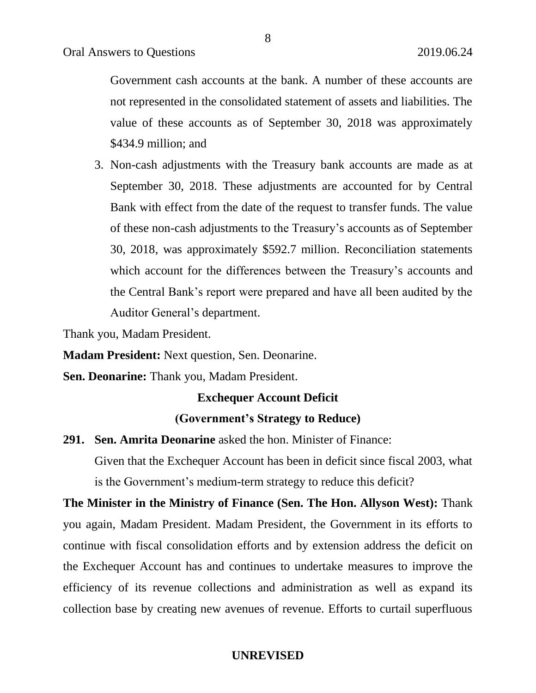Government cash accounts at the bank. A number of these accounts are not represented in the consolidated statement of assets and liabilities. The value of these accounts as of September 30, 2018 was approximately \$434.9 million; and

3. Non-cash adjustments with the Treasury bank accounts are made as at September 30, 2018. These adjustments are accounted for by Central Bank with effect from the date of the request to transfer funds. The value of these non-cash adjustments to the Treasury's accounts as of September 30, 2018, was approximately \$592.7 million. Reconciliation statements which account for the differences between the Treasury's accounts and the Central Bank's report were prepared and have all been audited by the Auditor General's department.

Thank you, Madam President.

**Madam President:** Next question, Sen. Deonarine.

**Sen. Deonarine:** Thank you, Madam President.

# **Exchequer Account Deficit**

# **(Government's Strategy to Reduce)**

**291. Sen. Amrita Deonarine** asked the hon. Minister of Finance:

Given that the Exchequer Account has been in deficit since fiscal 2003, what is the Government's medium-term strategy to reduce this deficit?

**The Minister in the Ministry of Finance (Sen. The Hon. Allyson West):** Thank you again, Madam President. Madam President, the Government in its efforts to continue with fiscal consolidation efforts and by extension address the deficit on the Exchequer Account has and continues to undertake measures to improve the efficiency of its revenue collections and administration as well as expand its collection base by creating new avenues of revenue. Efforts to curtail superfluous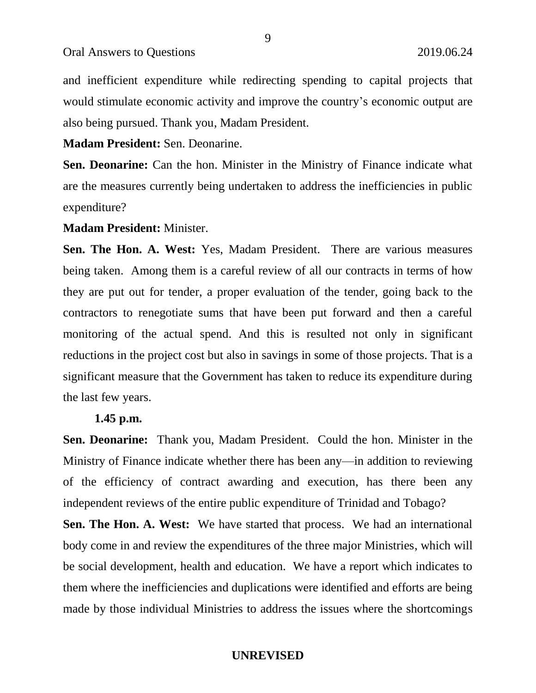and inefficient expenditure while redirecting spending to capital projects that would stimulate economic activity and improve the country's economic output are also being pursued. Thank you, Madam President.

**Madam President:** Sen. Deonarine.

**Sen. Deonarine:** Can the hon. Minister in the Ministry of Finance indicate what are the measures currently being undertaken to address the inefficiencies in public expenditure?

**Madam President:** Minister.

**Sen. The Hon. A. West:** Yes, Madam President. There are various measures being taken. Among them is a careful review of all our contracts in terms of how they are put out for tender, a proper evaluation of the tender, going back to the contractors to renegotiate sums that have been put forward and then a careful monitoring of the actual spend. And this is resulted not only in significant reductions in the project cost but also in savings in some of those projects. That is a significant measure that the Government has taken to reduce its expenditure during the last few years.

# **1.45 p.m.**

**Sen. Deonarine:** Thank you, Madam President. Could the hon. Minister in the Ministry of Finance indicate whether there has been any—in addition to reviewing of the efficiency of contract awarding and execution, has there been any independent reviews of the entire public expenditure of Trinidad and Tobago?

**Sen. The Hon. A. West:** We have started that process. We had an international body come in and review the expenditures of the three major Ministries, which will be social development, health and education. We have a report which indicates to them where the inefficiencies and duplications were identified and efforts are being made by those individual Ministries to address the issues where the shortcomings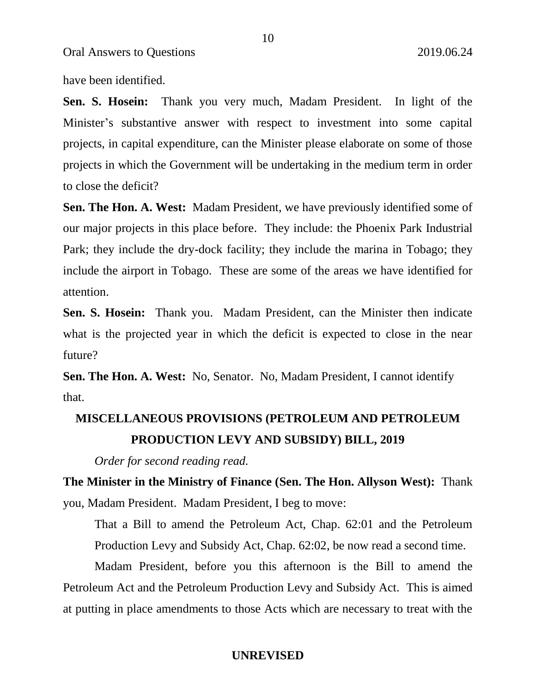have been identified.

**Sen. S. Hosein:** Thank you very much, Madam President. In light of the Minister's substantive answer with respect to investment into some capital projects, in capital expenditure, can the Minister please elaborate on some of those projects in which the Government will be undertaking in the medium term in order to close the deficit?

**Sen. The Hon. A. West:** Madam President, we have previously identified some of our major projects in this place before. They include: the Phoenix Park Industrial Park; they include the dry-dock facility; they include the marina in Tobago; they include the airport in Tobago. These are some of the areas we have identified for attention.

**Sen. S. Hosein:** Thank you. Madam President, can the Minister then indicate what is the projected year in which the deficit is expected to close in the near future?

**Sen. The Hon. A. West:** No, Senator. No, Madam President, I cannot identify that.

# **MISCELLANEOUS PROVISIONS (PETROLEUM AND PETROLEUM PRODUCTION LEVY AND SUBSIDY) BILL, 2019**

*Order for second reading read.*

**The Minister in the Ministry of Finance (Sen. The Hon. Allyson West):** Thank you, Madam President. Madam President, I beg to move:

That a Bill to amend the Petroleum Act, Chap. 62:01 and the Petroleum Production Levy and Subsidy Act, Chap. 62:02, be now read a second time.

Madam President, before you this afternoon is the Bill to amend the Petroleum Act and the Petroleum Production Levy and Subsidy Act. This is aimed at putting in place amendments to those Acts which are necessary to treat with the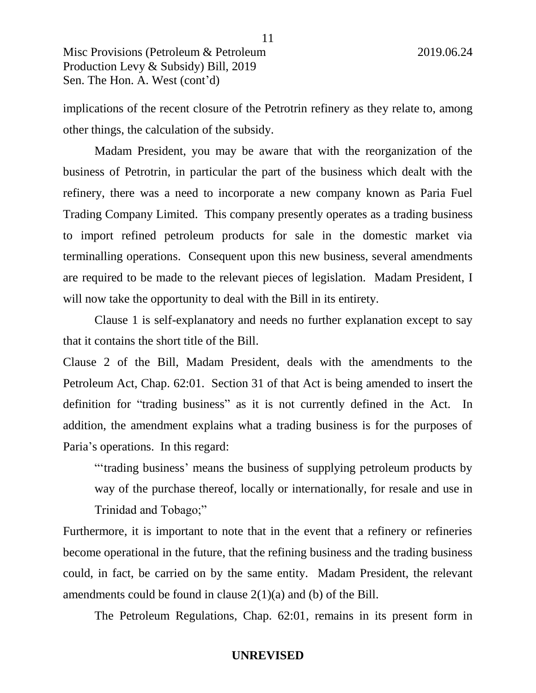implications of the recent closure of the Petrotrin refinery as they relate to, among other things, the calculation of the subsidy.

Madam President, you may be aware that with the reorganization of the business of Petrotrin, in particular the part of the business which dealt with the refinery, there was a need to incorporate a new company known as Paria Fuel Trading Company Limited. This company presently operates as a trading business to import refined petroleum products for sale in the domestic market via terminalling operations. Consequent upon this new business, several amendments are required to be made to the relevant pieces of legislation. Madam President, I will now take the opportunity to deal with the Bill in its entirety.

Clause 1 is self-explanatory and needs no further explanation except to say that it contains the short title of the Bill.

Clause 2 of the Bill, Madam President, deals with the amendments to the Petroleum Act, Chap. 62:01. Section 31 of that Act is being amended to insert the definition for "trading business" as it is not currently defined in the Act. In addition, the amendment explains what a trading business is for the purposes of Paria's operations. In this regard:

"'trading business' means the business of supplying petroleum products by way of the purchase thereof, locally or internationally, for resale and use in Trinidad and Tobago;"

Furthermore, it is important to note that in the event that a refinery or refineries become operational in the future, that the refining business and the trading business could, in fact, be carried on by the same entity. Madam President, the relevant amendments could be found in clause  $2(1)(a)$  and (b) of the Bill.

The Petroleum Regulations, Chap. 62:01, remains in its present form in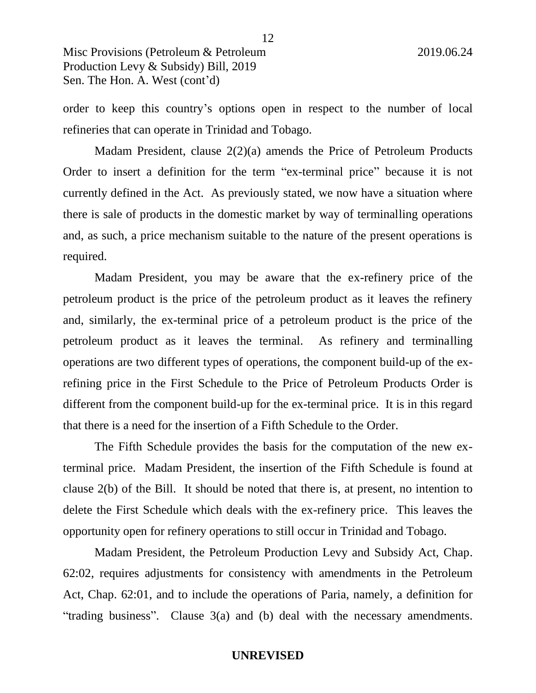order to keep this country's options open in respect to the number of local refineries that can operate in Trinidad and Tobago.

Madam President, clause 2(2)(a) amends the Price of Petroleum Products Order to insert a definition for the term "ex-terminal price" because it is not currently defined in the Act. As previously stated, we now have a situation where there is sale of products in the domestic market by way of terminalling operations and, as such, a price mechanism suitable to the nature of the present operations is required.

Madam President, you may be aware that the ex-refinery price of the petroleum product is the price of the petroleum product as it leaves the refinery and, similarly, the ex-terminal price of a petroleum product is the price of the petroleum product as it leaves the terminal. As refinery and terminalling operations are two different types of operations, the component build-up of the exrefining price in the First Schedule to the Price of Petroleum Products Order is different from the component build-up for the ex-terminal price. It is in this regard that there is a need for the insertion of a Fifth Schedule to the Order.

The Fifth Schedule provides the basis for the computation of the new exterminal price. Madam President, the insertion of the Fifth Schedule is found at clause 2(b) of the Bill. It should be noted that there is, at present, no intention to delete the First Schedule which deals with the ex-refinery price. This leaves the opportunity open for refinery operations to still occur in Trinidad and Tobago.

Madam President, the Petroleum Production Levy and Subsidy Act, Chap. 62:02, requires adjustments for consistency with amendments in the Petroleum Act, Chap. 62:01, and to include the operations of Paria, namely, a definition for "trading business". Clause 3(a) and (b) deal with the necessary amendments.

12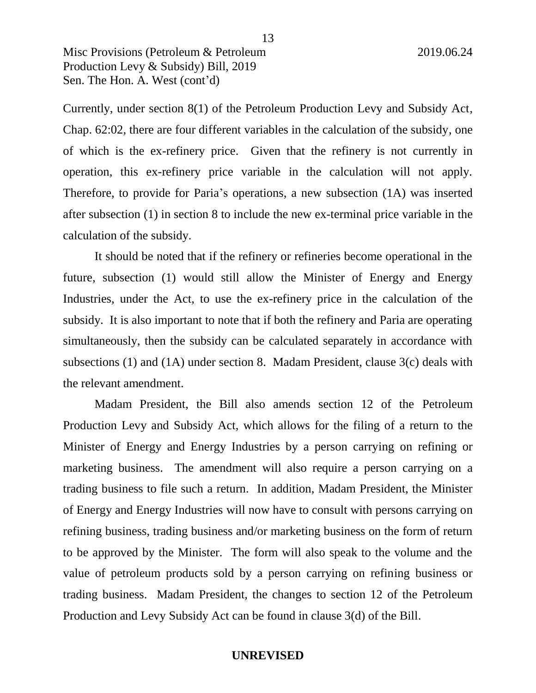Currently, under section 8(1) of the Petroleum Production Levy and Subsidy Act, Chap. 62:02, there are four different variables in the calculation of the subsidy, one of which is the ex-refinery price. Given that the refinery is not currently in operation, this ex-refinery price variable in the calculation will not apply. Therefore, to provide for Paria's operations, a new subsection (1A) was inserted after subsection (1) in section 8 to include the new ex-terminal price variable in the calculation of the subsidy.

It should be noted that if the refinery or refineries become operational in the future, subsection (1) would still allow the Minister of Energy and Energy Industries, under the Act, to use the ex-refinery price in the calculation of the subsidy. It is also important to note that if both the refinery and Paria are operating simultaneously, then the subsidy can be calculated separately in accordance with subsections (1) and (1A) under section 8. Madam President, clause 3(c) deals with the relevant amendment.

Madam President, the Bill also amends section 12 of the Petroleum Production Levy and Subsidy Act, which allows for the filing of a return to the Minister of Energy and Energy Industries by a person carrying on refining or marketing business. The amendment will also require a person carrying on a trading business to file such a return. In addition, Madam President, the Minister of Energy and Energy Industries will now have to consult with persons carrying on refining business, trading business and/or marketing business on the form of return to be approved by the Minister. The form will also speak to the volume and the value of petroleum products sold by a person carrying on refining business or trading business. Madam President, the changes to section 12 of the Petroleum Production and Levy Subsidy Act can be found in clause 3(d) of the Bill.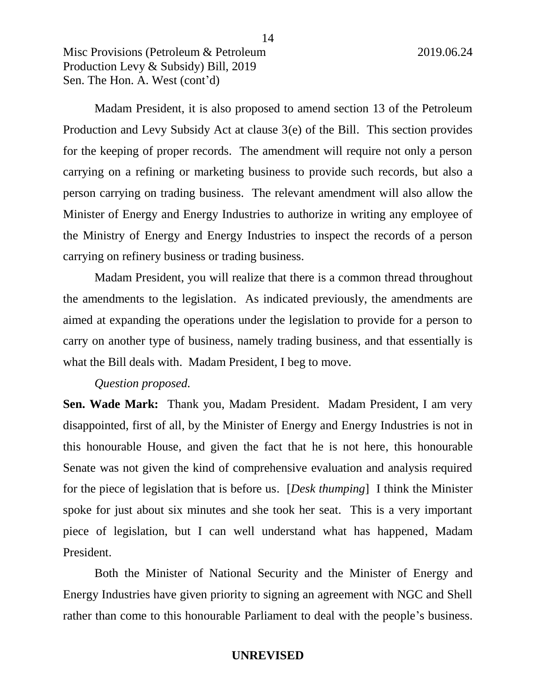Madam President, it is also proposed to amend section 13 of the Petroleum Production and Levy Subsidy Act at clause 3(e) of the Bill. This section provides for the keeping of proper records. The amendment will require not only a person carrying on a refining or marketing business to provide such records, but also a person carrying on trading business. The relevant amendment will also allow the Minister of Energy and Energy Industries to authorize in writing any employee of the Ministry of Energy and Energy Industries to inspect the records of a person carrying on refinery business or trading business.

Madam President, you will realize that there is a common thread throughout the amendments to the legislation. As indicated previously, the amendments are aimed at expanding the operations under the legislation to provide for a person to carry on another type of business, namely trading business, and that essentially is what the Bill deals with. Madam President, I beg to move.

# *Question proposed.*

**Sen. Wade Mark:** Thank you, Madam President. Madam President, I am very disappointed, first of all, by the Minister of Energy and Energy Industries is not in this honourable House, and given the fact that he is not here, this honourable Senate was not given the kind of comprehensive evaluation and analysis required for the piece of legislation that is before us. [*Desk thumping*] I think the Minister spoke for just about six minutes and she took her seat. This is a very important piece of legislation, but I can well understand what has happened, Madam President.

Both the Minister of National Security and the Minister of Energy and Energy Industries have given priority to signing an agreement with NGC and Shell rather than come to this honourable Parliament to deal with the people's business.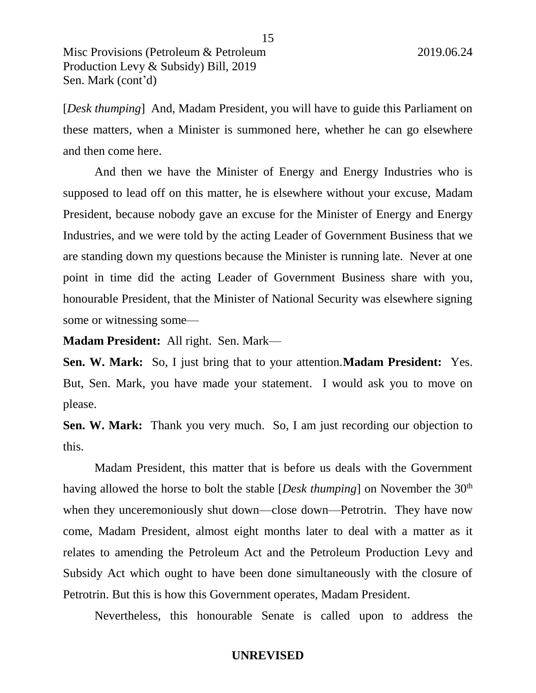[*Desk thumping*] And, Madam President, you will have to guide this Parliament on these matters, when a Minister is summoned here, whether he can go elsewhere and then come here.

And then we have the Minister of Energy and Energy Industries who is supposed to lead off on this matter, he is elsewhere without your excuse, Madam President, because nobody gave an excuse for the Minister of Energy and Energy Industries, and we were told by the acting Leader of Government Business that we are standing down my questions because the Minister is running late. Never at one point in time did the acting Leader of Government Business share with you, honourable President, that the Minister of National Security was elsewhere signing some or witnessing some—

**Madam President:** All right. Sen. Mark—

**Sen. W. Mark:** So, I just bring that to your attention.**Madam President:** Yes. But, Sen. Mark, you have made your statement. I would ask you to move on please.

**Sen. W. Mark:** Thank you very much. So, I am just recording our objection to this.

Madam President, this matter that is before us deals with the Government having allowed the horse to bolt the stable [*Desk thumping*] on November the 30<sup>th</sup> when they unceremoniously shut down—close down—Petrotrin. They have now come, Madam President, almost eight months later to deal with a matter as it relates to amending the Petroleum Act and the Petroleum Production Levy and Subsidy Act which ought to have been done simultaneously with the closure of Petrotrin. But this is how this Government operates, Madam President.

Nevertheless, this honourable Senate is called upon to address the

15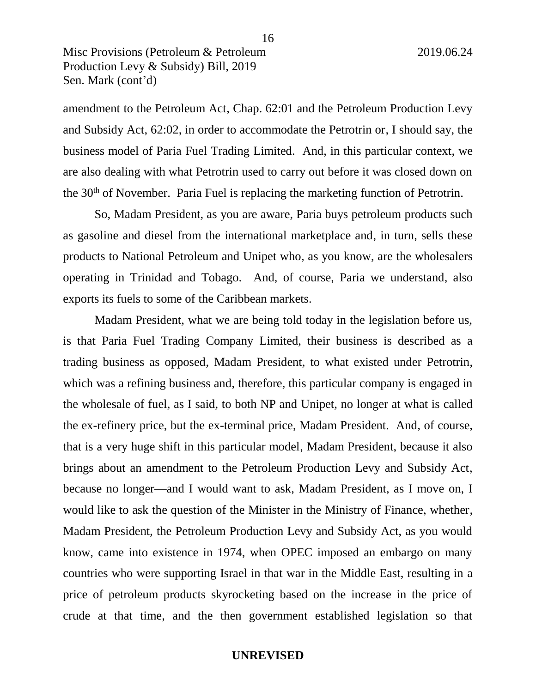amendment to the Petroleum Act, Chap. 62:01 and the Petroleum Production Levy and Subsidy Act, 62:02, in order to accommodate the Petrotrin or, I should say, the business model of Paria Fuel Trading Limited. And, in this particular context, we are also dealing with what Petrotrin used to carry out before it was closed down on the 30th of November. Paria Fuel is replacing the marketing function of Petrotrin.

So, Madam President, as you are aware, Paria buys petroleum products such as gasoline and diesel from the international marketplace and, in turn, sells these products to National Petroleum and Unipet who, as you know, are the wholesalers operating in Trinidad and Tobago. And, of course, Paria we understand, also exports its fuels to some of the Caribbean markets.

Madam President, what we are being told today in the legislation before us, is that Paria Fuel Trading Company Limited, their business is described as a trading business as opposed, Madam President, to what existed under Petrotrin, which was a refining business and, therefore, this particular company is engaged in the wholesale of fuel, as I said, to both NP and Unipet, no longer at what is called the ex-refinery price, but the ex-terminal price, Madam President. And, of course, that is a very huge shift in this particular model, Madam President, because it also brings about an amendment to the Petroleum Production Levy and Subsidy Act, because no longer—and I would want to ask, Madam President, as I move on, I would like to ask the question of the Minister in the Ministry of Finance, whether, Madam President, the Petroleum Production Levy and Subsidy Act, as you would know, came into existence in 1974, when OPEC imposed an embargo on many countries who were supporting Israel in that war in the Middle East, resulting in a price of petroleum products skyrocketing based on the increase in the price of crude at that time, and the then government established legislation so that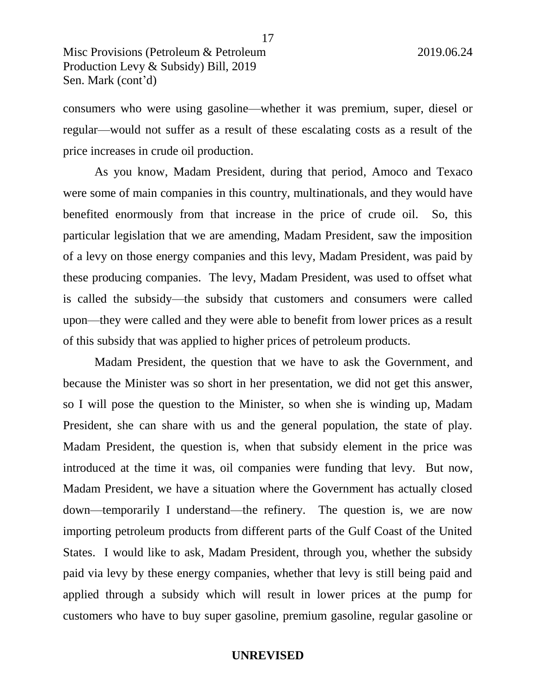consumers who were using gasoline—whether it was premium, super, diesel or regular—would not suffer as a result of these escalating costs as a result of the price increases in crude oil production.

As you know, Madam President, during that period, Amoco and Texaco were some of main companies in this country, multinationals, and they would have benefited enormously from that increase in the price of crude oil. So, this particular legislation that we are amending, Madam President, saw the imposition of a levy on those energy companies and this levy, Madam President, was paid by these producing companies. The levy, Madam President, was used to offset what is called the subsidy—the subsidy that customers and consumers were called upon—they were called and they were able to benefit from lower prices as a result of this subsidy that was applied to higher prices of petroleum products.

Madam President, the question that we have to ask the Government, and because the Minister was so short in her presentation, we did not get this answer, so I will pose the question to the Minister, so when she is winding up, Madam President, she can share with us and the general population, the state of play. Madam President, the question is, when that subsidy element in the price was introduced at the time it was, oil companies were funding that levy. But now, Madam President, we have a situation where the Government has actually closed down—temporarily I understand—the refinery. The question is, we are now importing petroleum products from different parts of the Gulf Coast of the United States. I would like to ask, Madam President, through you, whether the subsidy paid via levy by these energy companies, whether that levy is still being paid and applied through a subsidy which will result in lower prices at the pump for customers who have to buy super gasoline, premium gasoline, regular gasoline or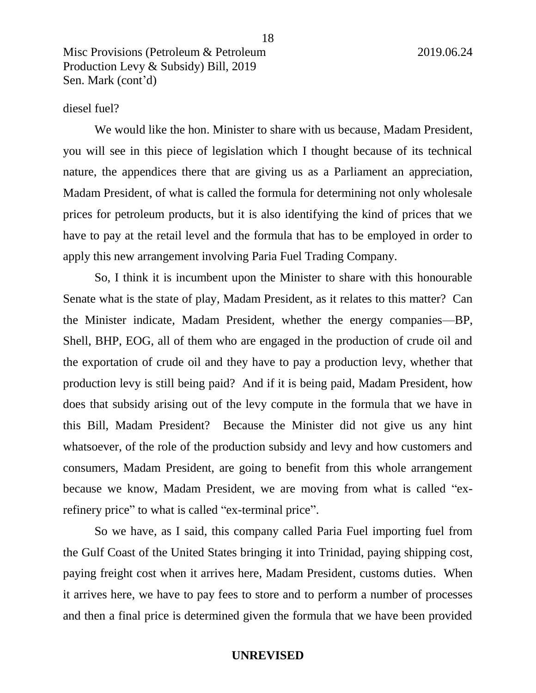# diesel fuel?

We would like the hon. Minister to share with us because, Madam President, you will see in this piece of legislation which I thought because of its technical nature, the appendices there that are giving us as a Parliament an appreciation, Madam President, of what is called the formula for determining not only wholesale prices for petroleum products, but it is also identifying the kind of prices that we have to pay at the retail level and the formula that has to be employed in order to apply this new arrangement involving Paria Fuel Trading Company.

So, I think it is incumbent upon the Minister to share with this honourable Senate what is the state of play, Madam President, as it relates to this matter? Can the Minister indicate, Madam President, whether the energy companies—BP, Shell, BHP, EOG, all of them who are engaged in the production of crude oil and the exportation of crude oil and they have to pay a production levy, whether that production levy is still being paid? And if it is being paid, Madam President, how does that subsidy arising out of the levy compute in the formula that we have in this Bill, Madam President? Because the Minister did not give us any hint whatsoever, of the role of the production subsidy and levy and how customers and consumers, Madam President, are going to benefit from this whole arrangement because we know, Madam President, we are moving from what is called "exrefinery price" to what is called "ex-terminal price".

So we have, as I said, this company called Paria Fuel importing fuel from the Gulf Coast of the United States bringing it into Trinidad, paying shipping cost, paying freight cost when it arrives here, Madam President, customs duties. When it arrives here, we have to pay fees to store and to perform a number of processes and then a final price is determined given the formula that we have been provided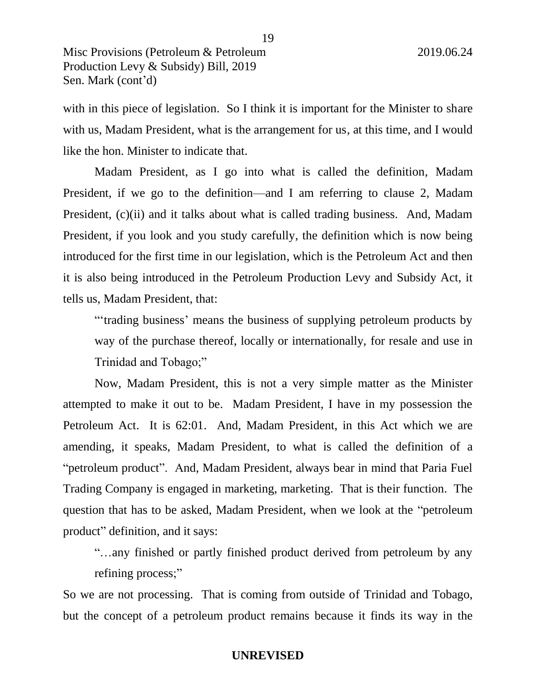with in this piece of legislation. So I think it is important for the Minister to share with us, Madam President, what is the arrangement for us, at this time, and I would like the hon. Minister to indicate that.

Madam President, as I go into what is called the definition, Madam President, if we go to the definition—and I am referring to clause 2, Madam President, (c)(ii) and it talks about what is called trading business. And, Madam President, if you look and you study carefully, the definition which is now being introduced for the first time in our legislation, which is the Petroleum Act and then it is also being introduced in the Petroleum Production Levy and Subsidy Act, it tells us, Madam President, that:

"'trading business' means the business of supplying petroleum products by way of the purchase thereof, locally or internationally, for resale and use in Trinidad and Tobago;"

Now, Madam President, this is not a very simple matter as the Minister attempted to make it out to be. Madam President, I have in my possession the Petroleum Act. It is 62:01. And, Madam President, in this Act which we are amending, it speaks, Madam President, to what is called the definition of a "petroleum product". And, Madam President, always bear in mind that Paria Fuel Trading Company is engaged in marketing, marketing. That is their function. The question that has to be asked, Madam President, when we look at the "petroleum product" definition, and it says:

"…any finished or partly finished product derived from petroleum by any refining process;"

So we are not processing. That is coming from outside of Trinidad and Tobago, but the concept of a petroleum product remains because it finds its way in the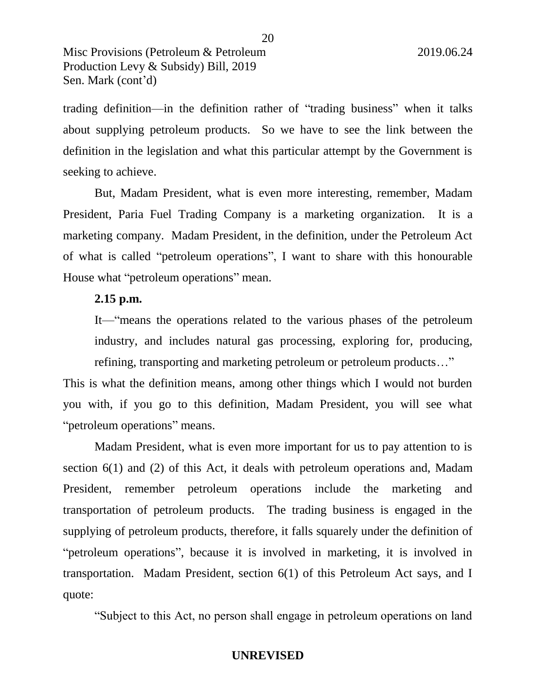trading definition—in the definition rather of "trading business" when it talks about supplying petroleum products. So we have to see the link between the definition in the legislation and what this particular attempt by the Government is seeking to achieve.

But, Madam President, what is even more interesting, remember, Madam President, Paria Fuel Trading Company is a marketing organization. It is a marketing company. Madam President, in the definition, under the Petroleum Act of what is called "petroleum operations", I want to share with this honourable House what "petroleum operations" mean.

# **2.15 p.m.**

It—"means the operations related to the various phases of the petroleum industry, and includes natural gas processing, exploring for, producing, refining, transporting and marketing petroleum or petroleum products…"

This is what the definition means, among other things which I would not burden you with, if you go to this definition, Madam President, you will see what "petroleum operations" means.

Madam President, what is even more important for us to pay attention to is section 6(1) and (2) of this Act, it deals with petroleum operations and, Madam President, remember petroleum operations include the marketing and transportation of petroleum products. The trading business is engaged in the supplying of petroleum products, therefore, it falls squarely under the definition of "petroleum operations", because it is involved in marketing, it is involved in transportation. Madam President, section 6(1) of this Petroleum Act says, and I quote:

"Subject to this Act, no person shall engage in petroleum operations on land

20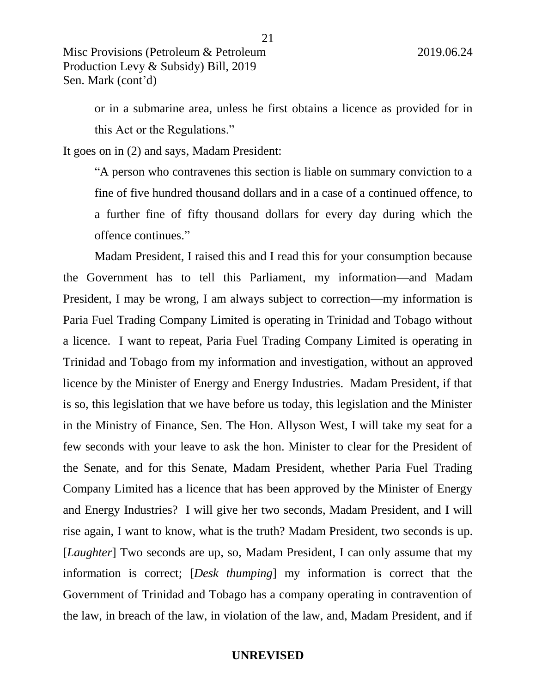or in a submarine area, unless he first obtains a licence as provided for in this Act or the Regulations."

It goes on in (2) and says, Madam President:

"A person who contravenes this section is liable on summary conviction to a fine of five hundred thousand dollars and in a case of a continued offence, to a further fine of fifty thousand dollars for every day during which the offence continues."

Madam President, I raised this and I read this for your consumption because the Government has to tell this Parliament, my information—and Madam President, I may be wrong, I am always subject to correction—my information is Paria Fuel Trading Company Limited is operating in Trinidad and Tobago without a licence. I want to repeat, Paria Fuel Trading Company Limited is operating in Trinidad and Tobago from my information and investigation, without an approved licence by the Minister of Energy and Energy Industries. Madam President, if that is so, this legislation that we have before us today, this legislation and the Minister in the Ministry of Finance, Sen. The Hon. Allyson West, I will take my seat for a few seconds with your leave to ask the hon. Minister to clear for the President of the Senate, and for this Senate, Madam President, whether Paria Fuel Trading Company Limited has a licence that has been approved by the Minister of Energy and Energy Industries? I will give her two seconds, Madam President, and I will rise again, I want to know, what is the truth? Madam President, two seconds is up. [*Laughter*] Two seconds are up, so, Madam President, I can only assume that my information is correct; [*Desk thumping*] my information is correct that the Government of Trinidad and Tobago has a company operating in contravention of the law, in breach of the law, in violation of the law, and, Madam President, and if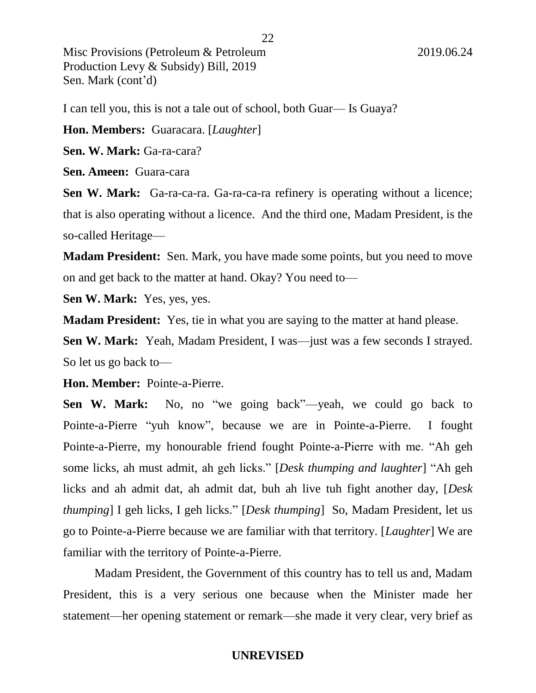I can tell you, this is not a tale out of school, both Guar— Is Guaya?

**Hon. Members:** Guaracara. [*Laughter*]

**Sen. W. Mark:** Ga-ra-cara?

**Sen. Ameen:** Guara-cara

**Sen W. Mark:** Ga-ra-ca-ra. Ga-ra-ca-ra refinery is operating without a licence; that is also operating without a licence. And the third one, Madam President, is the so-called Heritage—

**Madam President:** Sen. Mark, you have made some points, but you need to move on and get back to the matter at hand. Okay? You need to—

**Sen W. Mark:** Yes, yes, yes.

**Madam President:** Yes, tie in what you are saying to the matter at hand please.

**Sen W. Mark:** Yeah, Madam President, I was—just was a few seconds I strayed. So let us go back to—

**Hon. Member:** Pointe-a-Pierre.

**Sen W. Mark:** No, no "we going back"—yeah, we could go back to Pointe-a-Pierre "yuh know", because we are in Pointe-a-Pierre. I fought Pointe-a-Pierre, my honourable friend fought Pointe-a-Pierre with me. "Ah geh some licks, ah must admit, ah geh licks." [*Desk thumping and laughter*] "Ah geh licks and ah admit dat, ah admit dat, buh ah live tuh fight another day, [*Desk thumping*] I geh licks, I geh licks." [*Desk thumping*] So, Madam President, let us go to Pointe-a-Pierre because we are familiar with that territory. [*Laughter*] We are familiar with the territory of Pointe-a-Pierre.

Madam President, the Government of this country has to tell us and, Madam President, this is a very serious one because when the Minister made her statement—her opening statement or remark—she made it very clear, very brief as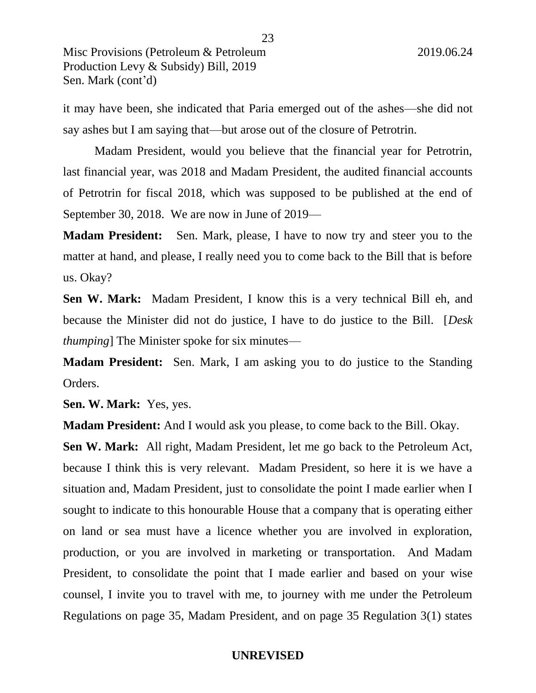it may have been, she indicated that Paria emerged out of the ashes—she did not say ashes but I am saying that—but arose out of the closure of Petrotrin.

Madam President, would you believe that the financial year for Petrotrin, last financial year, was 2018 and Madam President, the audited financial accounts of Petrotrin for fiscal 2018, which was supposed to be published at the end of September 30, 2018. We are now in June of 2019—

**Madam President:** Sen. Mark, please, I have to now try and steer you to the matter at hand, and please, I really need you to come back to the Bill that is before us. Okay?

**Sen W. Mark:** Madam President, I know this is a very technical Bill eh, and because the Minister did not do justice, I have to do justice to the Bill. [*Desk thumping*] The Minister spoke for six minutes—

**Madam President:** Sen. Mark, I am asking you to do justice to the Standing Orders.

**Sen. W. Mark:** Yes, yes.

**Madam President:** And I would ask you please, to come back to the Bill. Okay.

**Sen W. Mark:** All right, Madam President, let me go back to the Petroleum Act, because I think this is very relevant. Madam President, so here it is we have a situation and, Madam President, just to consolidate the point I made earlier when I sought to indicate to this honourable House that a company that is operating either on land or sea must have a licence whether you are involved in exploration, production, or you are involved in marketing or transportation. And Madam President, to consolidate the point that I made earlier and based on your wise counsel, I invite you to travel with me, to journey with me under the Petroleum Regulations on page 35, Madam President, and on page 35 Regulation 3(1) states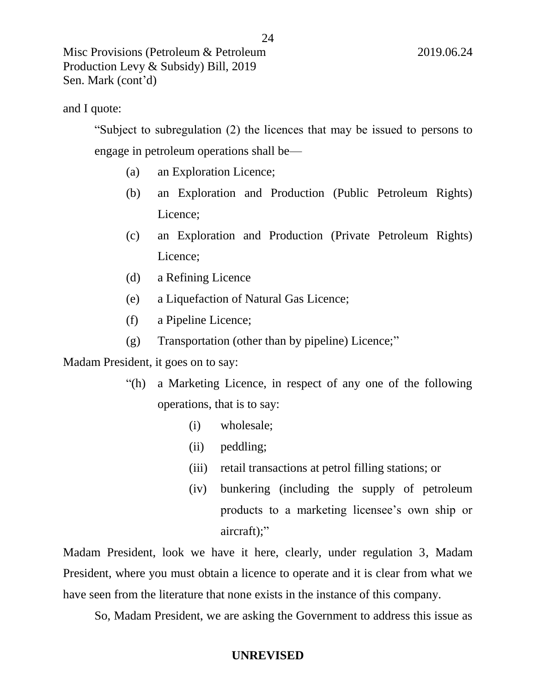# and I quote:

"Subject to subregulation (2) the licences that may be issued to persons to engage in petroleum operations shall be—

24

- (a) an Exploration Licence;
- (b) an Exploration and Production (Public Petroleum Rights) Licence;
- (c) an Exploration and Production (Private Petroleum Rights) Licence;
- (d) a Refining Licence
- (e) a Liquefaction of Natural Gas Licence;
- (f) a Pipeline Licence;
- (g) Transportation (other than by pipeline) Licence;"

# Madam President, it goes on to say:

- "(h) a Marketing Licence, in respect of any one of the following operations, that is to say:
	- (i) wholesale;
	- (ii) peddling;
	- (iii) retail transactions at petrol filling stations; or
	- (iv) bunkering (including the supply of petroleum products to a marketing licensee's own ship or aircraft);"

Madam President, look we have it here, clearly, under regulation 3, Madam President, where you must obtain a licence to operate and it is clear from what we have seen from the literature that none exists in the instance of this company.

So, Madam President, we are asking the Government to address this issue as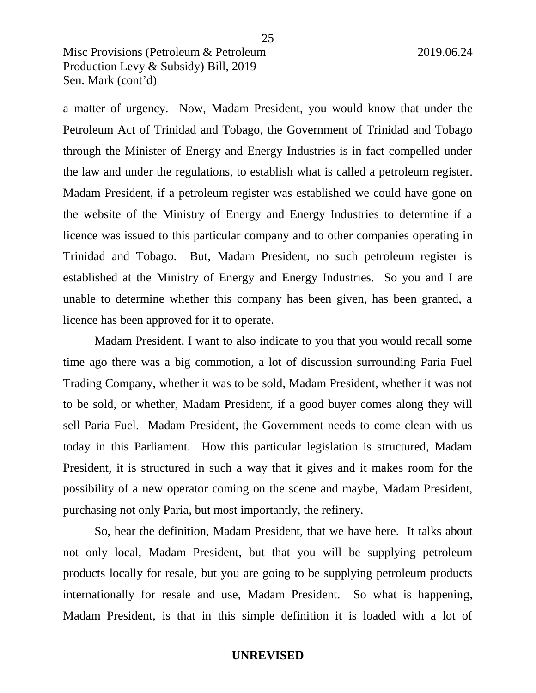a matter of urgency. Now, Madam President, you would know that under the Petroleum Act of Trinidad and Tobago, the Government of Trinidad and Tobago through the Minister of Energy and Energy Industries is in fact compelled under the law and under the regulations, to establish what is called a petroleum register. Madam President, if a petroleum register was established we could have gone on the website of the Ministry of Energy and Energy Industries to determine if a licence was issued to this particular company and to other companies operating in Trinidad and Tobago. But, Madam President, no such petroleum register is established at the Ministry of Energy and Energy Industries. So you and I are unable to determine whether this company has been given, has been granted, a licence has been approved for it to operate.

Madam President, I want to also indicate to you that you would recall some time ago there was a big commotion, a lot of discussion surrounding Paria Fuel Trading Company, whether it was to be sold, Madam President, whether it was not to be sold, or whether, Madam President, if a good buyer comes along they will sell Paria Fuel. Madam President, the Government needs to come clean with us today in this Parliament. How this particular legislation is structured, Madam President, it is structured in such a way that it gives and it makes room for the possibility of a new operator coming on the scene and maybe, Madam President, purchasing not only Paria, but most importantly, the refinery.

So, hear the definition, Madam President, that we have here. It talks about not only local, Madam President, but that you will be supplying petroleum products locally for resale, but you are going to be supplying petroleum products internationally for resale and use, Madam President. So what is happening, Madam President, is that in this simple definition it is loaded with a lot of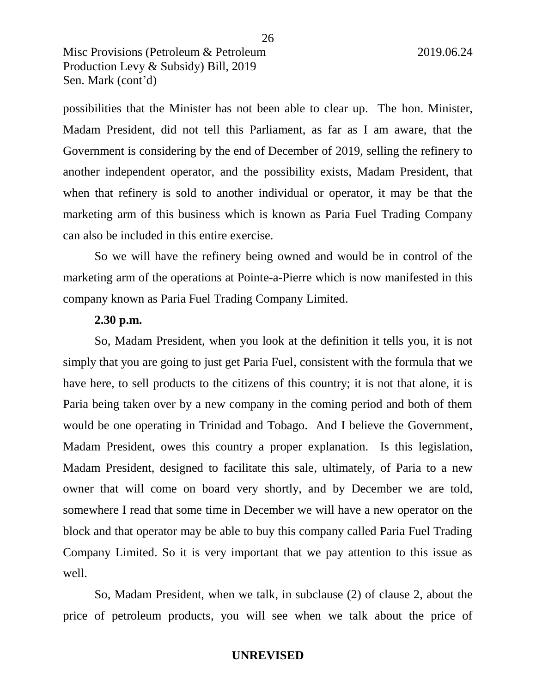possibilities that the Minister has not been able to clear up. The hon. Minister, Madam President, did not tell this Parliament, as far as I am aware, that the Government is considering by the end of December of 2019, selling the refinery to another independent operator, and the possibility exists, Madam President, that when that refinery is sold to another individual or operator, it may be that the marketing arm of this business which is known as Paria Fuel Trading Company can also be included in this entire exercise.

So we will have the refinery being owned and would be in control of the marketing arm of the operations at Pointe-a-Pierre which is now manifested in this company known as Paria Fuel Trading Company Limited.

# **2.30 p.m.**

So, Madam President, when you look at the definition it tells you, it is not simply that you are going to just get Paria Fuel, consistent with the formula that we have here, to sell products to the citizens of this country; it is not that alone, it is Paria being taken over by a new company in the coming period and both of them would be one operating in Trinidad and Tobago. And I believe the Government, Madam President, owes this country a proper explanation. Is this legislation, Madam President, designed to facilitate this sale, ultimately, of Paria to a new owner that will come on board very shortly, and by December we are told, somewhere I read that some time in December we will have a new operator on the block and that operator may be able to buy this company called Paria Fuel Trading Company Limited. So it is very important that we pay attention to this issue as well.

So, Madam President, when we talk, in subclause (2) of clause 2, about the price of petroleum products, you will see when we talk about the price of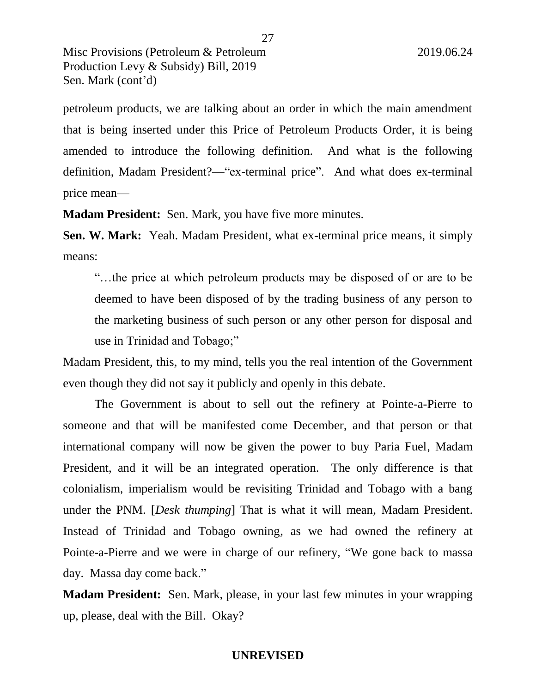petroleum products, we are talking about an order in which the main amendment that is being inserted under this Price of Petroleum Products Order, it is being amended to introduce the following definition. And what is the following definition, Madam President?—"ex-terminal price". And what does ex-terminal price mean—

**Madam President:** Sen. Mark, you have five more minutes.

**Sen. W. Mark:** Yeah. Madam President, what ex-terminal price means, it simply means:

"…the price at which petroleum products may be disposed of or are to be deemed to have been disposed of by the trading business of any person to the marketing business of such person or any other person for disposal and use in Trinidad and Tobago;"

Madam President, this, to my mind, tells you the real intention of the Government even though they did not say it publicly and openly in this debate.

The Government is about to sell out the refinery at Pointe-a-Pierre to someone and that will be manifested come December, and that person or that international company will now be given the power to buy Paria Fuel, Madam President, and it will be an integrated operation. The only difference is that colonialism, imperialism would be revisiting Trinidad and Tobago with a bang under the PNM. [*Desk thumping*] That is what it will mean, Madam President. Instead of Trinidad and Tobago owning, as we had owned the refinery at Pointe-a-Pierre and we were in charge of our refinery, "We gone back to massa day. Massa day come back."

**Madam President:** Sen. Mark, please, in your last few minutes in your wrapping up, please, deal with the Bill. Okay?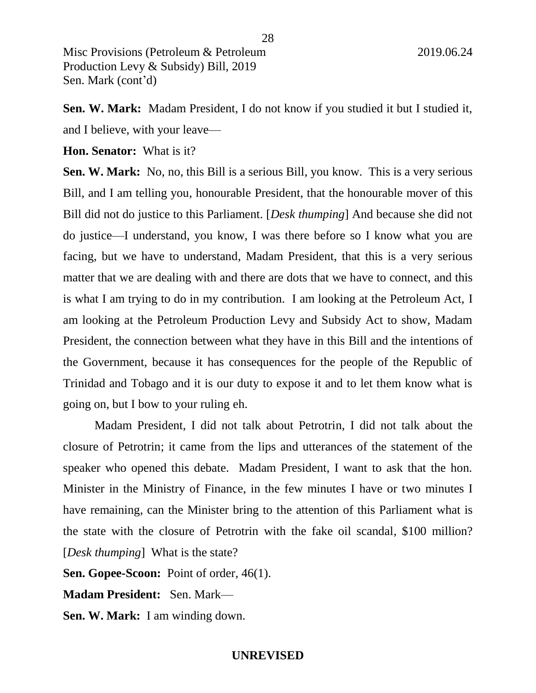**Sen. W. Mark:** Madam President, I do not know if you studied it but I studied it, and I believe, with your leave—

28

**Hon. Senator:** What is it?

**Sen. W. Mark:** No, no, this Bill is a serious Bill, you know. This is a very serious Bill, and I am telling you, honourable President, that the honourable mover of this Bill did not do justice to this Parliament. [*Desk thumping*] And because she did not do justice—I understand, you know, I was there before so I know what you are facing, but we have to understand, Madam President, that this is a very serious matter that we are dealing with and there are dots that we have to connect, and this is what I am trying to do in my contribution. I am looking at the Petroleum Act, I am looking at the Petroleum Production Levy and Subsidy Act to show, Madam President, the connection between what they have in this Bill and the intentions of the Government, because it has consequences for the people of the Republic of Trinidad and Tobago and it is our duty to expose it and to let them know what is going on, but I bow to your ruling eh.

Madam President, I did not talk about Petrotrin, I did not talk about the closure of Petrotrin; it came from the lips and utterances of the statement of the speaker who opened this debate. Madam President, I want to ask that the hon. Minister in the Ministry of Finance, in the few minutes I have or two minutes I have remaining, can the Minister bring to the attention of this Parliament what is the state with the closure of Petrotrin with the fake oil scandal, \$100 million? [*Desk thumping*] What is the state?

**Sen. Gopee-Scoon:** Point of order, 46(1).

**Madam President:** Sen. Mark—

**Sen. W. Mark:** I am winding down.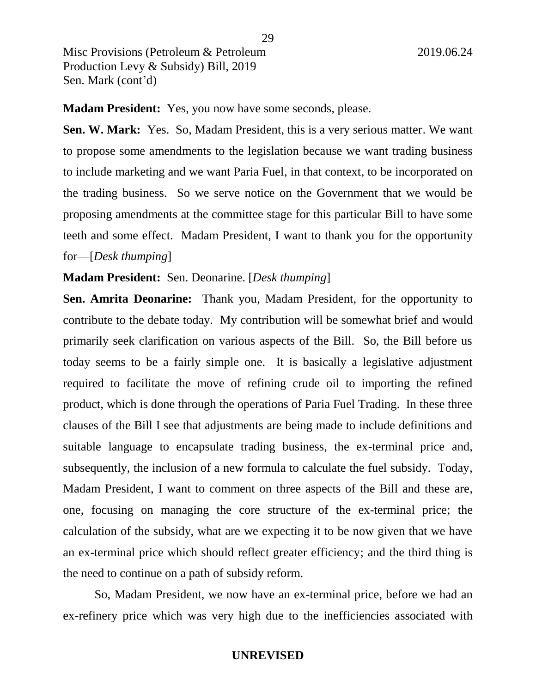**Madam President:** Yes, you now have some seconds, please.

**Sen. W. Mark:** Yes. So, Madam President, this is a very serious matter. We want to propose some amendments to the legislation because we want trading business to include marketing and we want Paria Fuel, in that context, to be incorporated on the trading business. So we serve notice on the Government that we would be proposing amendments at the committee stage for this particular Bill to have some teeth and some effect. Madam President, I want to thank you for the opportunity for—[*Desk thumping*]

**Madam President:** Sen. Deonarine. [*Desk thumping*]

**Sen. Amrita Deonarine:** Thank you, Madam President, for the opportunity to contribute to the debate today. My contribution will be somewhat brief and would primarily seek clarification on various aspects of the Bill. So, the Bill before us today seems to be a fairly simple one. It is basically a legislative adjustment required to facilitate the move of refining crude oil to importing the refined product, which is done through the operations of Paria Fuel Trading. In these three clauses of the Bill I see that adjustments are being made to include definitions and suitable language to encapsulate trading business, the ex-terminal price and, subsequently, the inclusion of a new formula to calculate the fuel subsidy. Today, Madam President, I want to comment on three aspects of the Bill and these are, one, focusing on managing the core structure of the ex-terminal price; the calculation of the subsidy, what are we expecting it to be now given that we have an ex-terminal price which should reflect greater efficiency; and the third thing is the need to continue on a path of subsidy reform.

So, Madam President, we now have an ex-terminal price, before we had an ex-refinery price which was very high due to the inefficiencies associated with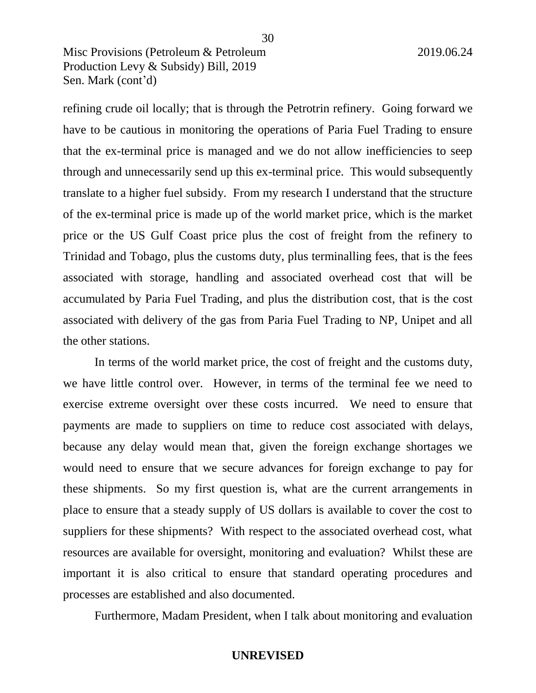refining crude oil locally; that is through the Petrotrin refinery. Going forward we have to be cautious in monitoring the operations of Paria Fuel Trading to ensure that the ex-terminal price is managed and we do not allow inefficiencies to seep through and unnecessarily send up this ex-terminal price. This would subsequently translate to a higher fuel subsidy. From my research I understand that the structure of the ex-terminal price is made up of the world market price, which is the market price or the US Gulf Coast price plus the cost of freight from the refinery to Trinidad and Tobago, plus the customs duty, plus terminalling fees, that is the fees associated with storage, handling and associated overhead cost that will be accumulated by Paria Fuel Trading, and plus the distribution cost, that is the cost associated with delivery of the gas from Paria Fuel Trading to NP, Unipet and all the other stations.

30

In terms of the world market price, the cost of freight and the customs duty, we have little control over. However, in terms of the terminal fee we need to exercise extreme oversight over these costs incurred. We need to ensure that payments are made to suppliers on time to reduce cost associated with delays, because any delay would mean that, given the foreign exchange shortages we would need to ensure that we secure advances for foreign exchange to pay for these shipments. So my first question is, what are the current arrangements in place to ensure that a steady supply of US dollars is available to cover the cost to suppliers for these shipments? With respect to the associated overhead cost, what resources are available for oversight, monitoring and evaluation? Whilst these are important it is also critical to ensure that standard operating procedures and processes are established and also documented.

Furthermore, Madam President, when I talk about monitoring and evaluation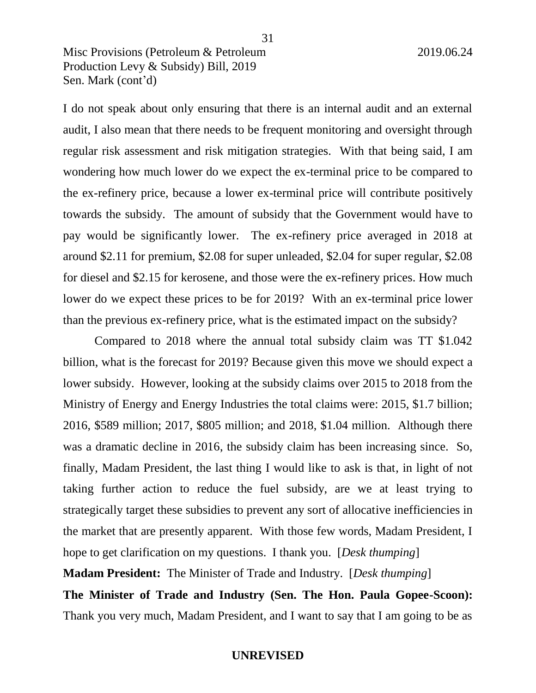I do not speak about only ensuring that there is an internal audit and an external audit, I also mean that there needs to be frequent monitoring and oversight through regular risk assessment and risk mitigation strategies. With that being said, I am wondering how much lower do we expect the ex-terminal price to be compared to the ex-refinery price, because a lower ex-terminal price will contribute positively towards the subsidy. The amount of subsidy that the Government would have to pay would be significantly lower. The ex-refinery price averaged in 2018 at around \$2.11 for premium, \$2.08 for super unleaded, \$2.04 for super regular, \$2.08 for diesel and \$2.15 for kerosene, and those were the ex-refinery prices. How much lower do we expect these prices to be for 2019? With an ex-terminal price lower than the previous ex-refinery price, what is the estimated impact on the subsidy?

Compared to 2018 where the annual total subsidy claim was TT \$1.042 billion, what is the forecast for 2019? Because given this move we should expect a lower subsidy. However, looking at the subsidy claims over 2015 to 2018 from the Ministry of Energy and Energy Industries the total claims were: 2015, \$1.7 billion; 2016, \$589 million; 2017, \$805 million; and 2018, \$1.04 million. Although there was a dramatic decline in 2016, the subsidy claim has been increasing since. So, finally, Madam President, the last thing I would like to ask is that, in light of not taking further action to reduce the fuel subsidy, are we at least trying to strategically target these subsidies to prevent any sort of allocative inefficiencies in the market that are presently apparent. With those few words, Madam President, I hope to get clarification on my questions. I thank you. [*Desk thumping*]

**Madam President:** The Minister of Trade and Industry. [*Desk thumping*]

**The Minister of Trade and Industry (Sen. The Hon. Paula Gopee-Scoon):**  Thank you very much, Madam President, and I want to say that I am going to be as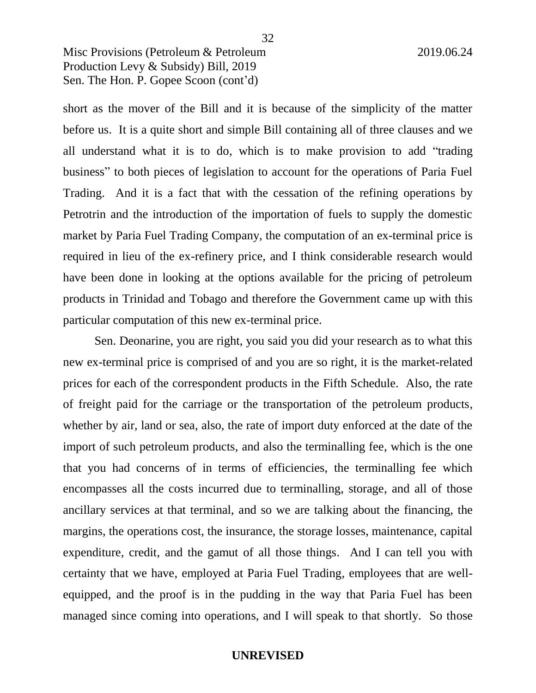short as the mover of the Bill and it is because of the simplicity of the matter before us. It is a quite short and simple Bill containing all of three clauses and we all understand what it is to do, which is to make provision to add "trading business" to both pieces of legislation to account for the operations of Paria Fuel Trading. And it is a fact that with the cessation of the refining operations by Petrotrin and the introduction of the importation of fuels to supply the domestic market by Paria Fuel Trading Company, the computation of an ex-terminal price is required in lieu of the ex-refinery price, and I think considerable research would have been done in looking at the options available for the pricing of petroleum products in Trinidad and Tobago and therefore the Government came up with this particular computation of this new ex-terminal price.

Sen. Deonarine, you are right, you said you did your research as to what this new ex-terminal price is comprised of and you are so right, it is the market-related prices for each of the correspondent products in the Fifth Schedule. Also, the rate of freight paid for the carriage or the transportation of the petroleum products, whether by air, land or sea, also, the rate of import duty enforced at the date of the import of such petroleum products, and also the terminalling fee, which is the one that you had concerns of in terms of efficiencies, the terminalling fee which encompasses all the costs incurred due to terminalling, storage, and all of those ancillary services at that terminal, and so we are talking about the financing, the margins, the operations cost, the insurance, the storage losses, maintenance, capital expenditure, credit, and the gamut of all those things. And I can tell you with certainty that we have, employed at Paria Fuel Trading, employees that are wellequipped, and the proof is in the pudding in the way that Paria Fuel has been managed since coming into operations, and I will speak to that shortly. So those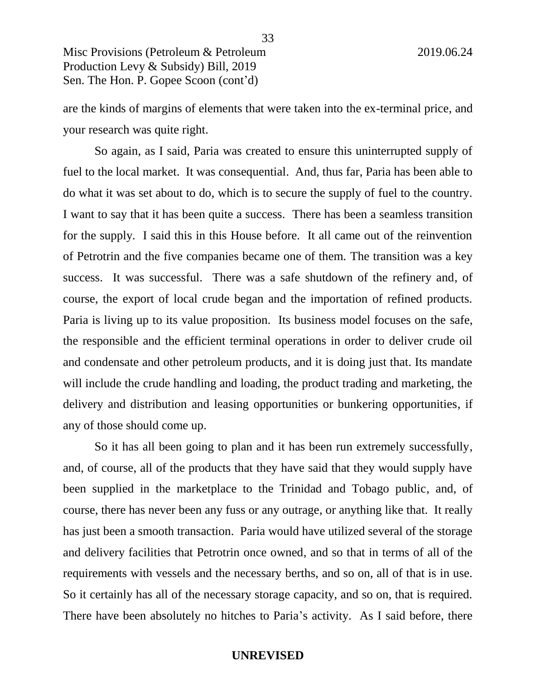are the kinds of margins of elements that were taken into the ex-terminal price, and your research was quite right.

So again, as I said, Paria was created to ensure this uninterrupted supply of fuel to the local market. It was consequential. And, thus far, Paria has been able to do what it was set about to do, which is to secure the supply of fuel to the country. I want to say that it has been quite a success. There has been a seamless transition for the supply. I said this in this House before. It all came out of the reinvention of Petrotrin and the five companies became one of them. The transition was a key success. It was successful. There was a safe shutdown of the refinery and, of course, the export of local crude began and the importation of refined products. Paria is living up to its value proposition. Its business model focuses on the safe, the responsible and the efficient terminal operations in order to deliver crude oil and condensate and other petroleum products, and it is doing just that. Its mandate will include the crude handling and loading, the product trading and marketing, the delivery and distribution and leasing opportunities or bunkering opportunities, if any of those should come up.

So it has all been going to plan and it has been run extremely successfully, and, of course, all of the products that they have said that they would supply have been supplied in the marketplace to the Trinidad and Tobago public, and, of course, there has never been any fuss or any outrage, or anything like that. It really has just been a smooth transaction. Paria would have utilized several of the storage and delivery facilities that Petrotrin once owned, and so that in terms of all of the requirements with vessels and the necessary berths, and so on, all of that is in use. So it certainly has all of the necessary storage capacity, and so on, that is required. There have been absolutely no hitches to Paria's activity. As I said before, there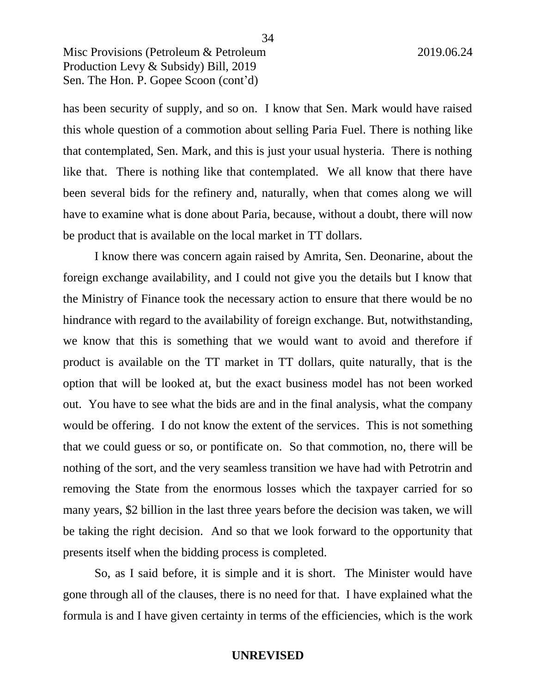has been security of supply, and so on. I know that Sen. Mark would have raised this whole question of a commotion about selling Paria Fuel. There is nothing like that contemplated, Sen. Mark, and this is just your usual hysteria. There is nothing like that. There is nothing like that contemplated. We all know that there have been several bids for the refinery and, naturally, when that comes along we will have to examine what is done about Paria, because, without a doubt, there will now be product that is available on the local market in TT dollars.

I know there was concern again raised by Amrita, Sen. Deonarine, about the foreign exchange availability, and I could not give you the details but I know that the Ministry of Finance took the necessary action to ensure that there would be no hindrance with regard to the availability of foreign exchange. But, notwithstanding, we know that this is something that we would want to avoid and therefore if product is available on the TT market in TT dollars, quite naturally, that is the option that will be looked at, but the exact business model has not been worked out. You have to see what the bids are and in the final analysis, what the company would be offering. I do not know the extent of the services. This is not something that we could guess or so, or pontificate on. So that commotion, no, there will be nothing of the sort, and the very seamless transition we have had with Petrotrin and removing the State from the enormous losses which the taxpayer carried for so many years, \$2 billion in the last three years before the decision was taken, we will be taking the right decision. And so that we look forward to the opportunity that presents itself when the bidding process is completed.

So, as I said before, it is simple and it is short. The Minister would have gone through all of the clauses, there is no need for that. I have explained what the formula is and I have given certainty in terms of the efficiencies, which is the work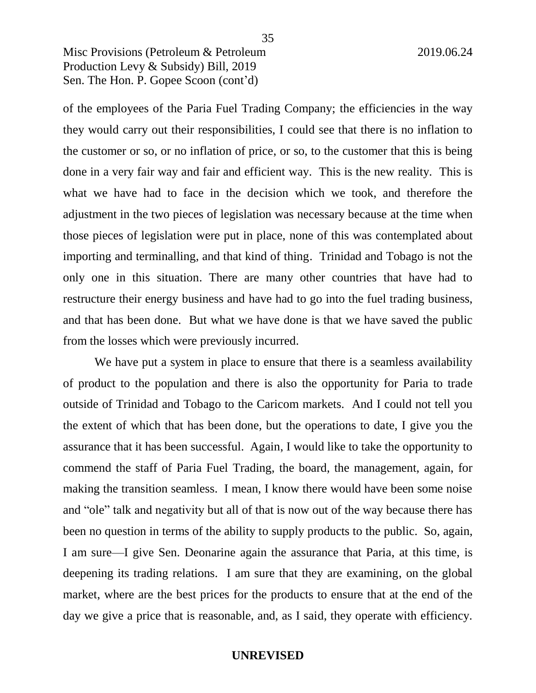of the employees of the Paria Fuel Trading Company; the efficiencies in the way they would carry out their responsibilities, I could see that there is no inflation to the customer or so, or no inflation of price, or so, to the customer that this is being done in a very fair way and fair and efficient way. This is the new reality. This is what we have had to face in the decision which we took, and therefore the adjustment in the two pieces of legislation was necessary because at the time when those pieces of legislation were put in place, none of this was contemplated about importing and terminalling, and that kind of thing. Trinidad and Tobago is not the only one in this situation. There are many other countries that have had to restructure their energy business and have had to go into the fuel trading business, and that has been done. But what we have done is that we have saved the public from the losses which were previously incurred.

35

We have put a system in place to ensure that there is a seamless availability of product to the population and there is also the opportunity for Paria to trade outside of Trinidad and Tobago to the Caricom markets. And I could not tell you the extent of which that has been done, but the operations to date, I give you the assurance that it has been successful. Again, I would like to take the opportunity to commend the staff of Paria Fuel Trading, the board, the management, again, for making the transition seamless. I mean, I know there would have been some noise and "ole" talk and negativity but all of that is now out of the way because there has been no question in terms of the ability to supply products to the public. So, again, I am sure—I give Sen. Deonarine again the assurance that Paria, at this time, is deepening its trading relations. I am sure that they are examining, on the global market, where are the best prices for the products to ensure that at the end of the day we give a price that is reasonable, and, as I said, they operate with efficiency.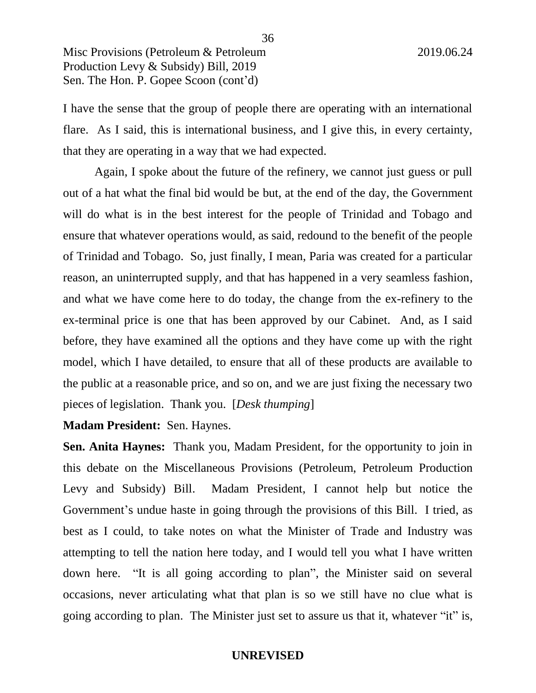I have the sense that the group of people there are operating with an international flare. As I said, this is international business, and I give this, in every certainty, that they are operating in a way that we had expected.

Again, I spoke about the future of the refinery, we cannot just guess or pull out of a hat what the final bid would be but, at the end of the day, the Government will do what is in the best interest for the people of Trinidad and Tobago and ensure that whatever operations would, as said, redound to the benefit of the people of Trinidad and Tobago. So, just finally, I mean, Paria was created for a particular reason, an uninterrupted supply, and that has happened in a very seamless fashion, and what we have come here to do today, the change from the ex-refinery to the ex-terminal price is one that has been approved by our Cabinet. And, as I said before, they have examined all the options and they have come up with the right model, which I have detailed, to ensure that all of these products are available to the public at a reasonable price, and so on, and we are just fixing the necessary two pieces of legislation. Thank you. [*Desk thumping*]

**Madam President:** Sen. Haynes.

**Sen. Anita Haynes:** Thank you, Madam President, for the opportunity to join in this debate on the Miscellaneous Provisions (Petroleum, Petroleum Production Levy and Subsidy) Bill. Madam President, I cannot help but notice the Government's undue haste in going through the provisions of this Bill. I tried, as best as I could, to take notes on what the Minister of Trade and Industry was attempting to tell the nation here today, and I would tell you what I have written down here. "It is all going according to plan", the Minister said on several occasions, never articulating what that plan is so we still have no clue what is going according to plan. The Minister just set to assure us that it, whatever "it" is,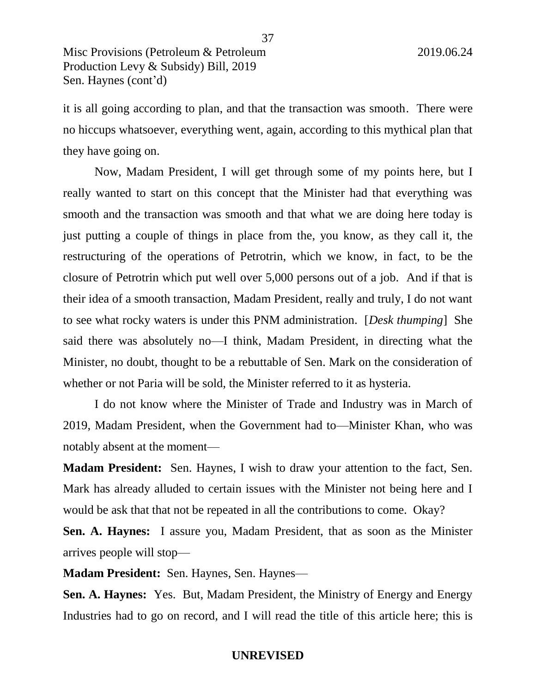it is all going according to plan, and that the transaction was smooth. There were no hiccups whatsoever, everything went, again, according to this mythical plan that they have going on.

Now, Madam President, I will get through some of my points here, but I really wanted to start on this concept that the Minister had that everything was smooth and the transaction was smooth and that what we are doing here today is just putting a couple of things in place from the, you know, as they call it, the restructuring of the operations of Petrotrin, which we know, in fact, to be the closure of Petrotrin which put well over 5,000 persons out of a job. And if that is their idea of a smooth transaction, Madam President, really and truly, I do not want to see what rocky waters is under this PNM administration. [*Desk thumping*] She said there was absolutely no—I think, Madam President, in directing what the Minister, no doubt, thought to be a rebuttable of Sen. Mark on the consideration of whether or not Paria will be sold, the Minister referred to it as hysteria.

I do not know where the Minister of Trade and Industry was in March of 2019, Madam President, when the Government had to—Minister Khan, who was notably absent at the moment—

**Madam President:** Sen. Haynes, I wish to draw your attention to the fact, Sen. Mark has already alluded to certain issues with the Minister not being here and I would be ask that that not be repeated in all the contributions to come. Okay?

**Sen. A. Haynes:** I assure you, Madam President, that as soon as the Minister arrives people will stop—

**Madam President:** Sen. Haynes, Sen. Haynes—

**Sen. A. Haynes:** Yes. But, Madam President, the Ministry of Energy and Energy Industries had to go on record, and I will read the title of this article here; this is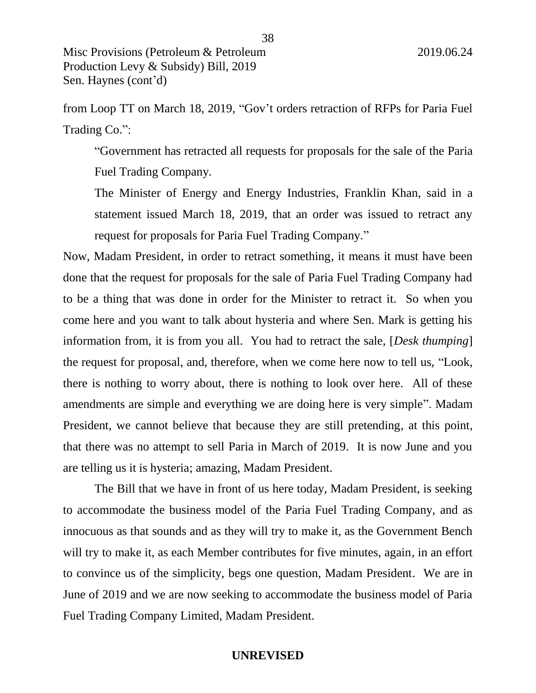from Loop TT on March 18, 2019, "Gov't orders retraction of RFPs for Paria Fuel Trading Co.":

"Government has retracted all requests for proposals for the sale of the Paria Fuel Trading Company.

The Minister of Energy and Energy Industries, Franklin Khan, said in a statement issued March 18, 2019, that an order was issued to retract any request for proposals for Paria Fuel Trading Company."

Now, Madam President, in order to retract something, it means it must have been done that the request for proposals for the sale of Paria Fuel Trading Company had to be a thing that was done in order for the Minister to retract it. So when you come here and you want to talk about hysteria and where Sen. Mark is getting his information from, it is from you all. You had to retract the sale, [*Desk thumping*] the request for proposal, and, therefore, when we come here now to tell us, "Look, there is nothing to worry about, there is nothing to look over here. All of these amendments are simple and everything we are doing here is very simple". Madam President, we cannot believe that because they are still pretending, at this point, that there was no attempt to sell Paria in March of 2019. It is now June and you are telling us it is hysteria; amazing, Madam President.

The Bill that we have in front of us here today, Madam President, is seeking to accommodate the business model of the Paria Fuel Trading Company, and as innocuous as that sounds and as they will try to make it, as the Government Bench will try to make it, as each Member contributes for five minutes, again, in an effort to convince us of the simplicity, begs one question, Madam President. We are in June of 2019 and we are now seeking to accommodate the business model of Paria Fuel Trading Company Limited, Madam President.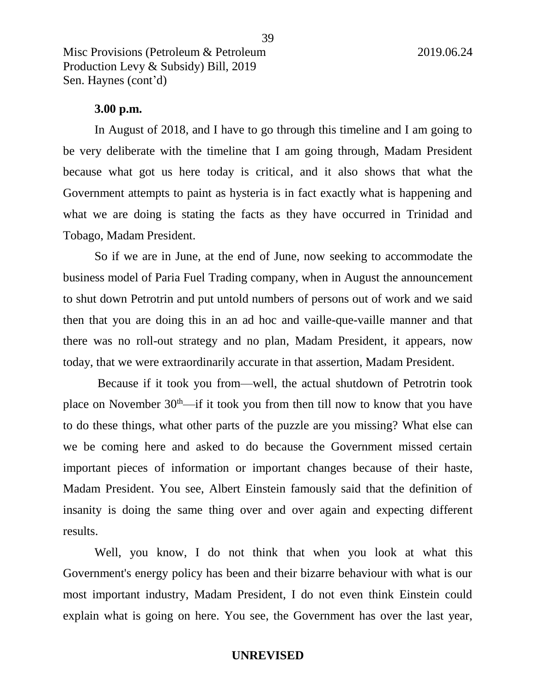#### **3.00 p.m.**

In August of 2018, and I have to go through this timeline and I am going to be very deliberate with the timeline that I am going through, Madam President because what got us here today is critical, and it also shows that what the Government attempts to paint as hysteria is in fact exactly what is happening and what we are doing is stating the facts as they have occurred in Trinidad and Tobago, Madam President.

So if we are in June, at the end of June, now seeking to accommodate the business model of Paria Fuel Trading company, when in August the announcement to shut down Petrotrin and put untold numbers of persons out of work and we said then that you are doing this in an ad hoc and vaille-que-vaille manner and that there was no roll-out strategy and no plan, Madam President, it appears, now today, that we were extraordinarily accurate in that assertion, Madam President.

Because if it took you from—well, the actual shutdown of Petrotrin took place on November  $30<sup>th</sup>$ —if it took you from then till now to know that you have to do these things, what other parts of the puzzle are you missing? What else can we be coming here and asked to do because the Government missed certain important pieces of information or important changes because of their haste, Madam President. You see, Albert Einstein famously said that the definition of insanity is doing the same thing over and over again and expecting different results.

Well, you know, I do not think that when you look at what this Government's energy policy has been and their bizarre behaviour with what is our most important industry, Madam President, I do not even think Einstein could explain what is going on here. You see, the Government has over the last year,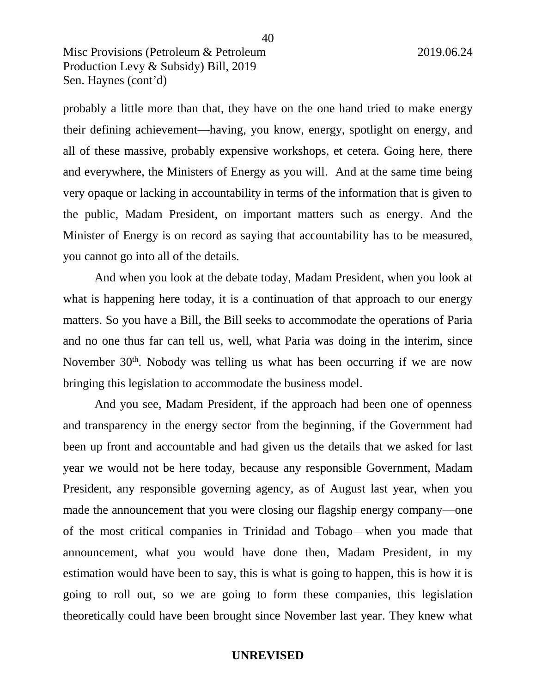probably a little more than that, they have on the one hand tried to make energy their defining achievement—having, you know, energy, spotlight on energy, and all of these massive, probably expensive workshops, et cetera. Going here, there and everywhere, the Ministers of Energy as you will. And at the same time being very opaque or lacking in accountability in terms of the information that is given to the public, Madam President, on important matters such as energy. And the Minister of Energy is on record as saying that accountability has to be measured, you cannot go into all of the details.

And when you look at the debate today, Madam President, when you look at what is happening here today, it is a continuation of that approach to our energy matters. So you have a Bill, the Bill seeks to accommodate the operations of Paria and no one thus far can tell us, well, what Paria was doing in the interim, since November  $30<sup>th</sup>$ . Nobody was telling us what has been occurring if we are now bringing this legislation to accommodate the business model.

And you see, Madam President, if the approach had been one of openness and transparency in the energy sector from the beginning, if the Government had been up front and accountable and had given us the details that we asked for last year we would not be here today, because any responsible Government, Madam President, any responsible governing agency, as of August last year, when you made the announcement that you were closing our flagship energy company—one of the most critical companies in Trinidad and Tobago—when you made that announcement, what you would have done then, Madam President, in my estimation would have been to say, this is what is going to happen, this is how it is going to roll out, so we are going to form these companies, this legislation theoretically could have been brought since November last year. They knew what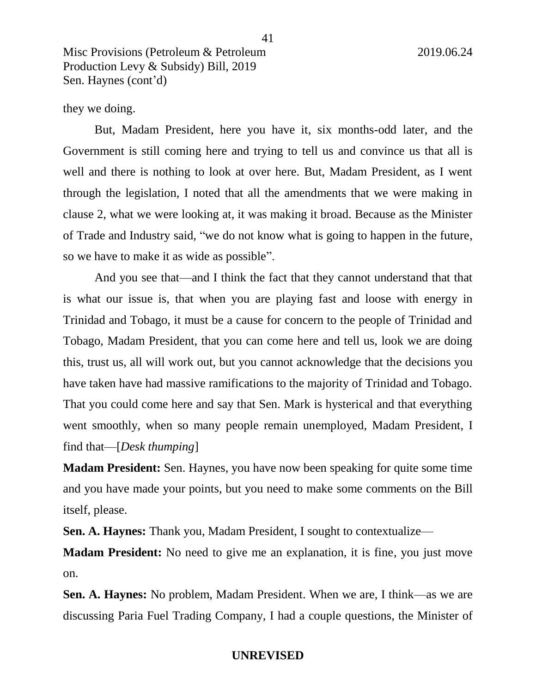#### they we doing.

But, Madam President, here you have it, six months-odd later, and the Government is still coming here and trying to tell us and convince us that all is well and there is nothing to look at over here. But, Madam President, as I went through the legislation, I noted that all the amendments that we were making in clause 2, what we were looking at, it was making it broad. Because as the Minister of Trade and Industry said, "we do not know what is going to happen in the future, so we have to make it as wide as possible".

And you see that—and I think the fact that they cannot understand that that is what our issue is, that when you are playing fast and loose with energy in Trinidad and Tobago, it must be a cause for concern to the people of Trinidad and Tobago, Madam President, that you can come here and tell us, look we are doing this, trust us, all will work out, but you cannot acknowledge that the decisions you have taken have had massive ramifications to the majority of Trinidad and Tobago. That you could come here and say that Sen. Mark is hysterical and that everything went smoothly, when so many people remain unemployed, Madam President, I find that—[*Desk thumping*]

**Madam President:** Sen. Haynes, you have now been speaking for quite some time and you have made your points, but you need to make some comments on the Bill itself, please.

**Sen. A. Haynes:** Thank you, Madam President, I sought to contextualize—

**Madam President:** No need to give me an explanation, it is fine, you just move on.

**Sen. A. Haynes:** No problem, Madam President. When we are, I think—as we are discussing Paria Fuel Trading Company, I had a couple questions, the Minister of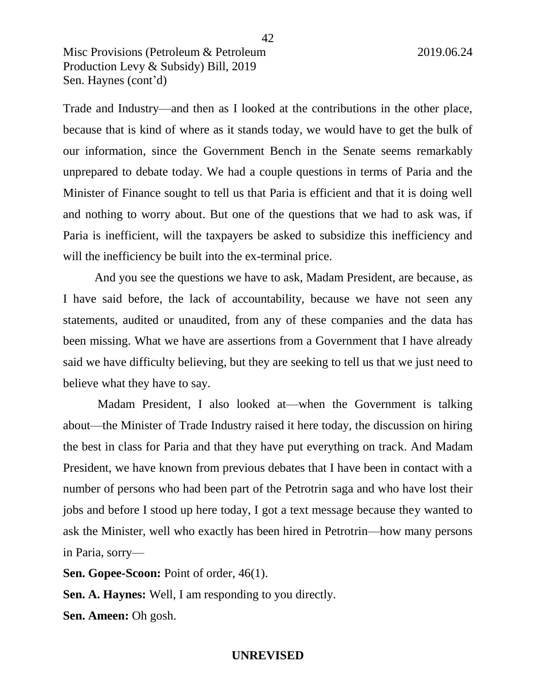Trade and Industry—and then as I looked at the contributions in the other place, because that is kind of where as it stands today, we would have to get the bulk of our information, since the Government Bench in the Senate seems remarkably unprepared to debate today. We had a couple questions in terms of Paria and the Minister of Finance sought to tell us that Paria is efficient and that it is doing well and nothing to worry about. But one of the questions that we had to ask was, if Paria is inefficient, will the taxpayers be asked to subsidize this inefficiency and will the inefficiency be built into the ex-terminal price.

And you see the questions we have to ask, Madam President, are because, as I have said before, the lack of accountability, because we have not seen any statements, audited or unaudited, from any of these companies and the data has been missing. What we have are assertions from a Government that I have already said we have difficulty believing, but they are seeking to tell us that we just need to believe what they have to say.

Madam President, I also looked at—when the Government is talking about—the Minister of Trade Industry raised it here today, the discussion on hiring the best in class for Paria and that they have put everything on track. And Madam President, we have known from previous debates that I have been in contact with a number of persons who had been part of the Petrotrin saga and who have lost their jobs and before I stood up here today, I got a text message because they wanted to ask the Minister, well who exactly has been hired in Petrotrin—how many persons in Paria, sorry—

**Sen. Gopee-Scoon:** Point of order, 46(1).

**Sen. A. Haynes:** Well, I am responding to you directly.

**Sen. Ameen:** Oh gosh.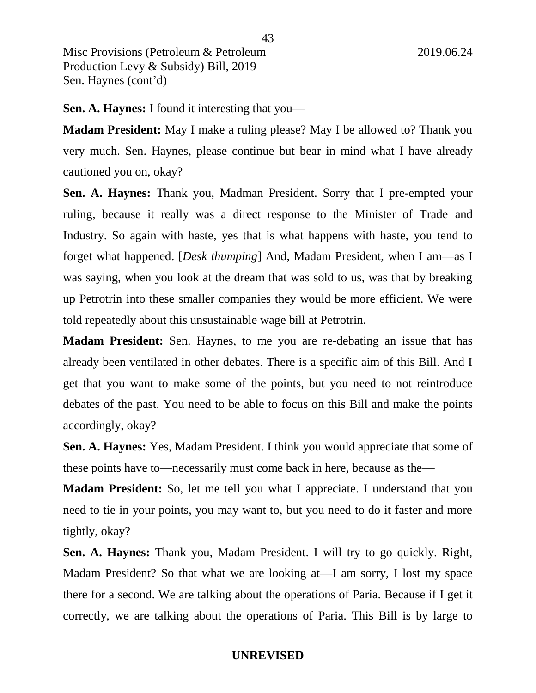**Sen. A. Haynes:** I found it interesting that you—

**Madam President:** May I make a ruling please? May I be allowed to? Thank you very much. Sen. Haynes, please continue but bear in mind what I have already cautioned you on, okay?

**Sen. A. Haynes:** Thank you, Madman President. Sorry that I pre-empted your ruling, because it really was a direct response to the Minister of Trade and Industry. So again with haste, yes that is what happens with haste, you tend to forget what happened. [*Desk thumping*] And, Madam President, when I am—as I was saying, when you look at the dream that was sold to us, was that by breaking up Petrotrin into these smaller companies they would be more efficient. We were told repeatedly about this unsustainable wage bill at Petrotrin.

**Madam President:** Sen. Haynes, to me you are re-debating an issue that has already been ventilated in other debates. There is a specific aim of this Bill. And I get that you want to make some of the points, but you need to not reintroduce debates of the past. You need to be able to focus on this Bill and make the points accordingly, okay?

**Sen. A. Haynes:** Yes, Madam President. I think you would appreciate that some of these points have to—necessarily must come back in here, because as the—

**Madam President:** So, let me tell you what I appreciate. I understand that you need to tie in your points, you may want to, but you need to do it faster and more tightly, okay?

**Sen. A. Haynes:** Thank you, Madam President. I will try to go quickly. Right, Madam President? So that what we are looking at—I am sorry, I lost my space there for a second. We are talking about the operations of Paria. Because if I get it correctly, we are talking about the operations of Paria. This Bill is by large to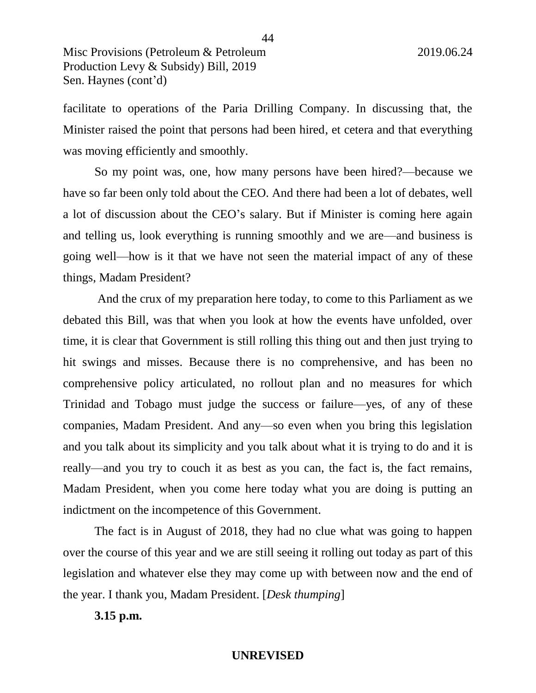facilitate to operations of the Paria Drilling Company. In discussing that, the Minister raised the point that persons had been hired, et cetera and that everything was moving efficiently and smoothly.

So my point was, one, how many persons have been hired?—because we have so far been only told about the CEO. And there had been a lot of debates, well a lot of discussion about the CEO's salary. But if Minister is coming here again and telling us, look everything is running smoothly and we are—and business is going well—how is it that we have not seen the material impact of any of these things, Madam President?

And the crux of my preparation here today, to come to this Parliament as we debated this Bill, was that when you look at how the events have unfolded, over time, it is clear that Government is still rolling this thing out and then just trying to hit swings and misses. Because there is no comprehensive, and has been no comprehensive policy articulated, no rollout plan and no measures for which Trinidad and Tobago must judge the success or failure—yes, of any of these companies, Madam President. And any—so even when you bring this legislation and you talk about its simplicity and you talk about what it is trying to do and it is really—and you try to couch it as best as you can, the fact is, the fact remains, Madam President, when you come here today what you are doing is putting an indictment on the incompetence of this Government.

The fact is in August of 2018, they had no clue what was going to happen over the course of this year and we are still seeing it rolling out today as part of this legislation and whatever else they may come up with between now and the end of the year. I thank you, Madam President. [*Desk thumping*]

**3.15 p.m.**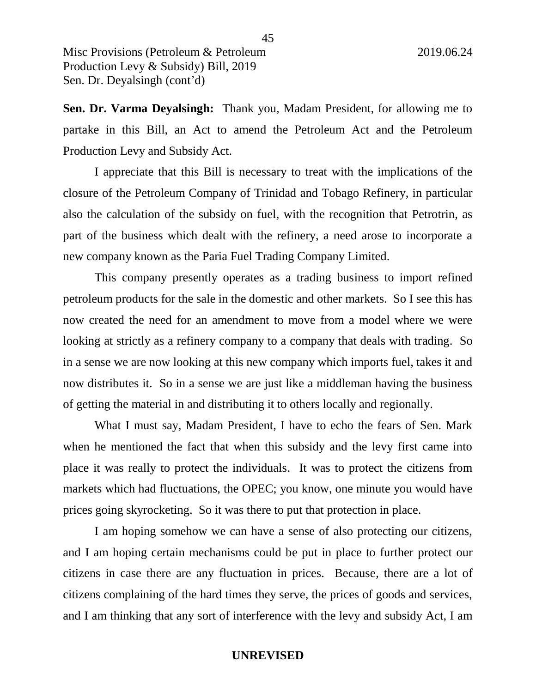**Sen. Dr. Varma Deyalsingh:** Thank you, Madam President, for allowing me to partake in this Bill, an Act to amend the Petroleum Act and the Petroleum Production Levy and Subsidy Act.

I appreciate that this Bill is necessary to treat with the implications of the closure of the Petroleum Company of Trinidad and Tobago Refinery, in particular also the calculation of the subsidy on fuel, with the recognition that Petrotrin, as part of the business which dealt with the refinery, a need arose to incorporate a new company known as the Paria Fuel Trading Company Limited.

This company presently operates as a trading business to import refined petroleum products for the sale in the domestic and other markets. So I see this has now created the need for an amendment to move from a model where we were looking at strictly as a refinery company to a company that deals with trading. So in a sense we are now looking at this new company which imports fuel, takes it and now distributes it. So in a sense we are just like a middleman having the business of getting the material in and distributing it to others locally and regionally.

What I must say, Madam President, I have to echo the fears of Sen. Mark when he mentioned the fact that when this subsidy and the levy first came into place it was really to protect the individuals. It was to protect the citizens from markets which had fluctuations, the OPEC; you know, one minute you would have prices going skyrocketing. So it was there to put that protection in place.

I am hoping somehow we can have a sense of also protecting our citizens, and I am hoping certain mechanisms could be put in place to further protect our citizens in case there are any fluctuation in prices. Because, there are a lot of citizens complaining of the hard times they serve, the prices of goods and services, and I am thinking that any sort of interference with the levy and subsidy Act, I am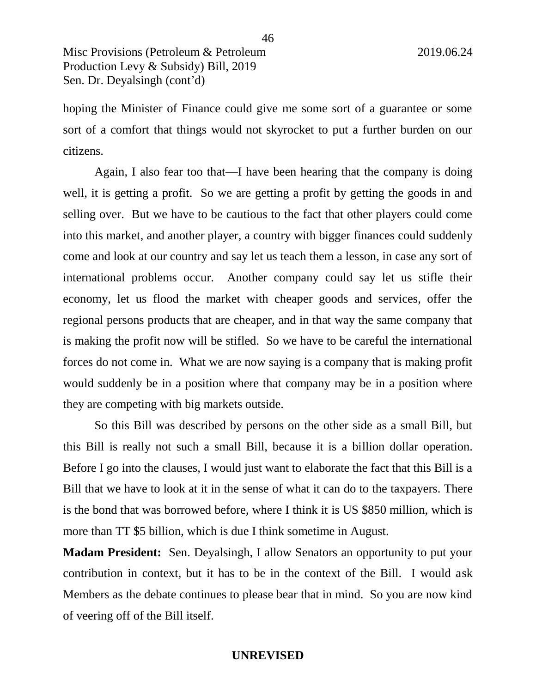hoping the Minister of Finance could give me some sort of a guarantee or some sort of a comfort that things would not skyrocket to put a further burden on our citizens.

Again, I also fear too that—I have been hearing that the company is doing well, it is getting a profit. So we are getting a profit by getting the goods in and selling over. But we have to be cautious to the fact that other players could come into this market, and another player, a country with bigger finances could suddenly come and look at our country and say let us teach them a lesson, in case any sort of international problems occur. Another company could say let us stifle their economy, let us flood the market with cheaper goods and services, offer the regional persons products that are cheaper, and in that way the same company that is making the profit now will be stifled. So we have to be careful the international forces do not come in. What we are now saying is a company that is making profit would suddenly be in a position where that company may be in a position where they are competing with big markets outside.

So this Bill was described by persons on the other side as a small Bill, but this Bill is really not such a small Bill, because it is a billion dollar operation. Before I go into the clauses, I would just want to elaborate the fact that this Bill is a Bill that we have to look at it in the sense of what it can do to the taxpayers. There is the bond that was borrowed before, where I think it is US \$850 million, which is more than TT \$5 billion, which is due I think sometime in August.

**Madam President:** Sen. Deyalsingh, I allow Senators an opportunity to put your contribution in context, but it has to be in the context of the Bill. I would ask Members as the debate continues to please bear that in mind. So you are now kind of veering off of the Bill itself.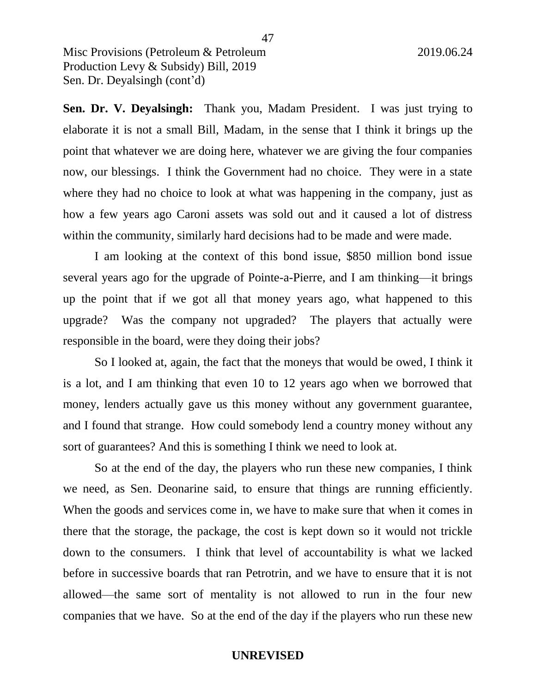**Sen. Dr. V. Deyalsingh:** Thank you, Madam President. I was just trying to elaborate it is not a small Bill, Madam, in the sense that I think it brings up the point that whatever we are doing here, whatever we are giving the four companies now, our blessings. I think the Government had no choice. They were in a state where they had no choice to look at what was happening in the company, just as how a few years ago Caroni assets was sold out and it caused a lot of distress within the community, similarly hard decisions had to be made and were made.

I am looking at the context of this bond issue, \$850 million bond issue several years ago for the upgrade of Pointe-a-Pierre, and I am thinking—it brings up the point that if we got all that money years ago, what happened to this upgrade? Was the company not upgraded? The players that actually were responsible in the board, were they doing their jobs?

So I looked at, again, the fact that the moneys that would be owed, I think it is a lot, and I am thinking that even 10 to 12 years ago when we borrowed that money, lenders actually gave us this money without any government guarantee, and I found that strange. How could somebody lend a country money without any sort of guarantees? And this is something I think we need to look at.

So at the end of the day, the players who run these new companies, I think we need, as Sen. Deonarine said, to ensure that things are running efficiently. When the goods and services come in, we have to make sure that when it comes in there that the storage, the package, the cost is kept down so it would not trickle down to the consumers. I think that level of accountability is what we lacked before in successive boards that ran Petrotrin, and we have to ensure that it is not allowed—the same sort of mentality is not allowed to run in the four new companies that we have. So at the end of the day if the players who run these new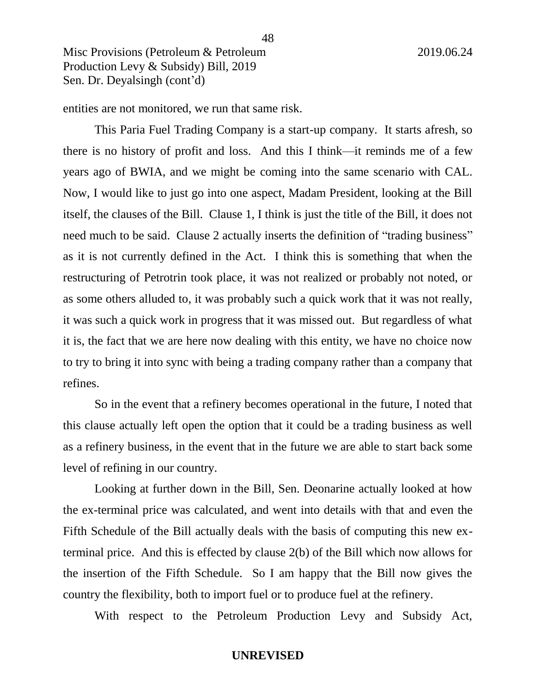entities are not monitored, we run that same risk.

This Paria Fuel Trading Company is a start-up company. It starts afresh, so there is no history of profit and loss. And this I think—it reminds me of a few years ago of BWIA, and we might be coming into the same scenario with CAL. Now, I would like to just go into one aspect, Madam President, looking at the Bill itself, the clauses of the Bill. Clause 1, I think is just the title of the Bill, it does not need much to be said. Clause 2 actually inserts the definition of "trading business" as it is not currently defined in the Act. I think this is something that when the restructuring of Petrotrin took place, it was not realized or probably not noted, or as some others alluded to, it was probably such a quick work that it was not really, it was such a quick work in progress that it was missed out. But regardless of what it is, the fact that we are here now dealing with this entity, we have no choice now to try to bring it into sync with being a trading company rather than a company that refines.

So in the event that a refinery becomes operational in the future, I noted that this clause actually left open the option that it could be a trading business as well as a refinery business, in the event that in the future we are able to start back some level of refining in our country.

Looking at further down in the Bill, Sen. Deonarine actually looked at how the ex-terminal price was calculated, and went into details with that and even the Fifth Schedule of the Bill actually deals with the basis of computing this new exterminal price. And this is effected by clause 2(b) of the Bill which now allows for the insertion of the Fifth Schedule. So I am happy that the Bill now gives the country the flexibility, both to import fuel or to produce fuel at the refinery.

With respect to the Petroleum Production Levy and Subsidy Act,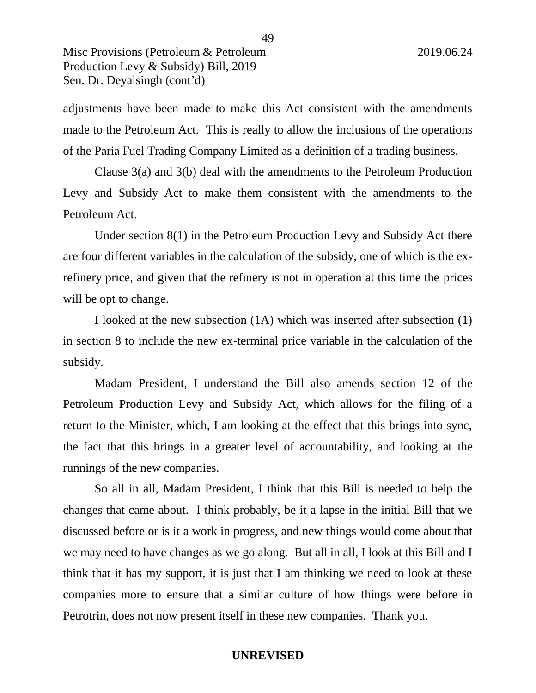adjustments have been made to make this Act consistent with the amendments made to the Petroleum Act. This is really to allow the inclusions of the operations of the Paria Fuel Trading Company Limited as a definition of a trading business.

Clause 3(a) and 3(b) deal with the amendments to the Petroleum Production Levy and Subsidy Act to make them consistent with the amendments to the Petroleum Act.

Under section 8(1) in the Petroleum Production Levy and Subsidy Act there are four different variables in the calculation of the subsidy, one of which is the exrefinery price, and given that the refinery is not in operation at this time the prices will be opt to change.

I looked at the new subsection (1A) which was inserted after subsection (1) in section 8 to include the new ex-terminal price variable in the calculation of the subsidy.

Madam President, I understand the Bill also amends section 12 of the Petroleum Production Levy and Subsidy Act, which allows for the filing of a return to the Minister, which, I am looking at the effect that this brings into sync, the fact that this brings in a greater level of accountability, and looking at the runnings of the new companies.

So all in all, Madam President, I think that this Bill is needed to help the changes that came about. I think probably, be it a lapse in the initial Bill that we discussed before or is it a work in progress, and new things would come about that we may need to have changes as we go along. But all in all, I look at this Bill and I think that it has my support, it is just that I am thinking we need to look at these companies more to ensure that a similar culture of how things were before in Petrotrin, does not now present itself in these new companies. Thank you.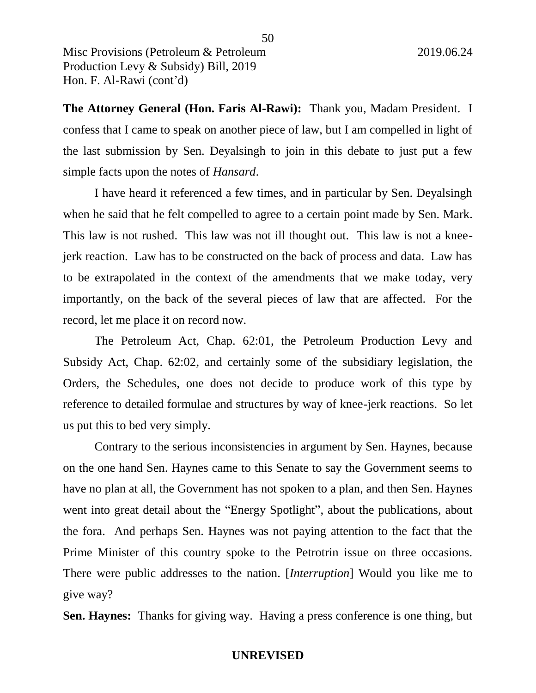**The Attorney General (Hon. Faris Al-Rawi):** Thank you, Madam President. I confess that I came to speak on another piece of law, but I am compelled in light of the last submission by Sen. Deyalsingh to join in this debate to just put a few simple facts upon the notes of *Hansard*.

I have heard it referenced a few times, and in particular by Sen. Deyalsingh when he said that he felt compelled to agree to a certain point made by Sen. Mark. This law is not rushed. This law was not ill thought out. This law is not a kneejerk reaction. Law has to be constructed on the back of process and data. Law has to be extrapolated in the context of the amendments that we make today, very importantly, on the back of the several pieces of law that are affected. For the record, let me place it on record now.

The Petroleum Act, Chap. 62:01, the Petroleum Production Levy and Subsidy Act, Chap. 62:02, and certainly some of the subsidiary legislation, the Orders, the Schedules, one does not decide to produce work of this type by reference to detailed formulae and structures by way of knee-jerk reactions. So let us put this to bed very simply.

Contrary to the serious inconsistencies in argument by Sen. Haynes, because on the one hand Sen. Haynes came to this Senate to say the Government seems to have no plan at all, the Government has not spoken to a plan, and then Sen. Haynes went into great detail about the "Energy Spotlight", about the publications, about the fora. And perhaps Sen. Haynes was not paying attention to the fact that the Prime Minister of this country spoke to the Petrotrin issue on three occasions. There were public addresses to the nation. [*Interruption*] Would you like me to give way?

**Sen. Haynes:** Thanks for giving way. Having a press conference is one thing, but

50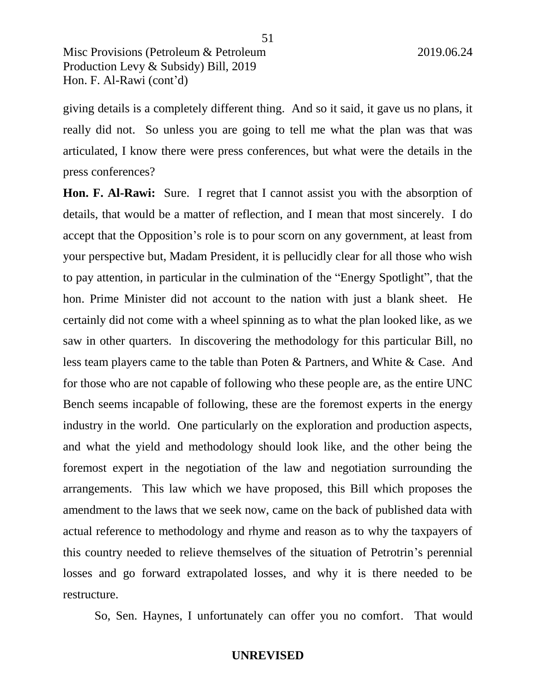giving details is a completely different thing. And so it said, it gave us no plans, it really did not. So unless you are going to tell me what the plan was that was articulated, I know there were press conferences, but what were the details in the press conferences?

**Hon. F. Al-Rawi:** Sure. I regret that I cannot assist you with the absorption of details, that would be a matter of reflection, and I mean that most sincerely. I do accept that the Opposition's role is to pour scorn on any government, at least from your perspective but, Madam President, it is pellucidly clear for all those who wish to pay attention, in particular in the culmination of the "Energy Spotlight", that the hon. Prime Minister did not account to the nation with just a blank sheet. He certainly did not come with a wheel spinning as to what the plan looked like, as we saw in other quarters. In discovering the methodology for this particular Bill, no less team players came to the table than Poten & Partners, and White & Case. And for those who are not capable of following who these people are, as the entire UNC Bench seems incapable of following, these are the foremost experts in the energy industry in the world. One particularly on the exploration and production aspects, and what the yield and methodology should look like, and the other being the foremost expert in the negotiation of the law and negotiation surrounding the arrangements. This law which we have proposed, this Bill which proposes the amendment to the laws that we seek now, came on the back of published data with actual reference to methodology and rhyme and reason as to why the taxpayers of this country needed to relieve themselves of the situation of Petrotrin's perennial losses and go forward extrapolated losses, and why it is there needed to be restructure.

So, Sen. Haynes, I unfortunately can offer you no comfort. That would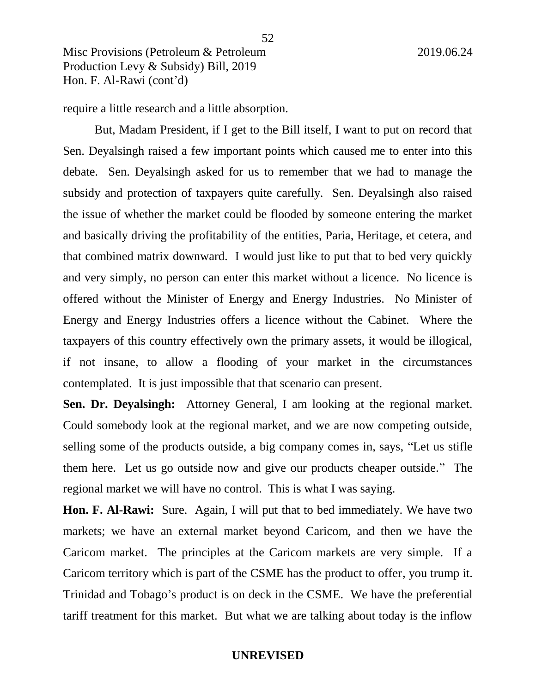require a little research and a little absorption.

But, Madam President, if I get to the Bill itself, I want to put on record that Sen. Deyalsingh raised a few important points which caused me to enter into this debate. Sen. Deyalsingh asked for us to remember that we had to manage the subsidy and protection of taxpayers quite carefully. Sen. Deyalsingh also raised the issue of whether the market could be flooded by someone entering the market and basically driving the profitability of the entities, Paria, Heritage, et cetera, and that combined matrix downward. I would just like to put that to bed very quickly and very simply, no person can enter this market without a licence. No licence is offered without the Minister of Energy and Energy Industries. No Minister of Energy and Energy Industries offers a licence without the Cabinet. Where the taxpayers of this country effectively own the primary assets, it would be illogical, if not insane, to allow a flooding of your market in the circumstances contemplated. It is just impossible that that scenario can present.

**Sen. Dr. Deyalsingh:** Attorney General, I am looking at the regional market. Could somebody look at the regional market, and we are now competing outside, selling some of the products outside, a big company comes in, says, "Let us stifle them here. Let us go outside now and give our products cheaper outside." The regional market we will have no control. This is what I was saying.

**Hon. F. Al-Rawi:** Sure. Again, I will put that to bed immediately. We have two markets; we have an external market beyond Caricom, and then we have the Caricom market. The principles at the Caricom markets are very simple. If a Caricom territory which is part of the CSME has the product to offer, you trump it. Trinidad and Tobago's product is on deck in the CSME. We have the preferential tariff treatment for this market. But what we are talking about today is the inflow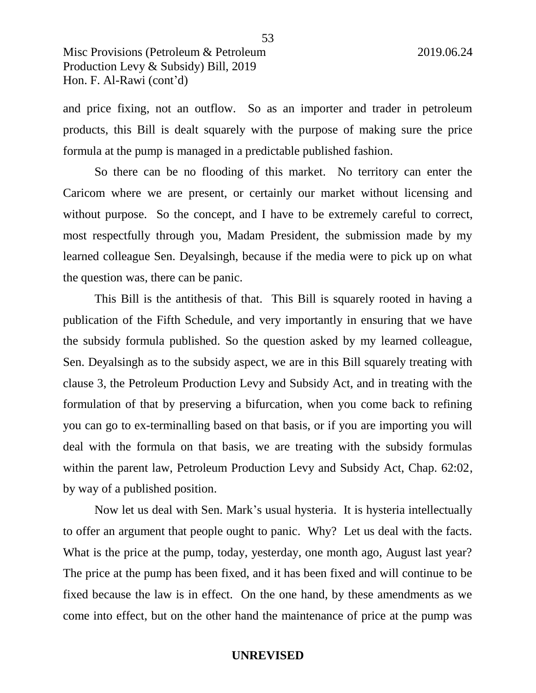and price fixing, not an outflow. So as an importer and trader in petroleum products, this Bill is dealt squarely with the purpose of making sure the price formula at the pump is managed in a predictable published fashion.

So there can be no flooding of this market. No territory can enter the Caricom where we are present, or certainly our market without licensing and without purpose. So the concept, and I have to be extremely careful to correct, most respectfully through you, Madam President, the submission made by my learned colleague Sen. Deyalsingh, because if the media were to pick up on what the question was, there can be panic.

This Bill is the antithesis of that. This Bill is squarely rooted in having a publication of the Fifth Schedule, and very importantly in ensuring that we have the subsidy formula published. So the question asked by my learned colleague, Sen. Deyalsingh as to the subsidy aspect, we are in this Bill squarely treating with clause 3, the Petroleum Production Levy and Subsidy Act, and in treating with the formulation of that by preserving a bifurcation, when you come back to refining you can go to ex-terminalling based on that basis, or if you are importing you will deal with the formula on that basis, we are treating with the subsidy formulas within the parent law, Petroleum Production Levy and Subsidy Act, Chap. 62:02, by way of a published position.

Now let us deal with Sen. Mark's usual hysteria. It is hysteria intellectually to offer an argument that people ought to panic. Why? Let us deal with the facts. What is the price at the pump, today, yesterday, one month ago, August last year? The price at the pump has been fixed, and it has been fixed and will continue to be fixed because the law is in effect. On the one hand, by these amendments as we come into effect, but on the other hand the maintenance of price at the pump was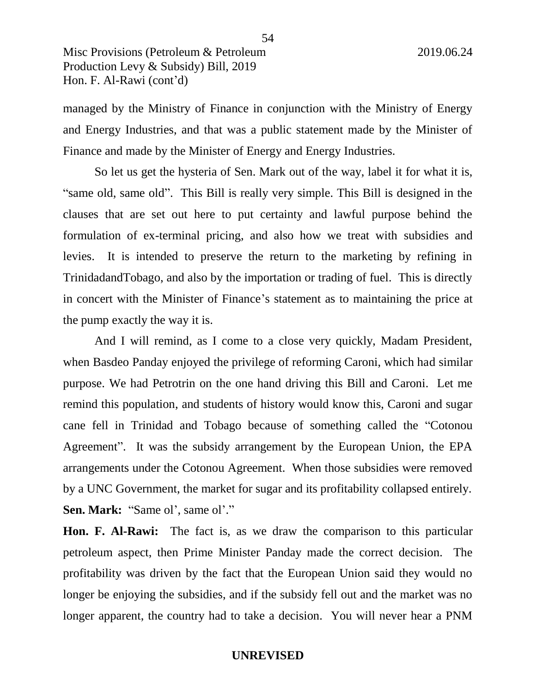managed by the Ministry of Finance in conjunction with the Ministry of Energy and Energy Industries, and that was a public statement made by the Minister of Finance and made by the Minister of Energy and Energy Industries.

So let us get the hysteria of Sen. Mark out of the way, label it for what it is, "same old, same old". This Bill is really very simple. This Bill is designed in the clauses that are set out here to put certainty and lawful purpose behind the formulation of ex-terminal pricing, and also how we treat with subsidies and levies. It is intended to preserve the return to the marketing by refining in TrinidadandTobago, and also by the importation or trading of fuel. This is directly in concert with the Minister of Finance's statement as to maintaining the price at the pump exactly the way it is.

And I will remind, as I come to a close very quickly, Madam President, when Basdeo Panday enjoyed the privilege of reforming Caroni, which had similar purpose. We had Petrotrin on the one hand driving this Bill and Caroni. Let me remind this population, and students of history would know this, Caroni and sugar cane fell in Trinidad and Tobago because of something called the "Cotonou Agreement". It was the subsidy arrangement by the European Union, the EPA arrangements under the Cotonou Agreement. When those subsidies were removed by a UNC Government, the market for sugar and its profitability collapsed entirely. **Sen. Mark:** "Same ol', same ol'."

**Hon. F. Al-Rawi:** The fact is, as we draw the comparison to this particular petroleum aspect, then Prime Minister Panday made the correct decision. The profitability was driven by the fact that the European Union said they would no longer be enjoying the subsidies, and if the subsidy fell out and the market was no longer apparent, the country had to take a decision. You will never hear a PNM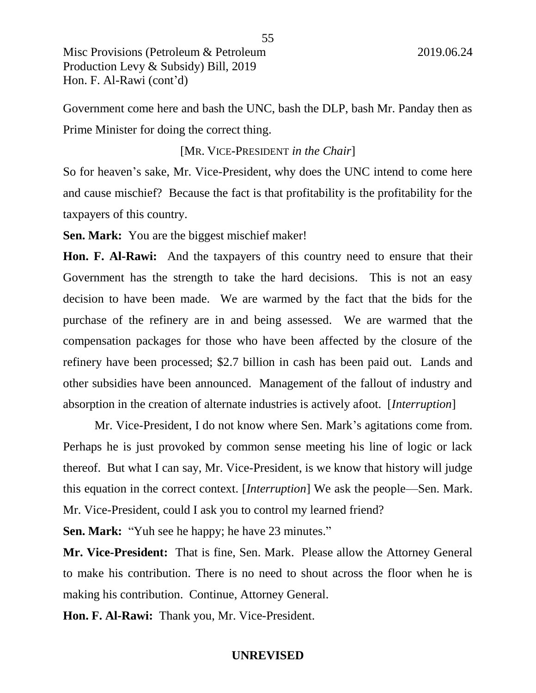Government come here and bash the UNC, bash the DLP, bash Mr. Panday then as Prime Minister for doing the correct thing.

#### [MR. VICE-PRESIDENT *in the Chair*]

So for heaven's sake, Mr. Vice-President, why does the UNC intend to come here and cause mischief? Because the fact is that profitability is the profitability for the taxpayers of this country.

**Sen. Mark:** You are the biggest mischief maker!

**Hon. F. Al-Rawi:** And the taxpayers of this country need to ensure that their Government has the strength to take the hard decisions. This is not an easy decision to have been made. We are warmed by the fact that the bids for the purchase of the refinery are in and being assessed. We are warmed that the compensation packages for those who have been affected by the closure of the refinery have been processed; \$2.7 billion in cash has been paid out. Lands and other subsidies have been announced. Management of the fallout of industry and absorption in the creation of alternate industries is actively afoot. [*Interruption*]

Mr. Vice-President, I do not know where Sen. Mark's agitations come from. Perhaps he is just provoked by common sense meeting his line of logic or lack thereof. But what I can say, Mr. Vice-President, is we know that history will judge this equation in the correct context. [*Interruption*] We ask the people—Sen. Mark. Mr. Vice-President, could I ask you to control my learned friend?

**Sen. Mark:** "Yuh see he happy; he have 23 minutes."

**Mr. Vice-President:** That is fine, Sen. Mark. Please allow the Attorney General to make his contribution. There is no need to shout across the floor when he is making his contribution. Continue, Attorney General.

**Hon. F. Al-Rawi:** Thank you, Mr. Vice-President.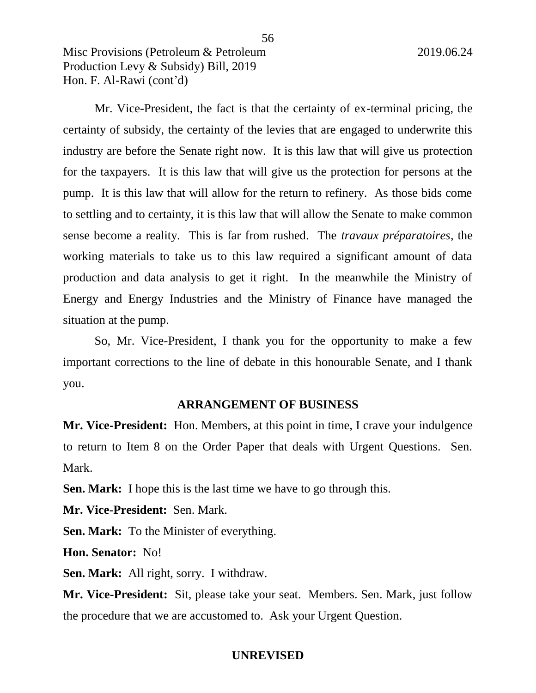Mr. Vice-President, the fact is that the certainty of ex-terminal pricing, the certainty of subsidy, the certainty of the levies that are engaged to underwrite this industry are before the Senate right now. It is this law that will give us protection for the taxpayers. It is this law that will give us the protection for persons at the pump. It is this law that will allow for the return to refinery. As those bids come to settling and to certainty, it is this law that will allow the Senate to make common sense become a reality. This is far from rushed. The *travaux préparatoires*, the working materials to take us to this law required a significant amount of data production and data analysis to get it right. In the meanwhile the Ministry of Energy and Energy Industries and the Ministry of Finance have managed the situation at the pump.

So, Mr. Vice-President, I thank you for the opportunity to make a few important corrections to the line of debate in this honourable Senate, and I thank you.

#### **ARRANGEMENT OF BUSINESS**

**Mr. Vice-President:** Hon. Members, at this point in time, I crave your indulgence to return to Item 8 on the Order Paper that deals with Urgent Questions. Sen. Mark.

**Sen. Mark:** I hope this is the last time we have to go through this.

**Mr. Vice-President:** Sen. Mark.

**Sen. Mark:** To the Minister of everything.

**Hon. Senator:** No!

**Sen. Mark:** All right, sorry. I withdraw.

**Mr. Vice-President:** Sit, please take your seat. Members. Sen. Mark, just follow the procedure that we are accustomed to. Ask your Urgent Question.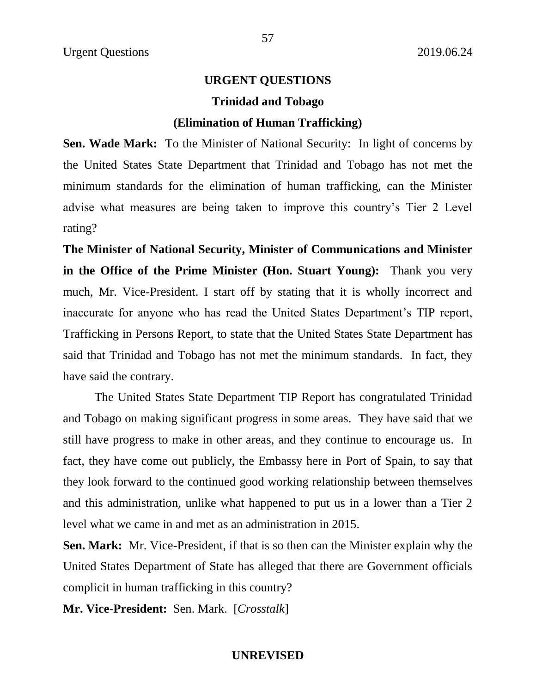#### **URGENT QUESTIONS**

#### **Trinidad and Tobago**

#### **(Elimination of Human Trafficking)**

**Sen. Wade Mark:** To the Minister of National Security: In light of concerns by the United States State Department that Trinidad and Tobago has not met the minimum standards for the elimination of human trafficking, can the Minister advise what measures are being taken to improve this country's Tier 2 Level rating?

**The Minister of National Security, Minister of Communications and Minister in the Office of the Prime Minister (Hon. Stuart Young):** Thank you very much, Mr. Vice-President. I start off by stating that it is wholly incorrect and inaccurate for anyone who has read the United States Department's TIP report, Trafficking in Persons Report, to state that the United States State Department has said that Trinidad and Tobago has not met the minimum standards. In fact, they have said the contrary.

The United States State Department TIP Report has congratulated Trinidad and Tobago on making significant progress in some areas. They have said that we still have progress to make in other areas, and they continue to encourage us. In fact, they have come out publicly, the Embassy here in Port of Spain, to say that they look forward to the continued good working relationship between themselves and this administration, unlike what happened to put us in a lower than a Tier 2 level what we came in and met as an administration in 2015.

**Sen. Mark:** Mr. Vice-President, if that is so then can the Minister explain why the United States Department of State has alleged that there are Government officials complicit in human trafficking in this country?

**Mr. Vice-President:** Sen. Mark. [*Crosstalk*]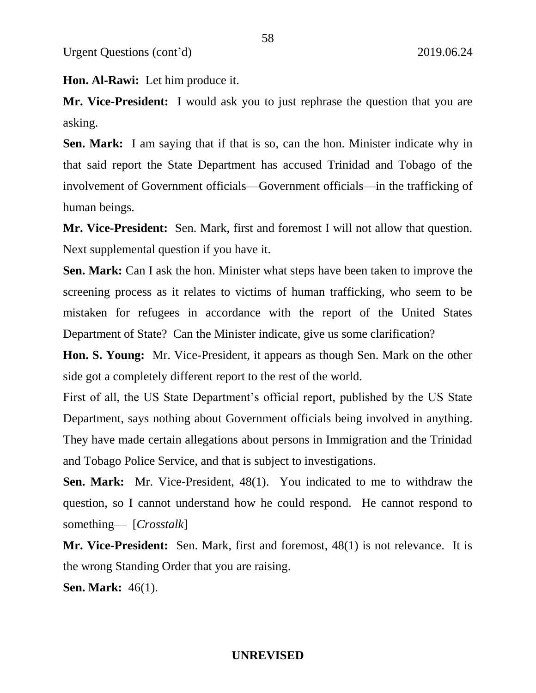**Hon. Al-Rawi:** Let him produce it.

**Mr. Vice-President:** I would ask you to just rephrase the question that you are asking.

**Sen. Mark:** I am saying that if that is so, can the hon. Minister indicate why in that said report the State Department has accused Trinidad and Tobago of the involvement of Government officials—Government officials—in the trafficking of human beings.

**Mr. Vice-President:** Sen. Mark, first and foremost I will not allow that question. Next supplemental question if you have it.

**Sen. Mark:** Can I ask the hon. Minister what steps have been taken to improve the screening process as it relates to victims of human trafficking, who seem to be mistaken for refugees in accordance with the report of the United States Department of State? Can the Minister indicate, give us some clarification?

**Hon. S. Young:** Mr. Vice-President, it appears as though Sen. Mark on the other side got a completely different report to the rest of the world.

First of all, the US State Department's official report, published by the US State Department, says nothing about Government officials being involved in anything. They have made certain allegations about persons in Immigration and the Trinidad and Tobago Police Service, and that is subject to investigations.

**Sen. Mark:** Mr. Vice-President, 48(1). You indicated to me to withdraw the question, so I cannot understand how he could respond. He cannot respond to something— [*Crosstalk*]

**Mr. Vice-President:** Sen. Mark, first and foremost, 48(1) is not relevance. It is the wrong Standing Order that you are raising.

**Sen. Mark:** 46(1).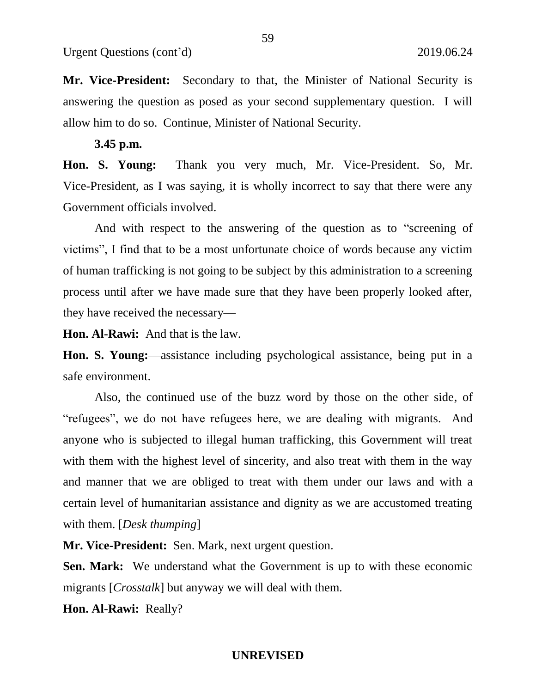**Mr. Vice-President:** Secondary to that, the Minister of National Security is answering the question as posed as your second supplementary question. I will allow him to do so. Continue, Minister of National Security.

#### **3.45 p.m.**

**Hon. S. Young:** Thank you very much, Mr. Vice-President. So, Mr. Vice-President, as I was saying, it is wholly incorrect to say that there were any Government officials involved.

And with respect to the answering of the question as to "screening of victims", I find that to be a most unfortunate choice of words because any victim of human trafficking is not going to be subject by this administration to a screening process until after we have made sure that they have been properly looked after, they have received the necessary—

**Hon. Al-Rawi:** And that is the law.

**Hon. S. Young:**—assistance including psychological assistance, being put in a safe environment.

Also, the continued use of the buzz word by those on the other side, of "refugees", we do not have refugees here, we are dealing with migrants. And anyone who is subjected to illegal human trafficking, this Government will treat with them with the highest level of sincerity, and also treat with them in the way and manner that we are obliged to treat with them under our laws and with a certain level of humanitarian assistance and dignity as we are accustomed treating with them. [*Desk thumping*]

**Mr. Vice-President:** Sen. Mark, next urgent question.

**Sen. Mark:** We understand what the Government is up to with these economic migrants [*Crosstalk*] but anyway we will deal with them.

**Hon. Al-Rawi:** Really?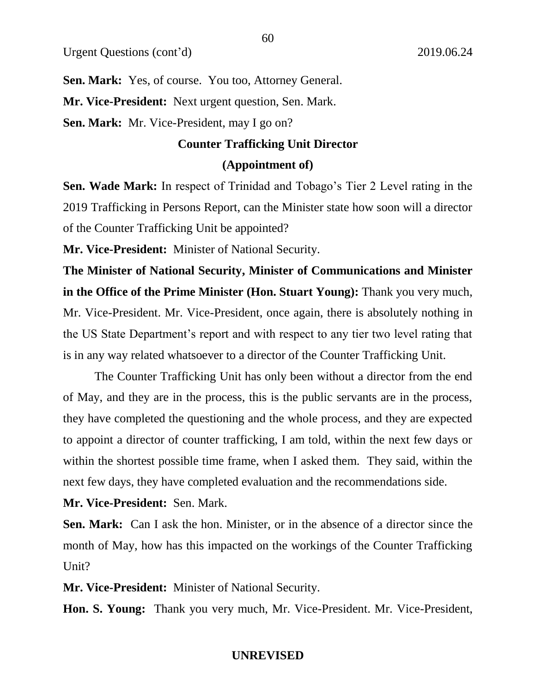**Sen. Mark:** Yes, of course. You too, Attorney General.

**Mr. Vice-President:** Next urgent question, Sen. Mark.

**Sen. Mark:** Mr. Vice-President, may I go on?

#### **Counter Trafficking Unit Director**

60

#### **(Appointment of)**

**Sen. Wade Mark:** In respect of Trinidad and Tobago's Tier 2 Level rating in the 2019 Trafficking in Persons Report, can the Minister state how soon will a director of the Counter Trafficking Unit be appointed?

**Mr. Vice-President:** Minister of National Security.

**The Minister of National Security, Minister of Communications and Minister in the Office of the Prime Minister (Hon. Stuart Young):** Thank you very much, Mr. Vice-President. Mr. Vice-President, once again, there is absolutely nothing in the US State Department's report and with respect to any tier two level rating that is in any way related whatsoever to a director of the Counter Trafficking Unit.

The Counter Trafficking Unit has only been without a director from the end of May, and they are in the process, this is the public servants are in the process, they have completed the questioning and the whole process, and they are expected to appoint a director of counter trafficking, I am told, within the next few days or within the shortest possible time frame, when I asked them. They said, within the next few days, they have completed evaluation and the recommendations side.

# **Mr. Vice-President:** Sen. Mark.

**Sen. Mark:** Can I ask the hon. Minister, or in the absence of a director since the month of May, how has this impacted on the workings of the Counter Trafficking Unit?

**Mr. Vice-President:** Minister of National Security.

**Hon. S. Young:** Thank you very much, Mr. Vice-President. Mr. Vice-President,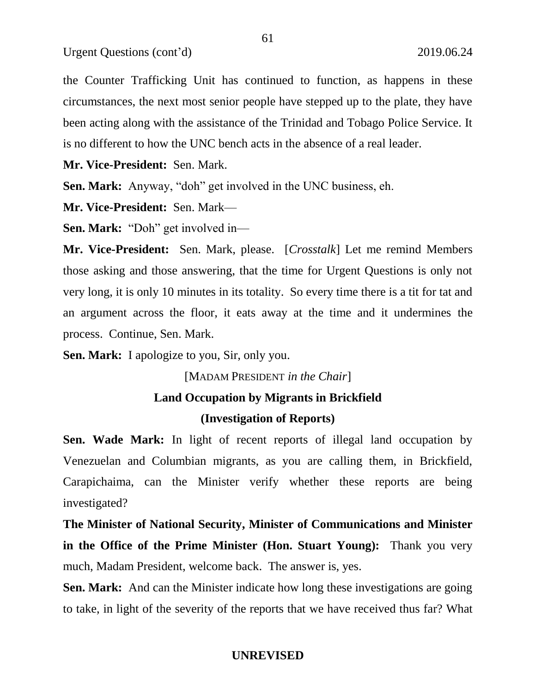Urgent Questions (cont'd) 2019.06.24

the Counter Trafficking Unit has continued to function, as happens in these circumstances, the next most senior people have stepped up to the plate, they have been acting along with the assistance of the Trinidad and Tobago Police Service. It is no different to how the UNC bench acts in the absence of a real leader.

**Mr. Vice-President:** Sen. Mark.

**Sen. Mark:** Anyway, "doh" get involved in the UNC business, eh.

**Mr. Vice-President:** Sen. Mark—

**Sen. Mark:** "Doh" get involved in—

**Mr. Vice-President:** Sen. Mark, please. [*Crosstalk*] Let me remind Members those asking and those answering, that the time for Urgent Questions is only not very long, it is only 10 minutes in its totality. So every time there is a tit for tat and an argument across the floor, it eats away at the time and it undermines the process. Continue, Sen. Mark.

**Sen. Mark:** I apologize to you, Sir, only you.

[MADAM PRESIDENT *in the Chair*]

# **Land Occupation by Migrants in Brickfield**

# **(Investigation of Reports)**

**Sen. Wade Mark:** In light of recent reports of illegal land occupation by Venezuelan and Columbian migrants, as you are calling them, in Brickfield, Carapichaima, can the Minister verify whether these reports are being investigated?

**The Minister of National Security, Minister of Communications and Minister in the Office of the Prime Minister (Hon. Stuart Young):** Thank you very much, Madam President, welcome back. The answer is, yes.

**Sen. Mark:** And can the Minister indicate how long these investigations are going to take, in light of the severity of the reports that we have received thus far? What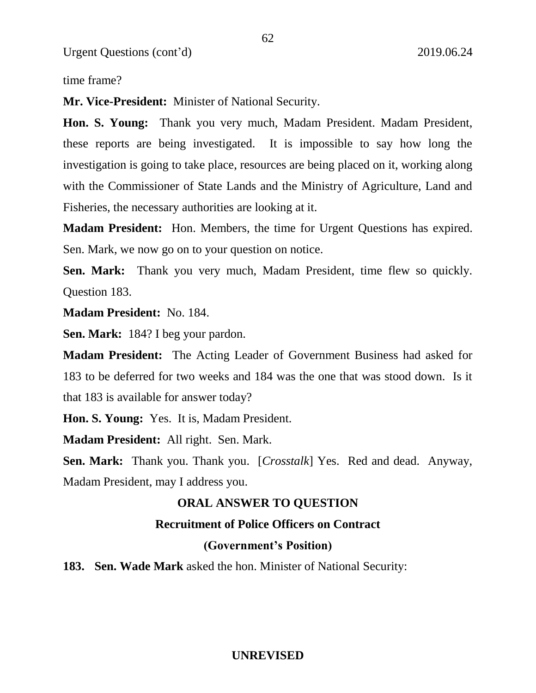time frame?

**Mr. Vice-President:** Minister of National Security.

**Hon. S. Young:** Thank you very much, Madam President. Madam President, these reports are being investigated. It is impossible to say how long the investigation is going to take place, resources are being placed on it, working along with the Commissioner of State Lands and the Ministry of Agriculture, Land and Fisheries, the necessary authorities are looking at it.

**Madam President:** Hon. Members, the time for Urgent Questions has expired. Sen. Mark, we now go on to your question on notice.

**Sen. Mark:** Thank you very much, Madam President, time flew so quickly. Question 183.

**Madam President:** No. 184.

**Sen. Mark:** 184? I beg your pardon.

**Madam President:** The Acting Leader of Government Business had asked for 183 to be deferred for two weeks and 184 was the one that was stood down. Is it that 183 is available for answer today?

**Hon. S. Young:** Yes. It is, Madam President.

**Madam President:** All right. Sen. Mark.

**Sen. Mark:** Thank you. Thank you. [*Crosstalk*] Yes. Red and dead. Anyway, Madam President, may I address you.

# **ORAL ANSWER TO QUESTION**

# **Recruitment of Police Officers on Contract**

#### **(Government's Position)**

**183. Sen. Wade Mark** asked the hon. Minister of National Security: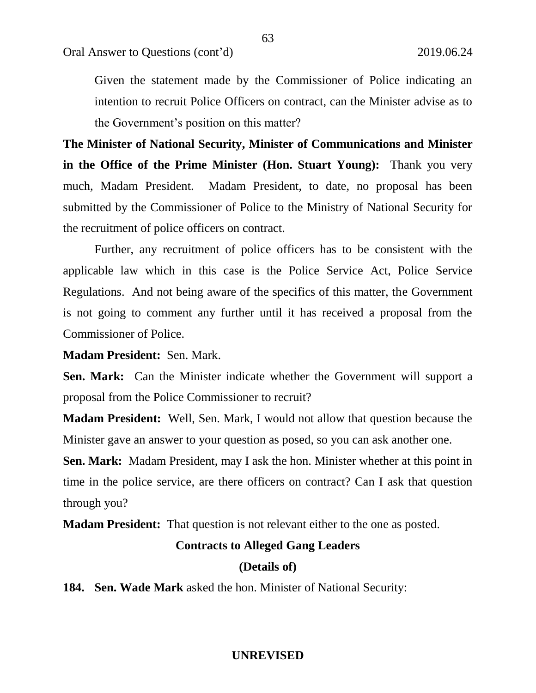Given the statement made by the Commissioner of Police indicating an intention to recruit Police Officers on contract, can the Minister advise as to the Government's position on this matter?

**The Minister of National Security, Minister of Communications and Minister in the Office of the Prime Minister (Hon. Stuart Young):** Thank you very much, Madam President. Madam President, to date, no proposal has been submitted by the Commissioner of Police to the Ministry of National Security for the recruitment of police officers on contract.

Further, any recruitment of police officers has to be consistent with the applicable law which in this case is the Police Service Act, Police Service Regulations. And not being aware of the specifics of this matter, the Government is not going to comment any further until it has received a proposal from the Commissioner of Police.

**Madam President:** Sen. Mark.

**Sen. Mark:** Can the Minister indicate whether the Government will support a proposal from the Police Commissioner to recruit?

**Madam President:** Well, Sen. Mark, I would not allow that question because the Minister gave an answer to your question as posed, so you can ask another one.

**Sen. Mark:** Madam President, may I ask the hon. Minister whether at this point in time in the police service, are there officers on contract? Can I ask that question through you?

**Madam President:** That question is not relevant either to the one as posted.

#### **Contracts to Alleged Gang Leaders**

#### **(Details of)**

**184. Sen. Wade Mark** asked the hon. Minister of National Security: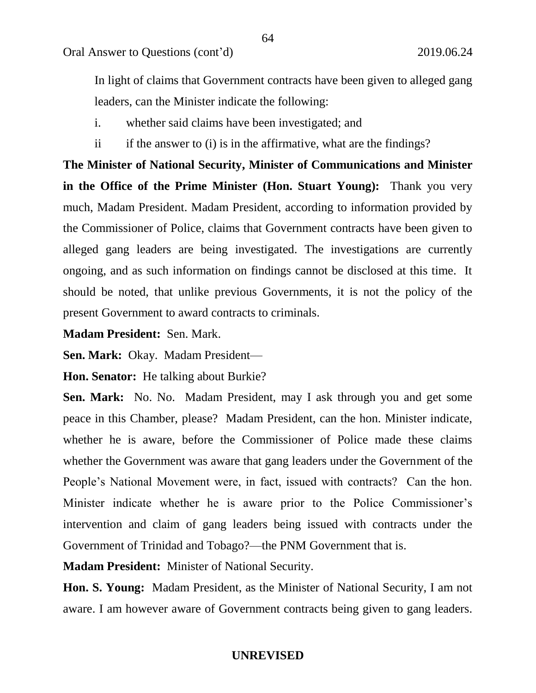In light of claims that Government contracts have been given to alleged gang leaders, can the Minister indicate the following:

i. whether said claims have been investigated; and

ii if the answer to (i) is in the affirmative, what are the findings?

**The Minister of National Security, Minister of Communications and Minister in the Office of the Prime Minister (Hon. Stuart Young):** Thank you very much, Madam President. Madam President, according to information provided by the Commissioner of Police, claims that Government contracts have been given to alleged gang leaders are being investigated. The investigations are currently ongoing, and as such information on findings cannot be disclosed at this time. It should be noted, that unlike previous Governments, it is not the policy of the present Government to award contracts to criminals.

**Madam President:** Sen. Mark.

**Sen. Mark:** Okay. Madam President—

**Hon. Senator:** He talking about Burkie?

**Sen. Mark:** No. No. Madam President, may I ask through you and get some peace in this Chamber, please? Madam President, can the hon. Minister indicate, whether he is aware, before the Commissioner of Police made these claims whether the Government was aware that gang leaders under the Government of the People's National Movement were, in fact, issued with contracts? Can the hon. Minister indicate whether he is aware prior to the Police Commissioner's intervention and claim of gang leaders being issued with contracts under the Government of Trinidad and Tobago?—the PNM Government that is.

**Madam President:** Minister of National Security.

**Hon. S. Young:** Madam President, as the Minister of National Security, I am not aware. I am however aware of Government contracts being given to gang leaders.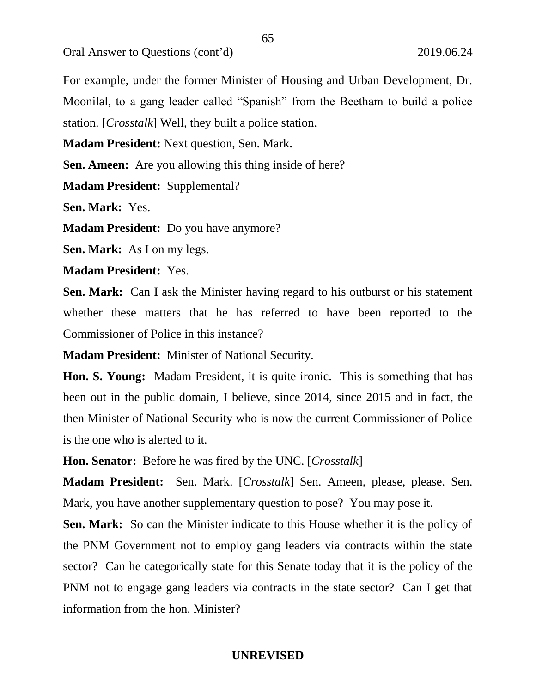Oral Answer to Questions (cont'd) 2019.06.24

For example, under the former Minister of Housing and Urban Development, Dr. Moonilal, to a gang leader called "Spanish" from the Beetham to build a police station. [*Crosstalk*] Well, they built a police station.

**Madam President:** Next question, Sen. Mark.

**Sen. Ameen:** Are you allowing this thing inside of here?

**Madam President:** Supplemental?

**Sen. Mark:** Yes.

**Madam President:** Do you have anymore?

**Sen. Mark:** As I on my legs.

**Madam President:** Yes.

**Sen. Mark:** Can I ask the Minister having regard to his outburst or his statement whether these matters that he has referred to have been reported to the Commissioner of Police in this instance?

**Madam President:** Minister of National Security.

**Hon. S. Young:** Madam President, it is quite ironic. This is something that has been out in the public domain, I believe, since 2014, since 2015 and in fact, the then Minister of National Security who is now the current Commissioner of Police is the one who is alerted to it.

**Hon. Senator:** Before he was fired by the UNC. [*Crosstalk*]

**Madam President:** Sen. Mark. [*Crosstalk*] Sen. Ameen, please, please. Sen. Mark, you have another supplementary question to pose? You may pose it.

**Sen. Mark:** So can the Minister indicate to this House whether it is the policy of the PNM Government not to employ gang leaders via contracts within the state sector? Can he categorically state for this Senate today that it is the policy of the PNM not to engage gang leaders via contracts in the state sector? Can I get that information from the hon. Minister?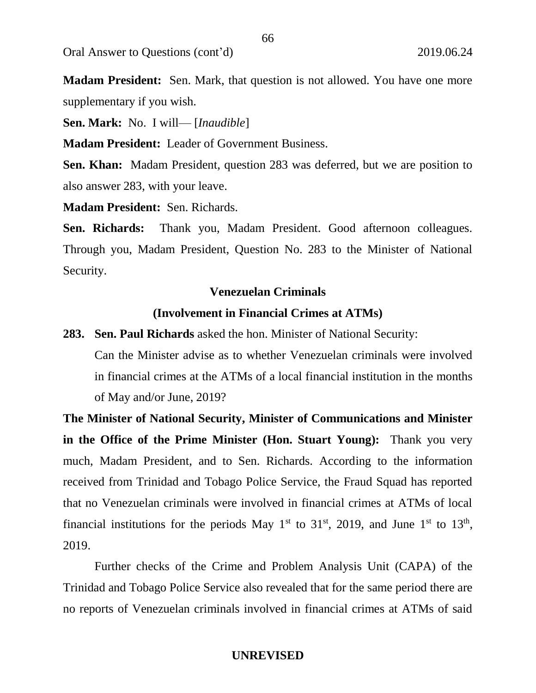Oral Answer to Questions (cont'd) 2019.06.24

**Madam President:** Sen. Mark, that question is not allowed. You have one more supplementary if you wish.

**Sen. Mark:** No. I will— [*Inaudible*]

**Madam President:** Leader of Government Business.

**Sen. Khan:** Madam President, question 283 was deferred, but we are position to also answer 283, with your leave.

**Madam President:** Sen. Richards.

Sen. Richards: Thank you, Madam President. Good afternoon colleagues. Through you, Madam President, Question No. 283 to the Minister of National Security.

#### **Venezuelan Criminals**

### **(Involvement in Financial Crimes at ATMs)**

**283. Sen. Paul Richards** asked the hon. Minister of National Security:

Can the Minister advise as to whether Venezuelan criminals were involved in financial crimes at the ATMs of a local financial institution in the months of May and/or June, 2019?

**The Minister of National Security, Minister of Communications and Minister in the Office of the Prime Minister (Hon. Stuart Young):** Thank you very much, Madam President, and to Sen. Richards. According to the information received from Trinidad and Tobago Police Service, the Fraud Squad has reported that no Venezuelan criminals were involved in financial crimes at ATMs of local financial institutions for the periods May  $1<sup>st</sup>$  to  $31<sup>st</sup>$ , 2019, and June  $1<sup>st</sup>$  to  $13<sup>th</sup>$ , 2019.

Further checks of the Crime and Problem Analysis Unit (CAPA) of the Trinidad and Tobago Police Service also revealed that for the same period there are no reports of Venezuelan criminals involved in financial crimes at ATMs of said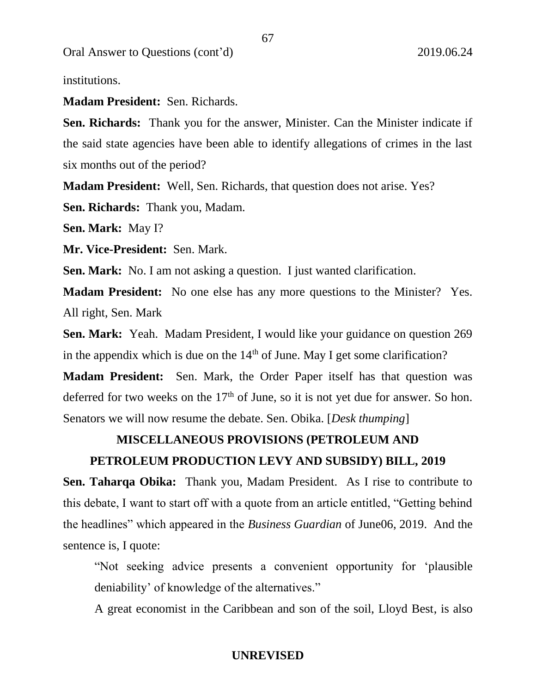Oral Answer to Questions (cont'd) 2019.06.24

institutions.

**Madam President:** Sen. Richards.

**Sen. Richards:** Thank you for the answer, Minister. Can the Minister indicate if the said state agencies have been able to identify allegations of crimes in the last six months out of the period?

**Madam President:** Well, Sen. Richards, that question does not arise. Yes?

**Sen. Richards:** Thank you, Madam.

**Sen. Mark:** May I?

**Mr. Vice-President:** Sen. Mark.

**Sen. Mark:** No. I am not asking a question. I just wanted clarification.

**Madam President:** No one else has any more questions to the Minister? Yes. All right, Sen. Mark

**Sen. Mark:** Yeah. Madam President, I would like your guidance on question 269 in the appendix which is due on the  $14<sup>th</sup>$  of June. May I get some clarification?

**Madam President:** Sen. Mark, the Order Paper itself has that question was deferred for two weeks on the  $17<sup>th</sup>$  of June, so it is not yet due for answer. So hon. Senators we will now resume the debate. Sen. Obika. [*Desk thumping*]

# **MISCELLANEOUS PROVISIONS (PETROLEUM AND**

# **PETROLEUM PRODUCTION LEVY AND SUBSIDY) BILL, 2019**

**Sen. Taharqa Obika:** Thank you, Madam President. As I rise to contribute to this debate, I want to start off with a quote from an article entitled, "Getting behind the headlines" which appeared in the *Business Guardian* of June06, 2019. And the sentence is, I quote:

"Not seeking advice presents a convenient opportunity for 'plausible deniability' of knowledge of the alternatives."

A great economist in the Caribbean and son of the soil, Lloyd Best, is also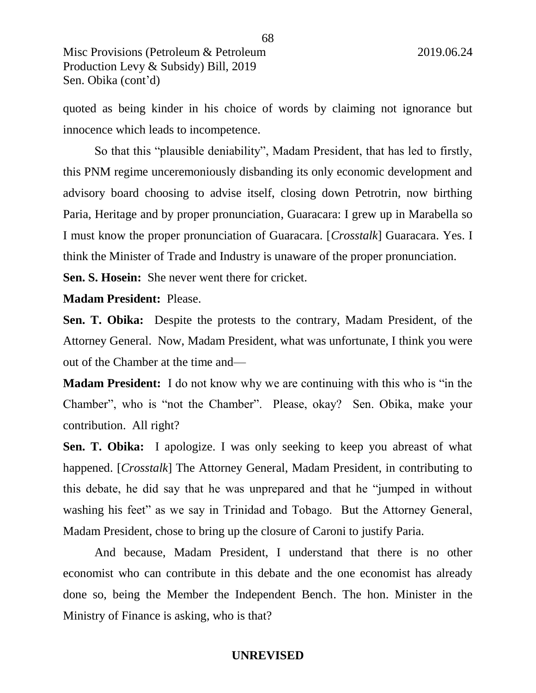quoted as being kinder in his choice of words by claiming not ignorance but innocence which leads to incompetence.

So that this "plausible deniability", Madam President, that has led to firstly, this PNM regime unceremoniously disbanding its only economic development and advisory board choosing to advise itself, closing down Petrotrin, now birthing Paria, Heritage and by proper pronunciation, Guaracara: I grew up in Marabella so I must know the proper pronunciation of Guaracara. [*Crosstalk*] Guaracara. Yes. I think the Minister of Trade and Industry is unaware of the proper pronunciation.

**Sen. S. Hosein:** She never went there for cricket.

**Madam President:** Please.

**Sen. T. Obika:** Despite the protests to the contrary, Madam President, of the Attorney General. Now, Madam President, what was unfortunate, I think you were out of the Chamber at the time and—

**Madam President:** I do not know why we are continuing with this who is "in the Chamber", who is "not the Chamber". Please, okay? Sen. Obika, make your contribution. All right?

**Sen. T. Obika:** I apologize. I was only seeking to keep you abreast of what happened. [*Crosstalk*] The Attorney General, Madam President, in contributing to this debate, he did say that he was unprepared and that he "jumped in without washing his feet" as we say in Trinidad and Tobago. But the Attorney General, Madam President, chose to bring up the closure of Caroni to justify Paria.

And because, Madam President, I understand that there is no other economist who can contribute in this debate and the one economist has already done so, being the Member the Independent Bench. The hon. Minister in the Ministry of Finance is asking, who is that?

#### 68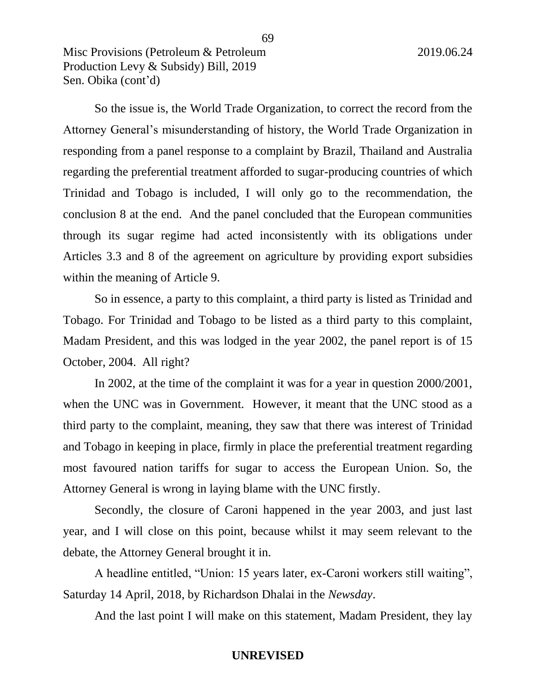So the issue is, the World Trade Organization, to correct the record from the Attorney General's misunderstanding of history, the World Trade Organization in responding from a panel response to a complaint by Brazil, Thailand and Australia regarding the preferential treatment afforded to sugar-producing countries of which Trinidad and Tobago is included, I will only go to the recommendation, the conclusion 8 at the end. And the panel concluded that the European communities through its sugar regime had acted inconsistently with its obligations under Articles 3.3 and 8 of the agreement on agriculture by providing export subsidies within the meaning of Article 9.

69

So in essence, a party to this complaint, a third party is listed as Trinidad and Tobago. For Trinidad and Tobago to be listed as a third party to this complaint, Madam President, and this was lodged in the year 2002, the panel report is of 15 October, 2004. All right?

In 2002, at the time of the complaint it was for a year in question 2000/2001, when the UNC was in Government. However, it meant that the UNC stood as a third party to the complaint, meaning, they saw that there was interest of Trinidad and Tobago in keeping in place, firmly in place the preferential treatment regarding most favoured nation tariffs for sugar to access the European Union. So, the Attorney General is wrong in laying blame with the UNC firstly.

Secondly, the closure of Caroni happened in the year 2003, and just last year, and I will close on this point, because whilst it may seem relevant to the debate, the Attorney General brought it in.

A headline entitled, "Union: 15 years later, ex-Caroni workers still waiting", Saturday 14 April, 2018, by Richardson Dhalai in the *Newsday*.

And the last point I will make on this statement, Madam President, they lay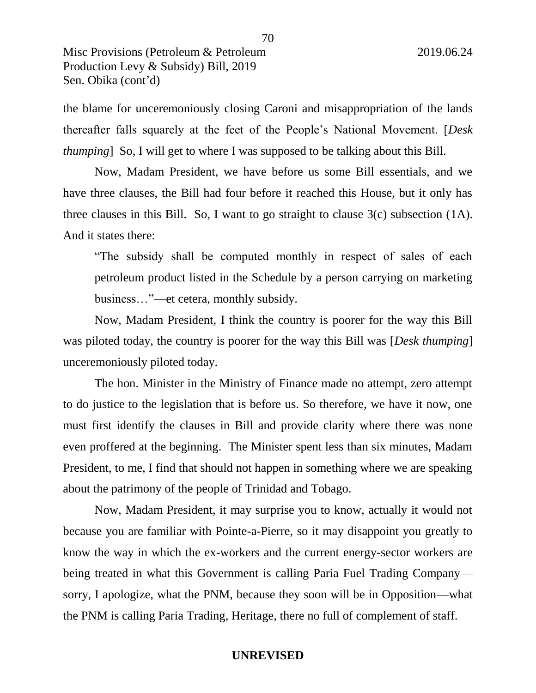the blame for unceremoniously closing Caroni and misappropriation of the lands thereafter falls squarely at the feet of the People's National Movement. [*Desk thumping*] So, I will get to where I was supposed to be talking about this Bill.

Now, Madam President, we have before us some Bill essentials, and we have three clauses, the Bill had four before it reached this House, but it only has three clauses in this Bill. So, I want to go straight to clause 3(c) subsection (1A). And it states there:

"The subsidy shall be computed monthly in respect of sales of each petroleum product listed in the Schedule by a person carrying on marketing business…"—et cetera, monthly subsidy.

Now, Madam President, I think the country is poorer for the way this Bill was piloted today, the country is poorer for the way this Bill was [*Desk thumping*] unceremoniously piloted today.

The hon. Minister in the Ministry of Finance made no attempt, zero attempt to do justice to the legislation that is before us. So therefore, we have it now, one must first identify the clauses in Bill and provide clarity where there was none even proffered at the beginning. The Minister spent less than six minutes, Madam President, to me, I find that should not happen in something where we are speaking about the patrimony of the people of Trinidad and Tobago.

Now, Madam President, it may surprise you to know, actually it would not because you are familiar with Pointe-a-Pierre, so it may disappoint you greatly to know the way in which the ex-workers and the current energy-sector workers are being treated in what this Government is calling Paria Fuel Trading Company sorry, I apologize, what the PNM, because they soon will be in Opposition—what the PNM is calling Paria Trading, Heritage, there no full of complement of staff.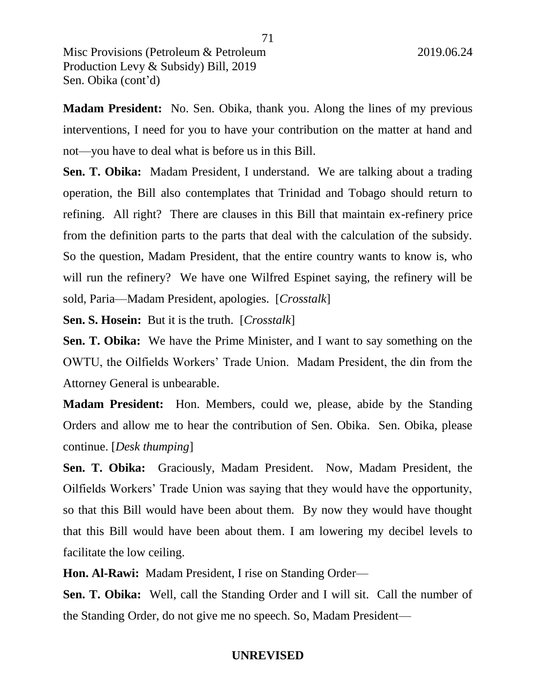**Madam President:** No. Sen. Obika, thank you. Along the lines of my previous interventions, I need for you to have your contribution on the matter at hand and not—you have to deal what is before us in this Bill.

**Sen. T. Obika:** Madam President, I understand. We are talking about a trading operation, the Bill also contemplates that Trinidad and Tobago should return to refining. All right? There are clauses in this Bill that maintain ex-refinery price from the definition parts to the parts that deal with the calculation of the subsidy. So the question, Madam President, that the entire country wants to know is, who will run the refinery? We have one Wilfred Espinet saying, the refinery will be sold, Paria—Madam President, apologies. [*Crosstalk*]

**Sen. S. Hosein:** But it is the truth. [*Crosstalk*]

**Sen. T. Obika:** We have the Prime Minister, and I want to say something on the OWTU, the Oilfields Workers' Trade Union. Madam President, the din from the Attorney General is unbearable.

**Madam President:** Hon. Members, could we, please, abide by the Standing Orders and allow me to hear the contribution of Sen. Obika. Sen. Obika, please continue. [*Desk thumping*]

**Sen. T. Obika:** Graciously, Madam President. Now, Madam President, the Oilfields Workers' Trade Union was saying that they would have the opportunity, so that this Bill would have been about them. By now they would have thought that this Bill would have been about them. I am lowering my decibel levels to facilitate the low ceiling.

**Hon. Al-Rawi:** Madam President, I rise on Standing Order—

**Sen. T. Obika:** Well, call the Standing Order and I will sit. Call the number of the Standing Order, do not give me no speech. So, Madam President—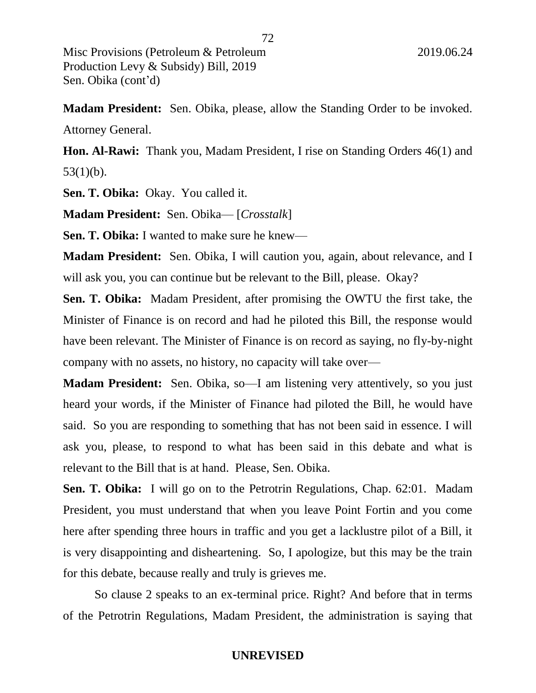**Madam President:** Sen. Obika, please, allow the Standing Order to be invoked. Attorney General.

**Hon. Al-Rawi:** Thank you, Madam President, I rise on Standing Orders 46(1) and  $53(1)(b)$ .

Sen. T. Obika: Okay. You called it.

**Madam President:** Sen. Obika— [*Crosstalk*]

**Sen. T. Obika:** I wanted to make sure he knew—

**Madam President:** Sen. Obika, I will caution you, again, about relevance, and I will ask you, you can continue but be relevant to the Bill, please. Okay?

**Sen. T. Obika:** Madam President, after promising the OWTU the first take, the Minister of Finance is on record and had he piloted this Bill, the response would have been relevant. The Minister of Finance is on record as saying, no fly-by-night company with no assets, no history, no capacity will take over—

**Madam President:** Sen. Obika, so—I am listening very attentively, so you just heard your words, if the Minister of Finance had piloted the Bill, he would have said. So you are responding to something that has not been said in essence. I will ask you, please, to respond to what has been said in this debate and what is relevant to the Bill that is at hand. Please, Sen. Obika.

**Sen. T. Obika:** I will go on to the Petrotrin Regulations, Chap. 62:01. Madam President, you must understand that when you leave Point Fortin and you come here after spending three hours in traffic and you get a lacklustre pilot of a Bill, it is very disappointing and disheartening. So, I apologize, but this may be the train for this debate, because really and truly is grieves me.

So clause 2 speaks to an ex-terminal price. Right? And before that in terms of the Petrotrin Regulations, Madam President, the administration is saying that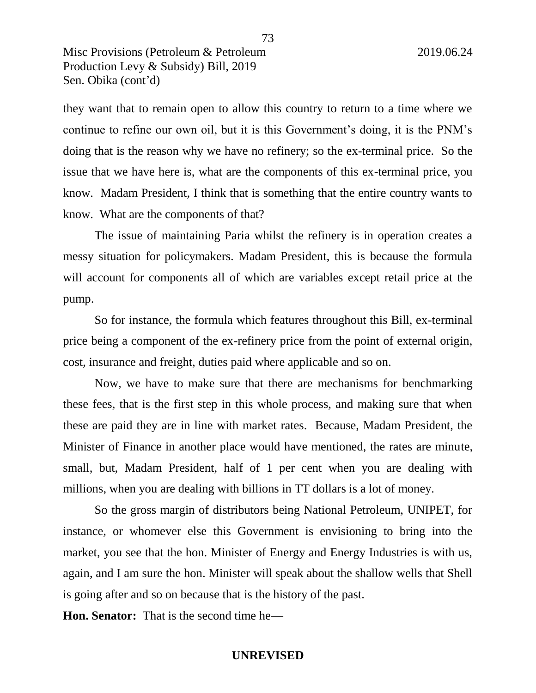they want that to remain open to allow this country to return to a time where we continue to refine our own oil, but it is this Government's doing, it is the PNM's doing that is the reason why we have no refinery; so the ex-terminal price. So the issue that we have here is, what are the components of this ex-terminal price, you know. Madam President, I think that is something that the entire country wants to know. What are the components of that?

73

The issue of maintaining Paria whilst the refinery is in operation creates a messy situation for policymakers. Madam President, this is because the formula will account for components all of which are variables except retail price at the pump.

So for instance, the formula which features throughout this Bill, ex-terminal price being a component of the ex-refinery price from the point of external origin, cost, insurance and freight, duties paid where applicable and so on.

Now, we have to make sure that there are mechanisms for benchmarking these fees, that is the first step in this whole process, and making sure that when these are paid they are in line with market rates. Because, Madam President, the Minister of Finance in another place would have mentioned, the rates are minute, small, but, Madam President, half of 1 per cent when you are dealing with millions, when you are dealing with billions in TT dollars is a lot of money.

So the gross margin of distributors being National Petroleum, UNIPET, for instance, or whomever else this Government is envisioning to bring into the market, you see that the hon. Minister of Energy and Energy Industries is with us, again, and I am sure the hon. Minister will speak about the shallow wells that Shell is going after and so on because that is the history of the past.

**Hon. Senator:** That is the second time he—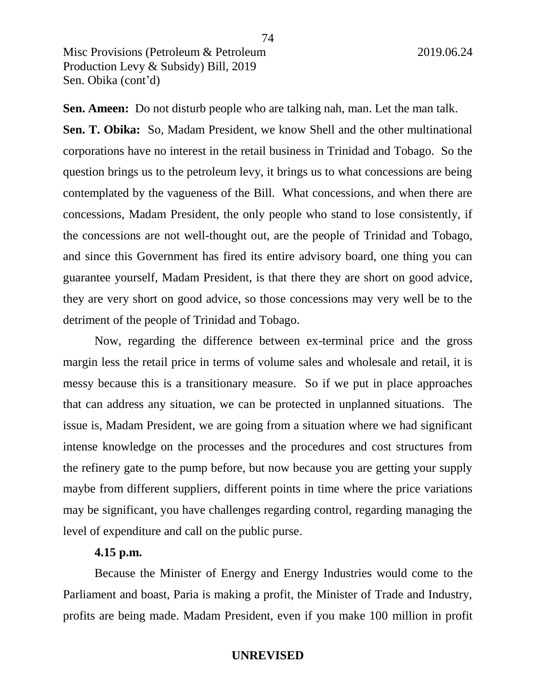**Sen. Ameen:** Do not disturb people who are talking nah, man. Let the man talk. **Sen. T. Obika:** So, Madam President, we know Shell and the other multinational corporations have no interest in the retail business in Trinidad and Tobago. So the question brings us to the petroleum levy, it brings us to what concessions are being contemplated by the vagueness of the Bill. What concessions, and when there are concessions, Madam President, the only people who stand to lose consistently, if the concessions are not well-thought out, are the people of Trinidad and Tobago, and since this Government has fired its entire advisory board, one thing you can guarantee yourself, Madam President, is that there they are short on good advice, they are very short on good advice, so those concessions may very well be to the detriment of the people of Trinidad and Tobago.

Now, regarding the difference between ex-terminal price and the gross margin less the retail price in terms of volume sales and wholesale and retail, it is messy because this is a transitionary measure. So if we put in place approaches that can address any situation, we can be protected in unplanned situations. The issue is, Madam President, we are going from a situation where we had significant intense knowledge on the processes and the procedures and cost structures from the refinery gate to the pump before, but now because you are getting your supply maybe from different suppliers, different points in time where the price variations may be significant, you have challenges regarding control, regarding managing the level of expenditure and call on the public purse.

## **4.15 p.m.**

Because the Minister of Energy and Energy Industries would come to the Parliament and boast, Paria is making a profit, the Minister of Trade and Industry, profits are being made. Madam President, even if you make 100 million in profit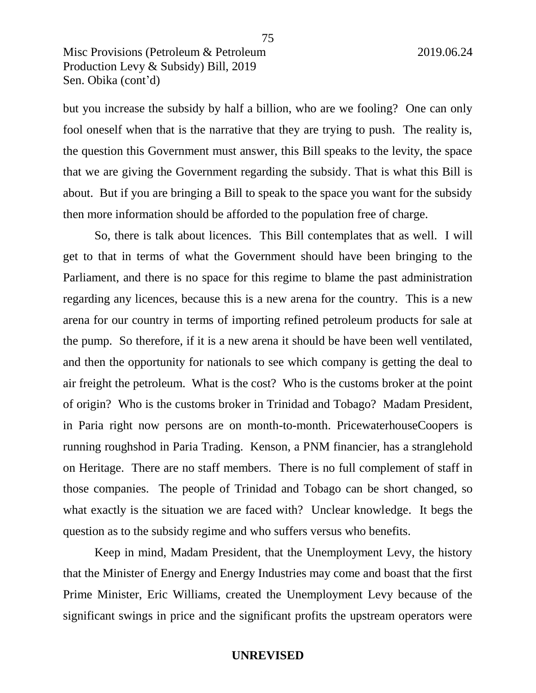but you increase the subsidy by half a billion, who are we fooling? One can only fool oneself when that is the narrative that they are trying to push. The reality is, the question this Government must answer, this Bill speaks to the levity, the space that we are giving the Government regarding the subsidy. That is what this Bill is about. But if you are bringing a Bill to speak to the space you want for the subsidy then more information should be afforded to the population free of charge.

So, there is talk about licences. This Bill contemplates that as well. I will get to that in terms of what the Government should have been bringing to the Parliament, and there is no space for this regime to blame the past administration regarding any licences, because this is a new arena for the country. This is a new arena for our country in terms of importing refined petroleum products for sale at the pump. So therefore, if it is a new arena it should be have been well ventilated, and then the opportunity for nationals to see which company is getting the deal to air freight the petroleum. What is the cost? Who is the customs broker at the point of origin? Who is the customs broker in Trinidad and Tobago? Madam President, in Paria right now persons are on month-to-month. PricewaterhouseCoopers is running roughshod in Paria Trading. Kenson, a PNM financier, has a stranglehold on Heritage. There are no staff members. There is no full complement of staff in those companies. The people of Trinidad and Tobago can be short changed, so what exactly is the situation we are faced with? Unclear knowledge. It begs the question as to the subsidy regime and who suffers versus who benefits.

Keep in mind, Madam President, that the Unemployment Levy, the history that the Minister of Energy and Energy Industries may come and boast that the first Prime Minister, Eric Williams, created the Unemployment Levy because of the significant swings in price and the significant profits the upstream operators were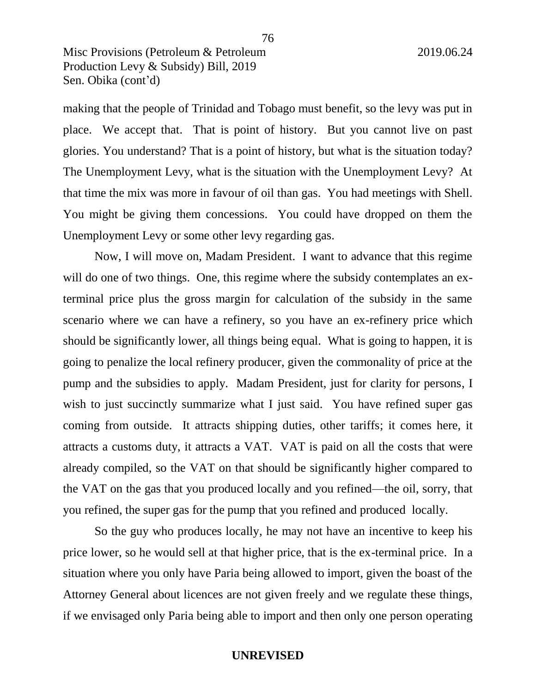making that the people of Trinidad and Tobago must benefit, so the levy was put in place. We accept that. That is point of history. But you cannot live on past glories. You understand? That is a point of history, but what is the situation today? The Unemployment Levy, what is the situation with the Unemployment Levy? At that time the mix was more in favour of oil than gas. You had meetings with Shell. You might be giving them concessions. You could have dropped on them the Unemployment Levy or some other levy regarding gas.

Now, I will move on, Madam President. I want to advance that this regime will do one of two things. One, this regime where the subsidy contemplates an exterminal price plus the gross margin for calculation of the subsidy in the same scenario where we can have a refinery, so you have an ex-refinery price which should be significantly lower, all things being equal. What is going to happen, it is going to penalize the local refinery producer, given the commonality of price at the pump and the subsidies to apply. Madam President, just for clarity for persons, I wish to just succinctly summarize what I just said. You have refined super gas coming from outside. It attracts shipping duties, other tariffs; it comes here, it attracts a customs duty, it attracts a VAT. VAT is paid on all the costs that were already compiled, so the VAT on that should be significantly higher compared to the VAT on the gas that you produced locally and you refined—the oil, sorry, that you refined, the super gas for the pump that you refined and produced locally.

So the guy who produces locally, he may not have an incentive to keep his price lower, so he would sell at that higher price, that is the ex-terminal price. In a situation where you only have Paria being allowed to import, given the boast of the Attorney General about licences are not given freely and we regulate these things, if we envisaged only Paria being able to import and then only one person operating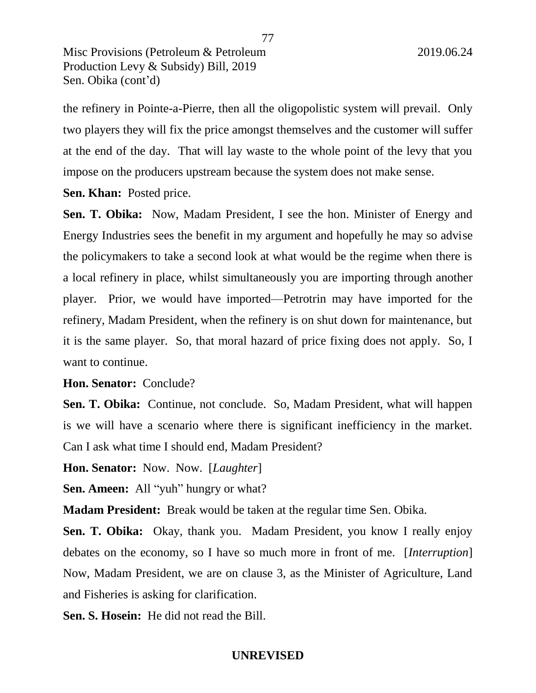the refinery in Pointe-a-Pierre, then all the oligopolistic system will prevail. Only two players they will fix the price amongst themselves and the customer will suffer at the end of the day. That will lay waste to the whole point of the levy that you impose on the producers upstream because the system does not make sense.

**Sen. Khan:** Posted price.

**Sen. T. Obika:** Now, Madam President, I see the hon. Minister of Energy and Energy Industries sees the benefit in my argument and hopefully he may so advise the policymakers to take a second look at what would be the regime when there is a local refinery in place, whilst simultaneously you are importing through another player. Prior, we would have imported—Petrotrin may have imported for the refinery, Madam President, when the refinery is on shut down for maintenance, but it is the same player. So, that moral hazard of price fixing does not apply. So, I want to continue.

## **Hon. Senator:** Conclude?

**Sen. T. Obika:** Continue, not conclude. So, Madam President, what will happen is we will have a scenario where there is significant inefficiency in the market. Can I ask what time I should end, Madam President?

**Hon. Senator:** Now. Now. [*Laughter*]

**Sen. Ameen:** All "yuh" hungry or what?

**Madam President:** Break would be taken at the regular time Sen. Obika.

Sen. T. Obika: Okay, thank you. Madam President, you know I really enjoy debates on the economy, so I have so much more in front of me. [*Interruption*] Now, Madam President, we are on clause 3, as the Minister of Agriculture, Land and Fisheries is asking for clarification.

**Sen. S. Hosein:** He did not read the Bill.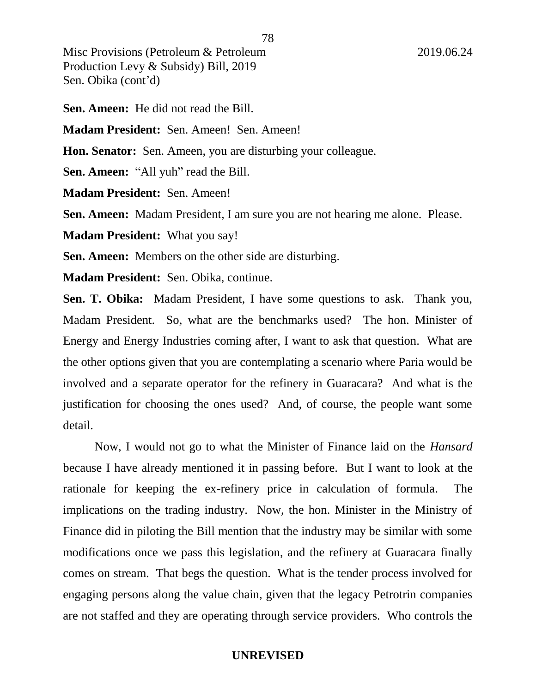**Sen. Ameen:** He did not read the Bill.

**Madam President:** Sen. Ameen! Sen. Ameen!

**Hon. Senator:** Sen. Ameen, you are disturbing your colleague.

**Sen. Ameen:** "All yuh" read the Bill.

**Madam President:** Sen. Ameen!

**Sen. Ameen:** Madam President, I am sure you are not hearing me alone. Please.

**Madam President:** What you say!

**Sen. Ameen:** Members on the other side are disturbing.

**Madam President:** Sen. Obika, continue.

**Sen. T. Obika:** Madam President, I have some questions to ask. Thank you, Madam President. So, what are the benchmarks used? The hon. Minister of Energy and Energy Industries coming after, I want to ask that question. What are the other options given that you are contemplating a scenario where Paria would be involved and a separate operator for the refinery in Guaracara? And what is the justification for choosing the ones used? And, of course, the people want some detail.

Now, I would not go to what the Minister of Finance laid on the *Hansard* because I have already mentioned it in passing before. But I want to look at the rationale for keeping the ex-refinery price in calculation of formula. The implications on the trading industry. Now, the hon. Minister in the Ministry of Finance did in piloting the Bill mention that the industry may be similar with some modifications once we pass this legislation, and the refinery at Guaracara finally comes on stream. That begs the question. What is the tender process involved for engaging persons along the value chain, given that the legacy Petrotrin companies are not staffed and they are operating through service providers. Who controls the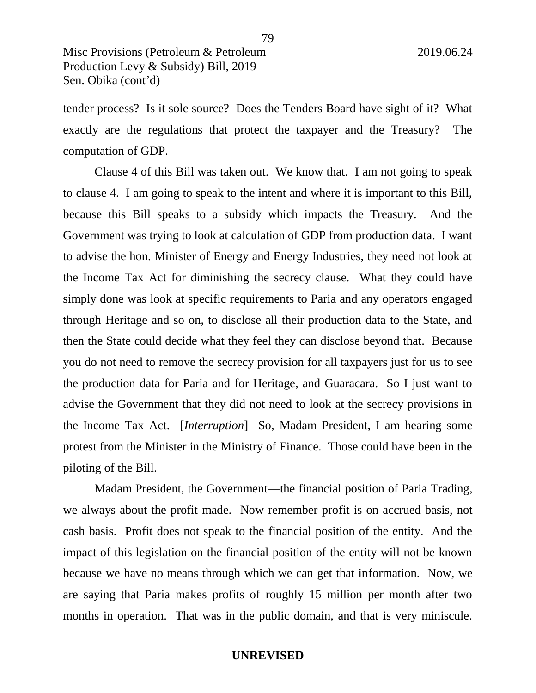tender process? Is it sole source? Does the Tenders Board have sight of it? What exactly are the regulations that protect the taxpayer and the Treasury? The computation of GDP.

Clause 4 of this Bill was taken out. We know that. I am not going to speak to clause 4. I am going to speak to the intent and where it is important to this Bill, because this Bill speaks to a subsidy which impacts the Treasury. And the Government was trying to look at calculation of GDP from production data. I want to advise the hon. Minister of Energy and Energy Industries, they need not look at the Income Tax Act for diminishing the secrecy clause. What they could have simply done was look at specific requirements to Paria and any operators engaged through Heritage and so on, to disclose all their production data to the State, and then the State could decide what they feel they can disclose beyond that. Because you do not need to remove the secrecy provision for all taxpayers just for us to see the production data for Paria and for Heritage, and Guaracara. So I just want to advise the Government that they did not need to look at the secrecy provisions in the Income Tax Act. [*Interruption*] So, Madam President, I am hearing some protest from the Minister in the Ministry of Finance. Those could have been in the piloting of the Bill.

Madam President, the Government—the financial position of Paria Trading, we always about the profit made. Now remember profit is on accrued basis, not cash basis. Profit does not speak to the financial position of the entity. And the impact of this legislation on the financial position of the entity will not be known because we have no means through which we can get that information. Now, we are saying that Paria makes profits of roughly 15 million per month after two months in operation. That was in the public domain, and that is very miniscule.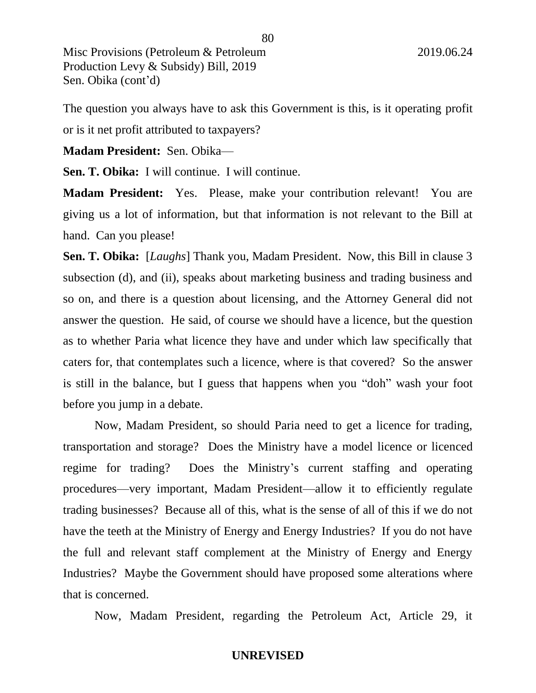The question you always have to ask this Government is this, is it operating profit or is it net profit attributed to taxpayers?

**Madam President:** Sen. Obika—

**Sen. T. Obika:** I will continue. I will continue.

**Madam President:** Yes. Please, make your contribution relevant! You are giving us a lot of information, but that information is not relevant to the Bill at hand. Can you please!

**Sen. T. Obika:** [*Laughs*] Thank you, Madam President. Now, this Bill in clause 3 subsection (d), and (ii), speaks about marketing business and trading business and so on, and there is a question about licensing, and the Attorney General did not answer the question. He said, of course we should have a licence, but the question as to whether Paria what licence they have and under which law specifically that caters for, that contemplates such a licence, where is that covered? So the answer is still in the balance, but I guess that happens when you "doh" wash your foot before you jump in a debate.

Now, Madam President, so should Paria need to get a licence for trading, transportation and storage? Does the Ministry have a model licence or licenced regime for trading? Does the Ministry's current staffing and operating procedures—very important, Madam President—allow it to efficiently regulate trading businesses? Because all of this, what is the sense of all of this if we do not have the teeth at the Ministry of Energy and Energy Industries? If you do not have the full and relevant staff complement at the Ministry of Energy and Energy Industries? Maybe the Government should have proposed some alterations where that is concerned.

Now, Madam President, regarding the Petroleum Act, Article 29, it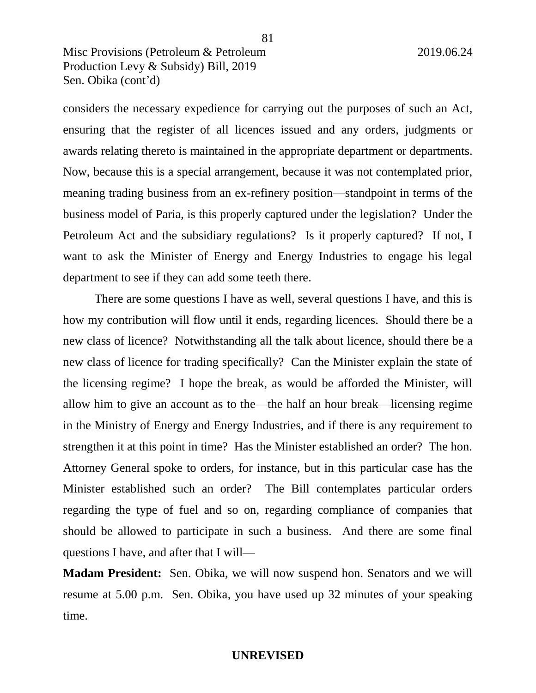considers the necessary expedience for carrying out the purposes of such an Act, ensuring that the register of all licences issued and any orders, judgments or awards relating thereto is maintained in the appropriate department or departments. Now, because this is a special arrangement, because it was not contemplated prior, meaning trading business from an ex-refinery position—standpoint in terms of the business model of Paria, is this properly captured under the legislation? Under the Petroleum Act and the subsidiary regulations? Is it properly captured? If not, I want to ask the Minister of Energy and Energy Industries to engage his legal department to see if they can add some teeth there.

There are some questions I have as well, several questions I have, and this is how my contribution will flow until it ends, regarding licences. Should there be a new class of licence? Notwithstanding all the talk about licence, should there be a new class of licence for trading specifically? Can the Minister explain the state of the licensing regime? I hope the break, as would be afforded the Minister, will allow him to give an account as to the—the half an hour break—licensing regime in the Ministry of Energy and Energy Industries, and if there is any requirement to strengthen it at this point in time? Has the Minister established an order? The hon. Attorney General spoke to orders, for instance, but in this particular case has the Minister established such an order? The Bill contemplates particular orders regarding the type of fuel and so on, regarding compliance of companies that should be allowed to participate in such a business. And there are some final questions I have, and after that I will—

**Madam President:** Sen. Obika, we will now suspend hon. Senators and we will resume at 5.00 p.m. Sen. Obika, you have used up 32 minutes of your speaking time.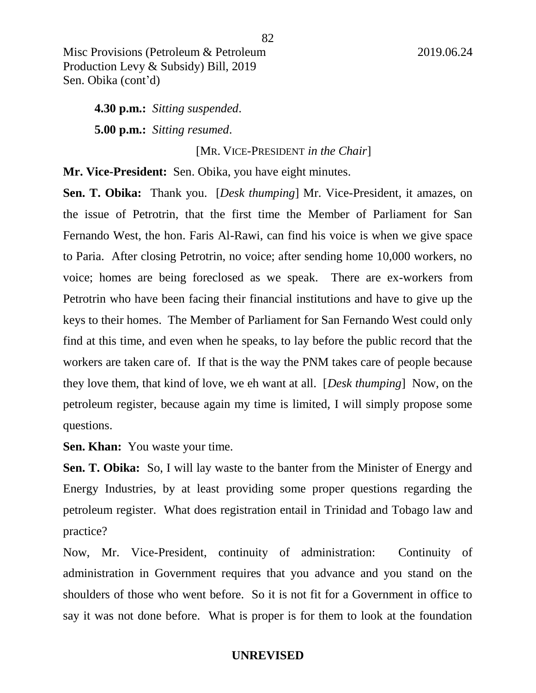**4.30 p.m.:** *Sitting suspended*. **5.00 p.m.:** *Sitting resumed*.

[MR. VICE-PRESIDENT *in the Chair*]

**Mr. Vice-President:** Sen. Obika, you have eight minutes.

**Sen. T. Obika:** Thank you. [*Desk thumping*] Mr. Vice-President, it amazes, on the issue of Petrotrin, that the first time the Member of Parliament for San Fernando West, the hon. Faris Al-Rawi, can find his voice is when we give space to Paria. After closing Petrotrin, no voice; after sending home 10,000 workers, no voice; homes are being foreclosed as we speak. There are ex-workers from Petrotrin who have been facing their financial institutions and have to give up the keys to their homes. The Member of Parliament for San Fernando West could only find at this time, and even when he speaks, to lay before the public record that the workers are taken care of. If that is the way the PNM takes care of people because they love them, that kind of love, we eh want at all. [*Desk thumping*] Now, on the petroleum register, because again my time is limited, I will simply propose some questions.

**Sen. Khan:** You waste your time.

**Sen. T. Obika:** So, I will lay waste to the banter from the Minister of Energy and Energy Industries, by at least providing some proper questions regarding the petroleum register. What does registration entail in Trinidad and Tobago law and practice?

Now, Mr. Vice-President, continuity of administration: Continuity of administration in Government requires that you advance and you stand on the shoulders of those who went before. So it is not fit for a Government in office to say it was not done before. What is proper is for them to look at the foundation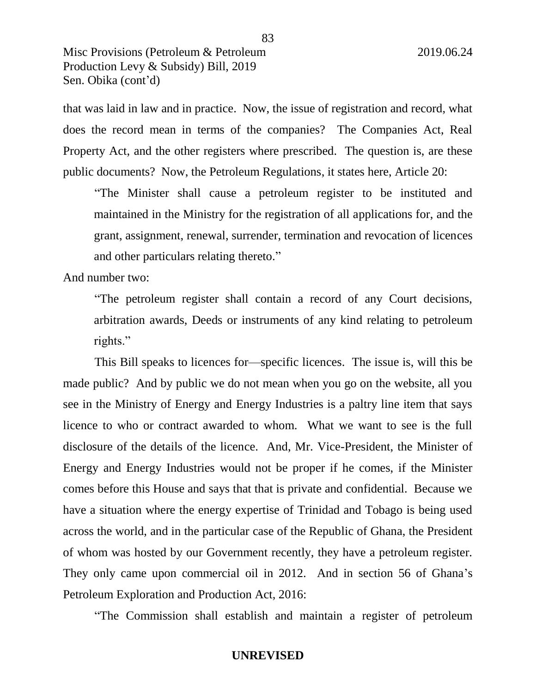that was laid in law and in practice. Now, the issue of registration and record, what does the record mean in terms of the companies? The Companies Act, Real Property Act, and the other registers where prescribed. The question is, are these public documents? Now, the Petroleum Regulations, it states here, Article 20:

83

"The Minister shall cause a petroleum register to be instituted and maintained in the Ministry for the registration of all applications for, and the grant, assignment, renewal, surrender, termination and revocation of licences and other particulars relating thereto."

And number two:

"The petroleum register shall contain a record of any Court decisions, arbitration awards, Deeds or instruments of any kind relating to petroleum rights."

This Bill speaks to licences for—specific licences. The issue is, will this be made public? And by public we do not mean when you go on the website, all you see in the Ministry of Energy and Energy Industries is a paltry line item that says licence to who or contract awarded to whom. What we want to see is the full disclosure of the details of the licence. And, Mr. Vice-President, the Minister of Energy and Energy Industries would not be proper if he comes, if the Minister comes before this House and says that that is private and confidential. Because we have a situation where the energy expertise of Trinidad and Tobago is being used across the world, and in the particular case of the Republic of Ghana, the President of whom was hosted by our Government recently, they have a petroleum register. They only came upon commercial oil in 2012. And in section 56 of Ghana's Petroleum Exploration and Production Act, 2016:

"The Commission shall establish and maintain a register of petroleum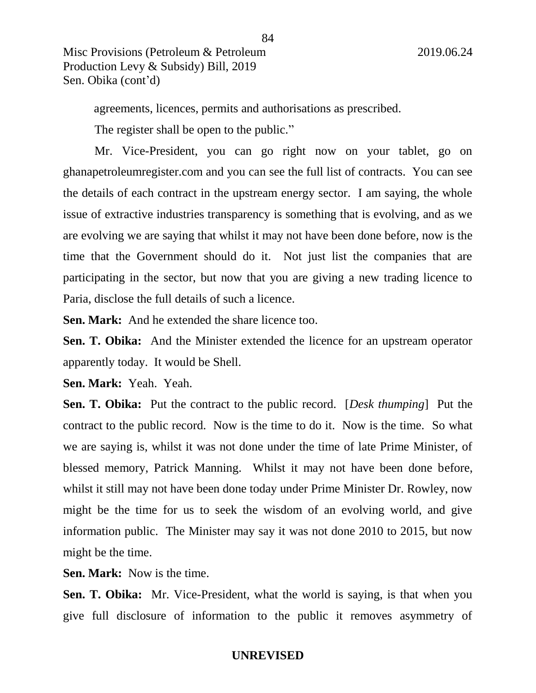agreements, licences, permits and authorisations as prescribed.

The register shall be open to the public."

Mr. Vice-President, you can go right now on your tablet, go on ghanapetroleumregister.com and you can see the full list of contracts. You can see the details of each contract in the upstream energy sector. I am saying, the whole issue of extractive industries transparency is something that is evolving, and as we are evolving we are saying that whilst it may not have been done before, now is the time that the Government should do it. Not just list the companies that are participating in the sector, but now that you are giving a new trading licence to Paria, disclose the full details of such a licence.

**Sen. Mark:** And he extended the share licence too.

**Sen. T. Obika:** And the Minister extended the licence for an upstream operator apparently today. It would be Shell.

**Sen. Mark:** Yeah. Yeah.

**Sen. T. Obika:** Put the contract to the public record. [*Desk thumping*] Put the contract to the public record. Now is the time to do it. Now is the time. So what we are saying is, whilst it was not done under the time of late Prime Minister, of blessed memory, Patrick Manning. Whilst it may not have been done before, whilst it still may not have been done today under Prime Minister Dr. Rowley, now might be the time for us to seek the wisdom of an evolving world, and give information public. The Minister may say it was not done 2010 to 2015, but now might be the time.

**Sen. Mark:** Now is the time.

**Sen. T. Obika:** Mr. Vice-President, what the world is saying, is that when you give full disclosure of information to the public it removes asymmetry of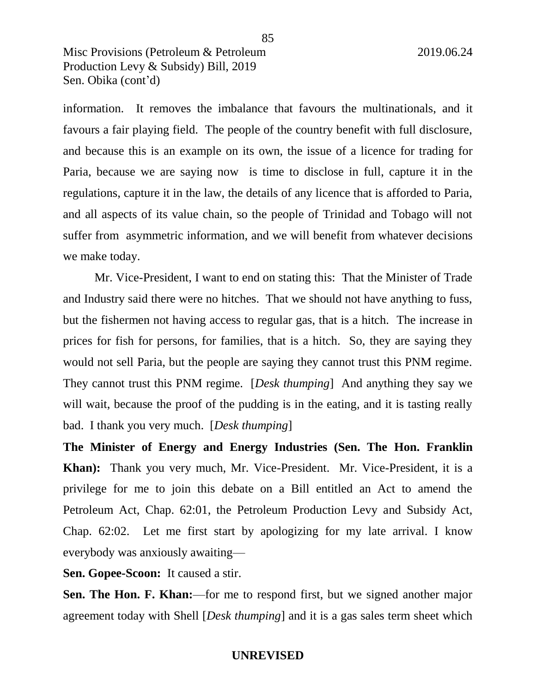information. It removes the imbalance that favours the multinationals, and it favours a fair playing field. The people of the country benefit with full disclosure, and because this is an example on its own, the issue of a licence for trading for Paria, because we are saying now is time to disclose in full, capture it in the regulations, capture it in the law, the details of any licence that is afforded to Paria, and all aspects of its value chain, so the people of Trinidad and Tobago will not suffer from asymmetric information, and we will benefit from whatever decisions we make today.

Mr. Vice-President, I want to end on stating this: That the Minister of Trade and Industry said there were no hitches. That we should not have anything to fuss, but the fishermen not having access to regular gas, that is a hitch. The increase in prices for fish for persons, for families, that is a hitch. So, they are saying they would not sell Paria, but the people are saying they cannot trust this PNM regime. They cannot trust this PNM regime. [*Desk thumping*] And anything they say we will wait, because the proof of the pudding is in the eating, and it is tasting really bad. I thank you very much. [*Desk thumping*]

**The Minister of Energy and Energy Industries (Sen. The Hon. Franklin Khan):** Thank you very much, Mr. Vice-President. Mr. Vice-President, it is a privilege for me to join this debate on a Bill entitled an Act to amend the Petroleum Act, Chap. 62:01, the Petroleum Production Levy and Subsidy Act, Chap. 62:02. Let me first start by apologizing for my late arrival. I know everybody was anxiously awaiting—

**Sen. Gopee-Scoon:** It caused a stir.

**Sen. The Hon. F. Khan:**—for me to respond first, but we signed another major agreement today with Shell [*Desk thumping*] and it is a gas sales term sheet which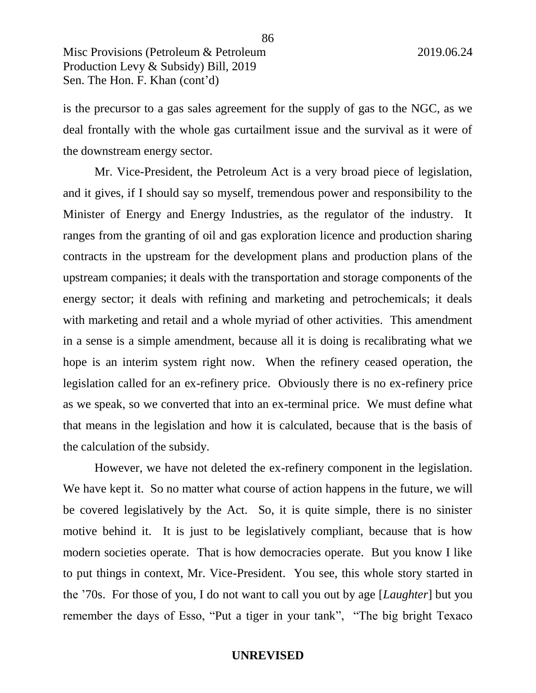is the precursor to a gas sales agreement for the supply of gas to the NGC, as we deal frontally with the whole gas curtailment issue and the survival as it were of the downstream energy sector.

Mr. Vice-President, the Petroleum Act is a very broad piece of legislation, and it gives, if I should say so myself, tremendous power and responsibility to the Minister of Energy and Energy Industries, as the regulator of the industry. It ranges from the granting of oil and gas exploration licence and production sharing contracts in the upstream for the development plans and production plans of the upstream companies; it deals with the transportation and storage components of the energy sector; it deals with refining and marketing and petrochemicals; it deals with marketing and retail and a whole myriad of other activities. This amendment in a sense is a simple amendment, because all it is doing is recalibrating what we hope is an interim system right now. When the refinery ceased operation, the legislation called for an ex-refinery price. Obviously there is no ex-refinery price as we speak, so we converted that into an ex-terminal price. We must define what that means in the legislation and how it is calculated, because that is the basis of the calculation of the subsidy.

However, we have not deleted the ex-refinery component in the legislation. We have kept it. So no matter what course of action happens in the future, we will be covered legislatively by the Act. So, it is quite simple, there is no sinister motive behind it. It is just to be legislatively compliant, because that is how modern societies operate. That is how democracies operate. But you know I like to put things in context, Mr. Vice-President. You see, this whole story started in the '70s. For those of you, I do not want to call you out by age [*Laughter*] but you remember the days of Esso, "Put a tiger in your tank", "The big bright Texaco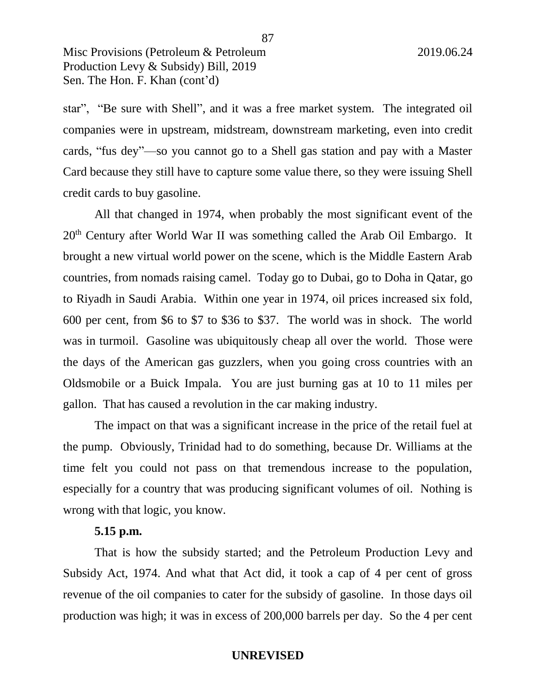star", "Be sure with Shell", and it was a free market system. The integrated oil companies were in upstream, midstream, downstream marketing, even into credit cards, "fus dey"—so you cannot go to a Shell gas station and pay with a Master Card because they still have to capture some value there, so they were issuing Shell credit cards to buy gasoline.

All that changed in 1974, when probably the most significant event of the 20th Century after World War II was something called the Arab Oil Embargo. It brought a new virtual world power on the scene, which is the Middle Eastern Arab countries, from nomads raising camel. Today go to Dubai, go to Doha in Qatar, go to Riyadh in Saudi Arabia. Within one year in 1974, oil prices increased six fold, 600 per cent, from \$6 to \$7 to \$36 to \$37. The world was in shock. The world was in turmoil. Gasoline was ubiquitously cheap all over the world. Those were the days of the American gas guzzlers, when you going cross countries with an Oldsmobile or a Buick Impala. You are just burning gas at 10 to 11 miles per gallon. That has caused a revolution in the car making industry.

The impact on that was a significant increase in the price of the retail fuel at the pump. Obviously, Trinidad had to do something, because Dr. Williams at the time felt you could not pass on that tremendous increase to the population, especially for a country that was producing significant volumes of oil. Nothing is wrong with that logic, you know.

### **5.15 p.m.**

That is how the subsidy started; and the Petroleum Production Levy and Subsidy Act, 1974. And what that Act did, it took a cap of 4 per cent of gross revenue of the oil companies to cater for the subsidy of gasoline. In those days oil production was high; it was in excess of 200,000 barrels per day. So the 4 per cent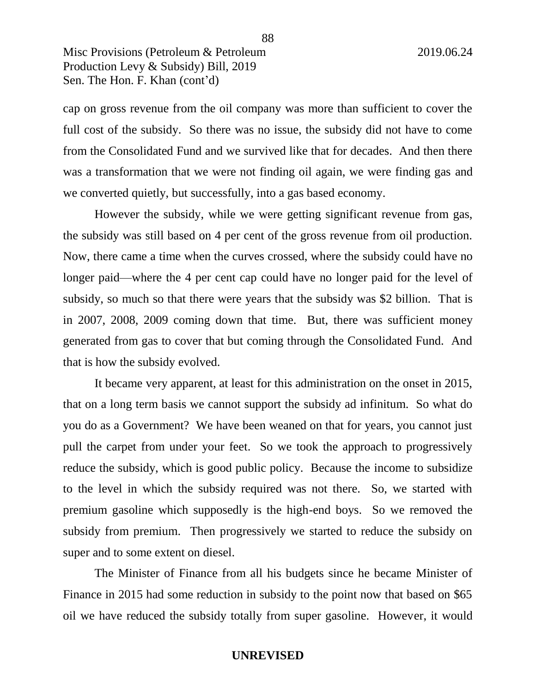cap on gross revenue from the oil company was more than sufficient to cover the full cost of the subsidy. So there was no issue, the subsidy did not have to come from the Consolidated Fund and we survived like that for decades. And then there was a transformation that we were not finding oil again, we were finding gas and we converted quietly, but successfully, into a gas based economy.

However the subsidy, while we were getting significant revenue from gas, the subsidy was still based on 4 per cent of the gross revenue from oil production. Now, there came a time when the curves crossed, where the subsidy could have no longer paid—where the 4 per cent cap could have no longer paid for the level of subsidy, so much so that there were years that the subsidy was \$2 billion. That is in 2007, 2008, 2009 coming down that time. But, there was sufficient money generated from gas to cover that but coming through the Consolidated Fund. And that is how the subsidy evolved.

It became very apparent, at least for this administration on the onset in 2015, that on a long term basis we cannot support the subsidy ad infinitum. So what do you do as a Government? We have been weaned on that for years, you cannot just pull the carpet from under your feet. So we took the approach to progressively reduce the subsidy, which is good public policy. Because the income to subsidize to the level in which the subsidy required was not there. So, we started with premium gasoline which supposedly is the high-end boys. So we removed the subsidy from premium. Then progressively we started to reduce the subsidy on super and to some extent on diesel.

The Minister of Finance from all his budgets since he became Minister of Finance in 2015 had some reduction in subsidy to the point now that based on \$65 oil we have reduced the subsidy totally from super gasoline. However, it would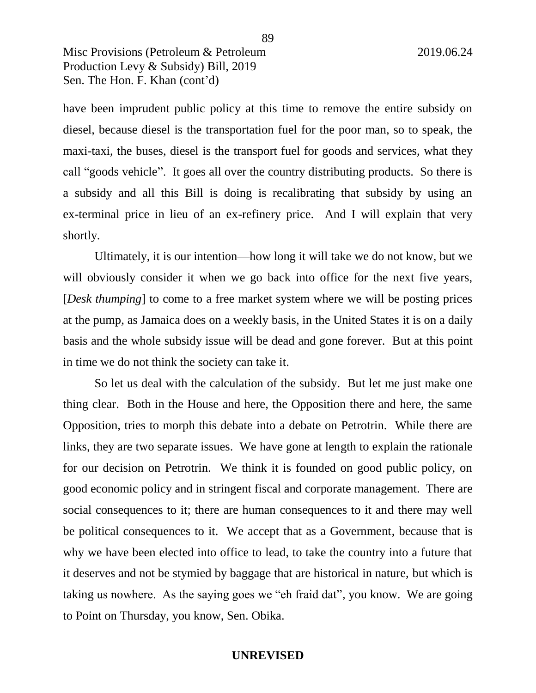have been imprudent public policy at this time to remove the entire subsidy on diesel, because diesel is the transportation fuel for the poor man, so to speak, the maxi-taxi, the buses, diesel is the transport fuel for goods and services, what they call "goods vehicle". It goes all over the country distributing products. So there is a subsidy and all this Bill is doing is recalibrating that subsidy by using an ex-terminal price in lieu of an ex-refinery price. And I will explain that very shortly.

Ultimately, it is our intention—how long it will take we do not know, but we will obviously consider it when we go back into office for the next five years, [*Desk thumping*] to come to a free market system where we will be posting prices at the pump, as Jamaica does on a weekly basis, in the United States it is on a daily basis and the whole subsidy issue will be dead and gone forever. But at this point in time we do not think the society can take it.

So let us deal with the calculation of the subsidy. But let me just make one thing clear. Both in the House and here, the Opposition there and here, the same Opposition, tries to morph this debate into a debate on Petrotrin. While there are links, they are two separate issues. We have gone at length to explain the rationale for our decision on Petrotrin. We think it is founded on good public policy, on good economic policy and in stringent fiscal and corporate management. There are social consequences to it; there are human consequences to it and there may well be political consequences to it. We accept that as a Government, because that is why we have been elected into office to lead, to take the country into a future that it deserves and not be stymied by baggage that are historical in nature, but which is taking us nowhere. As the saying goes we "eh fraid dat", you know. We are going to Point on Thursday, you know, Sen. Obika.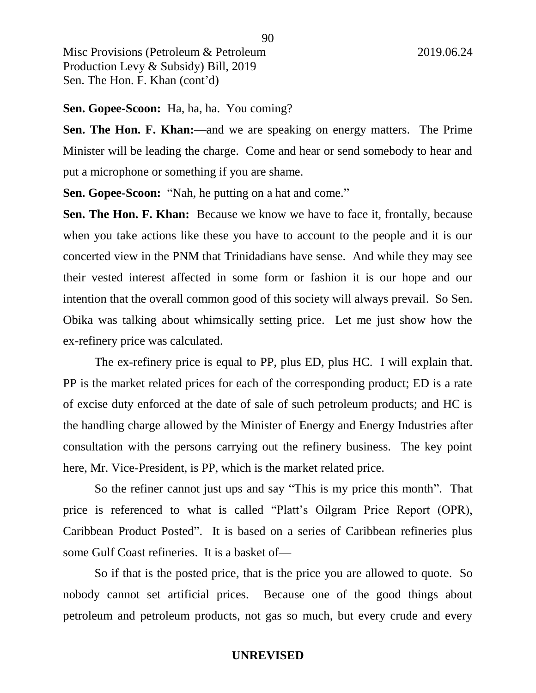**Sen. Gopee-Scoon:** Ha, ha, ha. You coming?

**Sen. The Hon. F. Khan:**—and we are speaking on energy matters. The Prime Minister will be leading the charge. Come and hear or send somebody to hear and put a microphone or something if you are shame.

**Sen. Gopee-Scoon:** "Nah, he putting on a hat and come."

**Sen. The Hon. F. Khan:** Because we know we have to face it, frontally, because when you take actions like these you have to account to the people and it is our concerted view in the PNM that Trinidadians have sense. And while they may see their vested interest affected in some form or fashion it is our hope and our intention that the overall common good of this society will always prevail. So Sen. Obika was talking about whimsically setting price. Let me just show how the ex-refinery price was calculated.

The ex-refinery price is equal to PP, plus ED, plus HC. I will explain that. PP is the market related prices for each of the corresponding product; ED is a rate of excise duty enforced at the date of sale of such petroleum products; and HC is the handling charge allowed by the Minister of Energy and Energy Industries after consultation with the persons carrying out the refinery business. The key point here, Mr. Vice-President, is PP, which is the market related price.

So the refiner cannot just ups and say "This is my price this month". That price is referenced to what is called "Platt's Oilgram Price Report (OPR), Caribbean Product Posted". It is based on a series of Caribbean refineries plus some Gulf Coast refineries. It is a basket of—

So if that is the posted price, that is the price you are allowed to quote. So nobody cannot set artificial prices. Because one of the good things about petroleum and petroleum products, not gas so much, but every crude and every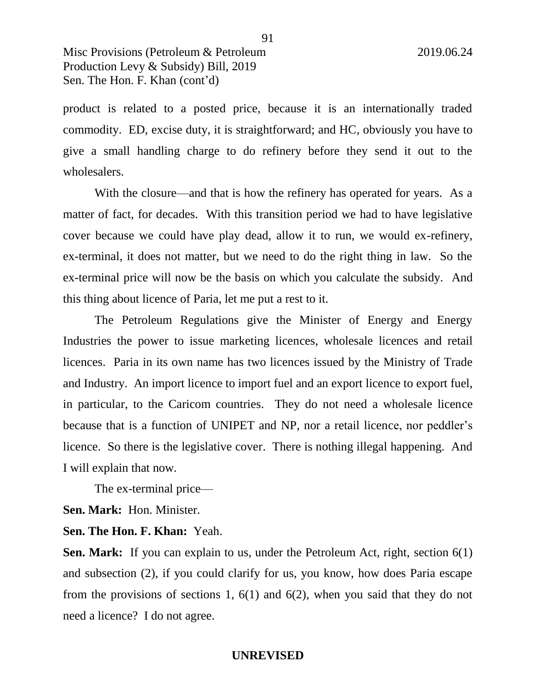product is related to a posted price, because it is an internationally traded commodity. ED, excise duty, it is straightforward; and HC, obviously you have to give a small handling charge to do refinery before they send it out to the wholesalers.

With the closure—and that is how the refinery has operated for years. As a matter of fact, for decades. With this transition period we had to have legislative cover because we could have play dead, allow it to run, we would ex-refinery, ex-terminal, it does not matter, but we need to do the right thing in law. So the ex-terminal price will now be the basis on which you calculate the subsidy. And this thing about licence of Paria, let me put a rest to it.

The Petroleum Regulations give the Minister of Energy and Energy Industries the power to issue marketing licences, wholesale licences and retail licences. Paria in its own name has two licences issued by the Ministry of Trade and Industry. An import licence to import fuel and an export licence to export fuel, in particular, to the Caricom countries. They do not need a wholesale licence because that is a function of UNIPET and NP, nor a retail licence, nor peddler's licence. So there is the legislative cover. There is nothing illegal happening. And I will explain that now.

The ex-terminal price—

**Sen. Mark:** Hon. Minister.

**Sen. The Hon. F. Khan:** Yeah.

**Sen. Mark:** If you can explain to us, under the Petroleum Act, right, section 6(1) and subsection (2), if you could clarify for us, you know, how does Paria escape from the provisions of sections 1, 6(1) and 6(2), when you said that they do not need a licence? I do not agree.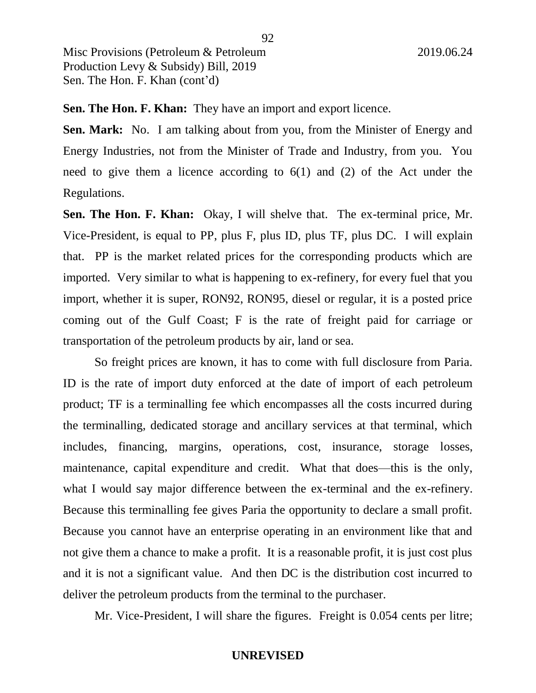**Sen. The Hon. F. Khan:** They have an import and export licence.

**Sen. Mark:** No. I am talking about from you, from the Minister of Energy and Energy Industries, not from the Minister of Trade and Industry, from you. You need to give them a licence according to 6(1) and (2) of the Act under the Regulations.

**Sen. The Hon. F. Khan:** Okay, I will shelve that. The ex-terminal price, Mr. Vice-President, is equal to PP, plus F, plus ID, plus TF, plus DC. I will explain that. PP is the market related prices for the corresponding products which are imported. Very similar to what is happening to ex-refinery, for every fuel that you import, whether it is super, RON92, RON95, diesel or regular, it is a posted price coming out of the Gulf Coast; F is the rate of freight paid for carriage or transportation of the petroleum products by air, land or sea.

So freight prices are known, it has to come with full disclosure from Paria. ID is the rate of import duty enforced at the date of import of each petroleum product; TF is a terminalling fee which encompasses all the costs incurred during the terminalling, dedicated storage and ancillary services at that terminal, which includes, financing, margins, operations, cost, insurance, storage losses, maintenance, capital expenditure and credit. What that does—this is the only, what I would say major difference between the ex-terminal and the ex-refinery. Because this terminalling fee gives Paria the opportunity to declare a small profit. Because you cannot have an enterprise operating in an environment like that and not give them a chance to make a profit. It is a reasonable profit, it is just cost plus and it is not a significant value. And then DC is the distribution cost incurred to deliver the petroleum products from the terminal to the purchaser.

Mr. Vice-President, I will share the figures. Freight is 0.054 cents per litre;

92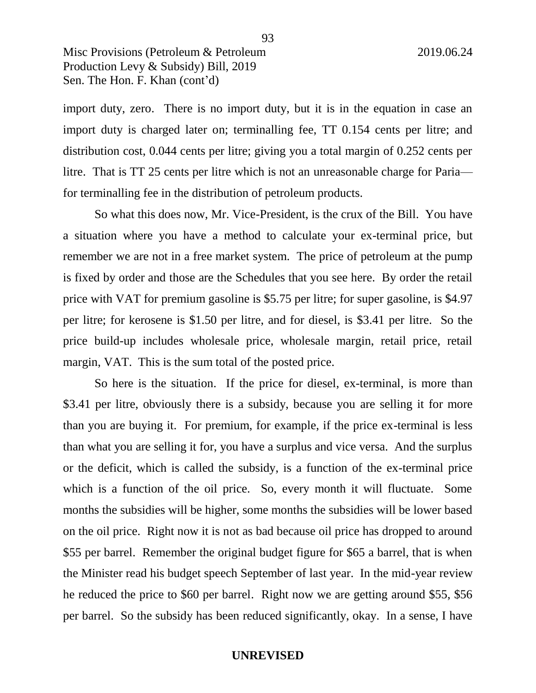import duty, zero. There is no import duty, but it is in the equation in case an import duty is charged later on; terminalling fee, TT 0.154 cents per litre; and distribution cost, 0.044 cents per litre; giving you a total margin of 0.252 cents per litre. That is TT 25 cents per litre which is not an unreasonable charge for Paria for terminalling fee in the distribution of petroleum products.

So what this does now, Mr. Vice-President, is the crux of the Bill. You have a situation where you have a method to calculate your ex-terminal price, but remember we are not in a free market system. The price of petroleum at the pump is fixed by order and those are the Schedules that you see here. By order the retail price with VAT for premium gasoline is \$5.75 per litre; for super gasoline, is \$4.97 per litre; for kerosene is \$1.50 per litre, and for diesel, is \$3.41 per litre. So the price build-up includes wholesale price, wholesale margin, retail price, retail margin, VAT. This is the sum total of the posted price.

So here is the situation. If the price for diesel, ex-terminal, is more than \$3.41 per litre, obviously there is a subsidy, because you are selling it for more than you are buying it. For premium, for example, if the price ex-terminal is less than what you are selling it for, you have a surplus and vice versa. And the surplus or the deficit, which is called the subsidy, is a function of the ex-terminal price which is a function of the oil price. So, every month it will fluctuate. Some months the subsidies will be higher, some months the subsidies will be lower based on the oil price. Right now it is not as bad because oil price has dropped to around \$55 per barrel. Remember the original budget figure for \$65 a barrel, that is when the Minister read his budget speech September of last year. In the mid-year review he reduced the price to \$60 per barrel. Right now we are getting around \$55, \$56 per barrel. So the subsidy has been reduced significantly, okay. In a sense, I have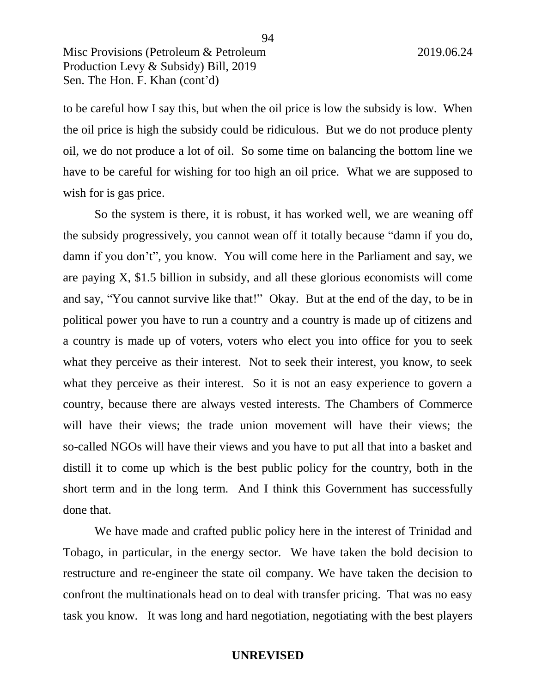to be careful how I say this, but when the oil price is low the subsidy is low. When the oil price is high the subsidy could be ridiculous. But we do not produce plenty oil, we do not produce a lot of oil. So some time on balancing the bottom line we have to be careful for wishing for too high an oil price. What we are supposed to wish for is gas price.

So the system is there, it is robust, it has worked well, we are weaning off the subsidy progressively, you cannot wean off it totally because "damn if you do, damn if you don't", you know. You will come here in the Parliament and say, we are paying X, \$1.5 billion in subsidy, and all these glorious economists will come and say, "You cannot survive like that!" Okay. But at the end of the day, to be in political power you have to run a country and a country is made up of citizens and a country is made up of voters, voters who elect you into office for you to seek what they perceive as their interest. Not to seek their interest, you know, to seek what they perceive as their interest. So it is not an easy experience to govern a country, because there are always vested interests. The Chambers of Commerce will have their views; the trade union movement will have their views; the so-called NGOs will have their views and you have to put all that into a basket and distill it to come up which is the best public policy for the country, both in the short term and in the long term. And I think this Government has successfully done that.

We have made and crafted public policy here in the interest of Trinidad and Tobago, in particular, in the energy sector. We have taken the bold decision to restructure and re-engineer the state oil company. We have taken the decision to confront the multinationals head on to deal with transfer pricing. That was no easy task you know. It was long and hard negotiation, negotiating with the best players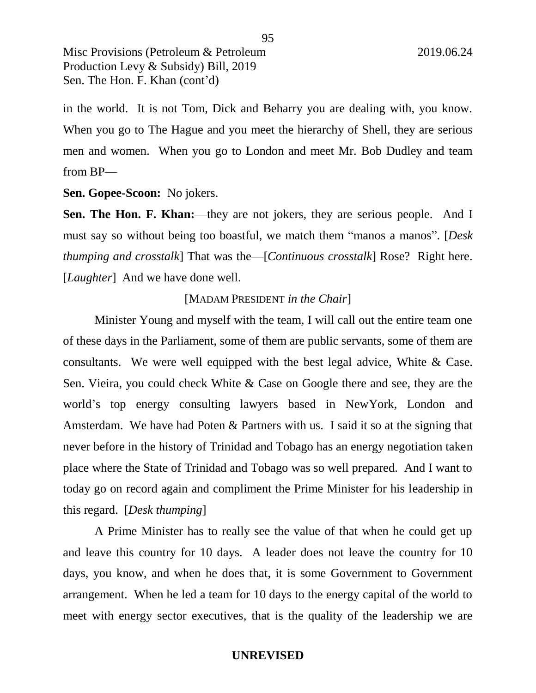in the world. It is not Tom, Dick and Beharry you are dealing with, you know. When you go to The Hague and you meet the hierarchy of Shell, they are serious men and women. When you go to London and meet Mr. Bob Dudley and team from BP—

**Sen. Gopee-Scoon:** No jokers.

**Sen. The Hon. F. Khan:**—they are not jokers, they are serious people. And I must say so without being too boastful, we match them "manos a manos". [*Desk thumping and crosstalk*] That was the—[*Continuous crosstalk*] Rose? Right here. [*Laughter*] And we have done well.

## [MADAM PRESIDENT *in the Chair*]

Minister Young and myself with the team, I will call out the entire team one of these days in the Parliament, some of them are public servants, some of them are consultants. We were well equipped with the best legal advice, White & Case. Sen. Vieira, you could check White & Case on Google there and see, they are the world's top energy consulting lawyers based in NewYork, London and Amsterdam. We have had Poten & Partners with us. I said it so at the signing that never before in the history of Trinidad and Tobago has an energy negotiation taken place where the State of Trinidad and Tobago was so well prepared. And I want to today go on record again and compliment the Prime Minister for his leadership in this regard. [*Desk thumping*]

A Prime Minister has to really see the value of that when he could get up and leave this country for 10 days. A leader does not leave the country for 10 days, you know, and when he does that, it is some Government to Government arrangement. When he led a team for 10 days to the energy capital of the world to meet with energy sector executives, that is the quality of the leadership we are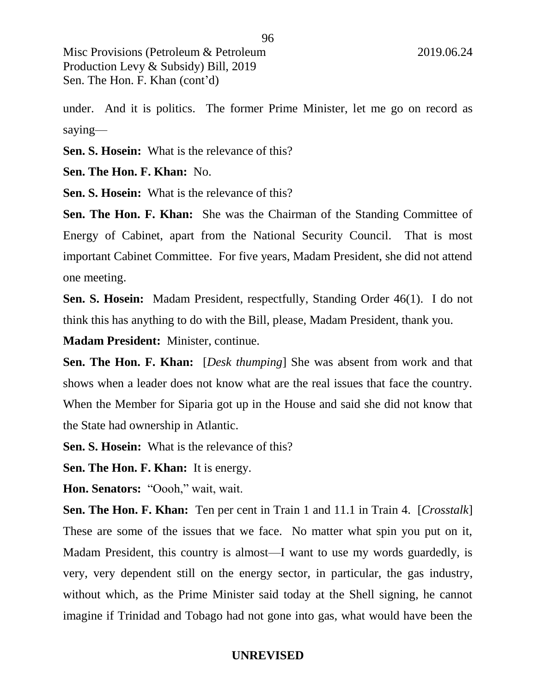under. And it is politics. The former Prime Minister, let me go on record as saying—

**Sen. S. Hosein:** What is the relevance of this?

**Sen. The Hon. F. Khan:** No.

**Sen. S. Hosein:** What is the relevance of this?

**Sen. The Hon. F. Khan:** She was the Chairman of the Standing Committee of Energy of Cabinet, apart from the National Security Council. That is most important Cabinet Committee. For five years, Madam President, she did not attend one meeting.

**Sen. S. Hosein:** Madam President, respectfully, Standing Order 46(1). I do not think this has anything to do with the Bill, please, Madam President, thank you.

**Madam President:** Minister, continue.

**Sen. The Hon. F. Khan:** [*Desk thumping*] She was absent from work and that shows when a leader does not know what are the real issues that face the country. When the Member for Siparia got up in the House and said she did not know that the State had ownership in Atlantic.

**Sen. S. Hosein:** What is the relevance of this?

**Sen. The Hon. F. Khan:** It is energy.

**Hon. Senators:** "Oooh," wait, wait.

**Sen. The Hon. F. Khan:** Ten per cent in Train 1 and 11.1 in Train 4. [*Crosstalk*] These are some of the issues that we face. No matter what spin you put on it, Madam President, this country is almost—I want to use my words guardedly, is very, very dependent still on the energy sector, in particular, the gas industry, without which, as the Prime Minister said today at the Shell signing, he cannot imagine if Trinidad and Tobago had not gone into gas, what would have been the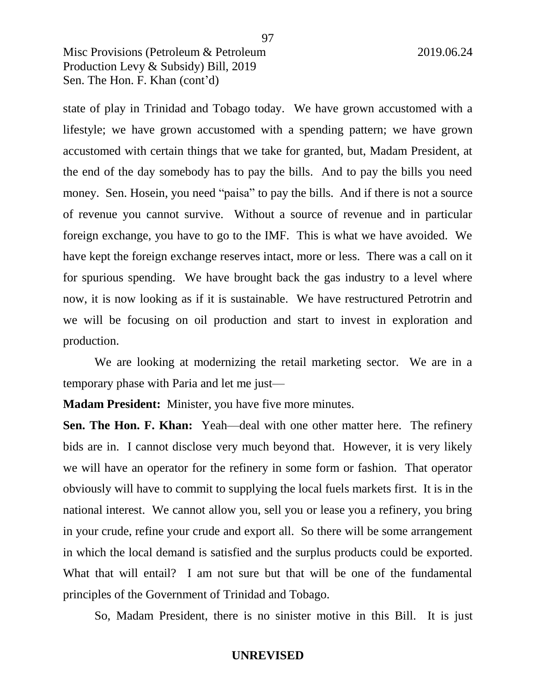state of play in Trinidad and Tobago today. We have grown accustomed with a lifestyle; we have grown accustomed with a spending pattern; we have grown accustomed with certain things that we take for granted, but, Madam President, at the end of the day somebody has to pay the bills. And to pay the bills you need money. Sen. Hosein, you need "paisa" to pay the bills. And if there is not a source of revenue you cannot survive. Without a source of revenue and in particular foreign exchange, you have to go to the IMF. This is what we have avoided. We have kept the foreign exchange reserves intact, more or less. There was a call on it for spurious spending. We have brought back the gas industry to a level where now, it is now looking as if it is sustainable. We have restructured Petrotrin and we will be focusing on oil production and start to invest in exploration and production.

We are looking at modernizing the retail marketing sector. We are in a temporary phase with Paria and let me just—

**Madam President:** Minister, you have five more minutes.

**Sen. The Hon. F. Khan:** Yeah—deal with one other matter here. The refinery bids are in. I cannot disclose very much beyond that. However, it is very likely we will have an operator for the refinery in some form or fashion. That operator obviously will have to commit to supplying the local fuels markets first. It is in the national interest. We cannot allow you, sell you or lease you a refinery, you bring in your crude, refine your crude and export all. So there will be some arrangement in which the local demand is satisfied and the surplus products could be exported. What that will entail? I am not sure but that will be one of the fundamental principles of the Government of Trinidad and Tobago.

So, Madam President, there is no sinister motive in this Bill. It is just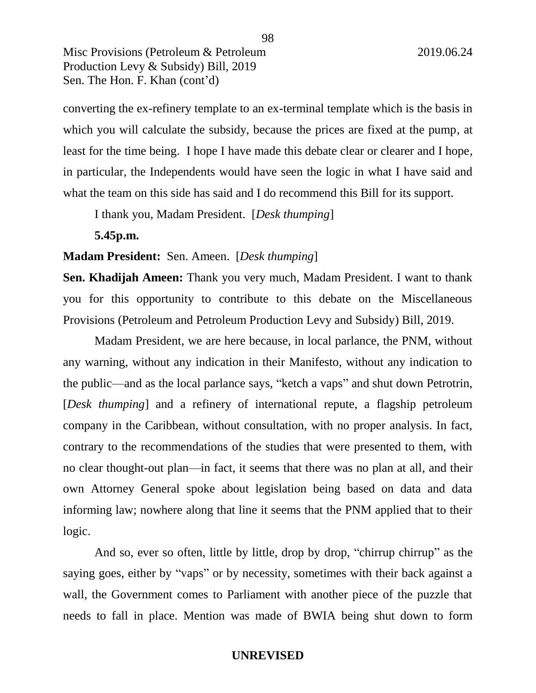converting the ex-refinery template to an ex-terminal template which is the basis in which you will calculate the subsidy, because the prices are fixed at the pump, at least for the time being. I hope I have made this debate clear or clearer and I hope, in particular, the Independents would have seen the logic in what I have said and what the team on this side has said and I do recommend this Bill for its support.

I thank you, Madam President. [*Desk thumping*]

**5.45p.m.** 

#### **Madam President:** Sen. Ameen. [*Desk thumping*]

**Sen. Khadijah Ameen:** Thank you very much, Madam President. I want to thank you for this opportunity to contribute to this debate on the Miscellaneous Provisions (Petroleum and Petroleum Production Levy and Subsidy) Bill, 2019.

Madam President, we are here because, in local parlance, the PNM, without any warning, without any indication in their Manifesto, without any indication to the public—and as the local parlance says, "ketch a vaps" and shut down Petrotrin, [*Desk thumping*] and a refinery of international repute, a flagship petroleum company in the Caribbean, without consultation, with no proper analysis. In fact, contrary to the recommendations of the studies that were presented to them, with no clear thought-out plan—in fact, it seems that there was no plan at all, and their own Attorney General spoke about legislation being based on data and data informing law; nowhere along that line it seems that the PNM applied that to their logic.

And so, ever so often, little by little, drop by drop, "chirrup chirrup" as the saying goes, either by "vaps" or by necessity, sometimes with their back against a wall, the Government comes to Parliament with another piece of the puzzle that needs to fall in place. Mention was made of BWIA being shut down to form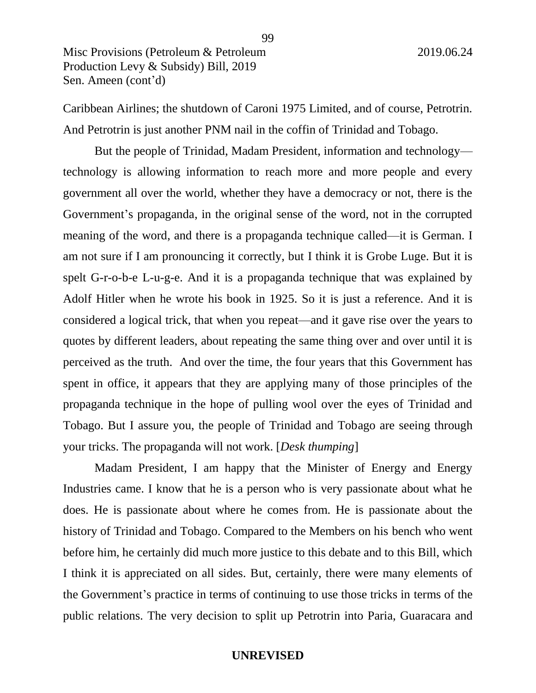Caribbean Airlines; the shutdown of Caroni 1975 Limited, and of course, Petrotrin. And Petrotrin is just another PNM nail in the coffin of Trinidad and Tobago.

But the people of Trinidad, Madam President, information and technology technology is allowing information to reach more and more people and every government all over the world, whether they have a democracy or not, there is the Government's propaganda, in the original sense of the word, not in the corrupted meaning of the word, and there is a propaganda technique called—it is German. I am not sure if I am pronouncing it correctly, but I think it is Grobe Luge. But it is spelt G-r-o-b-e L-u-g-e. And it is a propaganda technique that was explained by Adolf Hitler when he wrote his book in 1925. So it is just a reference. And it is considered a logical trick, that when you repeat—and it gave rise over the years to quotes by different leaders, about repeating the same thing over and over until it is perceived as the truth. And over the time, the four years that this Government has spent in office, it appears that they are applying many of those principles of the propaganda technique in the hope of pulling wool over the eyes of Trinidad and Tobago. But I assure you, the people of Trinidad and Tobago are seeing through your tricks. The propaganda will not work. [*Desk thumping*]

Madam President, I am happy that the Minister of Energy and Energy Industries came. I know that he is a person who is very passionate about what he does. He is passionate about where he comes from. He is passionate about the history of Trinidad and Tobago. Compared to the Members on his bench who went before him, he certainly did much more justice to this debate and to this Bill, which I think it is appreciated on all sides. But, certainly, there were many elements of the Government's practice in terms of continuing to use those tricks in terms of the public relations. The very decision to split up Petrotrin into Paria, Guaracara and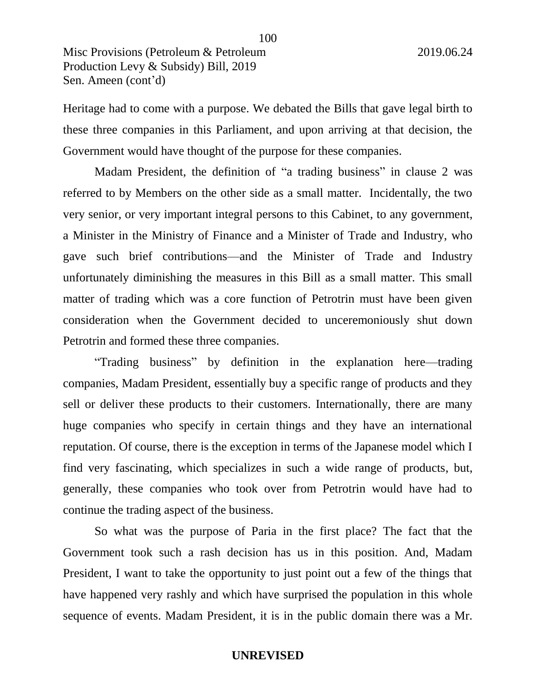Heritage had to come with a purpose. We debated the Bills that gave legal birth to these three companies in this Parliament, and upon arriving at that decision, the Government would have thought of the purpose for these companies.

Madam President, the definition of "a trading business" in clause 2 was referred to by Members on the other side as a small matter. Incidentally, the two very senior, or very important integral persons to this Cabinet, to any government, a Minister in the Ministry of Finance and a Minister of Trade and Industry, who gave such brief contributions—and the Minister of Trade and Industry unfortunately diminishing the measures in this Bill as a small matter. This small matter of trading which was a core function of Petrotrin must have been given consideration when the Government decided to unceremoniously shut down Petrotrin and formed these three companies.

"Trading business" by definition in the explanation here—trading companies, Madam President, essentially buy a specific range of products and they sell or deliver these products to their customers. Internationally, there are many huge companies who specify in certain things and they have an international reputation. Of course, there is the exception in terms of the Japanese model which I find very fascinating, which specializes in such a wide range of products, but, generally, these companies who took over from Petrotrin would have had to continue the trading aspect of the business.

So what was the purpose of Paria in the first place? The fact that the Government took such a rash decision has us in this position. And, Madam President, I want to take the opportunity to just point out a few of the things that have happened very rashly and which have surprised the population in this whole sequence of events. Madam President, it is in the public domain there was a Mr.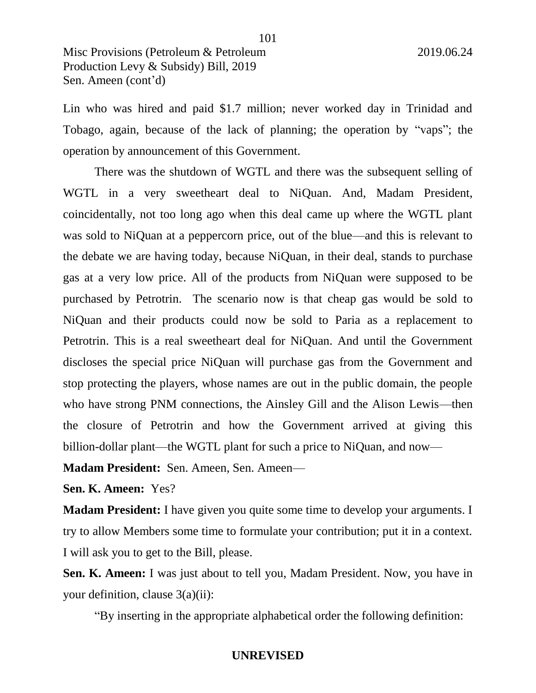Lin who was hired and paid \$1.7 million; never worked day in Trinidad and Tobago, again, because of the lack of planning; the operation by "vaps"; the operation by announcement of this Government.

There was the shutdown of WGTL and there was the subsequent selling of WGTL in a very sweetheart deal to NiQuan. And, Madam President, coincidentally, not too long ago when this deal came up where the WGTL plant was sold to NiQuan at a peppercorn price, out of the blue—and this is relevant to the debate we are having today, because NiQuan, in their deal, stands to purchase gas at a very low price. All of the products from NiQuan were supposed to be purchased by Petrotrin. The scenario now is that cheap gas would be sold to NiQuan and their products could now be sold to Paria as a replacement to Petrotrin. This is a real sweetheart deal for NiQuan. And until the Government discloses the special price NiQuan will purchase gas from the Government and stop protecting the players, whose names are out in the public domain, the people who have strong PNM connections, the Ainsley Gill and the Alison Lewis—then the closure of Petrotrin and how the Government arrived at giving this billion-dollar plant—the WGTL plant for such a price to NiQuan, and now—

**Madam President:** Sen. Ameen, Sen. Ameen—

**Sen. K. Ameen:** Yes?

**Madam President:** I have given you quite some time to develop your arguments. I try to allow Members some time to formulate your contribution; put it in a context. I will ask you to get to the Bill, please.

**Sen. K. Ameen:** I was just about to tell you, Madam President. Now, you have in your definition, clause 3(a)(ii):

"By inserting in the appropriate alphabetical order the following definition:

101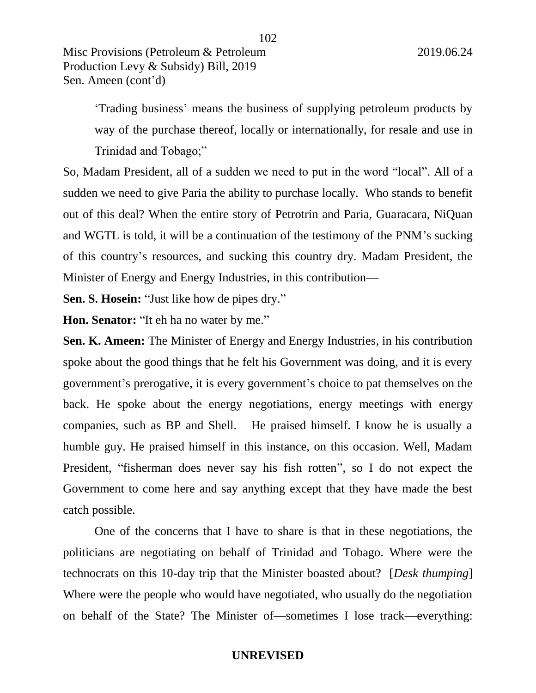'Trading business' means the business of supplying petroleum products by way of the purchase thereof, locally or internationally, for resale and use in Trinidad and Tobago;"

102

So, Madam President, all of a sudden we need to put in the word "local". All of a sudden we need to give Paria the ability to purchase locally. Who stands to benefit out of this deal? When the entire story of Petrotrin and Paria, Guaracara, NiQuan and WGTL is told, it will be a continuation of the testimony of the PNM's sucking of this country's resources, and sucking this country dry. Madam President, the Minister of Energy and Energy Industries, in this contribution—

**Sen. S. Hosein:** "Just like how de pipes dry."

**Hon. Senator:** "It eh ha no water by me."

**Sen. K. Ameen:** The Minister of Energy and Energy Industries, in his contribution spoke about the good things that he felt his Government was doing, and it is every government's prerogative, it is every government's choice to pat themselves on the back. He spoke about the energy negotiations, energy meetings with energy companies, such as BP and Shell. He praised himself. I know he is usually a humble guy. He praised himself in this instance, on this occasion. Well, Madam President, "fisherman does never say his fish rotten", so I do not expect the Government to come here and say anything except that they have made the best catch possible.

One of the concerns that I have to share is that in these negotiations, the politicians are negotiating on behalf of Trinidad and Tobago. Where were the technocrats on this 10-day trip that the Minister boasted about? [*Desk thumping*] Where were the people who would have negotiated, who usually do the negotiation on behalf of the State? The Minister of—sometimes I lose track—everything: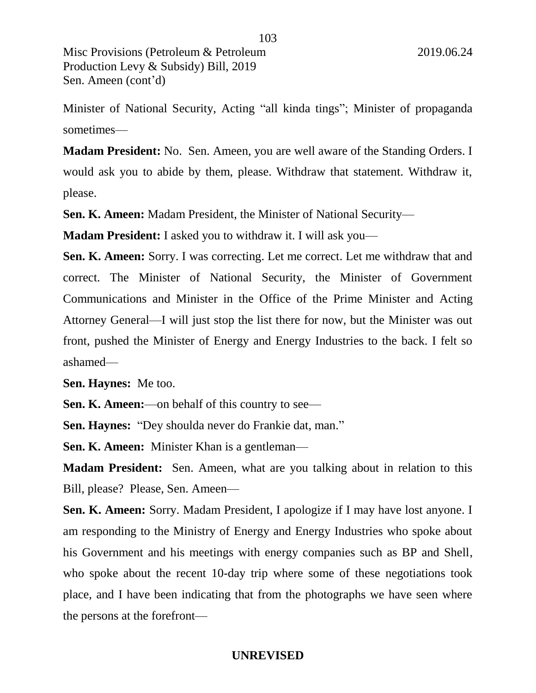Minister of National Security, Acting "all kinda tings"; Minister of propaganda sometimes—

**Madam President:** No. Sen. Ameen, you are well aware of the Standing Orders. I would ask you to abide by them, please. Withdraw that statement. Withdraw it, please.

**Sen. K. Ameen:** Madam President, the Minister of National Security—

**Madam President:** I asked you to withdraw it. I will ask you—

**Sen. K. Ameen:** Sorry. I was correcting. Let me correct. Let me withdraw that and correct. The Minister of National Security, the Minister of Government Communications and Minister in the Office of the Prime Minister and Acting Attorney General—I will just stop the list there for now, but the Minister was out front, pushed the Minister of Energy and Energy Industries to the back. I felt so ashamed—

**Sen. Haynes:** Me too.

**Sen. K. Ameen:**—on behalf of this country to see—

**Sen. Haynes:** "Dey shoulda never do Frankie dat, man."

**Sen. K. Ameen:** Minister Khan is a gentleman—

**Madam President:** Sen. Ameen, what are you talking about in relation to this Bill, please? Please, Sen. Ameen—

**Sen. K. Ameen:** Sorry. Madam President, I apologize if I may have lost anyone. I am responding to the Ministry of Energy and Energy Industries who spoke about his Government and his meetings with energy companies such as BP and Shell, who spoke about the recent 10-day trip where some of these negotiations took place, and I have been indicating that from the photographs we have seen where the persons at the forefront—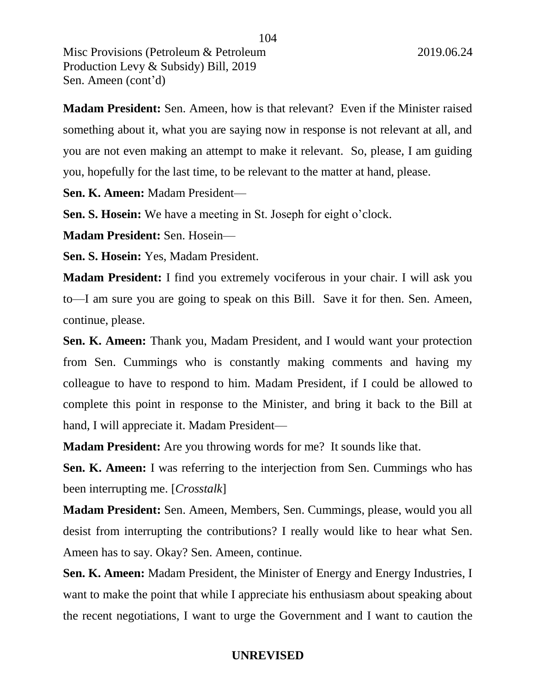**Madam President:** Sen. Ameen, how is that relevant? Even if the Minister raised something about it, what you are saying now in response is not relevant at all, and you are not even making an attempt to make it relevant. So, please, I am guiding you, hopefully for the last time, to be relevant to the matter at hand, please.

**Sen. K. Ameen:** Madam President—

**Sen. S. Hosein:** We have a meeting in St. Joseph for eight o'clock.

**Madam President:** Sen. Hosein—

**Sen. S. Hosein:** Yes, Madam President.

**Madam President:** I find you extremely vociferous in your chair. I will ask you to—I am sure you are going to speak on this Bill. Save it for then. Sen. Ameen, continue, please.

**Sen. K. Ameen:** Thank you, Madam President, and I would want your protection from Sen. Cummings who is constantly making comments and having my colleague to have to respond to him. Madam President, if I could be allowed to complete this point in response to the Minister, and bring it back to the Bill at hand, I will appreciate it. Madam President—

**Madam President:** Are you throwing words for me? It sounds like that.

**Sen. K. Ameen:** I was referring to the interjection from Sen. Cummings who has been interrupting me. [*Crosstalk*]

**Madam President:** Sen. Ameen, Members, Sen. Cummings, please, would you all desist from interrupting the contributions? I really would like to hear what Sen. Ameen has to say. Okay? Sen. Ameen, continue.

**Sen. K. Ameen:** Madam President, the Minister of Energy and Energy Industries, I want to make the point that while I appreciate his enthusiasm about speaking about the recent negotiations, I want to urge the Government and I want to caution the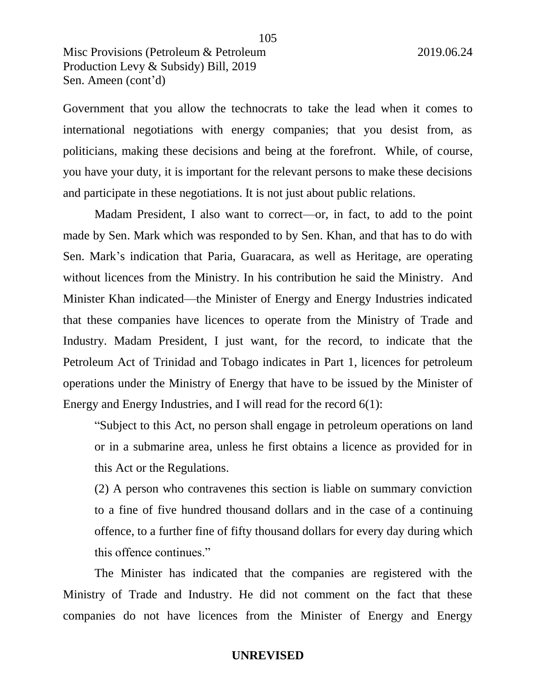Government that you allow the technocrats to take the lead when it comes to international negotiations with energy companies; that you desist from, as politicians, making these decisions and being at the forefront. While, of course, you have your duty, it is important for the relevant persons to make these decisions and participate in these negotiations. It is not just about public relations.

Madam President, I also want to correct—or, in fact, to add to the point made by Sen. Mark which was responded to by Sen. Khan, and that has to do with Sen. Mark's indication that Paria, Guaracara, as well as Heritage, are operating without licences from the Ministry. In his contribution he said the Ministry. And Minister Khan indicated—the Minister of Energy and Energy Industries indicated that these companies have licences to operate from the Ministry of Trade and Industry. Madam President, I just want, for the record, to indicate that the Petroleum Act of Trinidad and Tobago indicates in Part 1, licences for petroleum operations under the Ministry of Energy that have to be issued by the Minister of Energy and Energy Industries, and I will read for the record 6(1):

"Subject to this Act, no person shall engage in petroleum operations on land or in a submarine area, unless he first obtains a licence as provided for in this Act or the Regulations.

(2) A person who contravenes this section is liable on summary conviction to a fine of five hundred thousand dollars and in the case of a continuing offence, to a further fine of fifty thousand dollars for every day during which this offence continues."

The Minister has indicated that the companies are registered with the Ministry of Trade and Industry. He did not comment on the fact that these companies do not have licences from the Minister of Energy and Energy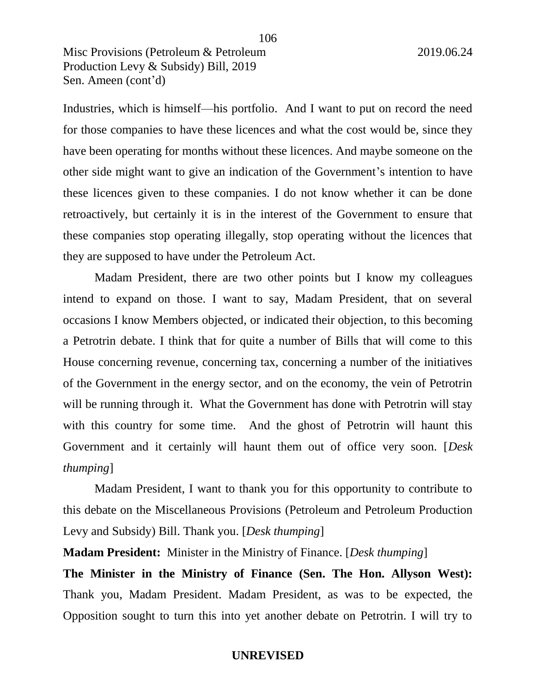Industries, which is himself—his portfolio. And I want to put on record the need for those companies to have these licences and what the cost would be, since they have been operating for months without these licences. And maybe someone on the other side might want to give an indication of the Government's intention to have these licences given to these companies. I do not know whether it can be done retroactively, but certainly it is in the interest of the Government to ensure that these companies stop operating illegally, stop operating without the licences that they are supposed to have under the Petroleum Act.

106

Madam President, there are two other points but I know my colleagues intend to expand on those. I want to say, Madam President, that on several occasions I know Members objected, or indicated their objection, to this becoming a Petrotrin debate. I think that for quite a number of Bills that will come to this House concerning revenue, concerning tax, concerning a number of the initiatives of the Government in the energy sector, and on the economy, the vein of Petrotrin will be running through it. What the Government has done with Petrotrin will stay with this country for some time. And the ghost of Petrotrin will haunt this Government and it certainly will haunt them out of office very soon. [*Desk thumping*]

Madam President, I want to thank you for this opportunity to contribute to this debate on the Miscellaneous Provisions (Petroleum and Petroleum Production Levy and Subsidy) Bill. Thank you. [*Desk thumping*]

**Madam President:** Minister in the Ministry of Finance. [*Desk thumping*]

**The Minister in the Ministry of Finance (Sen. The Hon. Allyson West):**  Thank you, Madam President. Madam President, as was to be expected, the Opposition sought to turn this into yet another debate on Petrotrin. I will try to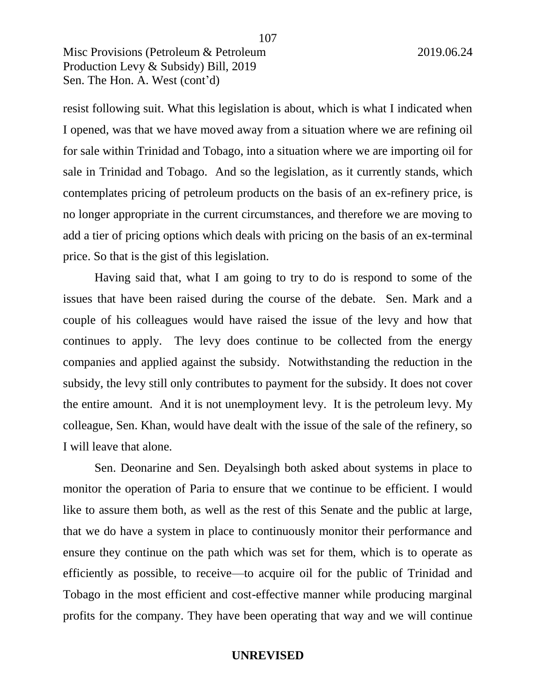resist following suit. What this legislation is about, which is what I indicated when I opened, was that we have moved away from a situation where we are refining oil for sale within Trinidad and Tobago, into a situation where we are importing oil for sale in Trinidad and Tobago. And so the legislation, as it currently stands, which contemplates pricing of petroleum products on the basis of an ex-refinery price, is no longer appropriate in the current circumstances, and therefore we are moving to add a tier of pricing options which deals with pricing on the basis of an ex-terminal price. So that is the gist of this legislation.

107

Having said that, what I am going to try to do is respond to some of the issues that have been raised during the course of the debate. Sen. Mark and a couple of his colleagues would have raised the issue of the levy and how that continues to apply. The levy does continue to be collected from the energy companies and applied against the subsidy. Notwithstanding the reduction in the subsidy, the levy still only contributes to payment for the subsidy. It does not cover the entire amount. And it is not unemployment levy. It is the petroleum levy. My colleague, Sen. Khan, would have dealt with the issue of the sale of the refinery, so I will leave that alone.

Sen. Deonarine and Sen. Deyalsingh both asked about systems in place to monitor the operation of Paria to ensure that we continue to be efficient. I would like to assure them both, as well as the rest of this Senate and the public at large, that we do have a system in place to continuously monitor their performance and ensure they continue on the path which was set for them, which is to operate as efficiently as possible, to receive—to acquire oil for the public of Trinidad and Tobago in the most efficient and cost-effective manner while producing marginal profits for the company. They have been operating that way and we will continue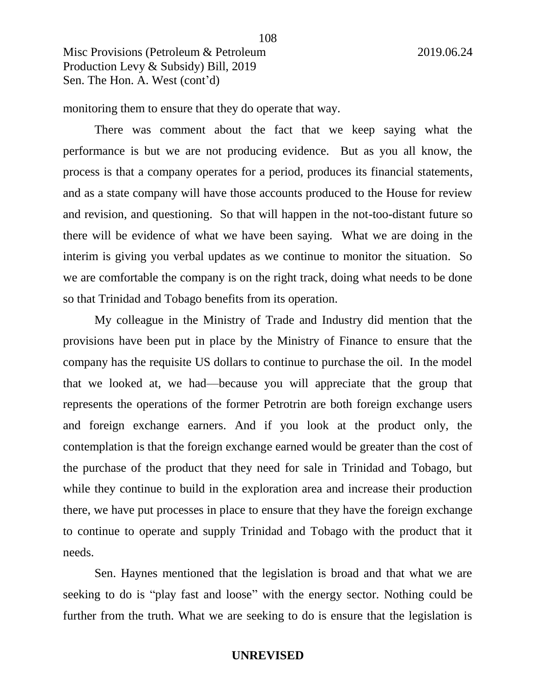monitoring them to ensure that they do operate that way.

There was comment about the fact that we keep saying what the performance is but we are not producing evidence. But as you all know, the process is that a company operates for a period, produces its financial statements, and as a state company will have those accounts produced to the House for review and revision, and questioning. So that will happen in the not-too-distant future so there will be evidence of what we have been saying. What we are doing in the interim is giving you verbal updates as we continue to monitor the situation. So we are comfortable the company is on the right track, doing what needs to be done so that Trinidad and Tobago benefits from its operation.

108

My colleague in the Ministry of Trade and Industry did mention that the provisions have been put in place by the Ministry of Finance to ensure that the company has the requisite US dollars to continue to purchase the oil. In the model that we looked at, we had—because you will appreciate that the group that represents the operations of the former Petrotrin are both foreign exchange users and foreign exchange earners. And if you look at the product only, the contemplation is that the foreign exchange earned would be greater than the cost of the purchase of the product that they need for sale in Trinidad and Tobago, but while they continue to build in the exploration area and increase their production there, we have put processes in place to ensure that they have the foreign exchange to continue to operate and supply Trinidad and Tobago with the product that it needs.

Sen. Haynes mentioned that the legislation is broad and that what we are seeking to do is "play fast and loose" with the energy sector. Nothing could be further from the truth. What we are seeking to do is ensure that the legislation is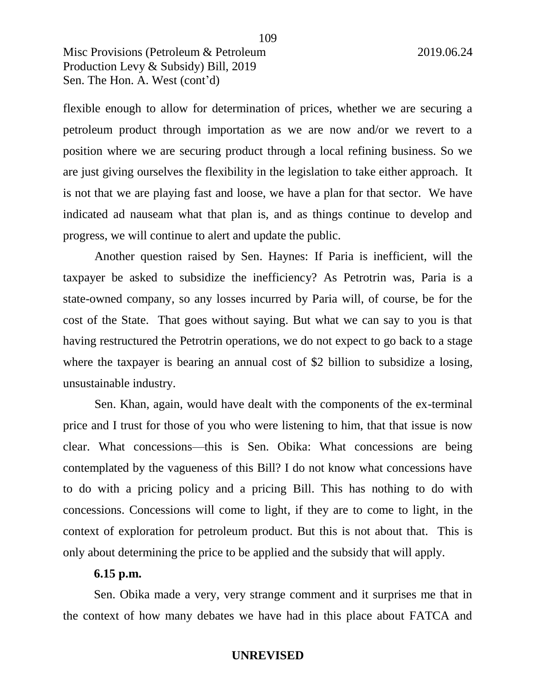Misc Provisions (Petroleum & Petroleum 2019.06.24 Production Levy & Subsidy) Bill, 2019 Sen. The Hon. A. West (cont'd)

flexible enough to allow for determination of prices, whether we are securing a petroleum product through importation as we are now and/or we revert to a position where we are securing product through a local refining business. So we are just giving ourselves the flexibility in the legislation to take either approach. It is not that we are playing fast and loose, we have a plan for that sector. We have indicated ad nauseam what that plan is, and as things continue to develop and progress, we will continue to alert and update the public.

Another question raised by Sen. Haynes: If Paria is inefficient, will the taxpayer be asked to subsidize the inefficiency? As Petrotrin was, Paria is a state-owned company, so any losses incurred by Paria will, of course, be for the cost of the State. That goes without saying. But what we can say to you is that having restructured the Petrotrin operations, we do not expect to go back to a stage where the taxpayer is bearing an annual cost of \$2 billion to subsidize a losing, unsustainable industry.

Sen. Khan, again, would have dealt with the components of the ex-terminal price and I trust for those of you who were listening to him, that that issue is now clear. What concessions—this is Sen. Obika: What concessions are being contemplated by the vagueness of this Bill? I do not know what concessions have to do with a pricing policy and a pricing Bill. This has nothing to do with concessions. Concessions will come to light, if they are to come to light, in the context of exploration for petroleum product. But this is not about that. This is only about determining the price to be applied and the subsidy that will apply.

# **6.15 p.m.**

Sen. Obika made a very, very strange comment and it surprises me that in the context of how many debates we have had in this place about FATCA and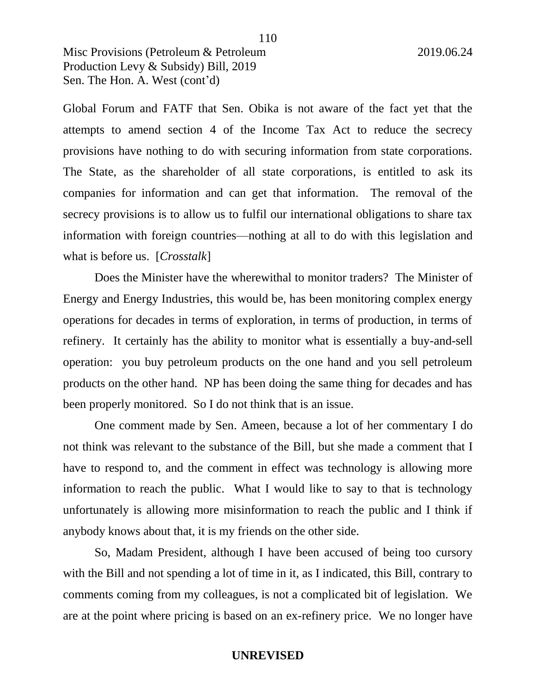Misc Provisions (Petroleum & Petroleum 2019.06.24 Production Levy & Subsidy) Bill, 2019 Sen. The Hon. A. West (cont'd)

Global Forum and FATF that Sen. Obika is not aware of the fact yet that the attempts to amend section 4 of the Income Tax Act to reduce the secrecy provisions have nothing to do with securing information from state corporations. The State, as the shareholder of all state corporations, is entitled to ask its companies for information and can get that information. The removal of the secrecy provisions is to allow us to fulfil our international obligations to share tax information with foreign countries—nothing at all to do with this legislation and what is before us. [*Crosstalk*]

Does the Minister have the wherewithal to monitor traders? The Minister of Energy and Energy Industries, this would be, has been monitoring complex energy operations for decades in terms of exploration, in terms of production, in terms of refinery. It certainly has the ability to monitor what is essentially a buy-and-sell operation: you buy petroleum products on the one hand and you sell petroleum products on the other hand. NP has been doing the same thing for decades and has been properly monitored. So I do not think that is an issue.

One comment made by Sen. Ameen, because a lot of her commentary I do not think was relevant to the substance of the Bill, but she made a comment that I have to respond to, and the comment in effect was technology is allowing more information to reach the public. What I would like to say to that is technology unfortunately is allowing more misinformation to reach the public and I think if anybody knows about that, it is my friends on the other side.

So, Madam President, although I have been accused of being too cursory with the Bill and not spending a lot of time in it, as I indicated, this Bill, contrary to comments coming from my colleagues, is not a complicated bit of legislation. We are at the point where pricing is based on an ex-refinery price. We no longer have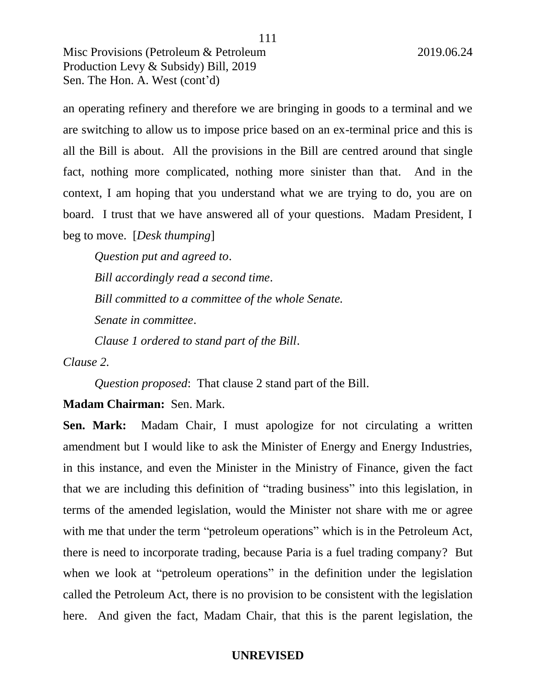Misc Provisions (Petroleum & Petroleum 2019.06.24 Production Levy & Subsidy) Bill, 2019 Sen. The Hon. A. West (cont'd)

an operating refinery and therefore we are bringing in goods to a terminal and we are switching to allow us to impose price based on an ex-terminal price and this is all the Bill is about. All the provisions in the Bill are centred around that single fact, nothing more complicated, nothing more sinister than that. And in the context, I am hoping that you understand what we are trying to do, you are on board. I trust that we have answered all of your questions. Madam President, I beg to move. [*Desk thumping*]

*Question put and agreed to*. *Bill accordingly read a second time*. *Bill committed to a committee of the whole Senate. Senate in committee*. *Clause 1 ordered to stand part of the Bill*.

*Clause 2.*

*Question proposed*: That clause 2 stand part of the Bill.

# **Madam Chairman:** Sen. Mark.

**Sen. Mark:** Madam Chair, I must apologize for not circulating a written amendment but I would like to ask the Minister of Energy and Energy Industries, in this instance, and even the Minister in the Ministry of Finance, given the fact that we are including this definition of "trading business" into this legislation, in terms of the amended legislation, would the Minister not share with me or agree with me that under the term "petroleum operations" which is in the Petroleum Act, there is need to incorporate trading, because Paria is a fuel trading company? But when we look at "petroleum operations" in the definition under the legislation called the Petroleum Act, there is no provision to be consistent with the legislation here. And given the fact, Madam Chair, that this is the parent legislation, the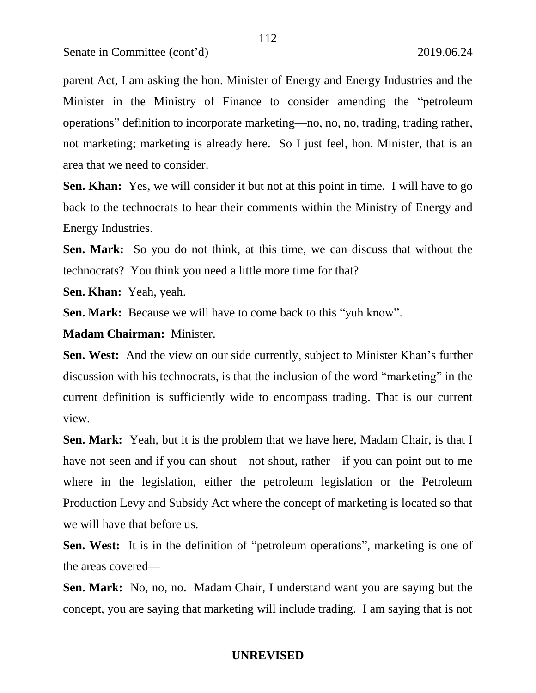parent Act, I am asking the hon. Minister of Energy and Energy Industries and the Minister in the Ministry of Finance to consider amending the "petroleum operations" definition to incorporate marketing—no, no, no, trading, trading rather, not marketing; marketing is already here. So I just feel, hon. Minister, that is an area that we need to consider.

**Sen. Khan:** Yes, we will consider it but not at this point in time. I will have to go back to the technocrats to hear their comments within the Ministry of Energy and Energy Industries.

**Sen. Mark:** So you do not think, at this time, we can discuss that without the technocrats? You think you need a little more time for that?

**Sen. Khan:** Yeah, yeah.

**Sen. Mark:** Because we will have to come back to this "yuh know".

**Madam Chairman:** Minister.

**Sen. West:** And the view on our side currently, subject to Minister Khan's further discussion with his technocrats, is that the inclusion of the word "marketing" in the current definition is sufficiently wide to encompass trading. That is our current view.

**Sen. Mark:** Yeah, but it is the problem that we have here, Madam Chair, is that I have not seen and if you can shout—not shout, rather—if you can point out to me where in the legislation, either the petroleum legislation or the Petroleum Production Levy and Subsidy Act where the concept of marketing is located so that we will have that before us.

**Sen. West:** It is in the definition of "petroleum operations", marketing is one of the areas covered—

**Sen. Mark:** No, no, no. Madam Chair, I understand want you are saying but the concept, you are saying that marketing will include trading. I am saying that is not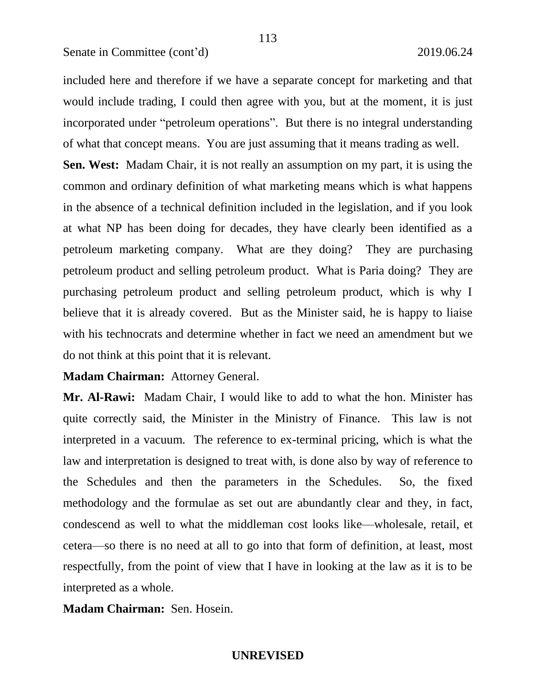included here and therefore if we have a separate concept for marketing and that would include trading, I could then agree with you, but at the moment, it is just incorporated under "petroleum operations". But there is no integral understanding of what that concept means. You are just assuming that it means trading as well.

113

**Sen. West:** Madam Chair, it is not really an assumption on my part, it is using the common and ordinary definition of what marketing means which is what happens in the absence of a technical definition included in the legislation, and if you look at what NP has been doing for decades, they have clearly been identified as a petroleum marketing company. What are they doing? They are purchasing petroleum product and selling petroleum product. What is Paria doing? They are purchasing petroleum product and selling petroleum product, which is why I believe that it is already covered. But as the Minister said, he is happy to liaise with his technocrats and determine whether in fact we need an amendment but we do not think at this point that it is relevant.

**Madam Chairman:** Attorney General.

**Mr. Al-Rawi:** Madam Chair, I would like to add to what the hon. Minister has quite correctly said, the Minister in the Ministry of Finance. This law is not interpreted in a vacuum. The reference to ex-terminal pricing, which is what the law and interpretation is designed to treat with, is done also by way of reference to the Schedules and then the parameters in the Schedules. So, the fixed methodology and the formulae as set out are abundantly clear and they, in fact, condescend as well to what the middleman cost looks like—wholesale, retail, et cetera—so there is no need at all to go into that form of definition, at least, most respectfully, from the point of view that I have in looking at the law as it is to be interpreted as a whole.

**Madam Chairman:** Sen. Hosein.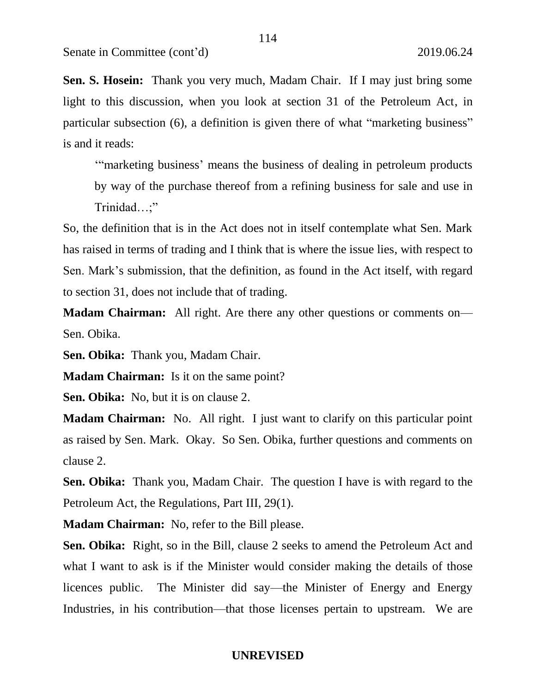**Sen. S. Hosein:** Thank you very much, Madam Chair. If I may just bring some light to this discussion, when you look at section 31 of the Petroleum Act, in particular subsection (6), a definition is given there of what "marketing business" is and it reads:

114

'"marketing business' means the business of dealing in petroleum products

by way of the purchase thereof from a refining business for sale and use in Trinidad…;"

So, the definition that is in the Act does not in itself contemplate what Sen. Mark has raised in terms of trading and I think that is where the issue lies, with respect to Sen. Mark's submission, that the definition, as found in the Act itself, with regard to section 31, does not include that of trading.

**Madam Chairman:** All right. Are there any other questions or comments on— Sen. Obika.

**Sen. Obika:** Thank you, Madam Chair.

**Madam Chairman:** Is it on the same point?

**Sen. Obika:** No, but it is on clause 2.

**Madam Chairman:** No. All right. I just want to clarify on this particular point as raised by Sen. Mark. Okay. So Sen. Obika, further questions and comments on clause 2.

**Sen. Obika:** Thank you, Madam Chair. The question I have is with regard to the Petroleum Act, the Regulations, Part III, 29(1).

**Madam Chairman:** No, refer to the Bill please.

**Sen. Obika:** Right, so in the Bill, clause 2 seeks to amend the Petroleum Act and what I want to ask is if the Minister would consider making the details of those licences public. The Minister did say—the Minister of Energy and Energy Industries, in his contribution—that those licenses pertain to upstream. We are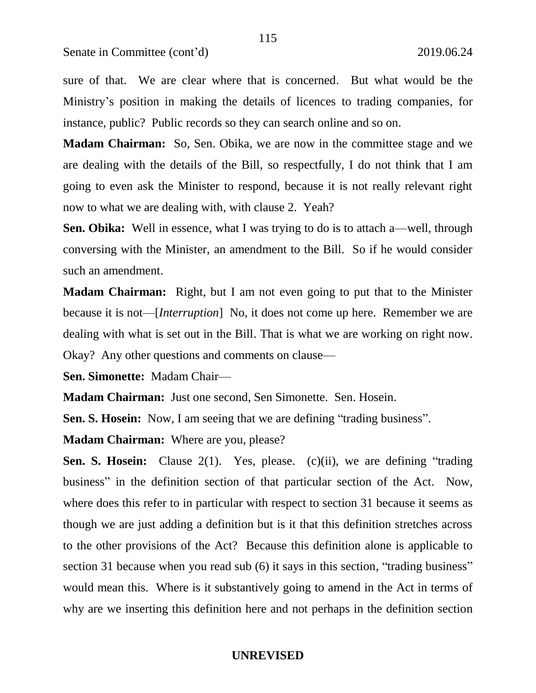sure of that. We are clear where that is concerned. But what would be the Ministry's position in making the details of licences to trading companies, for instance, public? Public records so they can search online and so on.

**Madam Chairman:** So, Sen. Obika, we are now in the committee stage and we are dealing with the details of the Bill, so respectfully, I do not think that I am going to even ask the Minister to respond, because it is not really relevant right now to what we are dealing with, with clause 2. Yeah?

**Sen. Obika:** Well in essence, what I was trying to do is to attach a—well, through conversing with the Minister, an amendment to the Bill. So if he would consider such an amendment.

**Madam Chairman:** Right, but I am not even going to put that to the Minister because it is not—[*Interruption*] No, it does not come up here. Remember we are dealing with what is set out in the Bill. That is what we are working on right now. Okay? Any other questions and comments on clause—

**Sen. Simonette:** Madam Chair—

**Madam Chairman:** Just one second, Sen Simonette. Sen. Hosein.

**Sen. S. Hosein:** Now, I am seeing that we are defining "trading business".

**Madam Chairman:** Where are you, please?

**Sen. S. Hosein:** Clause 2(1). Yes, please. (c)(ii), we are defining "trading" business" in the definition section of that particular section of the Act. Now, where does this refer to in particular with respect to section 31 because it seems as though we are just adding a definition but is it that this definition stretches across to the other provisions of the Act? Because this definition alone is applicable to section 31 because when you read sub (6) it says in this section, "trading business" would mean this. Where is it substantively going to amend in the Act in terms of why are we inserting this definition here and not perhaps in the definition section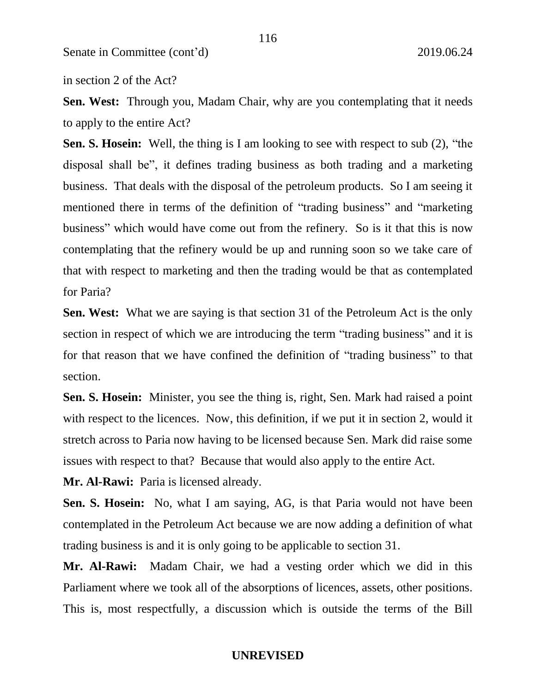in section 2 of the Act?

**Sen. West:** Through you, Madam Chair, why are you contemplating that it needs to apply to the entire Act?

**Sen. S. Hosein:** Well, the thing is I am looking to see with respect to sub (2), "the disposal shall be", it defines trading business as both trading and a marketing business. That deals with the disposal of the petroleum products. So I am seeing it mentioned there in terms of the definition of "trading business" and "marketing business" which would have come out from the refinery. So is it that this is now contemplating that the refinery would be up and running soon so we take care of that with respect to marketing and then the trading would be that as contemplated for Paria?

**Sen. West:** What we are saying is that section 31 of the Petroleum Act is the only section in respect of which we are introducing the term "trading business" and it is for that reason that we have confined the definition of "trading business" to that section.

**Sen. S. Hosein:** Minister, you see the thing is, right, Sen. Mark had raised a point with respect to the licences. Now, this definition, if we put it in section 2, would it stretch across to Paria now having to be licensed because Sen. Mark did raise some issues with respect to that? Because that would also apply to the entire Act.

**Mr. Al-Rawi:** Paria is licensed already.

**Sen. S. Hosein:** No, what I am saying, AG, is that Paria would not have been contemplated in the Petroleum Act because we are now adding a definition of what trading business is and it is only going to be applicable to section 31.

**Mr. Al-Rawi:** Madam Chair, we had a vesting order which we did in this Parliament where we took all of the absorptions of licences, assets, other positions. This is, most respectfully, a discussion which is outside the terms of the Bill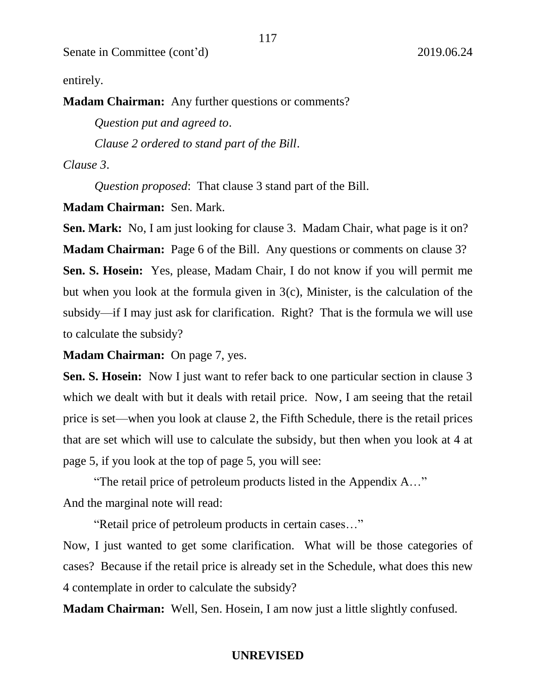entirely.

**Madam Chairman:** Any further questions or comments?

*Question put and agreed to*.

*Clause 2 ordered to stand part of the Bill*.

*Clause 3*.

*Question proposed*: That clause 3 stand part of the Bill.

**Madam Chairman:** Sen. Mark.

**Sen. Mark:** No, I am just looking for clause 3. Madam Chair, what page is it on? **Madam Chairman:** Page 6 of the Bill. Any questions or comments on clause 3? **Sen. S. Hosein:** Yes, please, Madam Chair, I do not know if you will permit me but when you look at the formula given in 3(c), Minister, is the calculation of the subsidy—if I may just ask for clarification. Right? That is the formula we will use to calculate the subsidy?

**Madam Chairman:** On page 7, yes.

**Sen. S. Hosein:** Now I just want to refer back to one particular section in clause 3 which we dealt with but it deals with retail price. Now, I am seeing that the retail price is set—when you look at clause 2, the Fifth Schedule, there is the retail prices that are set which will use to calculate the subsidy, but then when you look at 4 at page 5, if you look at the top of page 5, you will see:

"The retail price of petroleum products listed in the Appendix A…" And the marginal note will read:

"Retail price of petroleum products in certain cases…"

Now, I just wanted to get some clarification. What will be those categories of cases? Because if the retail price is already set in the Schedule, what does this new 4 contemplate in order to calculate the subsidy?

**Madam Chairman:** Well, Sen. Hosein, I am now just a little slightly confused.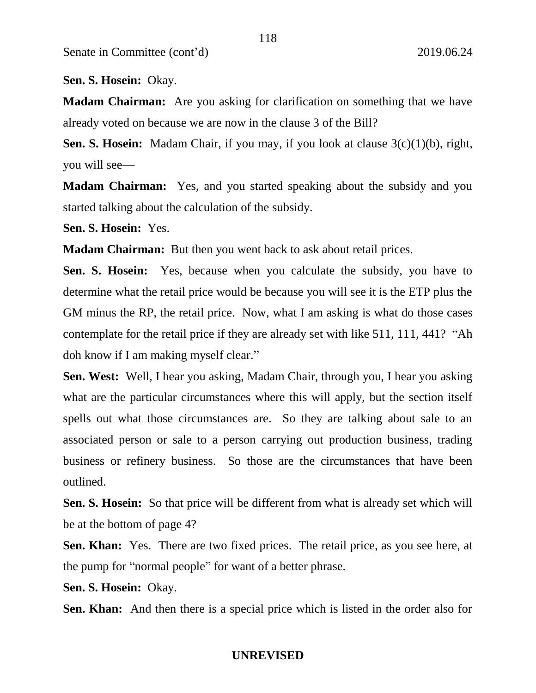**Sen. S. Hosein:** Okay.

**Madam Chairman:** Are you asking for clarification on something that we have already voted on because we are now in the clause 3 of the Bill?

118

**Sen. S. Hosein:** Madam Chair, if you may, if you look at clause  $3(c)(1)(b)$ , right, you will see—

**Madam Chairman:** Yes, and you started speaking about the subsidy and you started talking about the calculation of the subsidy.

**Sen. S. Hosein:** Yes.

**Madam Chairman:** But then you went back to ask about retail prices.

**Sen. S. Hosein:** Yes, because when you calculate the subsidy, you have to determine what the retail price would be because you will see it is the ETP plus the GM minus the RP, the retail price. Now, what I am asking is what do those cases contemplate for the retail price if they are already set with like 511, 111, 441? "Ah doh know if I am making myself clear."

**Sen. West:** Well, I hear you asking, Madam Chair, through you, I hear you asking what are the particular circumstances where this will apply, but the section itself spells out what those circumstances are. So they are talking about sale to an associated person or sale to a person carrying out production business, trading business or refinery business. So those are the circumstances that have been outlined.

**Sen. S. Hosein:** So that price will be different from what is already set which will be at the bottom of page 4?

**Sen. Khan:** Yes. There are two fixed prices. The retail price, as you see here, at the pump for "normal people" for want of a better phrase.

**Sen. S. Hosein:** Okay.

**Sen. Khan:** And then there is a special price which is listed in the order also for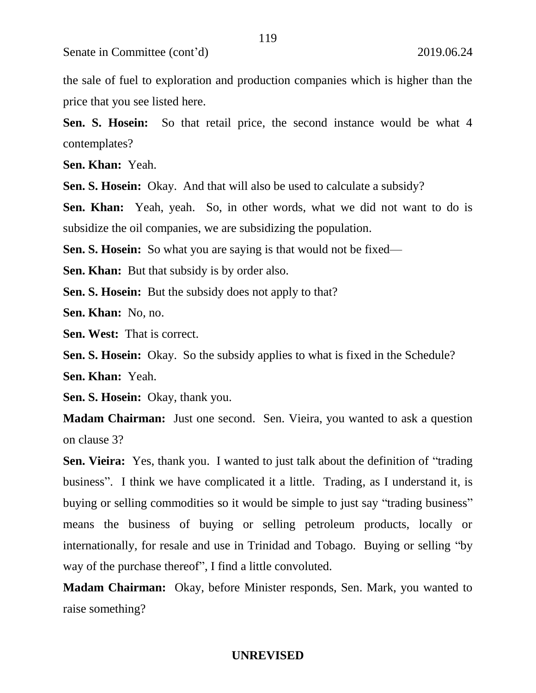the sale of fuel to exploration and production companies which is higher than the price that you see listed here.

119

**Sen. S. Hosein:** So that retail price, the second instance would be what 4 contemplates?

**Sen. Khan:** Yeah.

**Sen. S. Hosein:** Okay. And that will also be used to calculate a subsidy?

**Sen. Khan:** Yeah, yeah. So, in other words, what we did not want to do is subsidize the oil companies, we are subsidizing the population.

**Sen. S. Hosein:** So what you are saying is that would not be fixed—

**Sen. Khan:** But that subsidy is by order also.

**Sen. S. Hosein:** But the subsidy does not apply to that?

**Sen. Khan:** No, no.

**Sen. West:** That is correct.

**Sen. S. Hosein:** Okay. So the subsidy applies to what is fixed in the Schedule?

**Sen. Khan:** Yeah.

**Sen. S. Hosein:** Okay, thank you.

**Madam Chairman:** Just one second. Sen. Vieira, you wanted to ask a question on clause 3?

**Sen. Vieira:** Yes, thank you. I wanted to just talk about the definition of "trading" business". I think we have complicated it a little. Trading, as I understand it, is buying or selling commodities so it would be simple to just say "trading business" means the business of buying or selling petroleum products, locally or internationally, for resale and use in Trinidad and Tobago. Buying or selling "by way of the purchase thereof", I find a little convoluted.

**Madam Chairman:** Okay, before Minister responds, Sen. Mark, you wanted to raise something?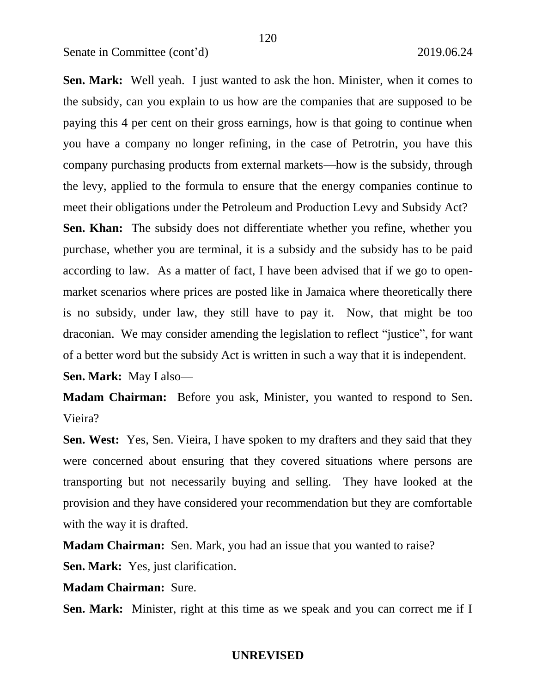**Sen. Mark:** Well yeah. I just wanted to ask the hon. Minister, when it comes to the subsidy, can you explain to us how are the companies that are supposed to be paying this 4 per cent on their gross earnings, how is that going to continue when you have a company no longer refining, in the case of Petrotrin, you have this company purchasing products from external markets—how is the subsidy, through the levy, applied to the formula to ensure that the energy companies continue to meet their obligations under the Petroleum and Production Levy and Subsidy Act?

**Sen. Khan:** The subsidy does not differentiate whether you refine, whether you purchase, whether you are terminal, it is a subsidy and the subsidy has to be paid according to law. As a matter of fact, I have been advised that if we go to openmarket scenarios where prices are posted like in Jamaica where theoretically there is no subsidy, under law, they still have to pay it. Now, that might be too draconian. We may consider amending the legislation to reflect "justice", for want of a better word but the subsidy Act is written in such a way that it is independent.

**Sen. Mark:** May I also—

**Madam Chairman:** Before you ask, Minister, you wanted to respond to Sen. Vieira?

**Sen. West:** Yes, Sen. Vieira, I have spoken to my drafters and they said that they were concerned about ensuring that they covered situations where persons are transporting but not necessarily buying and selling. They have looked at the provision and they have considered your recommendation but they are comfortable with the way it is drafted.

**Madam Chairman:** Sen. Mark, you had an issue that you wanted to raise?

**Sen. Mark:** Yes, just clarification.

**Madam Chairman:** Sure.

**Sen. Mark:** Minister, right at this time as we speak and you can correct me if I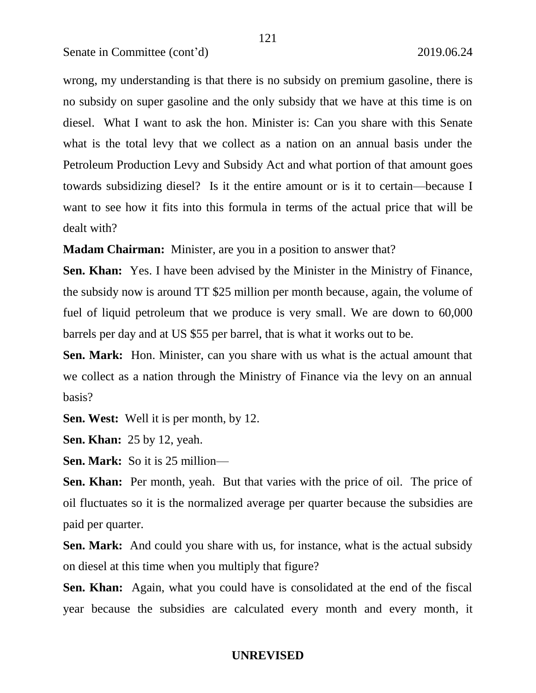wrong, my understanding is that there is no subsidy on premium gasoline, there is no subsidy on super gasoline and the only subsidy that we have at this time is on diesel. What I want to ask the hon. Minister is: Can you share with this Senate what is the total levy that we collect as a nation on an annual basis under the Petroleum Production Levy and Subsidy Act and what portion of that amount goes towards subsidizing diesel? Is it the entire amount or is it to certain—because I want to see how it fits into this formula in terms of the actual price that will be dealt with?

**Madam Chairman:** Minister, are you in a position to answer that?

**Sen. Khan:** Yes. I have been advised by the Minister in the Ministry of Finance, the subsidy now is around TT \$25 million per month because, again, the volume of fuel of liquid petroleum that we produce is very small. We are down to 60,000 barrels per day and at US \$55 per barrel, that is what it works out to be.

**Sen. Mark:** Hon. Minister, can you share with us what is the actual amount that we collect as a nation through the Ministry of Finance via the levy on an annual basis?

**Sen. West:** Well it is per month, by 12.

**Sen. Khan:** 25 by 12, yeah.

**Sen. Mark:** So it is 25 million—

Sen. Khan: Per month, yeah. But that varies with the price of oil. The price of oil fluctuates so it is the normalized average per quarter because the subsidies are paid per quarter.

**Sen. Mark:** And could you share with us, for instance, what is the actual subsidy on diesel at this time when you multiply that figure?

**Sen. Khan:** Again, what you could have is consolidated at the end of the fiscal year because the subsidies are calculated every month and every month, it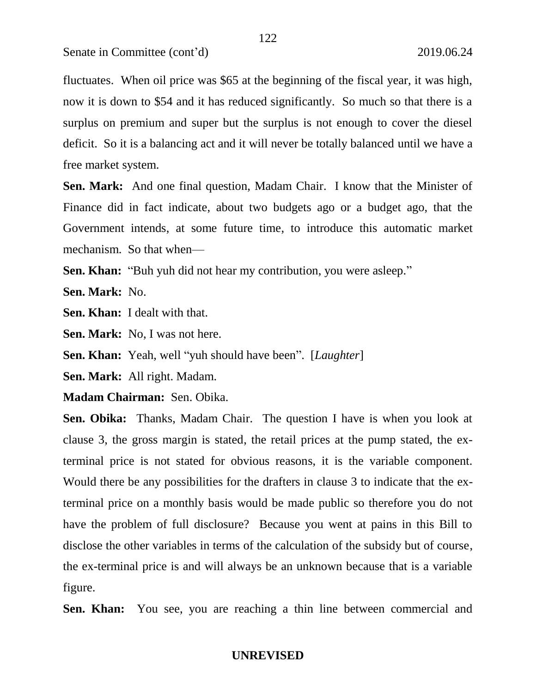fluctuates. When oil price was \$65 at the beginning of the fiscal year, it was high, now it is down to \$54 and it has reduced significantly. So much so that there is a surplus on premium and super but the surplus is not enough to cover the diesel deficit. So it is a balancing act and it will never be totally balanced until we have a free market system.

**Sen. Mark:** And one final question, Madam Chair. I know that the Minister of Finance did in fact indicate, about two budgets ago or a budget ago, that the Government intends, at some future time, to introduce this automatic market mechanism. So that when—

**Sen. Khan:** "Buh yuh did not hear my contribution, you were asleep."

**Sen. Mark:** No.

**Sen. Khan:** I dealt with that.

**Sen. Mark:** No, I was not here.

**Sen. Khan:** Yeah, well "yuh should have been". [*Laughter*]

**Sen. Mark:** All right. Madam.

**Madam Chairman:** Sen. Obika.

**Sen. Obika:** Thanks, Madam Chair. The question I have is when you look at clause 3, the gross margin is stated, the retail prices at the pump stated, the exterminal price is not stated for obvious reasons, it is the variable component. Would there be any possibilities for the drafters in clause 3 to indicate that the exterminal price on a monthly basis would be made public so therefore you do not have the problem of full disclosure? Because you went at pains in this Bill to disclose the other variables in terms of the calculation of the subsidy but of course, the ex-terminal price is and will always be an unknown because that is a variable figure.

**Sen. Khan:** You see, you are reaching a thin line between commercial and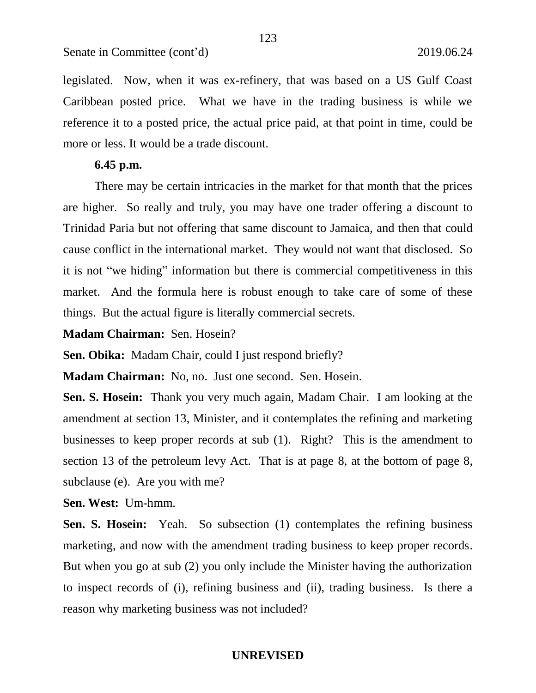Caribbean posted price. What we have in the trading business is while we reference it to a posted price, the actual price paid, at that point in time, could be more or less. It would be a trade discount.

# **6.45 p.m.**

There may be certain intricacies in the market for that month that the prices are higher. So really and truly, you may have one trader offering a discount to Trinidad Paria but not offering that same discount to Jamaica, and then that could cause conflict in the international market. They would not want that disclosed. So it is not "we hiding" information but there is commercial competitiveness in this market. And the formula here is robust enough to take care of some of these things. But the actual figure is literally commercial secrets.

**Madam Chairman:** Sen. Hosein?

**Sen. Obika:** Madam Chair, could I just respond briefly?

**Madam Chairman:** No, no. Just one second. Sen. Hosein.

**Sen. S. Hosein:** Thank you very much again, Madam Chair. I am looking at the amendment at section 13, Minister, and it contemplates the refining and marketing businesses to keep proper records at sub (1). Right? This is the amendment to section 13 of the petroleum levy Act. That is at page 8, at the bottom of page 8, subclause (e). Are you with me?

**Sen. West:** Um-hmm.

**Sen. S. Hosein:** Yeah. So subsection (1) contemplates the refining business marketing, and now with the amendment trading business to keep proper records. But when you go at sub (2) you only include the Minister having the authorization to inspect records of (i), refining business and (ii), trading business. Is there a reason why marketing business was not included?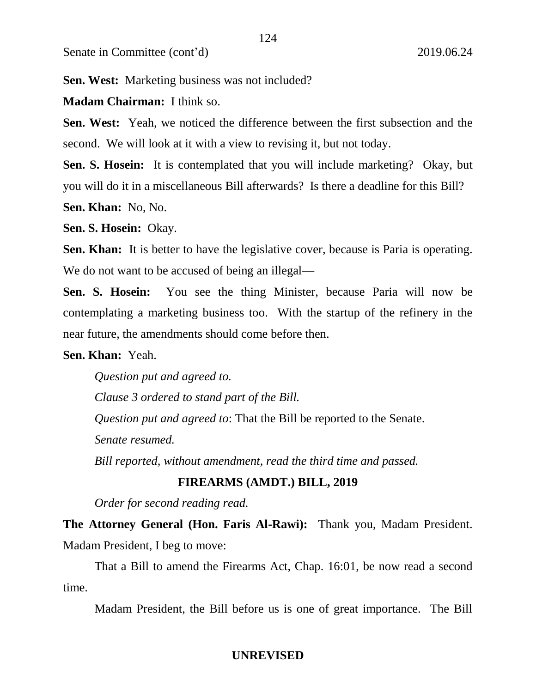**Sen. West:** Marketing business was not included?

# **Madam Chairman:** I think so.

**Sen. West:** Yeah, we noticed the difference between the first subsection and the second. We will look at it with a view to revising it, but not today.

**Sen. S. Hosein:** It is contemplated that you will include marketing? Okay, but you will do it in a miscellaneous Bill afterwards? Is there a deadline for this Bill?

**Sen. Khan:** No, No.

**Sen. S. Hosein:** Okay.

**Sen. Khan:** It is better to have the legislative cover, because is Paria is operating. We do not want to be accused of being an illegal—

**Sen. S. Hosein:** You see the thing Minister, because Paria will now be contemplating a marketing business too. With the startup of the refinery in the near future, the amendments should come before then.

### **Sen. Khan:** Yeah.

*Question put and agreed to.*

*Clause 3 ordered to stand part of the Bill.* 

*Question put and agreed to*: That the Bill be reported to the Senate.

*Senate resumed.* 

*Bill reported, without amendment, read the third time and passed.* 

# **FIREARMS (AMDT.) BILL, 2019**

*Order for second reading read.*

**The Attorney General (Hon. Faris Al-Rawi):** Thank you, Madam President. Madam President, I beg to move:

That a Bill to amend the Firearms Act, Chap. 16:01, be now read a second time.

Madam President, the Bill before us is one of great importance. The Bill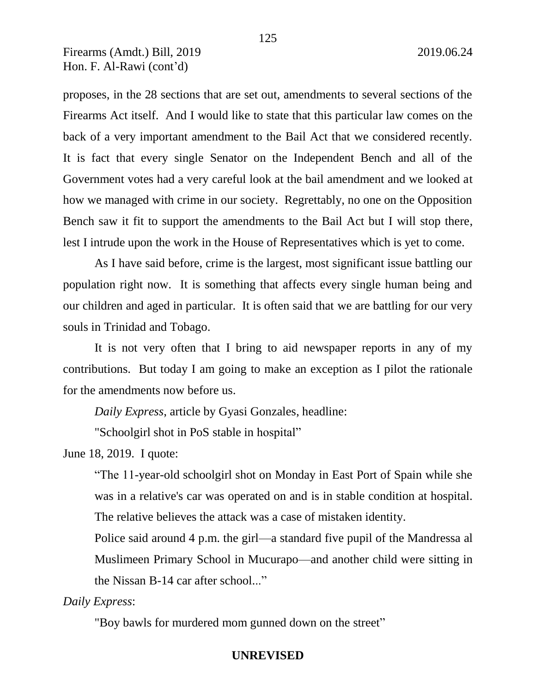proposes, in the 28 sections that are set out, amendments to several sections of the Firearms Act itself. And I would like to state that this particular law comes on the back of a very important amendment to the Bail Act that we considered recently. It is fact that every single Senator on the Independent Bench and all of the Government votes had a very careful look at the bail amendment and we looked at how we managed with crime in our society. Regrettably, no one on the Opposition Bench saw it fit to support the amendments to the Bail Act but I will stop there, lest I intrude upon the work in the House of Representatives which is yet to come.

As I have said before, crime is the largest, most significant issue battling our population right now. It is something that affects every single human being and our children and aged in particular. It is often said that we are battling for our very souls in Trinidad and Tobago.

It is not very often that I bring to aid newspaper reports in any of my contributions. But today I am going to make an exception as I pilot the rationale for the amendments now before us.

*Daily Express*, article by Gyasi Gonzales, headline:

"Schoolgirl shot in PoS stable in hospital"

June 18, 2019. I quote:

"The 11-year-old schoolgirl shot on Monday in East Port of Spain while she was in a relative's car was operated on and is in stable condition at hospital. The relative believes the attack was a case of mistaken identity.

Police said around 4 p.m. the girl—a standard five pupil of the Mandressa al Muslimeen Primary School in Mucurapo—and another child were sitting in the Nissan B-14 car after school..."

### *Daily Express*:

"Boy bawls for murdered mom gunned down on the street"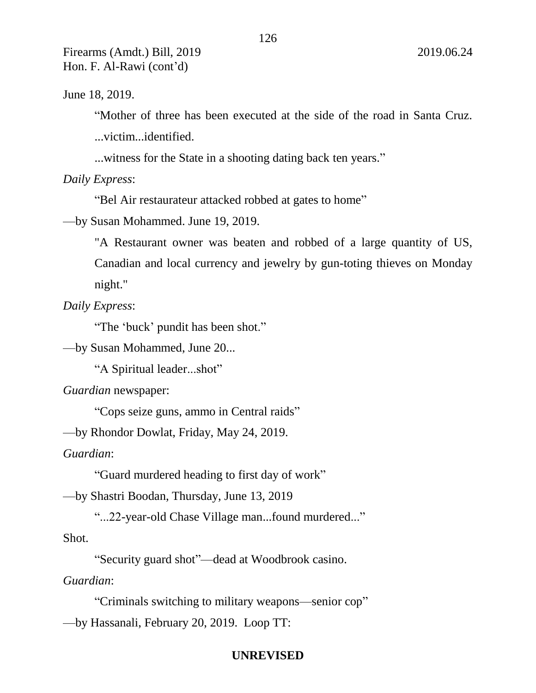June 18, 2019.

"Mother of three has been executed at the side of the road in Santa Cruz.

...victim...identified.

...witness for the State in a shooting dating back ten years."

*Daily Express*:

"Bel Air restaurateur attacked robbed at gates to home"

—by Susan Mohammed. June 19, 2019.

"A Restaurant owner was beaten and robbed of a large quantity of US, Canadian and local currency and jewelry by gun-toting thieves on Monday night."

*Daily Express*:

"The 'buck' pundit has been shot."

—by Susan Mohammed, June 20...

"A Spiritual leader...shot"

*Guardian* newspaper:

"Cops seize guns, ammo in Central raids"

—by Rhondor Dowlat, Friday, May 24, 2019.

*Guardian*:

"Guard murdered heading to first day of work"

—by Shastri Boodan, Thursday, June 13, 2019

"...22-year-old Chase Village man...found murdered..."

Shot.

"Security guard shot"—dead at Woodbrook casino.

*Guardian*:

"Criminals switching to military weapons—senior cop" —by Hassanali, February 20, 2019. Loop TT: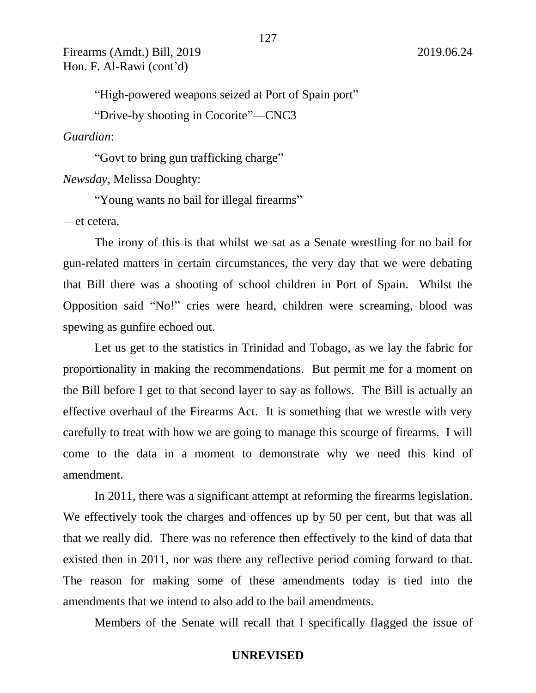"High-powered weapons seized at Port of Spain port"

"Drive-by shooting in Cocorite"—CNC3

*Guardian*:

"Govt to bring gun trafficking charge"

*Newsday*, Melissa Doughty:

"Young wants no bail for illegal firearms"

—et cetera.

The irony of this is that whilst we sat as a Senate wrestling for no bail for gun-related matters in certain circumstances, the very day that we were debating that Bill there was a shooting of school children in Port of Spain. Whilst the Opposition said "No!" cries were heard, children were screaming, blood was spewing as gunfire echoed out.

Let us get to the statistics in Trinidad and Tobago, as we lay the fabric for proportionality in making the recommendations. But permit me for a moment on the Bill before I get to that second layer to say as follows. The Bill is actually an effective overhaul of the Firearms Act. It is something that we wrestle with very carefully to treat with how we are going to manage this scourge of firearms. I will come to the data in a moment to demonstrate why we need this kind of amendment.

In 2011, there was a significant attempt at reforming the firearms legislation. We effectively took the charges and offences up by 50 per cent, but that was all that we really did. There was no reference then effectively to the kind of data that existed then in 2011, nor was there any reflective period coming forward to that. The reason for making some of these amendments today is tied into the amendments that we intend to also add to the bail amendments.

Members of the Senate will recall that I specifically flagged the issue of

127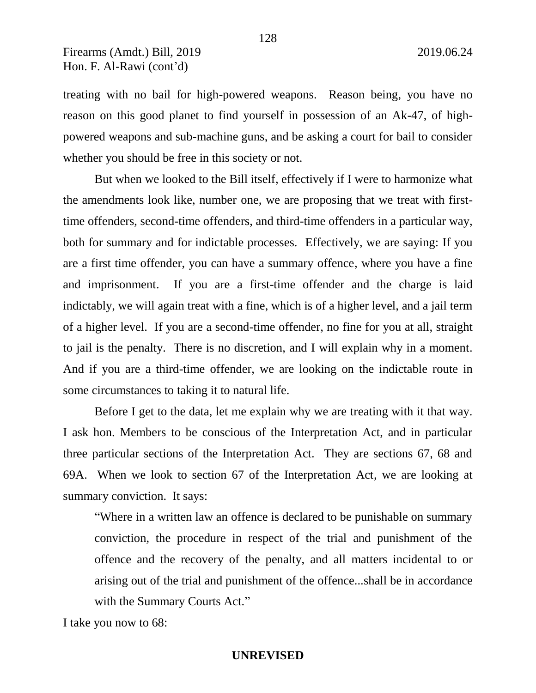treating with no bail for high-powered weapons. Reason being, you have no reason on this good planet to find yourself in possession of an Ak-47, of highpowered weapons and sub-machine guns, and be asking a court for bail to consider whether you should be free in this society or not.

But when we looked to the Bill itself, effectively if I were to harmonize what the amendments look like, number one, we are proposing that we treat with firsttime offenders, second-time offenders, and third-time offenders in a particular way, both for summary and for indictable processes. Effectively, we are saying: If you are a first time offender, you can have a summary offence, where you have a fine and imprisonment. If you are a first-time offender and the charge is laid indictably, we will again treat with a fine, which is of a higher level, and a jail term of a higher level. If you are a second-time offender, no fine for you at all, straight to jail is the penalty. There is no discretion, and I will explain why in a moment. And if you are a third-time offender, we are looking on the indictable route in some circumstances to taking it to natural life.

Before I get to the data, let me explain why we are treating with it that way. I ask hon. Members to be conscious of the Interpretation Act, and in particular three particular sections of the Interpretation Act. They are sections 67, 68 and 69A. When we look to section 67 of the Interpretation Act, we are looking at summary conviction. It says:

"Where in a written law an offence is declared to be punishable on summary conviction, the procedure in respect of the trial and punishment of the offence and the recovery of the penalty, and all matters incidental to or arising out of the trial and punishment of the offence...shall be in accordance with the Summary Courts Act."

I take you now to 68:

# 128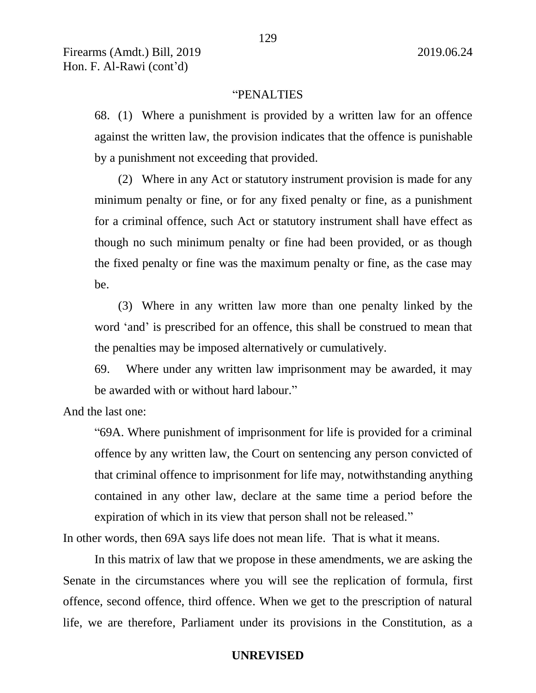### "PENALTIES

68. (1) Where a punishment is provided by a written law for an offence against the written law, the provision indicates that the offence is punishable by a punishment not exceeding that provided.

(2) Where in any Act or statutory instrument provision is made for any minimum penalty or fine, or for any fixed penalty or fine, as a punishment for a criminal offence, such Act or statutory instrument shall have effect as though no such minimum penalty or fine had been provided, or as though the fixed penalty or fine was the maximum penalty or fine, as the case may be.

(3) Where in any written law more than one penalty linked by the word 'and' is prescribed for an offence, this shall be construed to mean that the penalties may be imposed alternatively or cumulatively.

69. Where under any written law imprisonment may be awarded, it may be awarded with or without hard labour."

And the last one:

"69A. Where punishment of imprisonment for life is provided for a criminal offence by any written law, the Court on sentencing any person convicted of that criminal offence to imprisonment for life may, notwithstanding anything contained in any other law, declare at the same time a period before the expiration of which in its view that person shall not be released."

In other words, then 69A says life does not mean life. That is what it means.

In this matrix of law that we propose in these amendments, we are asking the Senate in the circumstances where you will see the replication of formula, first offence, second offence, third offence. When we get to the prescription of natural life, we are therefore, Parliament under its provisions in the Constitution, as a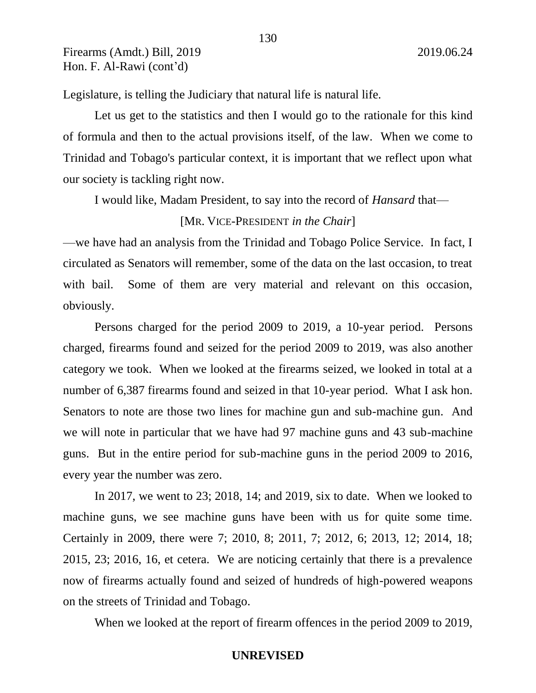Legislature, is telling the Judiciary that natural life is natural life.

Let us get to the statistics and then I would go to the rationale for this kind of formula and then to the actual provisions itself, of the law. When we come to Trinidad and Tobago's particular context, it is important that we reflect upon what our society is tackling right now.

I would like, Madam President, to say into the record of *Hansard* that—

### [MR. VICE-PRESIDENT *in the Chair*]

—we have had an analysis from the Trinidad and Tobago Police Service. In fact, I circulated as Senators will remember, some of the data on the last occasion, to treat with bail. Some of them are very material and relevant on this occasion, obviously.

Persons charged for the period 2009 to 2019, a 10-year period. Persons charged, firearms found and seized for the period 2009 to 2019, was also another category we took. When we looked at the firearms seized, we looked in total at a number of 6,387 firearms found and seized in that 10-year period. What I ask hon. Senators to note are those two lines for machine gun and sub-machine gun. And we will note in particular that we have had 97 machine guns and 43 sub-machine guns. But in the entire period for sub-machine guns in the period 2009 to 2016, every year the number was zero.

In 2017, we went to 23; 2018, 14; and 2019, six to date. When we looked to machine guns, we see machine guns have been with us for quite some time. Certainly in 2009, there were 7; 2010, 8; 2011, 7; 2012, 6; 2013, 12; 2014, 18; 2015, 23; 2016, 16, et cetera. We are noticing certainly that there is a prevalence now of firearms actually found and seized of hundreds of high-powered weapons on the streets of Trinidad and Tobago.

When we looked at the report of firearm offences in the period 2009 to 2019,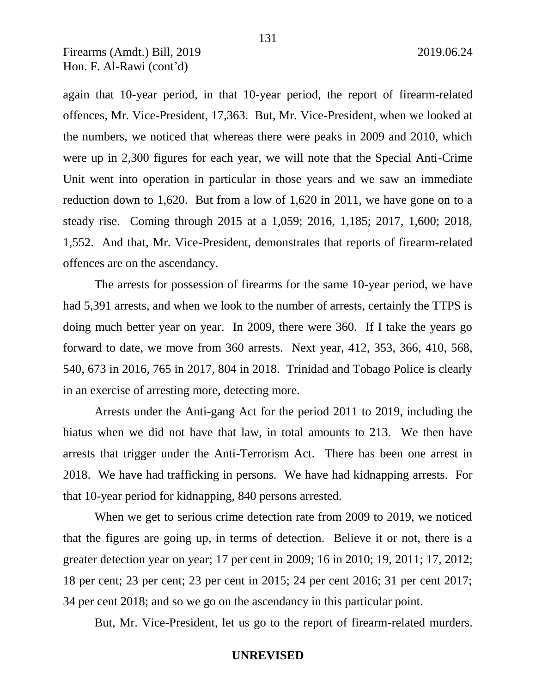again that 10-year period, in that 10-year period, the report of firearm-related offences, Mr. Vice-President, 17,363. But, Mr. Vice-President, when we looked at the numbers, we noticed that whereas there were peaks in 2009 and 2010, which were up in 2,300 figures for each year, we will note that the Special Anti-Crime Unit went into operation in particular in those years and we saw an immediate reduction down to 1,620. But from a low of 1,620 in 2011, we have gone on to a steady rise. Coming through 2015 at a 1,059; 2016, 1,185; 2017, 1,600; 2018, 1,552. And that, Mr. Vice-President, demonstrates that reports of firearm-related offences are on the ascendancy.

The arrests for possession of firearms for the same 10-year period, we have had 5,391 arrests, and when we look to the number of arrests, certainly the TTPS is doing much better year on year. In 2009, there were 360. If I take the years go forward to date, we move from 360 arrests. Next year, 412, 353, 366, 410, 568, 540, 673 in 2016, 765 in 2017, 804 in 2018. Trinidad and Tobago Police is clearly in an exercise of arresting more, detecting more.

Arrests under the Anti-gang Act for the period 2011 to 2019, including the hiatus when we did not have that law, in total amounts to 213. We then have arrests that trigger under the Anti-Terrorism Act. There has been one arrest in 2018. We have had trafficking in persons. We have had kidnapping arrests. For that 10-year period for kidnapping, 840 persons arrested.

When we get to serious crime detection rate from 2009 to 2019, we noticed that the figures are going up, in terms of detection. Believe it or not, there is a greater detection year on year; 17 per cent in 2009; 16 in 2010; 19, 2011; 17, 2012; 18 per cent; 23 per cent; 23 per cent in 2015; 24 per cent 2016; 31 per cent 2017; 34 per cent 2018; and so we go on the ascendancy in this particular point.

But, Mr. Vice-President, let us go to the report of firearm-related murders.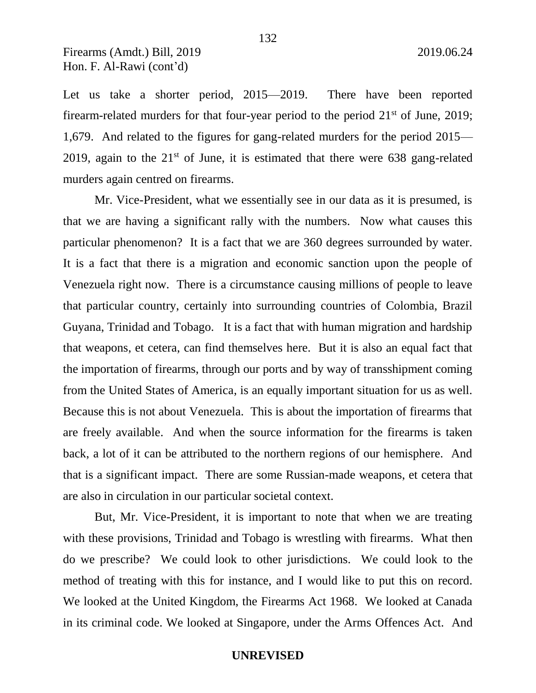Let us take a shorter period, 2015—2019. There have been reported firearm-related murders for that four-year period to the period  $21<sup>st</sup>$  of June,  $2019$ ; 1,679. And related to the figures for gang-related murders for the period 2015— 2019, again to the  $21<sup>st</sup>$  of June, it is estimated that there were 638 gang-related murders again centred on firearms.

Mr. Vice-President, what we essentially see in our data as it is presumed, is that we are having a significant rally with the numbers. Now what causes this particular phenomenon? It is a fact that we are 360 degrees surrounded by water. It is a fact that there is a migration and economic sanction upon the people of Venezuela right now. There is a circumstance causing millions of people to leave that particular country, certainly into surrounding countries of Colombia, Brazil Guyana, Trinidad and Tobago. It is a fact that with human migration and hardship that weapons, et cetera, can find themselves here. But it is also an equal fact that the importation of firearms, through our ports and by way of transshipment coming from the United States of America, is an equally important situation for us as well. Because this is not about Venezuela. This is about the importation of firearms that are freely available. And when the source information for the firearms is taken back, a lot of it can be attributed to the northern regions of our hemisphere. And that is a significant impact. There are some Russian-made weapons, et cetera that are also in circulation in our particular societal context.

But, Mr. Vice-President, it is important to note that when we are treating with these provisions, Trinidad and Tobago is wrestling with firearms. What then do we prescribe? We could look to other jurisdictions. We could look to the method of treating with this for instance, and I would like to put this on record. We looked at the United Kingdom, the Firearms Act 1968. We looked at Canada in its criminal code. We looked at Singapore, under the Arms Offences Act. And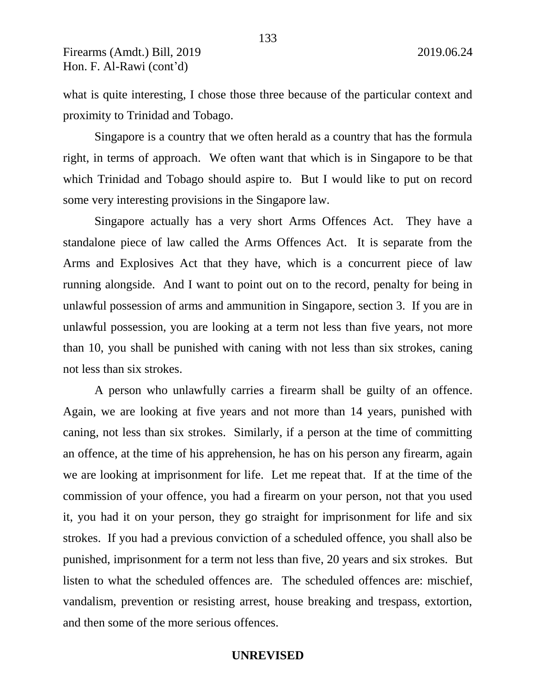what is quite interesting, I chose those three because of the particular context and proximity to Trinidad and Tobago.

Singapore is a country that we often herald as a country that has the formula right, in terms of approach. We often want that which is in Singapore to be that which Trinidad and Tobago should aspire to. But I would like to put on record some very interesting provisions in the Singapore law.

Singapore actually has a very short Arms Offences Act. They have a standalone piece of law called the Arms Offences Act. It is separate from the Arms and Explosives Act that they have, which is a concurrent piece of law running alongside. And I want to point out on to the record, penalty for being in unlawful possession of arms and ammunition in Singapore, section 3. If you are in unlawful possession, you are looking at a term not less than five years, not more than 10, you shall be punished with caning with not less than six strokes, caning not less than six strokes.

A person who unlawfully carries a firearm shall be guilty of an offence. Again, we are looking at five years and not more than 14 years, punished with caning, not less than six strokes. Similarly, if a person at the time of committing an offence, at the time of his apprehension, he has on his person any firearm, again we are looking at imprisonment for life. Let me repeat that. If at the time of the commission of your offence, you had a firearm on your person, not that you used it, you had it on your person, they go straight for imprisonment for life and six strokes. If you had a previous conviction of a scheduled offence, you shall also be punished, imprisonment for a term not less than five, 20 years and six strokes. But listen to what the scheduled offences are. The scheduled offences are: mischief, vandalism, prevention or resisting arrest, house breaking and trespass, extortion, and then some of the more serious offences.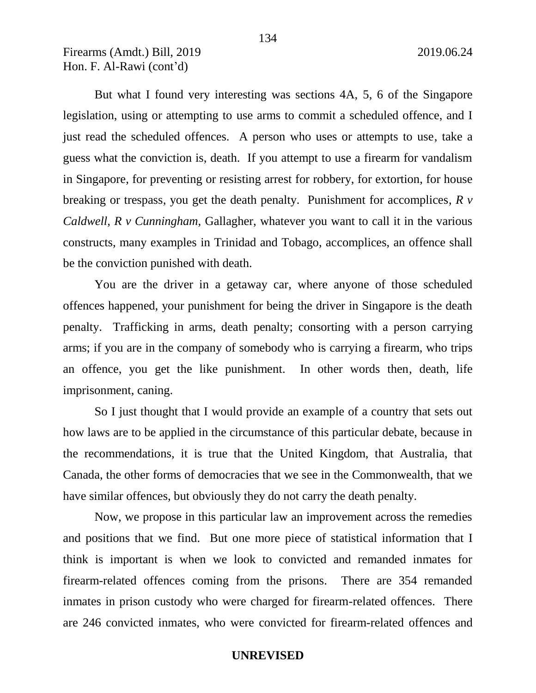But what I found very interesting was sections 4A, 5, 6 of the Singapore legislation, using or attempting to use arms to commit a scheduled offence, and I just read the scheduled offences. A person who uses or attempts to use, take a guess what the conviction is, death. If you attempt to use a firearm for vandalism in Singapore, for preventing or resisting arrest for robbery, for extortion, for house breaking or trespass, you get the death penalty. Punishment for accomplices, *R v Caldwell*, *R v Cunningham*, Gallagher, whatever you want to call it in the various constructs, many examples in Trinidad and Tobago, accomplices, an offence shall be the conviction punished with death.

You are the driver in a getaway car, where anyone of those scheduled offences happened, your punishment for being the driver in Singapore is the death penalty. Trafficking in arms, death penalty; consorting with a person carrying arms; if you are in the company of somebody who is carrying a firearm, who trips an offence, you get the like punishment. In other words then, death, life imprisonment, caning.

So I just thought that I would provide an example of a country that sets out how laws are to be applied in the circumstance of this particular debate, because in the recommendations, it is true that the United Kingdom, that Australia, that Canada, the other forms of democracies that we see in the Commonwealth, that we have similar offences, but obviously they do not carry the death penalty.

Now, we propose in this particular law an improvement across the remedies and positions that we find. But one more piece of statistical information that I think is important is when we look to convicted and remanded inmates for firearm-related offences coming from the prisons. There are 354 remanded inmates in prison custody who were charged for firearm-related offences. There are 246 convicted inmates, who were convicted for firearm-related offences and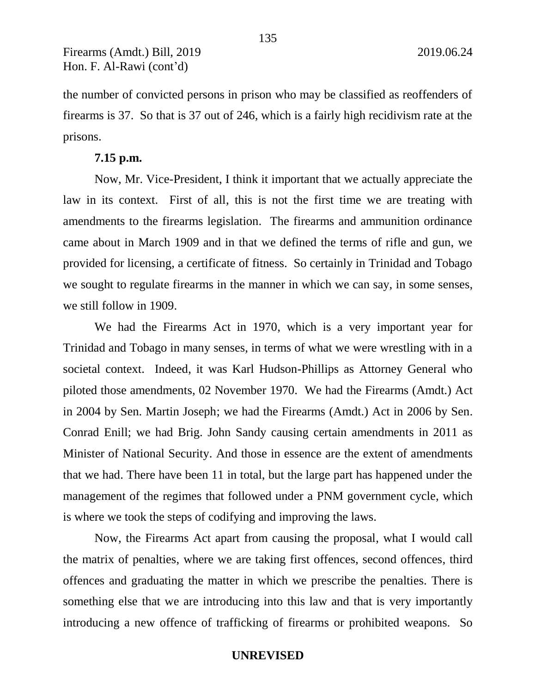the number of convicted persons in prison who may be classified as reoffenders of firearms is 37. So that is 37 out of 246, which is a fairly high recidivism rate at the prisons.

### **7.15 p.m.**

Now, Mr. Vice-President, I think it important that we actually appreciate the law in its context. First of all, this is not the first time we are treating with amendments to the firearms legislation. The firearms and ammunition ordinance came about in March 1909 and in that we defined the terms of rifle and gun, we provided for licensing, a certificate of fitness. So certainly in Trinidad and Tobago we sought to regulate firearms in the manner in which we can say, in some senses, we still follow in 1909.

We had the Firearms Act in 1970, which is a very important year for Trinidad and Tobago in many senses, in terms of what we were wrestling with in a societal context. Indeed, it was Karl Hudson-Phillips as Attorney General who piloted those amendments, 02 November 1970. We had the Firearms (Amdt.) Act in 2004 by Sen. Martin Joseph; we had the Firearms (Amdt.) Act in 2006 by Sen. Conrad Enill; we had Brig. John Sandy causing certain amendments in 2011 as Minister of National Security. And those in essence are the extent of amendments that we had. There have been 11 in total, but the large part has happened under the management of the regimes that followed under a PNM government cycle, which is where we took the steps of codifying and improving the laws.

Now, the Firearms Act apart from causing the proposal, what I would call the matrix of penalties, where we are taking first offences, second offences, third offences and graduating the matter in which we prescribe the penalties. There is something else that we are introducing into this law and that is very importantly introducing a new offence of trafficking of firearms or prohibited weapons. So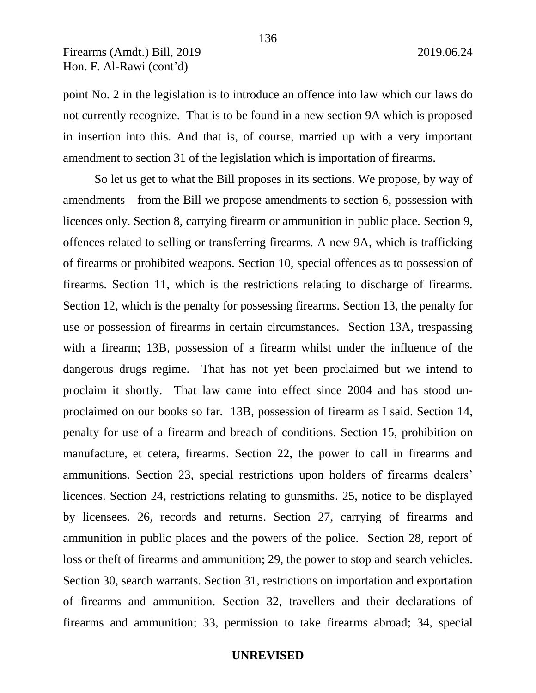point No. 2 in the legislation is to introduce an offence into law which our laws do not currently recognize. That is to be found in a new section 9A which is proposed in insertion into this. And that is, of course, married up with a very important amendment to section 31 of the legislation which is importation of firearms.

So let us get to what the Bill proposes in its sections. We propose, by way of amendments—from the Bill we propose amendments to section 6, possession with licences only. Section 8, carrying firearm or ammunition in public place. Section 9, offences related to selling or transferring firearms. A new 9A, which is trafficking of firearms or prohibited weapons. Section 10, special offences as to possession of firearms. Section 11, which is the restrictions relating to discharge of firearms. Section 12, which is the penalty for possessing firearms. Section 13, the penalty for use or possession of firearms in certain circumstances. Section 13A, trespassing with a firearm; 13B, possession of a firearm whilst under the influence of the dangerous drugs regime. That has not yet been proclaimed but we intend to proclaim it shortly. That law came into effect since 2004 and has stood unproclaimed on our books so far. 13B, possession of firearm as I said. Section 14, penalty for use of a firearm and breach of conditions. Section 15, prohibition on manufacture, et cetera, firearms. Section 22, the power to call in firearms and ammunitions. Section 23, special restrictions upon holders of firearms dealers' licences. Section 24, restrictions relating to gunsmiths. 25, notice to be displayed by licensees. 26, records and returns. Section 27, carrying of firearms and ammunition in public places and the powers of the police. Section 28, report of loss or theft of firearms and ammunition; 29, the power to stop and search vehicles. Section 30, search warrants. Section 31, restrictions on importation and exportation of firearms and ammunition. Section 32, travellers and their declarations of firearms and ammunition; 33, permission to take firearms abroad; 34, special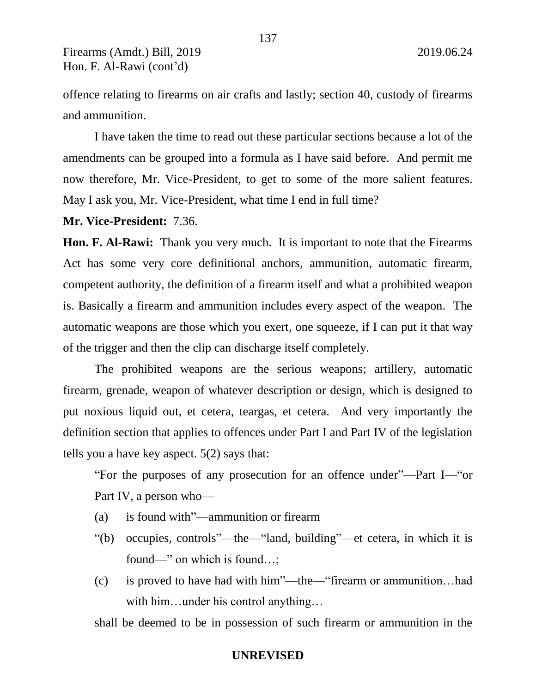offence relating to firearms on air crafts and lastly; section 40, custody of firearms and ammunition.

137

I have taken the time to read out these particular sections because a lot of the amendments can be grouped into a formula as I have said before. And permit me now therefore, Mr. Vice-President, to get to some of the more salient features. May I ask you, Mr. Vice-President, what time I end in full time?

**Mr. Vice-President:** 7.36.

**Hon. F. Al-Rawi:** Thank you very much. It is important to note that the Firearms Act has some very core definitional anchors, ammunition, automatic firearm, competent authority, the definition of a firearm itself and what a prohibited weapon is. Basically a firearm and ammunition includes every aspect of the weapon. The automatic weapons are those which you exert, one squeeze, if I can put it that way of the trigger and then the clip can discharge itself completely.

The prohibited weapons are the serious weapons; artillery, automatic firearm, grenade, weapon of whatever description or design, which is designed to put noxious liquid out, et cetera, teargas, et cetera. And very importantly the definition section that applies to offences under Part I and Part IV of the legislation tells you a have key aspect. 5(2) says that:

"For the purposes of any prosecution for an offence under"—Part I—"or Part IV, a person who—

- (a) is found with"—ammunition or firearm
- "(b) occupies, controls"—the—"land, building"—et cetera, in which it is found—" on which is found…;
- (c) is proved to have had with him"—the—"firearm or ammunition…had with him…under his control anything...

shall be deemed to be in possession of such firearm or ammunition in the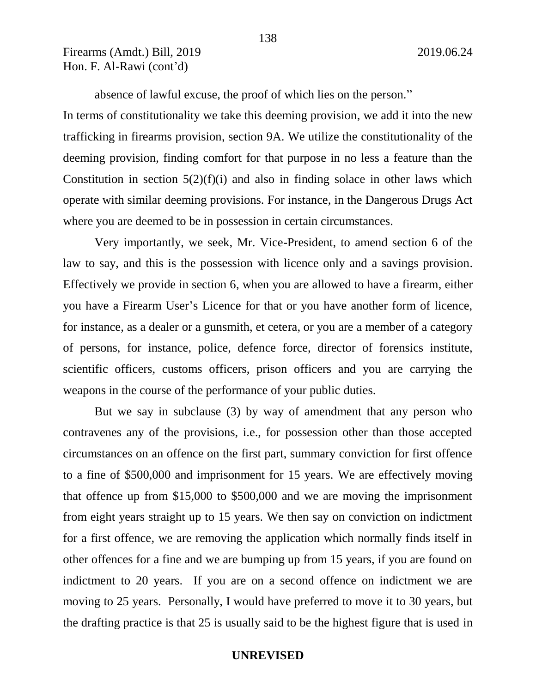absence of lawful excuse, the proof of which lies on the person." In terms of constitutionality we take this deeming provision, we add it into the new trafficking in firearms provision, section 9A. We utilize the constitutionality of the deeming provision, finding comfort for that purpose in no less a feature than the Constitution in section  $5(2)(f)(i)$  and also in finding solace in other laws which operate with similar deeming provisions. For instance, in the Dangerous Drugs Act where you are deemed to be in possession in certain circumstances.

Very importantly, we seek, Mr. Vice-President, to amend section 6 of the law to say, and this is the possession with licence only and a savings provision. Effectively we provide in section 6, when you are allowed to have a firearm, either you have a Firearm User's Licence for that or you have another form of licence, for instance, as a dealer or a gunsmith, et cetera, or you are a member of a category of persons, for instance, police, defence force, director of forensics institute, scientific officers, customs officers, prison officers and you are carrying the weapons in the course of the performance of your public duties.

But we say in subclause (3) by way of amendment that any person who contravenes any of the provisions, i.e., for possession other than those accepted circumstances on an offence on the first part, summary conviction for first offence to a fine of \$500,000 and imprisonment for 15 years. We are effectively moving that offence up from \$15,000 to \$500,000 and we are moving the imprisonment from eight years straight up to 15 years. We then say on conviction on indictment for a first offence, we are removing the application which normally finds itself in other offences for a fine and we are bumping up from 15 years, if you are found on indictment to 20 years. If you are on a second offence on indictment we are moving to 25 years. Personally, I would have preferred to move it to 30 years, but the drafting practice is that 25 is usually said to be the highest figure that is used in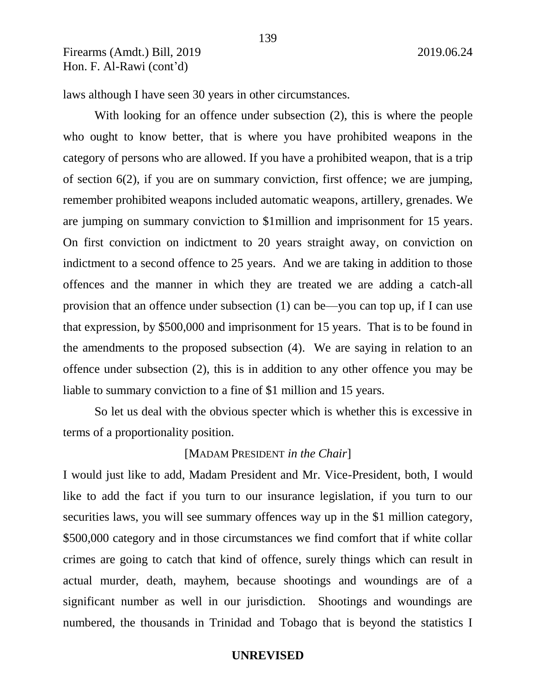laws although I have seen 30 years in other circumstances.

With looking for an offence under subsection (2), this is where the people who ought to know better, that is where you have prohibited weapons in the category of persons who are allowed. If you have a prohibited weapon, that is a trip of section 6(2), if you are on summary conviction, first offence; we are jumping, remember prohibited weapons included automatic weapons, artillery, grenades. We are jumping on summary conviction to \$1million and imprisonment for 15 years. On first conviction on indictment to 20 years straight away, on conviction on indictment to a second offence to 25 years. And we are taking in addition to those offences and the manner in which they are treated we are adding a catch-all provision that an offence under subsection (1) can be—you can top up, if I can use that expression, by \$500,000 and imprisonment for 15 years. That is to be found in the amendments to the proposed subsection (4). We are saying in relation to an offence under subsection (2), this is in addition to any other offence you may be liable to summary conviction to a fine of \$1 million and 15 years.

So let us deal with the obvious specter which is whether this is excessive in terms of a proportionality position.

### [MADAM PRESIDENT *in the Chair*]

I would just like to add, Madam President and Mr. Vice-President, both, I would like to add the fact if you turn to our insurance legislation, if you turn to our securities laws, you will see summary offences way up in the \$1 million category, \$500,000 category and in those circumstances we find comfort that if white collar crimes are going to catch that kind of offence, surely things which can result in actual murder, death, mayhem, because shootings and woundings are of a significant number as well in our jurisdiction. Shootings and woundings are numbered, the thousands in Trinidad and Tobago that is beyond the statistics I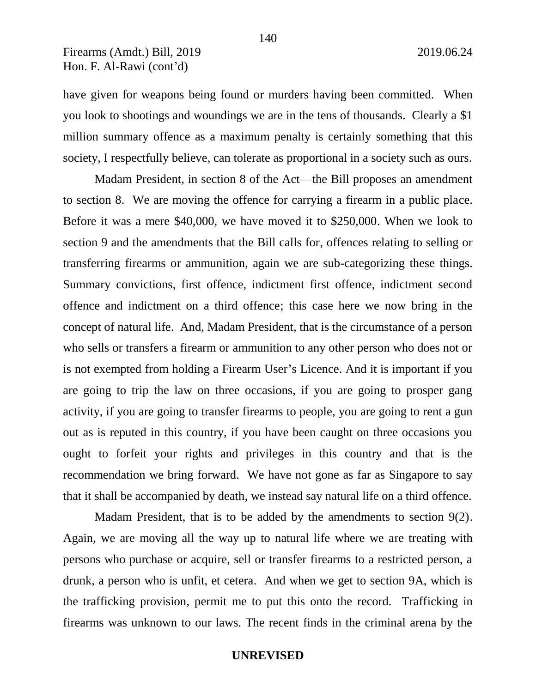have given for weapons being found or murders having been committed. When you look to shootings and woundings we are in the tens of thousands. Clearly a \$1 million summary offence as a maximum penalty is certainly something that this society, I respectfully believe, can tolerate as proportional in a society such as ours.

Madam President, in section 8 of the Act—the Bill proposes an amendment to section 8. We are moving the offence for carrying a firearm in a public place. Before it was a mere \$40,000, we have moved it to \$250,000. When we look to section 9 and the amendments that the Bill calls for, offences relating to selling or transferring firearms or ammunition, again we are sub-categorizing these things. Summary convictions, first offence, indictment first offence, indictment second offence and indictment on a third offence; this case here we now bring in the concept of natural life. And, Madam President, that is the circumstance of a person who sells or transfers a firearm or ammunition to any other person who does not or is not exempted from holding a Firearm User's Licence. And it is important if you are going to trip the law on three occasions, if you are going to prosper gang activity, if you are going to transfer firearms to people, you are going to rent a gun out as is reputed in this country, if you have been caught on three occasions you ought to forfeit your rights and privileges in this country and that is the recommendation we bring forward. We have not gone as far as Singapore to say that it shall be accompanied by death, we instead say natural life on a third offence.

Madam President, that is to be added by the amendments to section 9(2). Again, we are moving all the way up to natural life where we are treating with persons who purchase or acquire, sell or transfer firearms to a restricted person, a drunk, a person who is unfit, et cetera. And when we get to section 9A, which is the trafficking provision, permit me to put this onto the record. Trafficking in firearms was unknown to our laws. The recent finds in the criminal arena by the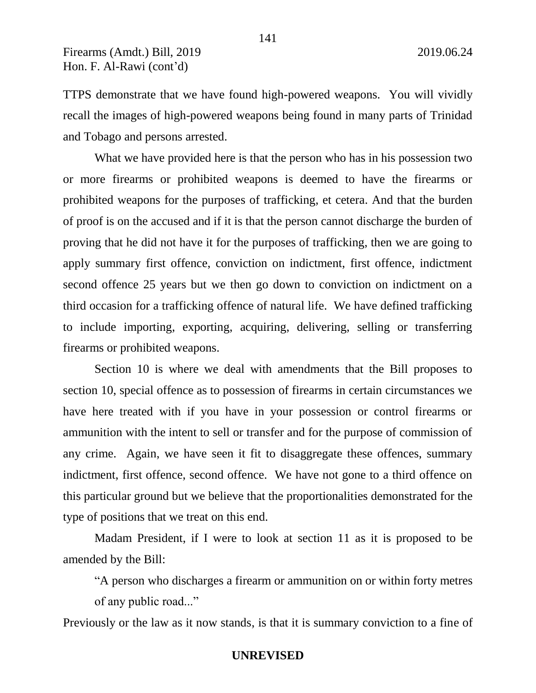TTPS demonstrate that we have found high-powered weapons. You will vividly recall the images of high-powered weapons being found in many parts of Trinidad and Tobago and persons arrested.

What we have provided here is that the person who has in his possession two or more firearms or prohibited weapons is deemed to have the firearms or prohibited weapons for the purposes of trafficking, et cetera. And that the burden of proof is on the accused and if it is that the person cannot discharge the burden of proving that he did not have it for the purposes of trafficking, then we are going to apply summary first offence, conviction on indictment, first offence, indictment second offence 25 years but we then go down to conviction on indictment on a third occasion for a trafficking offence of natural life. We have defined trafficking to include importing, exporting, acquiring, delivering, selling or transferring firearms or prohibited weapons.

Section 10 is where we deal with amendments that the Bill proposes to section 10, special offence as to possession of firearms in certain circumstances we have here treated with if you have in your possession or control firearms or ammunition with the intent to sell or transfer and for the purpose of commission of any crime. Again, we have seen it fit to disaggregate these offences, summary indictment, first offence, second offence. We have not gone to a third offence on this particular ground but we believe that the proportionalities demonstrated for the type of positions that we treat on this end.

Madam President, if I were to look at section 11 as it is proposed to be amended by the Bill:

"A person who discharges a firearm or ammunition on or within forty metres of any public road..."

Previously or the law as it now stands, is that it is summary conviction to a fine of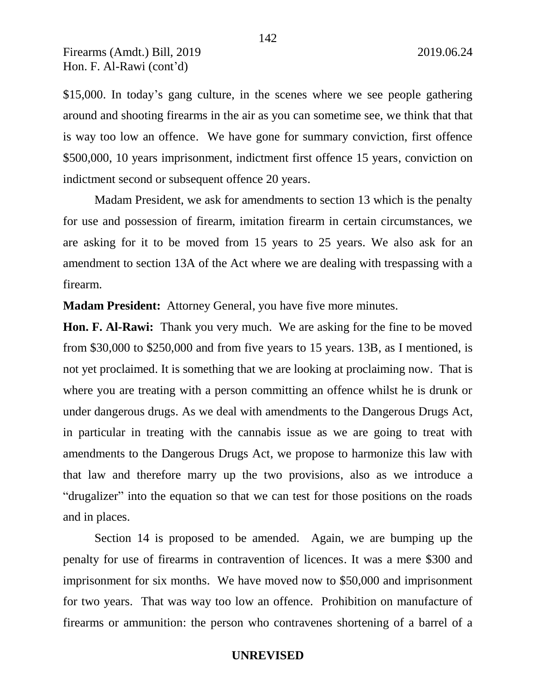\$15,000. In today's gang culture, in the scenes where we see people gathering around and shooting firearms in the air as you can sometime see, we think that that is way too low an offence. We have gone for summary conviction, first offence \$500,000, 10 years imprisonment, indictment first offence 15 years, conviction on indictment second or subsequent offence 20 years.

Madam President, we ask for amendments to section 13 which is the penalty for use and possession of firearm, imitation firearm in certain circumstances, we are asking for it to be moved from 15 years to 25 years. We also ask for an amendment to section 13A of the Act where we are dealing with trespassing with a firearm.

**Madam President:** Attorney General, you have five more minutes.

**Hon. F. Al-Rawi:** Thank you very much. We are asking for the fine to be moved from \$30,000 to \$250,000 and from five years to 15 years. 13B, as I mentioned, is not yet proclaimed. It is something that we are looking at proclaiming now. That is where you are treating with a person committing an offence whilst he is drunk or under dangerous drugs. As we deal with amendments to the Dangerous Drugs Act, in particular in treating with the cannabis issue as we are going to treat with amendments to the Dangerous Drugs Act, we propose to harmonize this law with that law and therefore marry up the two provisions, also as we introduce a "drugalizer" into the equation so that we can test for those positions on the roads and in places.

Section 14 is proposed to be amended. Again, we are bumping up the penalty for use of firearms in contravention of licences. It was a mere \$300 and imprisonment for six months. We have moved now to \$50,000 and imprisonment for two years. That was way too low an offence. Prohibition on manufacture of firearms or ammunition: the person who contravenes shortening of a barrel of a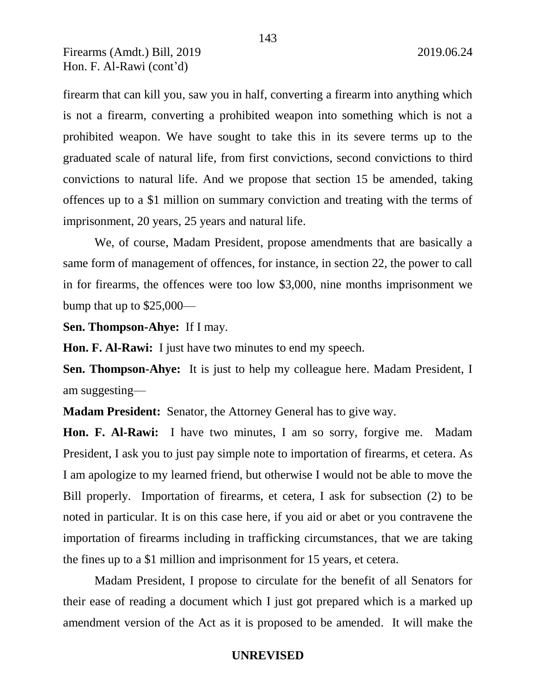firearm that can kill you, saw you in half, converting a firearm into anything which is not a firearm, converting a prohibited weapon into something which is not a prohibited weapon. We have sought to take this in its severe terms up to the graduated scale of natural life, from first convictions, second convictions to third convictions to natural life. And we propose that section 15 be amended, taking offences up to a \$1 million on summary conviction and treating with the terms of imprisonment, 20 years, 25 years and natural life.

We, of course, Madam President, propose amendments that are basically a same form of management of offences, for instance, in section 22, the power to call in for firearms, the offences were too low \$3,000, nine months imprisonment we bump that up to \$25,000—

**Sen. Thompson-Ahye:** If I may.

**Hon. F. Al-Rawi:** I just have two minutes to end my speech.

**Sen. Thompson-Ahye:** It is just to help my colleague here. Madam President, I am suggesting—

**Madam President:** Senator, the Attorney General has to give way.

**Hon. F. Al-Rawi:** I have two minutes, I am so sorry, forgive me. Madam President, I ask you to just pay simple note to importation of firearms, et cetera. As I am apologize to my learned friend, but otherwise I would not be able to move the Bill properly. Importation of firearms, et cetera, I ask for subsection (2) to be noted in particular. It is on this case here, if you aid or abet or you contravene the importation of firearms including in trafficking circumstances, that we are taking the fines up to a \$1 million and imprisonment for 15 years, et cetera.

Madam President, I propose to circulate for the benefit of all Senators for their ease of reading a document which I just got prepared which is a marked up amendment version of the Act as it is proposed to be amended. It will make the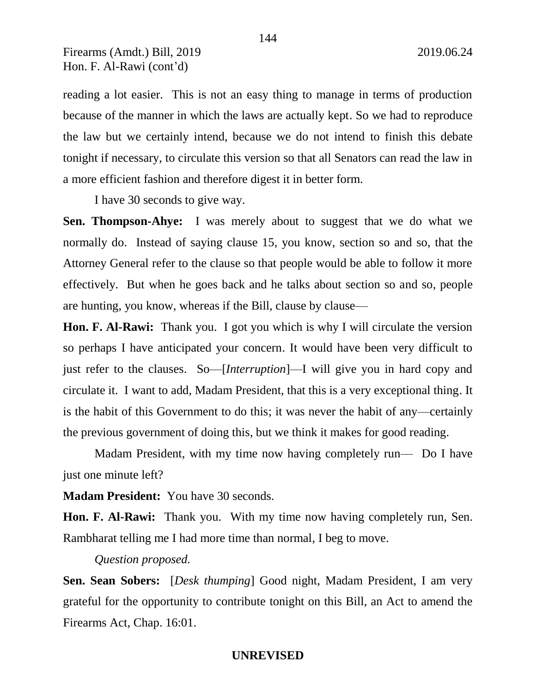reading a lot easier. This is not an easy thing to manage in terms of production because of the manner in which the laws are actually kept. So we had to reproduce the law but we certainly intend, because we do not intend to finish this debate tonight if necessary, to circulate this version so that all Senators can read the law in a more efficient fashion and therefore digest it in better form.

I have 30 seconds to give way.

**Sen. Thompson-Ahye:** I was merely about to suggest that we do what we normally do. Instead of saying clause 15, you know, section so and so, that the Attorney General refer to the clause so that people would be able to follow it more effectively. But when he goes back and he talks about section so and so, people are hunting, you know, whereas if the Bill, clause by clause—

**Hon. F. Al-Rawi:** Thank you. I got you which is why I will circulate the version so perhaps I have anticipated your concern. It would have been very difficult to just refer to the clauses. So—[*Interruption*]—I will give you in hard copy and circulate it. I want to add, Madam President, that this is a very exceptional thing. It is the habit of this Government to do this; it was never the habit of any—certainly the previous government of doing this, but we think it makes for good reading.

Madam President, with my time now having completely run— Do I have just one minute left?

**Madam President:** You have 30 seconds.

**Hon. F. Al-Rawi:** Thank you. With my time now having completely run, Sen. Rambharat telling me I had more time than normal, I beg to move.

### *Question proposed.*

**Sen. Sean Sobers:** [*Desk thumping*] Good night, Madam President, I am very grateful for the opportunity to contribute tonight on this Bill, an Act to amend the Firearms Act, Chap. 16:01.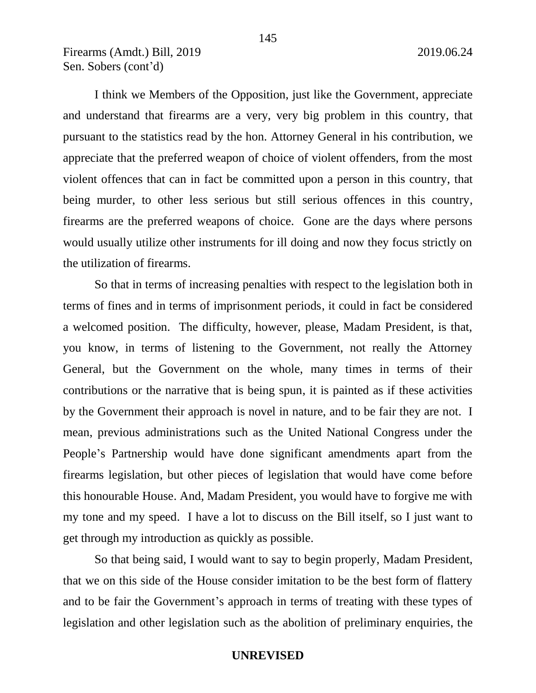I think we Members of the Opposition, just like the Government, appreciate and understand that firearms are a very, very big problem in this country, that pursuant to the statistics read by the hon. Attorney General in his contribution, we appreciate that the preferred weapon of choice of violent offenders, from the most violent offences that can in fact be committed upon a person in this country, that being murder, to other less serious but still serious offences in this country, firearms are the preferred weapons of choice. Gone are the days where persons would usually utilize other instruments for ill doing and now they focus strictly on the utilization of firearms.

So that in terms of increasing penalties with respect to the legislation both in terms of fines and in terms of imprisonment periods, it could in fact be considered a welcomed position. The difficulty, however, please, Madam President, is that, you know, in terms of listening to the Government, not really the Attorney General, but the Government on the whole, many times in terms of their contributions or the narrative that is being spun, it is painted as if these activities by the Government their approach is novel in nature, and to be fair they are not. I mean, previous administrations such as the United National Congress under the People's Partnership would have done significant amendments apart from the firearms legislation, but other pieces of legislation that would have come before this honourable House. And, Madam President, you would have to forgive me with my tone and my speed. I have a lot to discuss on the Bill itself, so I just want to get through my introduction as quickly as possible.

So that being said, I would want to say to begin properly, Madam President, that we on this side of the House consider imitation to be the best form of flattery and to be fair the Government's approach in terms of treating with these types of legislation and other legislation such as the abolition of preliminary enquiries, the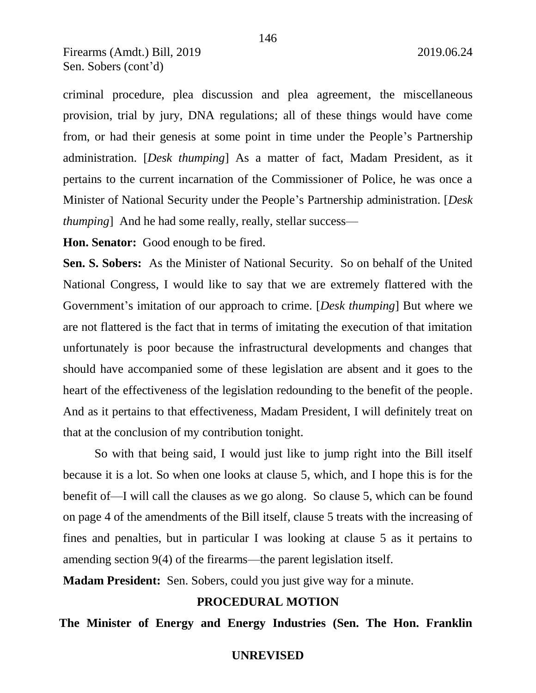criminal procedure, plea discussion and plea agreement, the miscellaneous provision, trial by jury, DNA regulations; all of these things would have come from, or had their genesis at some point in time under the People's Partnership administration. [*Desk thumping*] As a matter of fact, Madam President, as it pertains to the current incarnation of the Commissioner of Police, he was once a Minister of National Security under the People's Partnership administration. [*Desk thumping* And he had some really, really, stellar success—

**Hon. Senator:** Good enough to be fired.

**Sen. S. Sobers:** As the Minister of National Security. So on behalf of the United National Congress, I would like to say that we are extremely flattered with the Government's imitation of our approach to crime. [*Desk thumping*] But where we are not flattered is the fact that in terms of imitating the execution of that imitation unfortunately is poor because the infrastructural developments and changes that should have accompanied some of these legislation are absent and it goes to the heart of the effectiveness of the legislation redounding to the benefit of the people. And as it pertains to that effectiveness, Madam President, I will definitely treat on that at the conclusion of my contribution tonight.

So with that being said, I would just like to jump right into the Bill itself because it is a lot. So when one looks at clause 5, which, and I hope this is for the benefit of—I will call the clauses as we go along. So clause 5, which can be found on page 4 of the amendments of the Bill itself, clause 5 treats with the increasing of fines and penalties, but in particular I was looking at clause 5 as it pertains to amending section 9(4) of the firearms—the parent legislation itself.

**Madam President:** Sen. Sobers, could you just give way for a minute.

# **PROCEDURAL MOTION**

**The Minister of Energy and Energy Industries (Sen. The Hon. Franklin**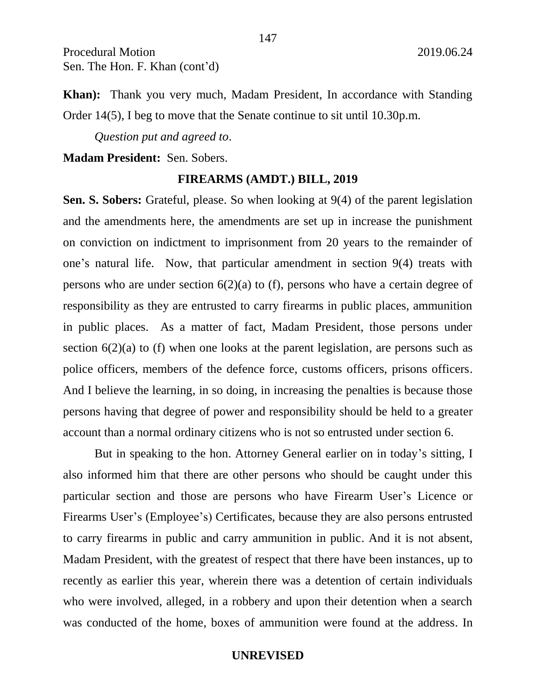**Khan):** Thank you very much, Madam President, In accordance with Standing Order 14(5), I beg to move that the Senate continue to sit until 10.30p.m.

147

*Question put and agreed to*.

### **Madam President:** Sen. Sobers.

#### **FIREARMS (AMDT.) BILL, 2019**

**Sen. S. Sobers:** Grateful, please. So when looking at 9(4) of the parent legislation and the amendments here, the amendments are set up in increase the punishment on conviction on indictment to imprisonment from 20 years to the remainder of one's natural life. Now, that particular amendment in section 9(4) treats with persons who are under section 6(2)(a) to (f), persons who have a certain degree of responsibility as they are entrusted to carry firearms in public places, ammunition in public places. As a matter of fact, Madam President, those persons under section 6(2)(a) to (f) when one looks at the parent legislation, are persons such as police officers, members of the defence force, customs officers, prisons officers. And I believe the learning, in so doing, in increasing the penalties is because those persons having that degree of power and responsibility should be held to a greater account than a normal ordinary citizens who is not so entrusted under section 6.

But in speaking to the hon. Attorney General earlier on in today's sitting, I also informed him that there are other persons who should be caught under this particular section and those are persons who have Firearm User's Licence or Firearms User's (Employee's) Certificates, because they are also persons entrusted to carry firearms in public and carry ammunition in public. And it is not absent, Madam President, with the greatest of respect that there have been instances, up to recently as earlier this year, wherein there was a detention of certain individuals who were involved, alleged, in a robbery and upon their detention when a search was conducted of the home, boxes of ammunition were found at the address. In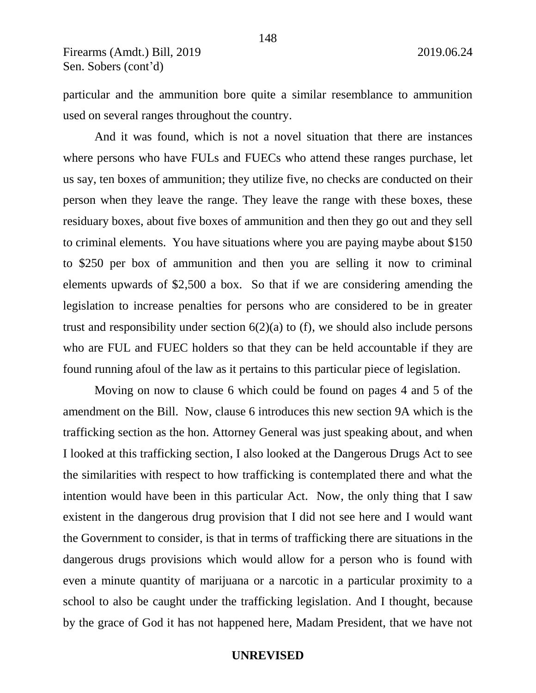particular and the ammunition bore quite a similar resemblance to ammunition used on several ranges throughout the country.

And it was found, which is not a novel situation that there are instances where persons who have FULs and FUECs who attend these ranges purchase, let us say, ten boxes of ammunition; they utilize five, no checks are conducted on their person when they leave the range. They leave the range with these boxes, these residuary boxes, about five boxes of ammunition and then they go out and they sell to criminal elements. You have situations where you are paying maybe about \$150 to \$250 per box of ammunition and then you are selling it now to criminal elements upwards of \$2,500 a box. So that if we are considering amending the legislation to increase penalties for persons who are considered to be in greater trust and responsibility under section  $6(2)(a)$  to (f), we should also include persons who are FUL and FUEC holders so that they can be held accountable if they are found running afoul of the law as it pertains to this particular piece of legislation.

Moving on now to clause 6 which could be found on pages 4 and 5 of the amendment on the Bill. Now, clause 6 introduces this new section 9A which is the trafficking section as the hon. Attorney General was just speaking about, and when I looked at this trafficking section, I also looked at the Dangerous Drugs Act to see the similarities with respect to how trafficking is contemplated there and what the intention would have been in this particular Act. Now, the only thing that I saw existent in the dangerous drug provision that I did not see here and I would want the Government to consider, is that in terms of trafficking there are situations in the dangerous drugs provisions which would allow for a person who is found with even a minute quantity of marijuana or a narcotic in a particular proximity to a school to also be caught under the trafficking legislation. And I thought, because by the grace of God it has not happened here, Madam President, that we have not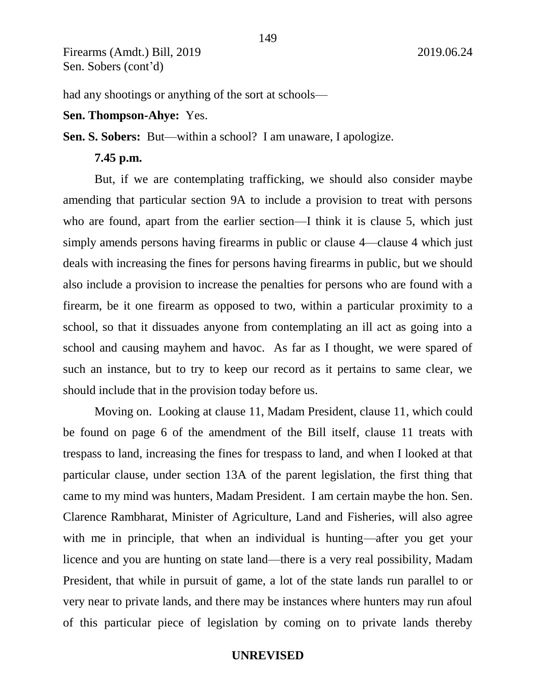had any shootings or anything of the sort at schools—

#### **Sen. Thompson-Ahye:** Yes.

**Sen. S. Sobers:** But—within a school? I am unaware, I apologize.

### **7.45 p.m.**

But, if we are contemplating trafficking, we should also consider maybe amending that particular section 9A to include a provision to treat with persons who are found, apart from the earlier section—I think it is clause 5, which just simply amends persons having firearms in public or clause 4—clause 4 which just deals with increasing the fines for persons having firearms in public, but we should also include a provision to increase the penalties for persons who are found with a firearm, be it one firearm as opposed to two, within a particular proximity to a school, so that it dissuades anyone from contemplating an ill act as going into a school and causing mayhem and havoc. As far as I thought, we were spared of such an instance, but to try to keep our record as it pertains to same clear, we should include that in the provision today before us.

Moving on. Looking at clause 11, Madam President, clause 11, which could be found on page 6 of the amendment of the Bill itself, clause 11 treats with trespass to land, increasing the fines for trespass to land, and when I looked at that particular clause, under section 13A of the parent legislation, the first thing that came to my mind was hunters, Madam President. I am certain maybe the hon. Sen. Clarence Rambharat, Minister of Agriculture, Land and Fisheries, will also agree with me in principle, that when an individual is hunting—after you get your licence and you are hunting on state land—there is a very real possibility, Madam President, that while in pursuit of game, a lot of the state lands run parallel to or very near to private lands, and there may be instances where hunters may run afoul of this particular piece of legislation by coming on to private lands thereby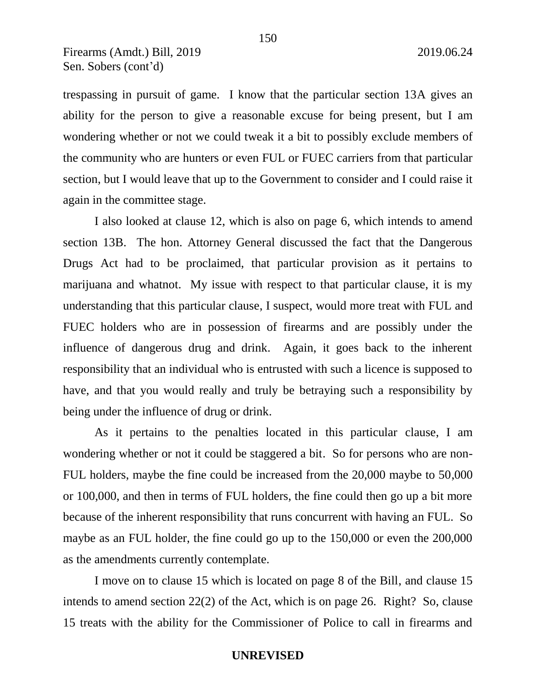trespassing in pursuit of game. I know that the particular section 13A gives an ability for the person to give a reasonable excuse for being present, but I am wondering whether or not we could tweak it a bit to possibly exclude members of the community who are hunters or even FUL or FUEC carriers from that particular section, but I would leave that up to the Government to consider and I could raise it again in the committee stage.

I also looked at clause 12, which is also on page 6, which intends to amend section 13B. The hon. Attorney General discussed the fact that the Dangerous Drugs Act had to be proclaimed, that particular provision as it pertains to marijuana and whatnot. My issue with respect to that particular clause, it is my understanding that this particular clause, I suspect, would more treat with FUL and FUEC holders who are in possession of firearms and are possibly under the influence of dangerous drug and drink. Again, it goes back to the inherent responsibility that an individual who is entrusted with such a licence is supposed to have, and that you would really and truly be betraying such a responsibility by being under the influence of drug or drink.

As it pertains to the penalties located in this particular clause, I am wondering whether or not it could be staggered a bit. So for persons who are non-FUL holders, maybe the fine could be increased from the 20,000 maybe to 50,000 or 100,000, and then in terms of FUL holders, the fine could then go up a bit more because of the inherent responsibility that runs concurrent with having an FUL. So maybe as an FUL holder, the fine could go up to the 150,000 or even the 200,000 as the amendments currently contemplate.

I move on to clause 15 which is located on page 8 of the Bill, and clause 15 intends to amend section 22(2) of the Act, which is on page 26. Right? So, clause 15 treats with the ability for the Commissioner of Police to call in firearms and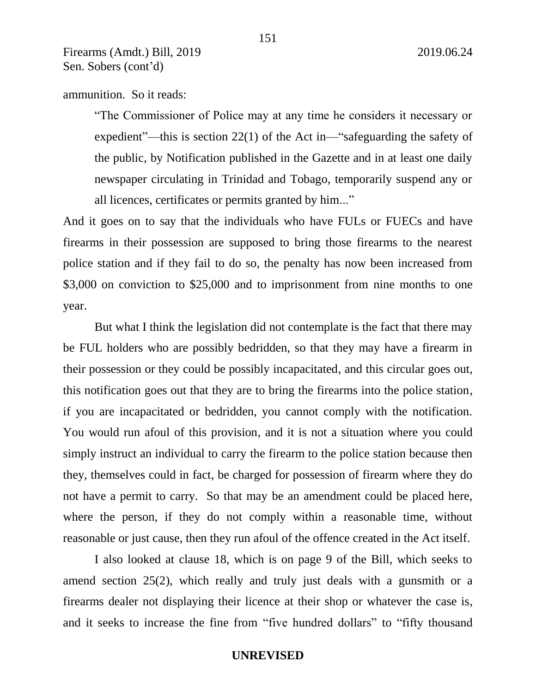ammunition. So it reads:

"The Commissioner of Police may at any time he considers it necessary or expedient"—this is section 22(1) of the Act in—"safeguarding the safety of the public, by Notification published in the Gazette and in at least one daily newspaper circulating in Trinidad and Tobago, temporarily suspend any or all licences, certificates or permits granted by him..."

And it goes on to say that the individuals who have FULs or FUECs and have firearms in their possession are supposed to bring those firearms to the nearest police station and if they fail to do so, the penalty has now been increased from \$3,000 on conviction to \$25,000 and to imprisonment from nine months to one year.

But what I think the legislation did not contemplate is the fact that there may be FUL holders who are possibly bedridden, so that they may have a firearm in their possession or they could be possibly incapacitated, and this circular goes out, this notification goes out that they are to bring the firearms into the police station, if you are incapacitated or bedridden, you cannot comply with the notification. You would run afoul of this provision, and it is not a situation where you could simply instruct an individual to carry the firearm to the police station because then they, themselves could in fact, be charged for possession of firearm where they do not have a permit to carry. So that may be an amendment could be placed here, where the person, if they do not comply within a reasonable time, without reasonable or just cause, then they run afoul of the offence created in the Act itself.

I also looked at clause 18, which is on page 9 of the Bill, which seeks to amend section 25(2), which really and truly just deals with a gunsmith or a firearms dealer not displaying their licence at their shop or whatever the case is, and it seeks to increase the fine from "five hundred dollars" to "fifty thousand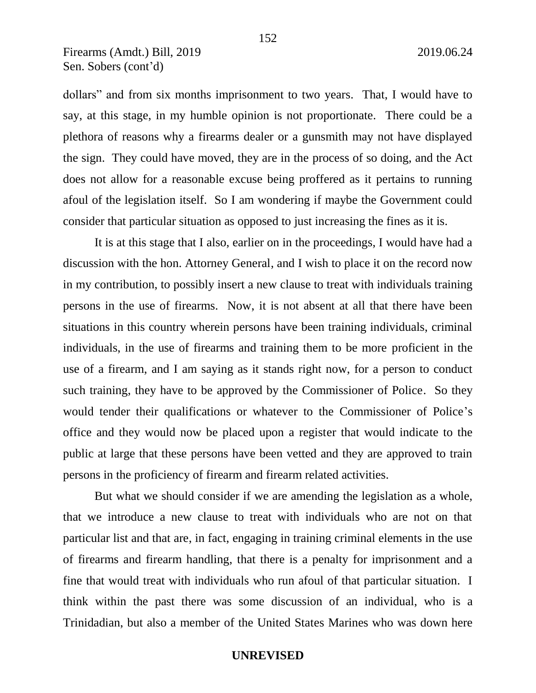dollars" and from six months imprisonment to two years. That, I would have to say, at this stage, in my humble opinion is not proportionate. There could be a plethora of reasons why a firearms dealer or a gunsmith may not have displayed the sign. They could have moved, they are in the process of so doing, and the Act does not allow for a reasonable excuse being proffered as it pertains to running afoul of the legislation itself. So I am wondering if maybe the Government could consider that particular situation as opposed to just increasing the fines as it is.

It is at this stage that I also, earlier on in the proceedings, I would have had a discussion with the hon. Attorney General, and I wish to place it on the record now in my contribution, to possibly insert a new clause to treat with individuals training persons in the use of firearms. Now, it is not absent at all that there have been situations in this country wherein persons have been training individuals, criminal individuals, in the use of firearms and training them to be more proficient in the use of a firearm, and I am saying as it stands right now, for a person to conduct such training, they have to be approved by the Commissioner of Police. So they would tender their qualifications or whatever to the Commissioner of Police's office and they would now be placed upon a register that would indicate to the public at large that these persons have been vetted and they are approved to train persons in the proficiency of firearm and firearm related activities.

But what we should consider if we are amending the legislation as a whole, that we introduce a new clause to treat with individuals who are not on that particular list and that are, in fact, engaging in training criminal elements in the use of firearms and firearm handling, that there is a penalty for imprisonment and a fine that would treat with individuals who run afoul of that particular situation. I think within the past there was some discussion of an individual, who is a Trinidadian, but also a member of the United States Marines who was down here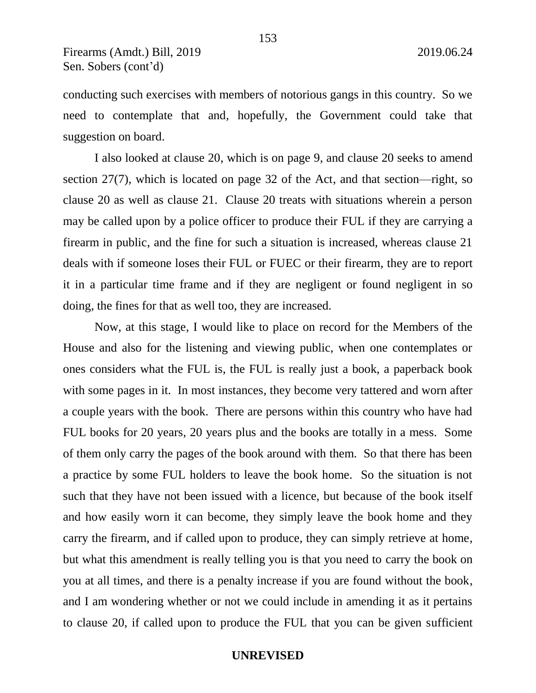conducting such exercises with members of notorious gangs in this country. So we need to contemplate that and, hopefully, the Government could take that suggestion on board.

I also looked at clause 20, which is on page 9, and clause 20 seeks to amend section 27(7), which is located on page 32 of the Act, and that section—right, so clause 20 as well as clause 21. Clause 20 treats with situations wherein a person may be called upon by a police officer to produce their FUL if they are carrying a firearm in public, and the fine for such a situation is increased, whereas clause 21 deals with if someone loses their FUL or FUEC or their firearm, they are to report it in a particular time frame and if they are negligent or found negligent in so doing, the fines for that as well too, they are increased.

Now, at this stage, I would like to place on record for the Members of the House and also for the listening and viewing public, when one contemplates or ones considers what the FUL is, the FUL is really just a book, a paperback book with some pages in it. In most instances, they become very tattered and worn after a couple years with the book. There are persons within this country who have had FUL books for 20 years, 20 years plus and the books are totally in a mess. Some of them only carry the pages of the book around with them. So that there has been a practice by some FUL holders to leave the book home. So the situation is not such that they have not been issued with a licence, but because of the book itself and how easily worn it can become, they simply leave the book home and they carry the firearm, and if called upon to produce, they can simply retrieve at home, but what this amendment is really telling you is that you need to carry the book on you at all times, and there is a penalty increase if you are found without the book, and I am wondering whether or not we could include in amending it as it pertains to clause 20, if called upon to produce the FUL that you can be given sufficient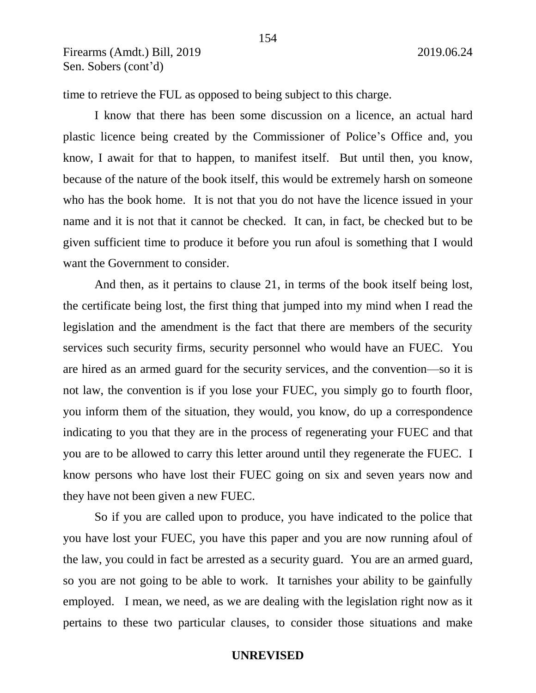time to retrieve the FUL as opposed to being subject to this charge.

I know that there has been some discussion on a licence, an actual hard plastic licence being created by the Commissioner of Police's Office and, you know, I await for that to happen, to manifest itself. But until then, you know, because of the nature of the book itself, this would be extremely harsh on someone who has the book home. It is not that you do not have the licence issued in your name and it is not that it cannot be checked. It can, in fact, be checked but to be given sufficient time to produce it before you run afoul is something that I would want the Government to consider.

And then, as it pertains to clause 21, in terms of the book itself being lost, the certificate being lost, the first thing that jumped into my mind when I read the legislation and the amendment is the fact that there are members of the security services such security firms, security personnel who would have an FUEC. You are hired as an armed guard for the security services, and the convention—so it is not law, the convention is if you lose your FUEC, you simply go to fourth floor, you inform them of the situation, they would, you know, do up a correspondence indicating to you that they are in the process of regenerating your FUEC and that you are to be allowed to carry this letter around until they regenerate the FUEC. I know persons who have lost their FUEC going on six and seven years now and they have not been given a new FUEC.

So if you are called upon to produce, you have indicated to the police that you have lost your FUEC, you have this paper and you are now running afoul of the law, you could in fact be arrested as a security guard. You are an armed guard, so you are not going to be able to work. It tarnishes your ability to be gainfully employed. I mean, we need, as we are dealing with the legislation right now as it pertains to these two particular clauses, to consider those situations and make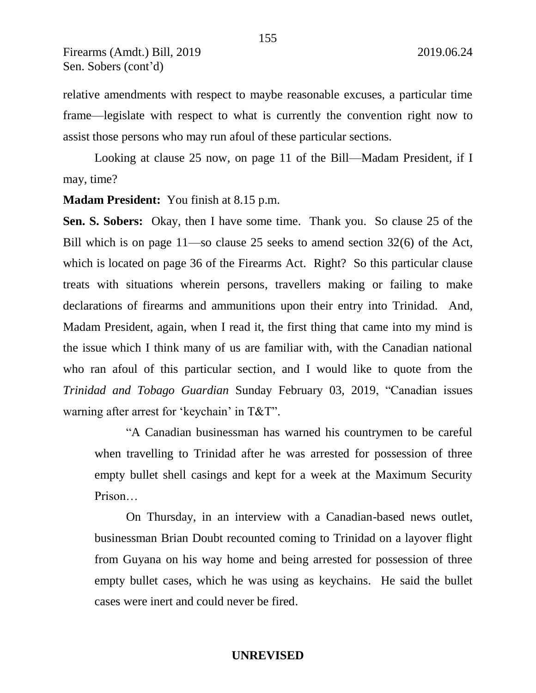relative amendments with respect to maybe reasonable excuses, a particular time frame—legislate with respect to what is currently the convention right now to assist those persons who may run afoul of these particular sections.

155

Looking at clause 25 now, on page 11 of the Bill—Madam President, if I may, time?

**Madam President:** You finish at 8.15 p.m.

**Sen. S. Sobers:** Okay, then I have some time. Thank you. So clause 25 of the Bill which is on page 11—so clause 25 seeks to amend section 32(6) of the Act, which is located on page 36 of the Firearms Act. Right? So this particular clause treats with situations wherein persons, travellers making or failing to make declarations of firearms and ammunitions upon their entry into Trinidad. And, Madam President, again, when I read it, the first thing that came into my mind is the issue which I think many of us are familiar with, with the Canadian national who ran afoul of this particular section, and I would like to quote from the *Trinidad and Tobago Guardian* Sunday February 03, 2019, "Canadian issues warning after arrest for 'keychain' in T&T".

"A Canadian businessman has warned his countrymen to be careful when travelling to Trinidad after he was arrested for possession of three empty bullet shell casings and kept for a week at the Maximum Security Prison…

On Thursday, in an interview with a Canadian-based news outlet, businessman Brian Doubt recounted coming to Trinidad on a layover flight from Guyana on his way home and being arrested for possession of three empty bullet cases, which he was using as keychains. He said the bullet cases were inert and could never be fired.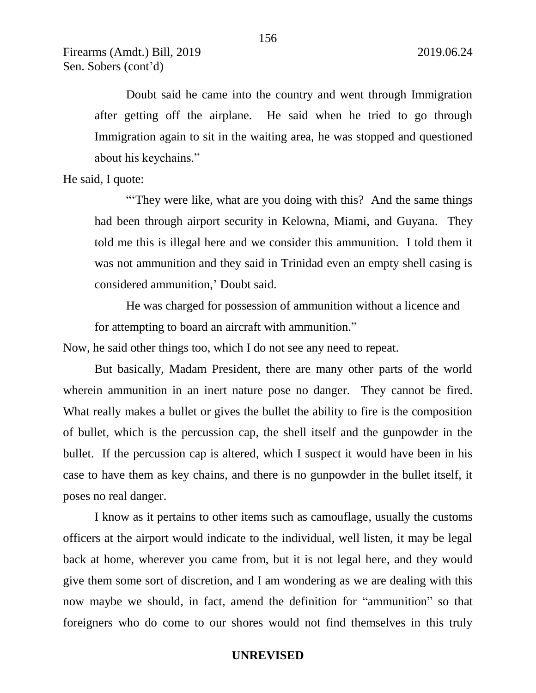Doubt said he came into the country and went through Immigration after getting off the airplane. He said when he tried to go through Immigration again to sit in the waiting area, he was stopped and questioned about his keychains."

He said, I quote:

"They were like, what are you doing with this? And the same things had been through airport security in Kelowna, Miami, and Guyana. They told me this is illegal here and we consider this ammunition. I told them it was not ammunition and they said in Trinidad even an empty shell casing is considered ammunition,' Doubt said.

He was charged for possession of ammunition without a licence and for attempting to board an aircraft with ammunition."

Now, he said other things too, which I do not see any need to repeat.

But basically, Madam President, there are many other parts of the world wherein ammunition in an inert nature pose no danger. They cannot be fired. What really makes a bullet or gives the bullet the ability to fire is the composition of bullet, which is the percussion cap, the shell itself and the gunpowder in the bullet. If the percussion cap is altered, which I suspect it would have been in his case to have them as key chains, and there is no gunpowder in the bullet itself, it poses no real danger.

I know as it pertains to other items such as camouflage, usually the customs officers at the airport would indicate to the individual, well listen, it may be legal back at home, wherever you came from, but it is not legal here, and they would give them some sort of discretion, and I am wondering as we are dealing with this now maybe we should, in fact, amend the definition for "ammunition" so that foreigners who do come to our shores would not find themselves in this truly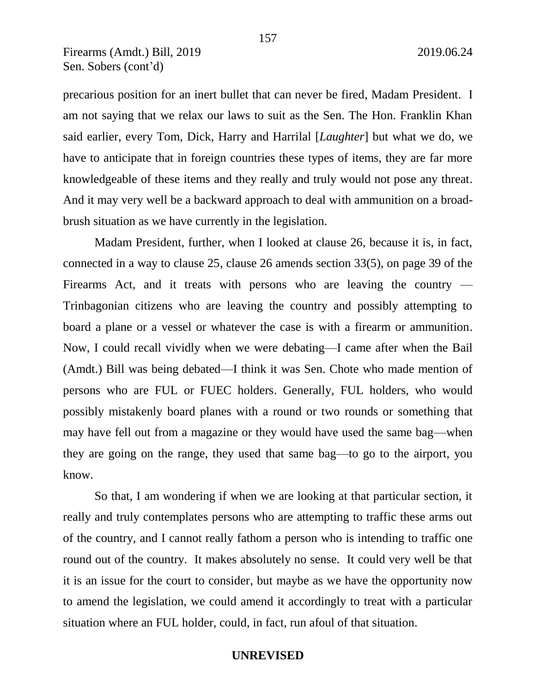precarious position for an inert bullet that can never be fired, Madam President. I am not saying that we relax our laws to suit as the Sen. The Hon. Franklin Khan said earlier, every Tom, Dick, Harry and Harrilal [*Laughter*] but what we do, we have to anticipate that in foreign countries these types of items, they are far more knowledgeable of these items and they really and truly would not pose any threat. And it may very well be a backward approach to deal with ammunition on a broadbrush situation as we have currently in the legislation.

Madam President, further, when I looked at clause 26, because it is, in fact, connected in a way to clause 25, clause 26 amends section 33(5), on page 39 of the Firearms Act, and it treats with persons who are leaving the country  $-$ Trinbagonian citizens who are leaving the country and possibly attempting to board a plane or a vessel or whatever the case is with a firearm or ammunition. Now, I could recall vividly when we were debating—I came after when the Bail (Amdt.) Bill was being debated—I think it was Sen. Chote who made mention of persons who are FUL or FUEC holders. Generally, FUL holders, who would possibly mistakenly board planes with a round or two rounds or something that may have fell out from a magazine or they would have used the same bag—when they are going on the range, they used that same bag—to go to the airport, you know.

So that, I am wondering if when we are looking at that particular section, it really and truly contemplates persons who are attempting to traffic these arms out of the country, and I cannot really fathom a person who is intending to traffic one round out of the country. It makes absolutely no sense. It could very well be that it is an issue for the court to consider, but maybe as we have the opportunity now to amend the legislation, we could amend it accordingly to treat with a particular situation where an FUL holder, could, in fact, run afoul of that situation.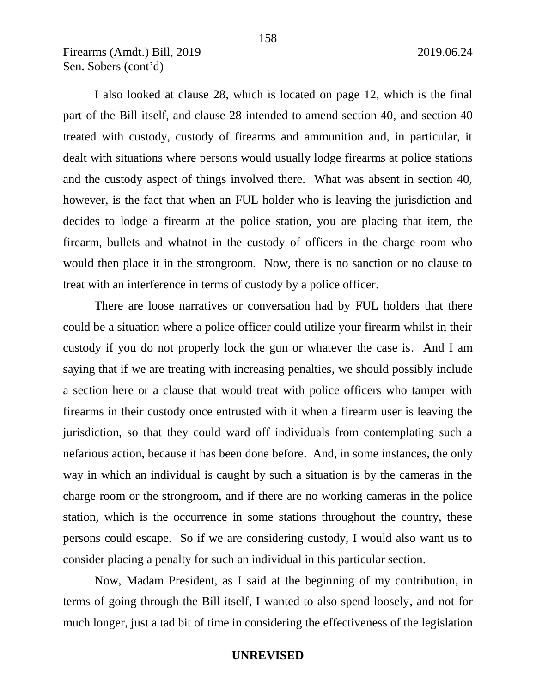I also looked at clause 28, which is located on page 12, which is the final part of the Bill itself, and clause 28 intended to amend section 40, and section 40 treated with custody, custody of firearms and ammunition and, in particular, it dealt with situations where persons would usually lodge firearms at police stations and the custody aspect of things involved there. What was absent in section 40, however, is the fact that when an FUL holder who is leaving the jurisdiction and decides to lodge a firearm at the police station, you are placing that item, the firearm, bullets and whatnot in the custody of officers in the charge room who would then place it in the strongroom. Now, there is no sanction or no clause to treat with an interference in terms of custody by a police officer.

There are loose narratives or conversation had by FUL holders that there could be a situation where a police officer could utilize your firearm whilst in their custody if you do not properly lock the gun or whatever the case is. And I am saying that if we are treating with increasing penalties, we should possibly include a section here or a clause that would treat with police officers who tamper with firearms in their custody once entrusted with it when a firearm user is leaving the jurisdiction, so that they could ward off individuals from contemplating such a nefarious action, because it has been done before. And, in some instances, the only way in which an individual is caught by such a situation is by the cameras in the charge room or the strongroom, and if there are no working cameras in the police station, which is the occurrence in some stations throughout the country, these persons could escape. So if we are considering custody, I would also want us to consider placing a penalty for such an individual in this particular section.

Now, Madam President, as I said at the beginning of my contribution, in terms of going through the Bill itself, I wanted to also spend loosely, and not for much longer, just a tad bit of time in considering the effectiveness of the legislation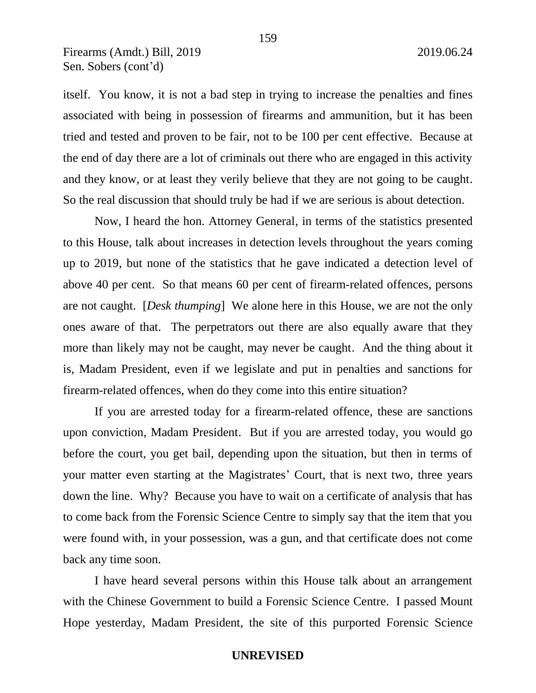itself. You know, it is not a bad step in trying to increase the penalties and fines associated with being in possession of firearms and ammunition, but it has been tried and tested and proven to be fair, not to be 100 per cent effective. Because at the end of day there are a lot of criminals out there who are engaged in this activity and they know, or at least they verily believe that they are not going to be caught. So the real discussion that should truly be had if we are serious is about detection.

Now, I heard the hon. Attorney General, in terms of the statistics presented to this House, talk about increases in detection levels throughout the years coming up to 2019, but none of the statistics that he gave indicated a detection level of above 40 per cent. So that means 60 per cent of firearm-related offences, persons are not caught. [*Desk thumping*] We alone here in this House, we are not the only ones aware of that. The perpetrators out there are also equally aware that they more than likely may not be caught, may never be caught. And the thing about it is, Madam President, even if we legislate and put in penalties and sanctions for firearm-related offences, when do they come into this entire situation?

If you are arrested today for a firearm-related offence, these are sanctions upon conviction, Madam President. But if you are arrested today, you would go before the court, you get bail, depending upon the situation, but then in terms of your matter even starting at the Magistrates' Court, that is next two, three years down the line. Why? Because you have to wait on a certificate of analysis that has to come back from the Forensic Science Centre to simply say that the item that you were found with, in your possession, was a gun, and that certificate does not come back any time soon.

I have heard several persons within this House talk about an arrangement with the Chinese Government to build a Forensic Science Centre. I passed Mount Hope yesterday, Madam President, the site of this purported Forensic Science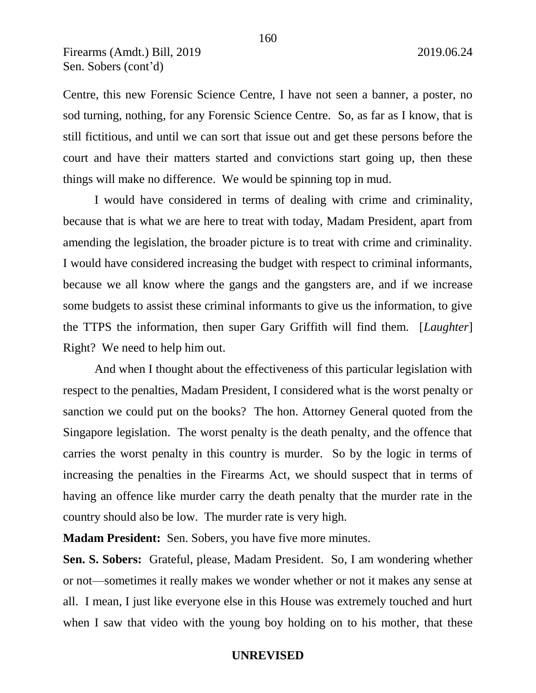Centre, this new Forensic Science Centre, I have not seen a banner, a poster, no sod turning, nothing, for any Forensic Science Centre. So, as far as I know, that is still fictitious, and until we can sort that issue out and get these persons before the court and have their matters started and convictions start going up, then these things will make no difference. We would be spinning top in mud.

I would have considered in terms of dealing with crime and criminality, because that is what we are here to treat with today, Madam President, apart from amending the legislation, the broader picture is to treat with crime and criminality. I would have considered increasing the budget with respect to criminal informants, because we all know where the gangs and the gangsters are, and if we increase some budgets to assist these criminal informants to give us the information, to give the TTPS the information, then super Gary Griffith will find them. [*Laughter*] Right? We need to help him out.

And when I thought about the effectiveness of this particular legislation with respect to the penalties, Madam President, I considered what is the worst penalty or sanction we could put on the books? The hon. Attorney General quoted from the Singapore legislation. The worst penalty is the death penalty, and the offence that carries the worst penalty in this country is murder. So by the logic in terms of increasing the penalties in the Firearms Act, we should suspect that in terms of having an offence like murder carry the death penalty that the murder rate in the country should also be low. The murder rate is very high.

**Madam President:** Sen. Sobers, you have five more minutes.

**Sen. S. Sobers:** Grateful, please, Madam President. So, I am wondering whether or not—sometimes it really makes we wonder whether or not it makes any sense at all. I mean, I just like everyone else in this House was extremely touched and hurt when I saw that video with the young boy holding on to his mother, that these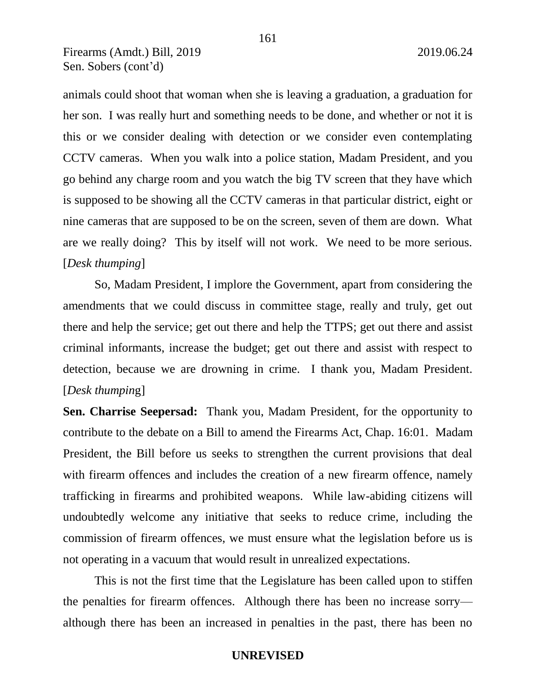animals could shoot that woman when she is leaving a graduation, a graduation for her son. I was really hurt and something needs to be done, and whether or not it is this or we consider dealing with detection or we consider even contemplating CCTV cameras. When you walk into a police station, Madam President, and you go behind any charge room and you watch the big TV screen that they have which is supposed to be showing all the CCTV cameras in that particular district, eight or nine cameras that are supposed to be on the screen, seven of them are down. What are we really doing? This by itself will not work. We need to be more serious. [*Desk thumping*]

So, Madam President, I implore the Government, apart from considering the amendments that we could discuss in committee stage, really and truly, get out there and help the service; get out there and help the TTPS; get out there and assist criminal informants, increase the budget; get out there and assist with respect to detection, because we are drowning in crime. I thank you, Madam President. [*Desk thumpin*g]

**Sen. Charrise Seepersad:** Thank you, Madam President, for the opportunity to contribute to the debate on a Bill to amend the Firearms Act, Chap. 16:01. Madam President, the Bill before us seeks to strengthen the current provisions that deal with firearm offences and includes the creation of a new firearm offence, namely trafficking in firearms and prohibited weapons. While law-abiding citizens will undoubtedly welcome any initiative that seeks to reduce crime, including the commission of firearm offences, we must ensure what the legislation before us is not operating in a vacuum that would result in unrealized expectations.

This is not the first time that the Legislature has been called upon to stiffen the penalties for firearm offences. Although there has been no increase sorry although there has been an increased in penalties in the past, there has been no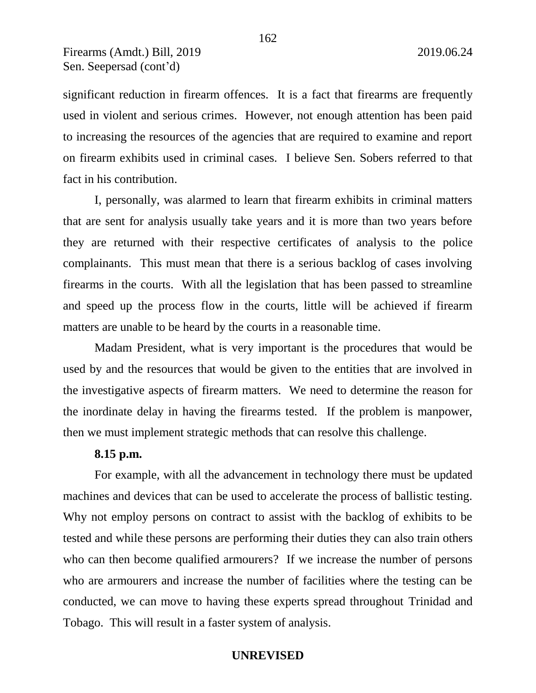significant reduction in firearm offences. It is a fact that firearms are frequently used in violent and serious crimes. However, not enough attention has been paid to increasing the resources of the agencies that are required to examine and report on firearm exhibits used in criminal cases. I believe Sen. Sobers referred to that fact in his contribution.

I, personally, was alarmed to learn that firearm exhibits in criminal matters that are sent for analysis usually take years and it is more than two years before they are returned with their respective certificates of analysis to the police complainants. This must mean that there is a serious backlog of cases involving firearms in the courts. With all the legislation that has been passed to streamline and speed up the process flow in the courts, little will be achieved if firearm matters are unable to be heard by the courts in a reasonable time.

Madam President, what is very important is the procedures that would be used by and the resources that would be given to the entities that are involved in the investigative aspects of firearm matters. We need to determine the reason for the inordinate delay in having the firearms tested. If the problem is manpower, then we must implement strategic methods that can resolve this challenge.

### **8.15 p.m.**

For example, with all the advancement in technology there must be updated machines and devices that can be used to accelerate the process of ballistic testing. Why not employ persons on contract to assist with the backlog of exhibits to be tested and while these persons are performing their duties they can also train others who can then become qualified armourers? If we increase the number of persons who are armourers and increase the number of facilities where the testing can be conducted, we can move to having these experts spread throughout Trinidad and Tobago. This will result in a faster system of analysis.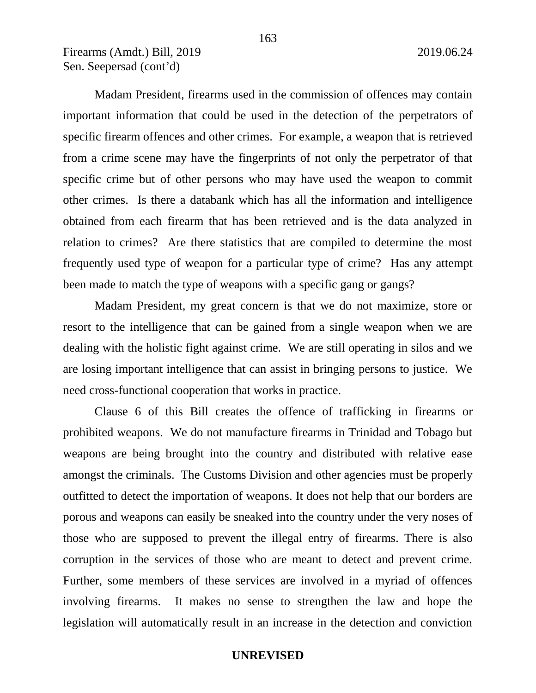Madam President, firearms used in the commission of offences may contain important information that could be used in the detection of the perpetrators of specific firearm offences and other crimes. For example, a weapon that is retrieved from a crime scene may have the fingerprints of not only the perpetrator of that specific crime but of other persons who may have used the weapon to commit other crimes. Is there a databank which has all the information and intelligence obtained from each firearm that has been retrieved and is the data analyzed in relation to crimes? Are there statistics that are compiled to determine the most frequently used type of weapon for a particular type of crime? Has any attempt been made to match the type of weapons with a specific gang or gangs?

Madam President, my great concern is that we do not maximize, store or resort to the intelligence that can be gained from a single weapon when we are dealing with the holistic fight against crime. We are still operating in silos and we are losing important intelligence that can assist in bringing persons to justice. We need cross-functional cooperation that works in practice.

Clause 6 of this Bill creates the offence of trafficking in firearms or prohibited weapons. We do not manufacture firearms in Trinidad and Tobago but weapons are being brought into the country and distributed with relative ease amongst the criminals. The Customs Division and other agencies must be properly outfitted to detect the importation of weapons. It does not help that our borders are porous and weapons can easily be sneaked into the country under the very noses of those who are supposed to prevent the illegal entry of firearms. There is also corruption in the services of those who are meant to detect and prevent crime. Further, some members of these services are involved in a myriad of offences involving firearms. It makes no sense to strengthen the law and hope the legislation will automatically result in an increase in the detection and conviction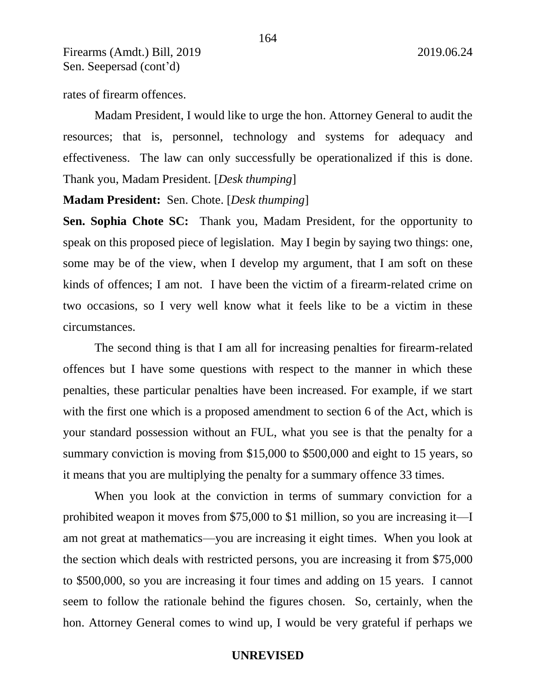rates of firearm offences.

Madam President, I would like to urge the hon. Attorney General to audit the resources; that is, personnel, technology and systems for adequacy and effectiveness. The law can only successfully be operationalized if this is done. Thank you, Madam President. [*Desk thumping*]

### **Madam President:** Sen. Chote. [*Desk thumping*]

**Sen. Sophia Chote SC:** Thank you, Madam President, for the opportunity to speak on this proposed piece of legislation. May I begin by saying two things: one, some may be of the view, when I develop my argument, that I am soft on these kinds of offences; I am not. I have been the victim of a firearm-related crime on two occasions, so I very well know what it feels like to be a victim in these circumstances.

The second thing is that I am all for increasing penalties for firearm-related offences but I have some questions with respect to the manner in which these penalties, these particular penalties have been increased. For example, if we start with the first one which is a proposed amendment to section 6 of the Act, which is your standard possession without an FUL, what you see is that the penalty for a summary conviction is moving from \$15,000 to \$500,000 and eight to 15 years, so it means that you are multiplying the penalty for a summary offence 33 times.

When you look at the conviction in terms of summary conviction for a prohibited weapon it moves from \$75,000 to \$1 million, so you are increasing it—I am not great at mathematics—you are increasing it eight times. When you look at the section which deals with restricted persons, you are increasing it from \$75,000 to \$500,000, so you are increasing it four times and adding on 15 years. I cannot seem to follow the rationale behind the figures chosen. So, certainly, when the hon. Attorney General comes to wind up, I would be very grateful if perhaps we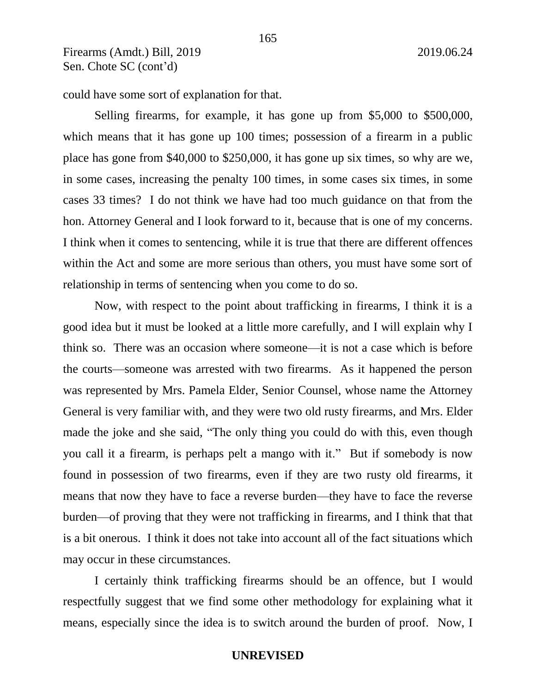could have some sort of explanation for that.

Selling firearms, for example, it has gone up from \$5,000 to \$500,000, which means that it has gone up 100 times; possession of a firearm in a public place has gone from \$40,000 to \$250,000, it has gone up six times, so why are we, in some cases, increasing the penalty 100 times, in some cases six times, in some cases 33 times? I do not think we have had too much guidance on that from the hon. Attorney General and I look forward to it, because that is one of my concerns. I think when it comes to sentencing, while it is true that there are different offences within the Act and some are more serious than others, you must have some sort of relationship in terms of sentencing when you come to do so.

Now, with respect to the point about trafficking in firearms, I think it is a good idea but it must be looked at a little more carefully, and I will explain why I think so. There was an occasion where someone—it is not a case which is before the courts—someone was arrested with two firearms. As it happened the person was represented by Mrs. Pamela Elder, Senior Counsel, whose name the Attorney General is very familiar with, and they were two old rusty firearms, and Mrs. Elder made the joke and she said, "The only thing you could do with this, even though you call it a firearm, is perhaps pelt a mango with it." But if somebody is now found in possession of two firearms, even if they are two rusty old firearms, it means that now they have to face a reverse burden—they have to face the reverse burden—of proving that they were not trafficking in firearms, and I think that that is a bit onerous. I think it does not take into account all of the fact situations which may occur in these circumstances.

I certainly think trafficking firearms should be an offence, but I would respectfully suggest that we find some other methodology for explaining what it means, especially since the idea is to switch around the burden of proof. Now, I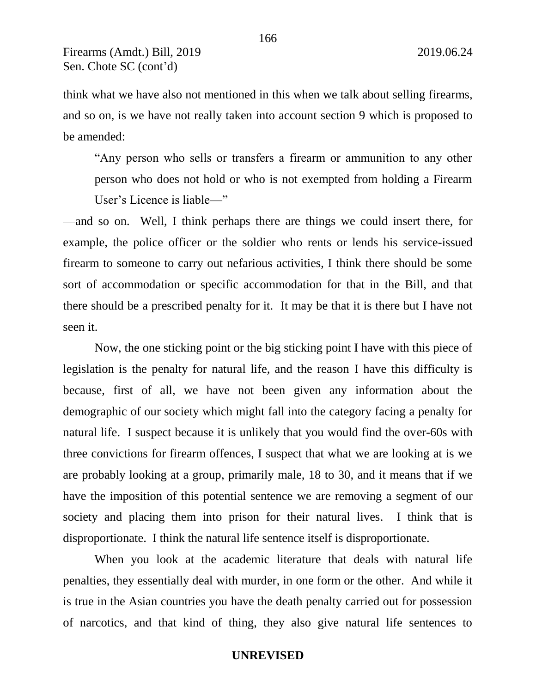think what we have also not mentioned in this when we talk about selling firearms, and so on, is we have not really taken into account section 9 which is proposed to be amended:

"Any person who sells or transfers a firearm or ammunition to any other person who does not hold or who is not exempted from holding a Firearm User's Licence is liable—"

—and so on. Well, I think perhaps there are things we could insert there, for example, the police officer or the soldier who rents or lends his service-issued firearm to someone to carry out nefarious activities, I think there should be some sort of accommodation or specific accommodation for that in the Bill, and that there should be a prescribed penalty for it. It may be that it is there but I have not seen it.

Now, the one sticking point or the big sticking point I have with this piece of legislation is the penalty for natural life, and the reason I have this difficulty is because, first of all, we have not been given any information about the demographic of our society which might fall into the category facing a penalty for natural life. I suspect because it is unlikely that you would find the over-60s with three convictions for firearm offences, I suspect that what we are looking at is we are probably looking at a group, primarily male, 18 to 30, and it means that if we have the imposition of this potential sentence we are removing a segment of our society and placing them into prison for their natural lives. I think that is disproportionate. I think the natural life sentence itself is disproportionate.

When you look at the academic literature that deals with natural life penalties, they essentially deal with murder, in one form or the other. And while it is true in the Asian countries you have the death penalty carried out for possession of narcotics, and that kind of thing, they also give natural life sentences to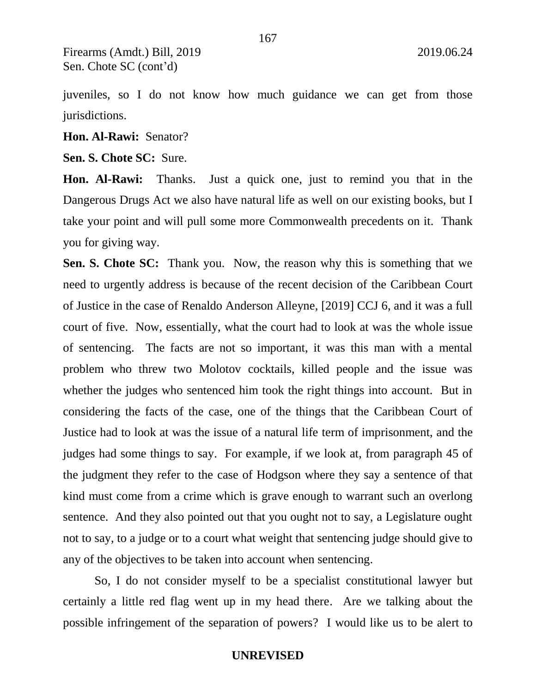juveniles, so I do not know how much guidance we can get from those jurisdictions.

167

**Hon. Al-Rawi:** Senator?

**Sen. S. Chote SC:** Sure.

**Hon. Al-Rawi:** Thanks. Just a quick one, just to remind you that in the Dangerous Drugs Act we also have natural life as well on our existing books, but I take your point and will pull some more Commonwealth precedents on it. Thank you for giving way.

**Sen. S. Chote SC:** Thank you. Now, the reason why this is something that we need to urgently address is because of the recent decision of the Caribbean Court of Justice in the case of Renaldo Anderson Alleyne, [2019] CCJ 6, and it was a full court of five. Now, essentially, what the court had to look at was the whole issue of sentencing. The facts are not so important, it was this man with a mental problem who threw two Molotov cocktails, killed people and the issue was whether the judges who sentenced him took the right things into account. But in considering the facts of the case, one of the things that the Caribbean Court of Justice had to look at was the issue of a natural life term of imprisonment, and the judges had some things to say. For example, if we look at, from paragraph 45 of the judgment they refer to the case of Hodgson where they say a sentence of that kind must come from a crime which is grave enough to warrant such an overlong sentence. And they also pointed out that you ought not to say, a Legislature ought not to say, to a judge or to a court what weight that sentencing judge should give to any of the objectives to be taken into account when sentencing.

So, I do not consider myself to be a specialist constitutional lawyer but certainly a little red flag went up in my head there. Are we talking about the possible infringement of the separation of powers? I would like us to be alert to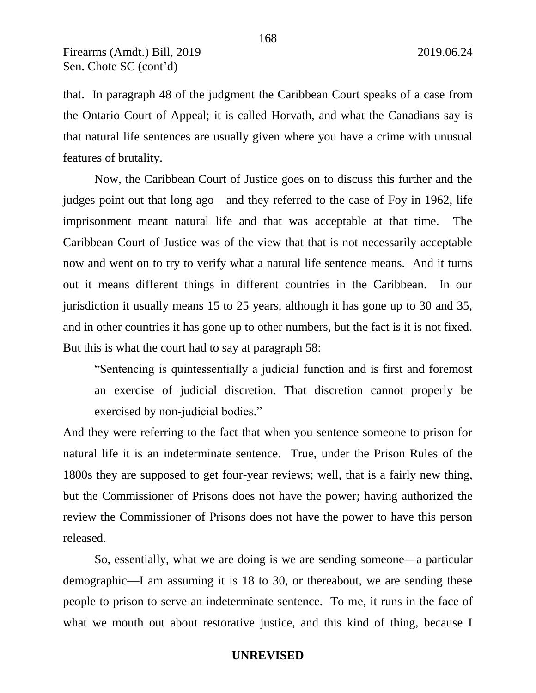that. In paragraph 48 of the judgment the Caribbean Court speaks of a case from the Ontario Court of Appeal; it is called Horvath, and what the Canadians say is that natural life sentences are usually given where you have a crime with unusual features of brutality.

Now, the Caribbean Court of Justice goes on to discuss this further and the judges point out that long ago—and they referred to the case of Foy in 1962, life imprisonment meant natural life and that was acceptable at that time. The Caribbean Court of Justice was of the view that that is not necessarily acceptable now and went on to try to verify what a natural life sentence means. And it turns out it means different things in different countries in the Caribbean. In our jurisdiction it usually means 15 to 25 years, although it has gone up to 30 and 35, and in other countries it has gone up to other numbers, but the fact is it is not fixed. But this is what the court had to say at paragraph 58:

"Sentencing is quintessentially a judicial function and is first and foremost an exercise of judicial discretion. That discretion cannot properly be exercised by non-judicial bodies."

And they were referring to the fact that when you sentence someone to prison for natural life it is an indeterminate sentence. True, under the Prison Rules of the 1800s they are supposed to get four-year reviews; well, that is a fairly new thing, but the Commissioner of Prisons does not have the power; having authorized the review the Commissioner of Prisons does not have the power to have this person released.

So, essentially, what we are doing is we are sending someone—a particular demographic—I am assuming it is 18 to 30, or thereabout, we are sending these people to prison to serve an indeterminate sentence. To me, it runs in the face of what we mouth out about restorative justice, and this kind of thing, because I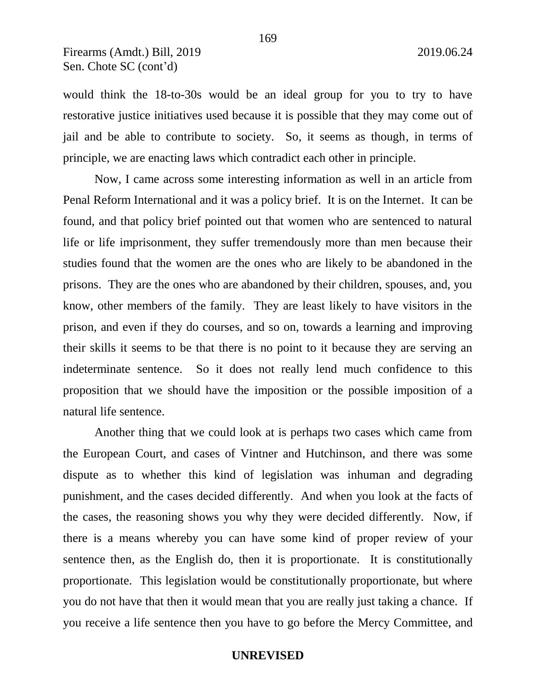would think the 18-to-30s would be an ideal group for you to try to have restorative justice initiatives used because it is possible that they may come out of jail and be able to contribute to society. So, it seems as though, in terms of principle, we are enacting laws which contradict each other in principle.

Now, I came across some interesting information as well in an article from Penal Reform International and it was a policy brief. It is on the Internet. It can be found, and that policy brief pointed out that women who are sentenced to natural life or life imprisonment, they suffer tremendously more than men because their studies found that the women are the ones who are likely to be abandoned in the prisons. They are the ones who are abandoned by their children, spouses, and, you know, other members of the family. They are least likely to have visitors in the prison, and even if they do courses, and so on, towards a learning and improving their skills it seems to be that there is no point to it because they are serving an indeterminate sentence. So it does not really lend much confidence to this proposition that we should have the imposition or the possible imposition of a natural life sentence.

Another thing that we could look at is perhaps two cases which came from the European Court, and cases of Vintner and Hutchinson, and there was some dispute as to whether this kind of legislation was inhuman and degrading punishment, and the cases decided differently. And when you look at the facts of the cases, the reasoning shows you why they were decided differently. Now, if there is a means whereby you can have some kind of proper review of your sentence then, as the English do, then it is proportionate. It is constitutionally proportionate. This legislation would be constitutionally proportionate, but where you do not have that then it would mean that you are really just taking a chance. If you receive a life sentence then you have to go before the Mercy Committee, and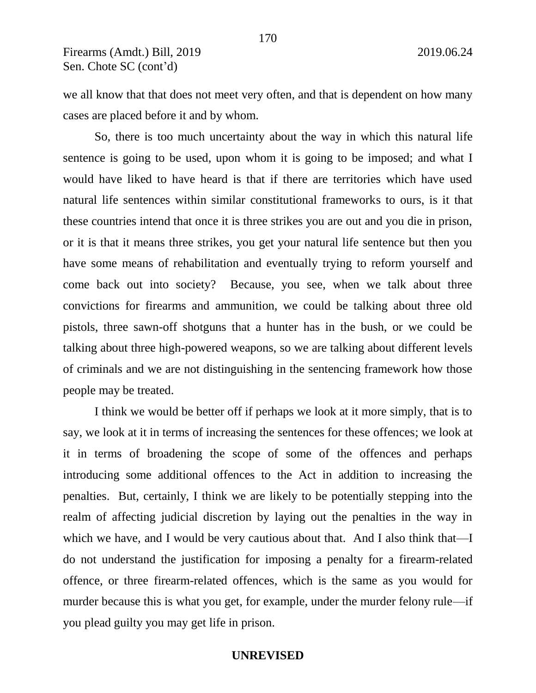we all know that that does not meet very often, and that is dependent on how many cases are placed before it and by whom.

So, there is too much uncertainty about the way in which this natural life sentence is going to be used, upon whom it is going to be imposed; and what I would have liked to have heard is that if there are territories which have used natural life sentences within similar constitutional frameworks to ours, is it that these countries intend that once it is three strikes you are out and you die in prison, or it is that it means three strikes, you get your natural life sentence but then you have some means of rehabilitation and eventually trying to reform yourself and come back out into society? Because, you see, when we talk about three convictions for firearms and ammunition, we could be talking about three old pistols, three sawn-off shotguns that a hunter has in the bush, or we could be talking about three high-powered weapons, so we are talking about different levels of criminals and we are not distinguishing in the sentencing framework how those people may be treated.

I think we would be better off if perhaps we look at it more simply, that is to say, we look at it in terms of increasing the sentences for these offences; we look at it in terms of broadening the scope of some of the offences and perhaps introducing some additional offences to the Act in addition to increasing the penalties. But, certainly, I think we are likely to be potentially stepping into the realm of affecting judicial discretion by laying out the penalties in the way in which we have, and I would be very cautious about that. And I also think that—I do not understand the justification for imposing a penalty for a firearm-related offence, or three firearm-related offences, which is the same as you would for murder because this is what you get, for example, under the murder felony rule—if you plead guilty you may get life in prison.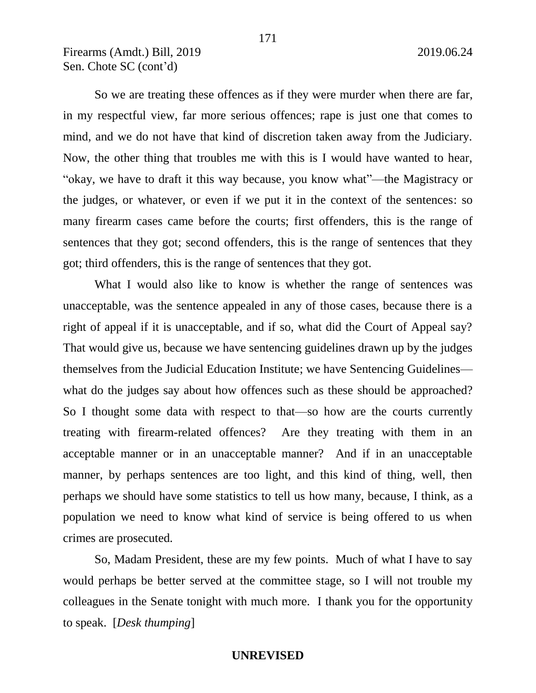So we are treating these offences as if they were murder when there are far, in my respectful view, far more serious offences; rape is just one that comes to mind, and we do not have that kind of discretion taken away from the Judiciary. Now, the other thing that troubles me with this is I would have wanted to hear, "okay, we have to draft it this way because, you know what"—the Magistracy or the judges, or whatever, or even if we put it in the context of the sentences: so many firearm cases came before the courts; first offenders, this is the range of sentences that they got; second offenders, this is the range of sentences that they got; third offenders, this is the range of sentences that they got.

What I would also like to know is whether the range of sentences was unacceptable, was the sentence appealed in any of those cases, because there is a right of appeal if it is unacceptable, and if so, what did the Court of Appeal say? That would give us, because we have sentencing guidelines drawn up by the judges themselves from the Judicial Education Institute; we have Sentencing Guidelines what do the judges say about how offences such as these should be approached? So I thought some data with respect to that—so how are the courts currently treating with firearm-related offences? Are they treating with them in an acceptable manner or in an unacceptable manner? And if in an unacceptable manner, by perhaps sentences are too light, and this kind of thing, well, then perhaps we should have some statistics to tell us how many, because, I think, as a population we need to know what kind of service is being offered to us when crimes are prosecuted.

So, Madam President, these are my few points. Much of what I have to say would perhaps be better served at the committee stage, so I will not trouble my colleagues in the Senate tonight with much more. I thank you for the opportunity to speak. [*Desk thumping*]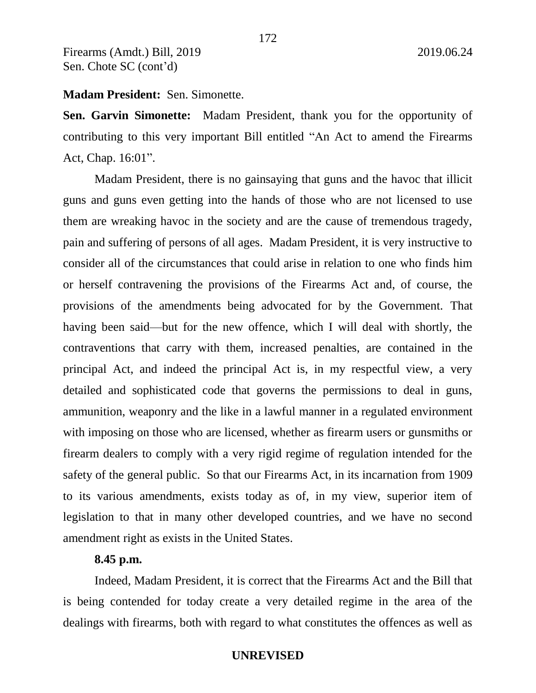## **Madam President:** Sen. Simonette.

**Sen. Garvin Simonette:** Madam President, thank you for the opportunity of contributing to this very important Bill entitled "An Act to amend the Firearms Act, Chap. 16:01".

Madam President, there is no gainsaying that guns and the havoc that illicit guns and guns even getting into the hands of those who are not licensed to use them are wreaking havoc in the society and are the cause of tremendous tragedy, pain and suffering of persons of all ages. Madam President, it is very instructive to consider all of the circumstances that could arise in relation to one who finds him or herself contravening the provisions of the Firearms Act and, of course, the provisions of the amendments being advocated for by the Government. That having been said—but for the new offence, which I will deal with shortly, the contraventions that carry with them, increased penalties, are contained in the principal Act, and indeed the principal Act is, in my respectful view, a very detailed and sophisticated code that governs the permissions to deal in guns, ammunition, weaponry and the like in a lawful manner in a regulated environment with imposing on those who are licensed, whether as firearm users or gunsmiths or firearm dealers to comply with a very rigid regime of regulation intended for the safety of the general public. So that our Firearms Act, in its incarnation from 1909 to its various amendments, exists today as of, in my view, superior item of legislation to that in many other developed countries, and we have no second amendment right as exists in the United States.

## **8.45 p.m.**

Indeed, Madam President, it is correct that the Firearms Act and the Bill that is being contended for today create a very detailed regime in the area of the dealings with firearms, both with regard to what constitutes the offences as well as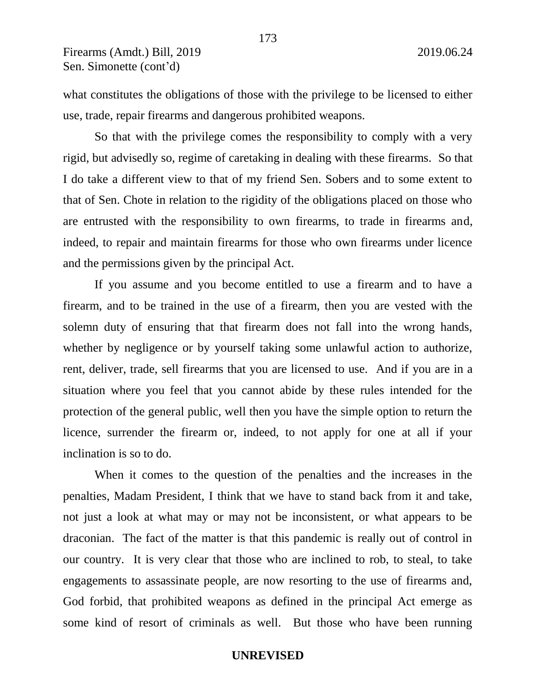what constitutes the obligations of those with the privilege to be licensed to either use, trade, repair firearms and dangerous prohibited weapons.

So that with the privilege comes the responsibility to comply with a very rigid, but advisedly so, regime of caretaking in dealing with these firearms. So that I do take a different view to that of my friend Sen. Sobers and to some extent to that of Sen. Chote in relation to the rigidity of the obligations placed on those who are entrusted with the responsibility to own firearms, to trade in firearms and, indeed, to repair and maintain firearms for those who own firearms under licence and the permissions given by the principal Act.

If you assume and you become entitled to use a firearm and to have a firearm, and to be trained in the use of a firearm, then you are vested with the solemn duty of ensuring that that firearm does not fall into the wrong hands, whether by negligence or by yourself taking some unlawful action to authorize, rent, deliver, trade, sell firearms that you are licensed to use. And if you are in a situation where you feel that you cannot abide by these rules intended for the protection of the general public, well then you have the simple option to return the licence, surrender the firearm or, indeed, to not apply for one at all if your inclination is so to do.

When it comes to the question of the penalties and the increases in the penalties, Madam President, I think that we have to stand back from it and take, not just a look at what may or may not be inconsistent, or what appears to be draconian. The fact of the matter is that this pandemic is really out of control in our country. It is very clear that those who are inclined to rob, to steal, to take engagements to assassinate people, are now resorting to the use of firearms and, God forbid, that prohibited weapons as defined in the principal Act emerge as some kind of resort of criminals as well. But those who have been running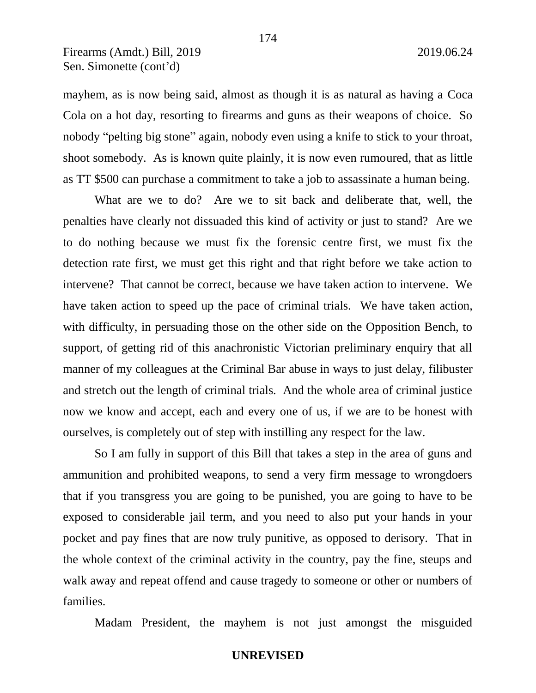mayhem, as is now being said, almost as though it is as natural as having a Coca Cola on a hot day, resorting to firearms and guns as their weapons of choice. So nobody "pelting big stone" again, nobody even using a knife to stick to your throat, shoot somebody. As is known quite plainly, it is now even rumoured, that as little as TT \$500 can purchase a commitment to take a job to assassinate a human being.

What are we to do? Are we to sit back and deliberate that, well, the penalties have clearly not dissuaded this kind of activity or just to stand? Are we to do nothing because we must fix the forensic centre first, we must fix the detection rate first, we must get this right and that right before we take action to intervene? That cannot be correct, because we have taken action to intervene. We have taken action to speed up the pace of criminal trials. We have taken action, with difficulty, in persuading those on the other side on the Opposition Bench, to support, of getting rid of this anachronistic Victorian preliminary enquiry that all manner of my colleagues at the Criminal Bar abuse in ways to just delay, filibuster and stretch out the length of criminal trials. And the whole area of criminal justice now we know and accept, each and every one of us, if we are to be honest with ourselves, is completely out of step with instilling any respect for the law.

So I am fully in support of this Bill that takes a step in the area of guns and ammunition and prohibited weapons, to send a very firm message to wrongdoers that if you transgress you are going to be punished, you are going to have to be exposed to considerable jail term, and you need to also put your hands in your pocket and pay fines that are now truly punitive, as opposed to derisory. That in the whole context of the criminal activity in the country, pay the fine, steups and walk away and repeat offend and cause tragedy to someone or other or numbers of families.

Madam President, the mayhem is not just amongst the misguided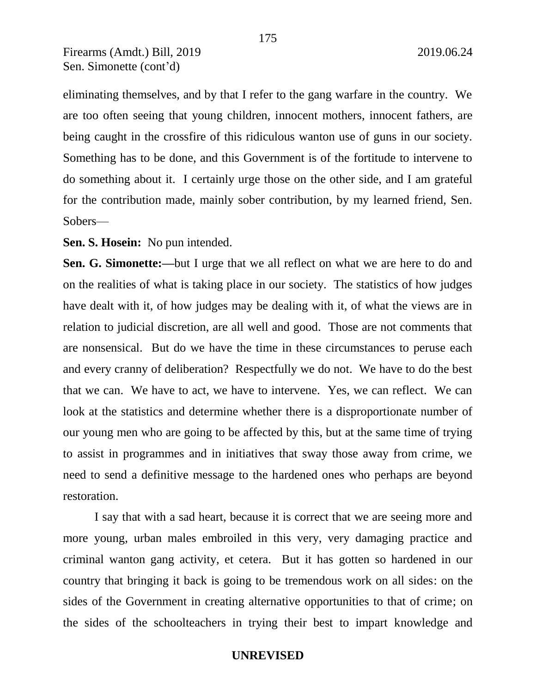eliminating themselves, and by that I refer to the gang warfare in the country. We are too often seeing that young children, innocent mothers, innocent fathers, are being caught in the crossfire of this ridiculous wanton use of guns in our society. Something has to be done, and this Government is of the fortitude to intervene to do something about it. I certainly urge those on the other side, and I am grateful for the contribution made, mainly sober contribution, by my learned friend, Sen. Sobers—

**Sen. S. Hosein:** No pun intended.

**Sen. G. Simonette:—**but I urge that we all reflect on what we are here to do and on the realities of what is taking place in our society. The statistics of how judges have dealt with it, of how judges may be dealing with it, of what the views are in relation to judicial discretion, are all well and good. Those are not comments that are nonsensical. But do we have the time in these circumstances to peruse each and every cranny of deliberation? Respectfully we do not. We have to do the best that we can. We have to act, we have to intervene. Yes, we can reflect. We can look at the statistics and determine whether there is a disproportionate number of our young men who are going to be affected by this, but at the same time of trying to assist in programmes and in initiatives that sway those away from crime, we need to send a definitive message to the hardened ones who perhaps are beyond restoration.

I say that with a sad heart, because it is correct that we are seeing more and more young, urban males embroiled in this very, very damaging practice and criminal wanton gang activity, et cetera. But it has gotten so hardened in our country that bringing it back is going to be tremendous work on all sides: on the sides of the Government in creating alternative opportunities to that of crime; on the sides of the schoolteachers in trying their best to impart knowledge and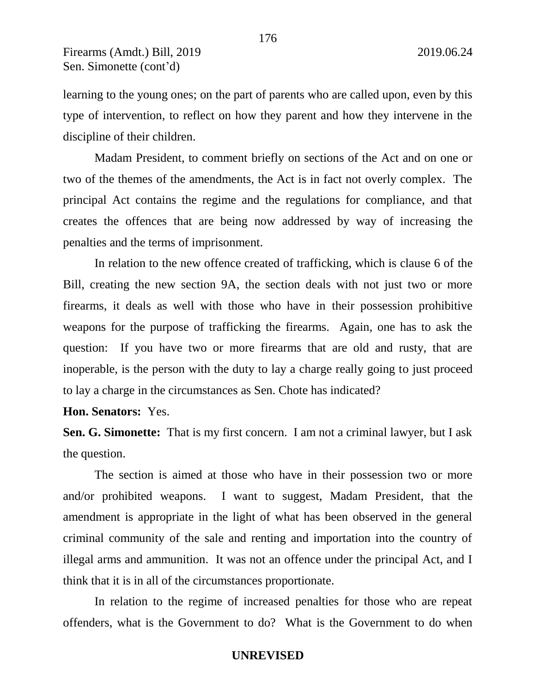learning to the young ones; on the part of parents who are called upon, even by this type of intervention, to reflect on how they parent and how they intervene in the discipline of their children.

176

Madam President, to comment briefly on sections of the Act and on one or two of the themes of the amendments, the Act is in fact not overly complex. The principal Act contains the regime and the regulations for compliance, and that creates the offences that are being now addressed by way of increasing the penalties and the terms of imprisonment.

In relation to the new offence created of trafficking, which is clause 6 of the Bill, creating the new section 9A, the section deals with not just two or more firearms, it deals as well with those who have in their possession prohibitive weapons for the purpose of trafficking the firearms. Again, one has to ask the question: If you have two or more firearms that are old and rusty, that are inoperable, is the person with the duty to lay a charge really going to just proceed to lay a charge in the circumstances as Sen. Chote has indicated?

**Hon. Senators:** Yes.

**Sen. G. Simonette:** That is my first concern. I am not a criminal lawyer, but I ask the question.

The section is aimed at those who have in their possession two or more and/or prohibited weapons. I want to suggest, Madam President, that the amendment is appropriate in the light of what has been observed in the general criminal community of the sale and renting and importation into the country of illegal arms and ammunition. It was not an offence under the principal Act, and I think that it is in all of the circumstances proportionate.

In relation to the regime of increased penalties for those who are repeat offenders, what is the Government to do? What is the Government to do when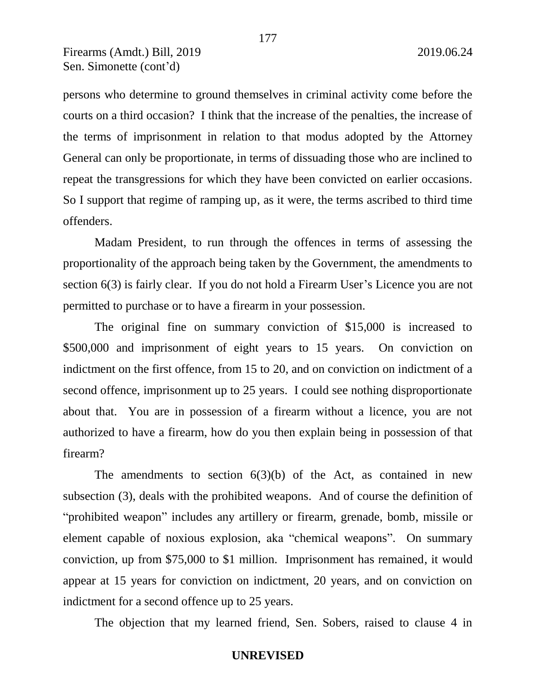persons who determine to ground themselves in criminal activity come before the courts on a third occasion? I think that the increase of the penalties, the increase of the terms of imprisonment in relation to that modus adopted by the Attorney General can only be proportionate, in terms of dissuading those who are inclined to repeat the transgressions for which they have been convicted on earlier occasions. So I support that regime of ramping up, as it were, the terms ascribed to third time offenders.

Madam President, to run through the offences in terms of assessing the proportionality of the approach being taken by the Government, the amendments to section 6(3) is fairly clear. If you do not hold a Firearm User's Licence you are not permitted to purchase or to have a firearm in your possession.

The original fine on summary conviction of \$15,000 is increased to \$500,000 and imprisonment of eight years to 15 years. On conviction on indictment on the first offence, from 15 to 20, and on conviction on indictment of a second offence, imprisonment up to 25 years. I could see nothing disproportionate about that. You are in possession of a firearm without a licence, you are not authorized to have a firearm, how do you then explain being in possession of that firearm?

The amendments to section  $6(3)(b)$  of the Act, as contained in new subsection (3), deals with the prohibited weapons. And of course the definition of "prohibited weapon" includes any artillery or firearm, grenade, bomb, missile or element capable of noxious explosion, aka "chemical weapons". On summary conviction, up from \$75,000 to \$1 million. Imprisonment has remained, it would appear at 15 years for conviction on indictment, 20 years, and on conviction on indictment for a second offence up to 25 years.

The objection that my learned friend, Sen. Sobers, raised to clause 4 in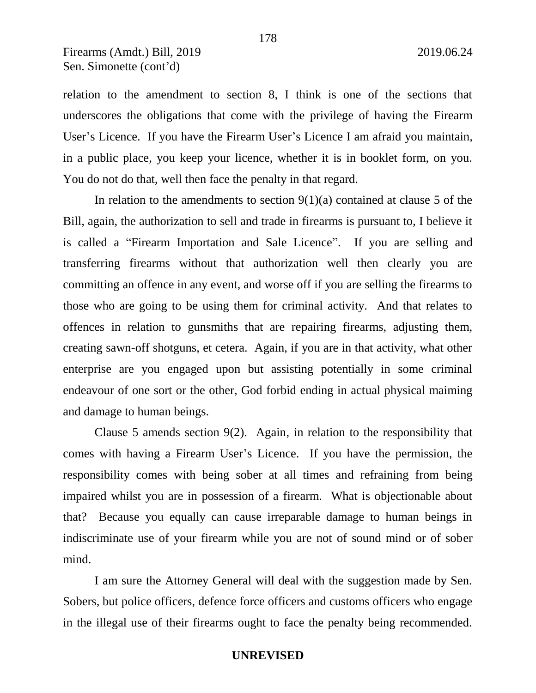relation to the amendment to section 8, I think is one of the sections that underscores the obligations that come with the privilege of having the Firearm User's Licence. If you have the Firearm User's Licence I am afraid you maintain, in a public place, you keep your licence, whether it is in booklet form, on you. You do not do that, well then face the penalty in that regard.

In relation to the amendments to section  $9(1)(a)$  contained at clause 5 of the Bill, again, the authorization to sell and trade in firearms is pursuant to, I believe it is called a "Firearm Importation and Sale Licence". If you are selling and transferring firearms without that authorization well then clearly you are committing an offence in any event, and worse off if you are selling the firearms to those who are going to be using them for criminal activity. And that relates to offences in relation to gunsmiths that are repairing firearms, adjusting them, creating sawn-off shotguns, et cetera. Again, if you are in that activity, what other enterprise are you engaged upon but assisting potentially in some criminal endeavour of one sort or the other, God forbid ending in actual physical maiming and damage to human beings.

Clause 5 amends section 9(2). Again, in relation to the responsibility that comes with having a Firearm User's Licence. If you have the permission, the responsibility comes with being sober at all times and refraining from being impaired whilst you are in possession of a firearm. What is objectionable about that? Because you equally can cause irreparable damage to human beings in indiscriminate use of your firearm while you are not of sound mind or of sober mind.

I am sure the Attorney General will deal with the suggestion made by Sen. Sobers, but police officers, defence force officers and customs officers who engage in the illegal use of their firearms ought to face the penalty being recommended.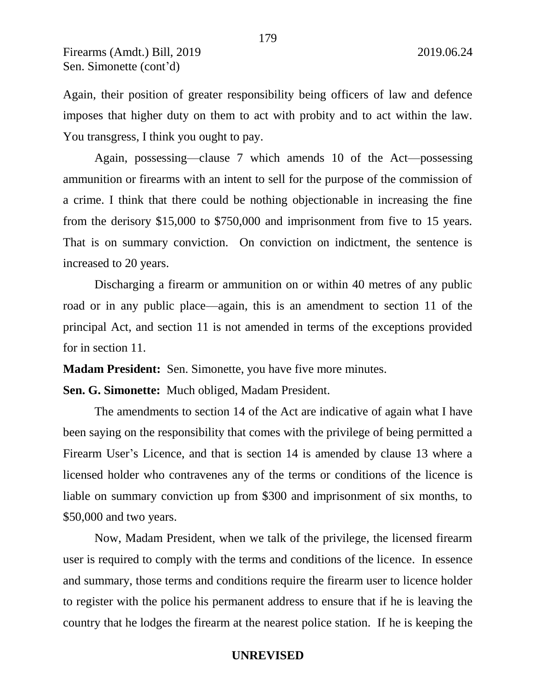Again, their position of greater responsibility being officers of law and defence imposes that higher duty on them to act with probity and to act within the law. You transgress, I think you ought to pay.

Again, possessing—clause 7 which amends 10 of the Act—possessing ammunition or firearms with an intent to sell for the purpose of the commission of a crime. I think that there could be nothing objectionable in increasing the fine from the derisory \$15,000 to \$750,000 and imprisonment from five to 15 years. That is on summary conviction. On conviction on indictment, the sentence is increased to 20 years.

Discharging a firearm or ammunition on or within 40 metres of any public road or in any public place—again, this is an amendment to section 11 of the principal Act, and section 11 is not amended in terms of the exceptions provided for in section 11.

**Madam President:** Sen. Simonette, you have five more minutes.

**Sen. G. Simonette:** Much obliged, Madam President.

The amendments to section 14 of the Act are indicative of again what I have been saying on the responsibility that comes with the privilege of being permitted a Firearm User's Licence, and that is section 14 is amended by clause 13 where a licensed holder who contravenes any of the terms or conditions of the licence is liable on summary conviction up from \$300 and imprisonment of six months, to \$50,000 and two years.

Now, Madam President, when we talk of the privilege, the licensed firearm user is required to comply with the terms and conditions of the licence. In essence and summary, those terms and conditions require the firearm user to licence holder to register with the police his permanent address to ensure that if he is leaving the country that he lodges the firearm at the nearest police station. If he is keeping the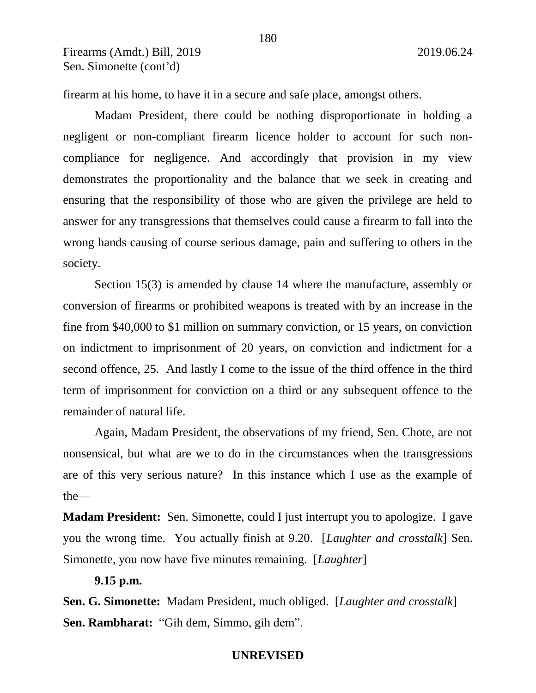firearm at his home, to have it in a secure and safe place, amongst others.

Madam President, there could be nothing disproportionate in holding a negligent or non-compliant firearm licence holder to account for such noncompliance for negligence. And accordingly that provision in my view demonstrates the proportionality and the balance that we seek in creating and ensuring that the responsibility of those who are given the privilege are held to answer for any transgressions that themselves could cause a firearm to fall into the wrong hands causing of course serious damage, pain and suffering to others in the society.

Section 15(3) is amended by clause 14 where the manufacture, assembly or conversion of firearms or prohibited weapons is treated with by an increase in the fine from \$40,000 to \$1 million on summary conviction, or 15 years, on conviction on indictment to imprisonment of 20 years, on conviction and indictment for a second offence, 25. And lastly I come to the issue of the third offence in the third term of imprisonment for conviction on a third or any subsequent offence to the remainder of natural life.

Again, Madam President, the observations of my friend, Sen. Chote, are not nonsensical, but what are we to do in the circumstances when the transgressions are of this very serious nature? In this instance which I use as the example of the—

**Madam President:** Sen. Simonette, could I just interrupt you to apologize. I gave you the wrong time. You actually finish at 9.20. [*Laughter and crosstalk*] Sen. Simonette, you now have five minutes remaining. [*Laughter*]

### **9.15 p.m.**

**Sen. G. Simonette:** Madam President, much obliged. [*Laughter and crosstalk*] **Sen. Rambharat:** "Gih dem, Simmo, gih dem".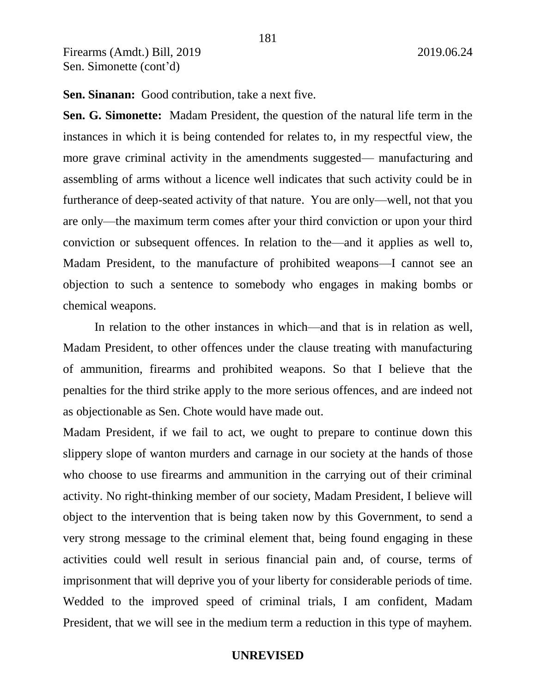**Sen. Sinanan:** Good contribution, take a next five.

**Sen. G. Simonette:** Madam President, the question of the natural life term in the instances in which it is being contended for relates to, in my respectful view, the more grave criminal activity in the amendments suggested— manufacturing and assembling of arms without a licence well indicates that such activity could be in furtherance of deep-seated activity of that nature. You are only—well, not that you are only—the maximum term comes after your third conviction or upon your third conviction or subsequent offences. In relation to the—and it applies as well to, Madam President, to the manufacture of prohibited weapons—I cannot see an objection to such a sentence to somebody who engages in making bombs or chemical weapons.

In relation to the other instances in which—and that is in relation as well, Madam President, to other offences under the clause treating with manufacturing of ammunition, firearms and prohibited weapons. So that I believe that the penalties for the third strike apply to the more serious offences, and are indeed not as objectionable as Sen. Chote would have made out.

Madam President, if we fail to act, we ought to prepare to continue down this slippery slope of wanton murders and carnage in our society at the hands of those who choose to use firearms and ammunition in the carrying out of their criminal activity. No right-thinking member of our society, Madam President, I believe will object to the intervention that is being taken now by this Government, to send a very strong message to the criminal element that, being found engaging in these activities could well result in serious financial pain and, of course, terms of imprisonment that will deprive you of your liberty for considerable periods of time. Wedded to the improved speed of criminal trials, I am confident, Madam President, that we will see in the medium term a reduction in this type of mayhem.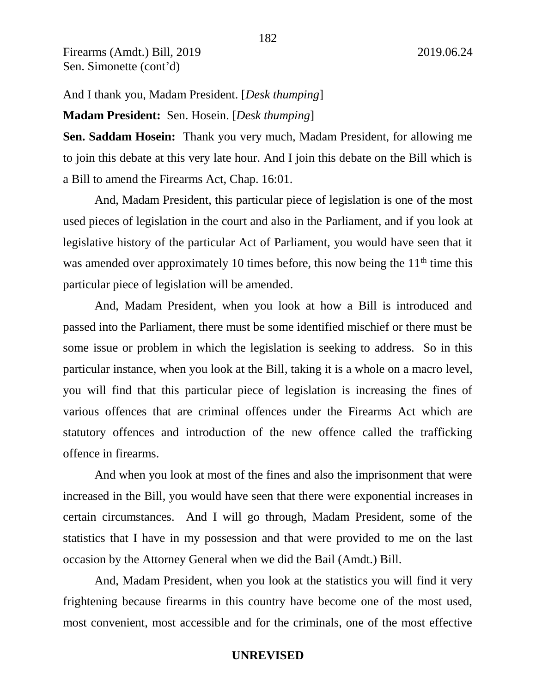And I thank you, Madam President. [*Desk thumping*] **Madam President:** Sen. Hosein. [*Desk thumping*]

**Sen. Saddam Hosein:** Thank you very much, Madam President, for allowing me to join this debate at this very late hour. And I join this debate on the Bill which is a Bill to amend the Firearms Act, Chap. 16:01.

And, Madam President, this particular piece of legislation is one of the most used pieces of legislation in the court and also in the Parliament, and if you look at legislative history of the particular Act of Parliament, you would have seen that it was amended over approximately 10 times before, this now being the  $11<sup>th</sup>$  time this particular piece of legislation will be amended.

And, Madam President, when you look at how a Bill is introduced and passed into the Parliament, there must be some identified mischief or there must be some issue or problem in which the legislation is seeking to address. So in this particular instance, when you look at the Bill, taking it is a whole on a macro level, you will find that this particular piece of legislation is increasing the fines of various offences that are criminal offences under the Firearms Act which are statutory offences and introduction of the new offence called the trafficking offence in firearms.

And when you look at most of the fines and also the imprisonment that were increased in the Bill, you would have seen that there were exponential increases in certain circumstances. And I will go through, Madam President, some of the statistics that I have in my possession and that were provided to me on the last occasion by the Attorney General when we did the Bail (Amdt.) Bill.

And, Madam President, when you look at the statistics you will find it very frightening because firearms in this country have become one of the most used, most convenient, most accessible and for the criminals, one of the most effective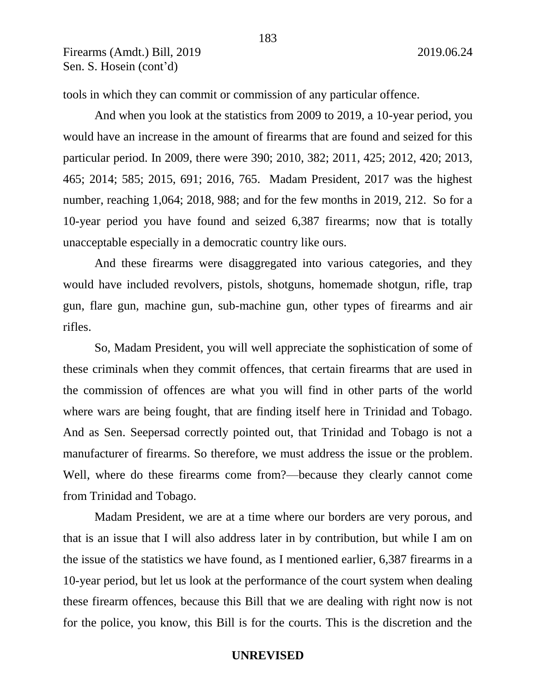tools in which they can commit or commission of any particular offence.

And when you look at the statistics from 2009 to 2019, a 10-year period, you would have an increase in the amount of firearms that are found and seized for this particular period. In 2009, there were 390; 2010, 382; 2011, 425; 2012, 420; 2013, 465; 2014; 585; 2015, 691; 2016, 765. Madam President, 2017 was the highest number, reaching 1,064; 2018, 988; and for the few months in 2019, 212. So for a 10-year period you have found and seized 6,387 firearms; now that is totally unacceptable especially in a democratic country like ours.

And these firearms were disaggregated into various categories, and they would have included revolvers, pistols, shotguns, homemade shotgun, rifle, trap gun, flare gun, machine gun, sub-machine gun, other types of firearms and air rifles.

So, Madam President, you will well appreciate the sophistication of some of these criminals when they commit offences, that certain firearms that are used in the commission of offences are what you will find in other parts of the world where wars are being fought, that are finding itself here in Trinidad and Tobago. And as Sen. Seepersad correctly pointed out, that Trinidad and Tobago is not a manufacturer of firearms. So therefore, we must address the issue or the problem. Well, where do these firearms come from?—because they clearly cannot come from Trinidad and Tobago.

Madam President, we are at a time where our borders are very porous, and that is an issue that I will also address later in by contribution, but while I am on the issue of the statistics we have found, as I mentioned earlier, 6,387 firearms in a 10-year period, but let us look at the performance of the court system when dealing these firearm offences, because this Bill that we are dealing with right now is not for the police, you know, this Bill is for the courts. This is the discretion and the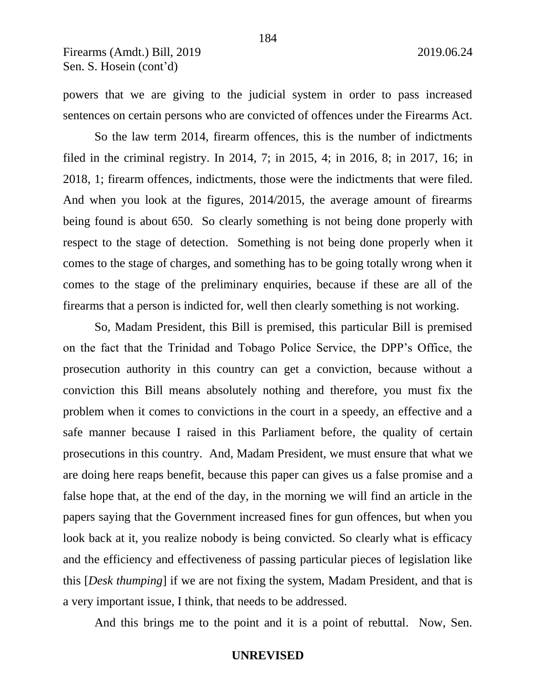powers that we are giving to the judicial system in order to pass increased sentences on certain persons who are convicted of offences under the Firearms Act.

So the law term 2014, firearm offences, this is the number of indictments filed in the criminal registry. In 2014, 7; in 2015, 4; in 2016, 8; in 2017, 16; in 2018, 1; firearm offences, indictments, those were the indictments that were filed. And when you look at the figures, 2014/2015, the average amount of firearms being found is about 650. So clearly something is not being done properly with respect to the stage of detection. Something is not being done properly when it comes to the stage of charges, and something has to be going totally wrong when it comes to the stage of the preliminary enquiries, because if these are all of the firearms that a person is indicted for, well then clearly something is not working.

So, Madam President, this Bill is premised, this particular Bill is premised on the fact that the Trinidad and Tobago Police Service, the DPP's Office, the prosecution authority in this country can get a conviction, because without a conviction this Bill means absolutely nothing and therefore, you must fix the problem when it comes to convictions in the court in a speedy, an effective and a safe manner because I raised in this Parliament before, the quality of certain prosecutions in this country. And, Madam President, we must ensure that what we are doing here reaps benefit, because this paper can gives us a false promise and a false hope that, at the end of the day, in the morning we will find an article in the papers saying that the Government increased fines for gun offences, but when you look back at it, you realize nobody is being convicted. So clearly what is efficacy and the efficiency and effectiveness of passing particular pieces of legislation like this [*Desk thumping*] if we are not fixing the system, Madam President, and that is a very important issue, I think, that needs to be addressed.

And this brings me to the point and it is a point of rebuttal. Now, Sen.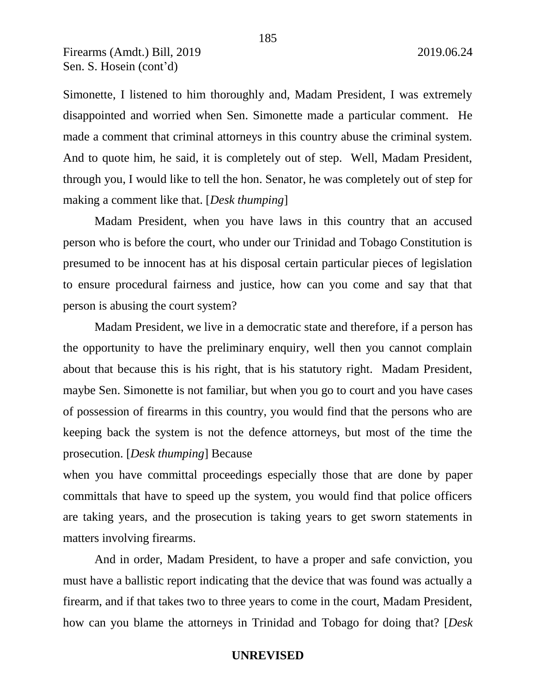Simonette, I listened to him thoroughly and, Madam President, I was extremely disappointed and worried when Sen. Simonette made a particular comment. He made a comment that criminal attorneys in this country abuse the criminal system. And to quote him, he said, it is completely out of step. Well, Madam President, through you, I would like to tell the hon. Senator, he was completely out of step for making a comment like that. [*Desk thumping*]

Madam President, when you have laws in this country that an accused person who is before the court, who under our Trinidad and Tobago Constitution is presumed to be innocent has at his disposal certain particular pieces of legislation to ensure procedural fairness and justice, how can you come and say that that person is abusing the court system?

Madam President, we live in a democratic state and therefore, if a person has the opportunity to have the preliminary enquiry, well then you cannot complain about that because this is his right, that is his statutory right. Madam President, maybe Sen. Simonette is not familiar, but when you go to court and you have cases of possession of firearms in this country, you would find that the persons who are keeping back the system is not the defence attorneys, but most of the time the prosecution. [*Desk thumping*] Because

when you have committal proceedings especially those that are done by paper committals that have to speed up the system, you would find that police officers are taking years, and the prosecution is taking years to get sworn statements in matters involving firearms.

And in order, Madam President, to have a proper and safe conviction, you must have a ballistic report indicating that the device that was found was actually a firearm, and if that takes two to three years to come in the court, Madam President, how can you blame the attorneys in Trinidad and Tobago for doing that? [*Desk*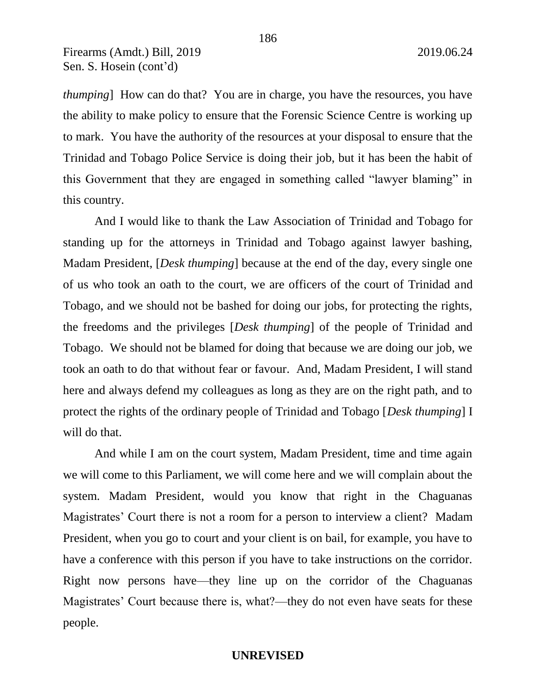*thumping*] How can do that? You are in charge, you have the resources, you have the ability to make policy to ensure that the Forensic Science Centre is working up to mark. You have the authority of the resources at your disposal to ensure that the Trinidad and Tobago Police Service is doing their job, but it has been the habit of this Government that they are engaged in something called "lawyer blaming" in this country.

And I would like to thank the Law Association of Trinidad and Tobago for standing up for the attorneys in Trinidad and Tobago against lawyer bashing, Madam President, [*Desk thumping*] because at the end of the day, every single one of us who took an oath to the court, we are officers of the court of Trinidad and Tobago, and we should not be bashed for doing our jobs, for protecting the rights, the freedoms and the privileges [*Desk thumping*] of the people of Trinidad and Tobago. We should not be blamed for doing that because we are doing our job, we took an oath to do that without fear or favour. And, Madam President, I will stand here and always defend my colleagues as long as they are on the right path, and to protect the rights of the ordinary people of Trinidad and Tobago [*Desk thumping*] I will do that.

And while I am on the court system, Madam President, time and time again we will come to this Parliament, we will come here and we will complain about the system. Madam President, would you know that right in the Chaguanas Magistrates' Court there is not a room for a person to interview a client? Madam President, when you go to court and your client is on bail, for example, you have to have a conference with this person if you have to take instructions on the corridor. Right now persons have—they line up on the corridor of the Chaguanas Magistrates' Court because there is, what?—they do not even have seats for these people.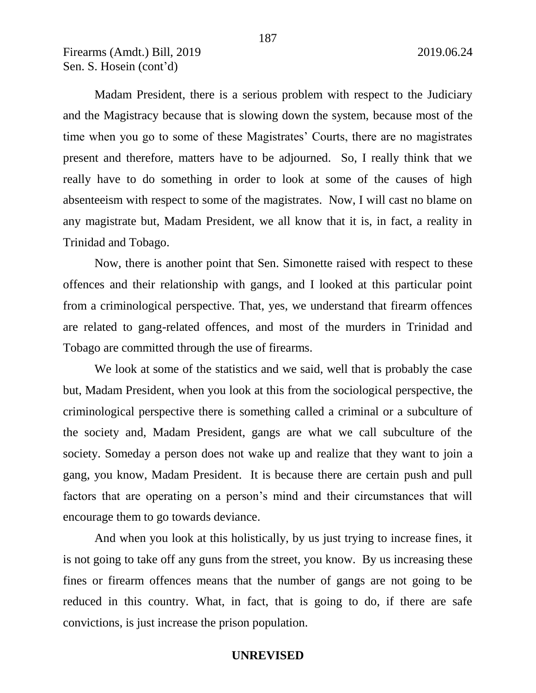Madam President, there is a serious problem with respect to the Judiciary and the Magistracy because that is slowing down the system, because most of the time when you go to some of these Magistrates' Courts, there are no magistrates present and therefore, matters have to be adjourned. So, I really think that we really have to do something in order to look at some of the causes of high absenteeism with respect to some of the magistrates. Now, I will cast no blame on any magistrate but, Madam President, we all know that it is, in fact, a reality in Trinidad and Tobago.

Now, there is another point that Sen. Simonette raised with respect to these offences and their relationship with gangs, and I looked at this particular point from a criminological perspective. That, yes, we understand that firearm offences are related to gang-related offences, and most of the murders in Trinidad and Tobago are committed through the use of firearms.

We look at some of the statistics and we said, well that is probably the case but, Madam President, when you look at this from the sociological perspective, the criminological perspective there is something called a criminal or a subculture of the society and, Madam President, gangs are what we call subculture of the society. Someday a person does not wake up and realize that they want to join a gang, you know, Madam President. It is because there are certain push and pull factors that are operating on a person's mind and their circumstances that will encourage them to go towards deviance.

And when you look at this holistically, by us just trying to increase fines, it is not going to take off any guns from the street, you know. By us increasing these fines or firearm offences means that the number of gangs are not going to be reduced in this country. What, in fact, that is going to do, if there are safe convictions, is just increase the prison population.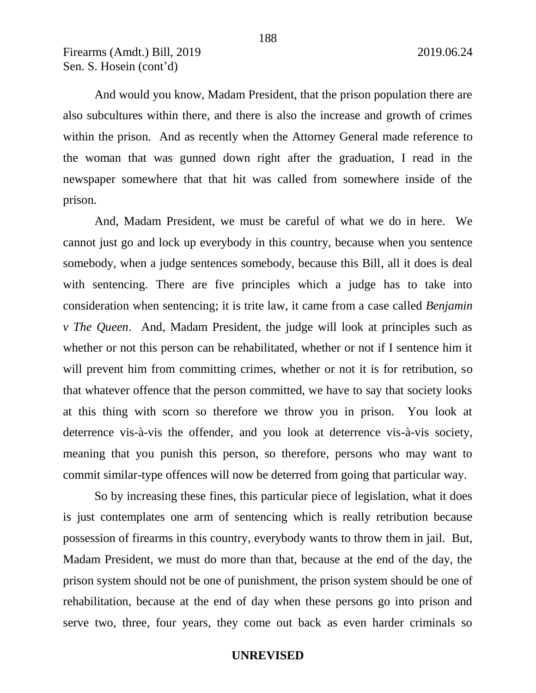And would you know, Madam President, that the prison population there are also subcultures within there, and there is also the increase and growth of crimes within the prison. And as recently when the Attorney General made reference to the woman that was gunned down right after the graduation, I read in the newspaper somewhere that that hit was called from somewhere inside of the prison.

And, Madam President, we must be careful of what we do in here. We cannot just go and lock up everybody in this country, because when you sentence somebody, when a judge sentences somebody, because this Bill, all it does is deal with sentencing. There are five principles which a judge has to take into consideration when sentencing; it is trite law, it came from a case called *Benjamin v The Queen*. And, Madam President, the judge will look at principles such as whether or not this person can be rehabilitated, whether or not if I sentence him it will prevent him from committing crimes, whether or not it is for retribution, so that whatever offence that the person committed, we have to say that society looks at this thing with scorn so therefore we throw you in prison. You look at deterrence vis-à-vis the offender, and you look at deterrence vis-à-vis society, meaning that you punish this person, so therefore, persons who may want to commit similar-type offences will now be deterred from going that particular way.

So by increasing these fines, this particular piece of legislation, what it does is just contemplates one arm of sentencing which is really retribution because possession of firearms in this country, everybody wants to throw them in jail. But, Madam President, we must do more than that, because at the end of the day, the prison system should not be one of punishment, the prison system should be one of rehabilitation, because at the end of day when these persons go into prison and serve two, three, four years, they come out back as even harder criminals so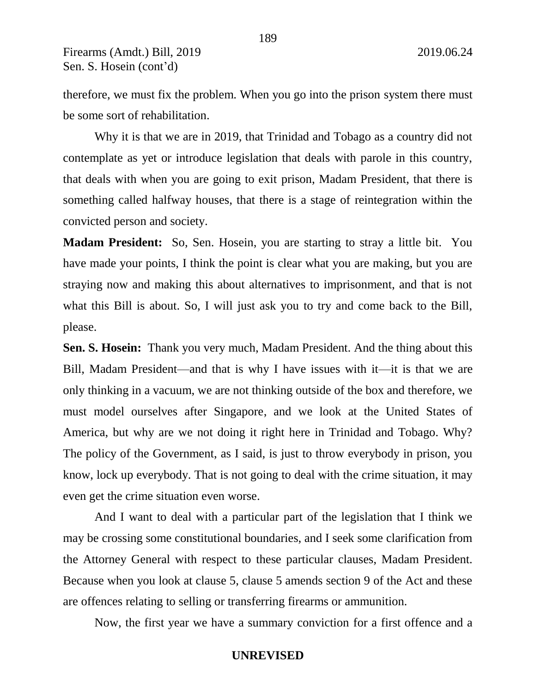therefore, we must fix the problem. When you go into the prison system there must be some sort of rehabilitation.

189

Why it is that we are in 2019, that Trinidad and Tobago as a country did not contemplate as yet or introduce legislation that deals with parole in this country, that deals with when you are going to exit prison, Madam President, that there is something called halfway houses, that there is a stage of reintegration within the convicted person and society.

**Madam President:** So, Sen. Hosein, you are starting to stray a little bit. You have made your points, I think the point is clear what you are making, but you are straying now and making this about alternatives to imprisonment, and that is not what this Bill is about. So, I will just ask you to try and come back to the Bill, please.

**Sen. S. Hosein:** Thank you very much, Madam President. And the thing about this Bill, Madam President—and that is why I have issues with it—it is that we are only thinking in a vacuum, we are not thinking outside of the box and therefore, we must model ourselves after Singapore, and we look at the United States of America, but why are we not doing it right here in Trinidad and Tobago. Why? The policy of the Government, as I said, is just to throw everybody in prison, you know, lock up everybody. That is not going to deal with the crime situation, it may even get the crime situation even worse.

And I want to deal with a particular part of the legislation that I think we may be crossing some constitutional boundaries, and I seek some clarification from the Attorney General with respect to these particular clauses, Madam President. Because when you look at clause 5, clause 5 amends section 9 of the Act and these are offences relating to selling or transferring firearms or ammunition.

Now, the first year we have a summary conviction for a first offence and a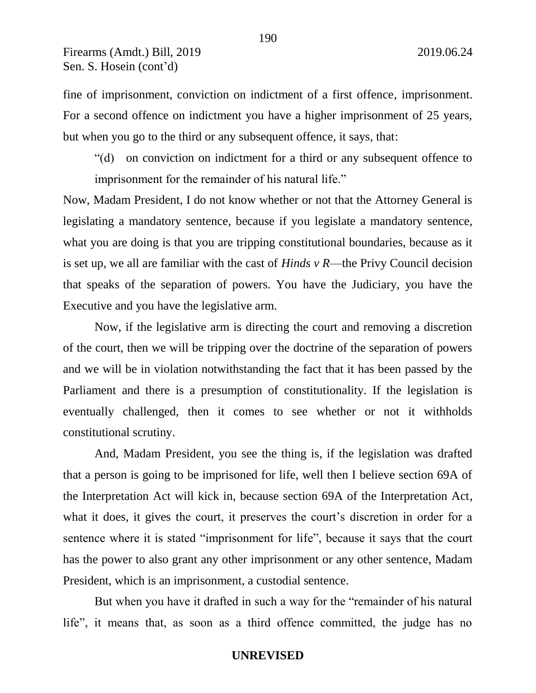fine of imprisonment, conviction on indictment of a first offence, imprisonment. For a second offence on indictment you have a higher imprisonment of 25 years, but when you go to the third or any subsequent offence, it says, that:

"(d) on conviction on indictment for a third or any subsequent offence to imprisonment for the remainder of his natural life."

Now, Madam President, I do not know whether or not that the Attorney General is legislating a mandatory sentence, because if you legislate a mandatory sentence, what you are doing is that you are tripping constitutional boundaries, because as it is set up, we all are familiar with the cast of *Hinds v R*—the Privy Council decision that speaks of the separation of powers. You have the Judiciary, you have the Executive and you have the legislative arm.

Now, if the legislative arm is directing the court and removing a discretion of the court, then we will be tripping over the doctrine of the separation of powers and we will be in violation notwithstanding the fact that it has been passed by the Parliament and there is a presumption of constitutionality. If the legislation is eventually challenged, then it comes to see whether or not it withholds constitutional scrutiny.

And, Madam President, you see the thing is, if the legislation was drafted that a person is going to be imprisoned for life, well then I believe section 69A of the Interpretation Act will kick in, because section 69A of the Interpretation Act, what it does, it gives the court, it preserves the court's discretion in order for a sentence where it is stated "imprisonment for life", because it says that the court has the power to also grant any other imprisonment or any other sentence, Madam President, which is an imprisonment, a custodial sentence.

But when you have it drafted in such a way for the "remainder of his natural life", it means that, as soon as a third offence committed, the judge has no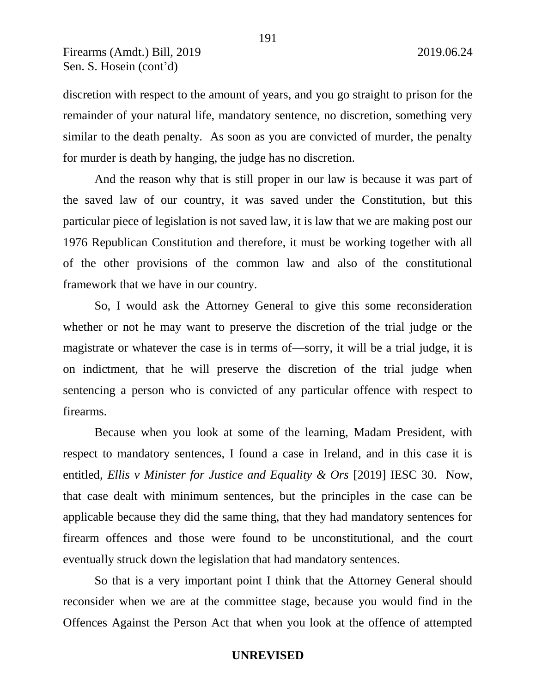discretion with respect to the amount of years, and you go straight to prison for the remainder of your natural life, mandatory sentence, no discretion, something very similar to the death penalty. As soon as you are convicted of murder, the penalty for murder is death by hanging, the judge has no discretion.

And the reason why that is still proper in our law is because it was part of the saved law of our country, it was saved under the Constitution, but this particular piece of legislation is not saved law, it is law that we are making post our 1976 Republican Constitution and therefore, it must be working together with all of the other provisions of the common law and also of the constitutional framework that we have in our country.

So, I would ask the Attorney General to give this some reconsideration whether or not he may want to preserve the discretion of the trial judge or the magistrate or whatever the case is in terms of—sorry, it will be a trial judge, it is on indictment, that he will preserve the discretion of the trial judge when sentencing a person who is convicted of any particular offence with respect to firearms.

Because when you look at some of the learning, Madam President, with respect to mandatory sentences, I found a case in Ireland, and in this case it is entitled, *Ellis v Minister for Justice and Equality & Ors* [2019] IESC 30. Now, that case dealt with minimum sentences, but the principles in the case can be applicable because they did the same thing, that they had mandatory sentences for firearm offences and those were found to be unconstitutional, and the court eventually struck down the legislation that had mandatory sentences.

So that is a very important point I think that the Attorney General should reconsider when we are at the committee stage, because you would find in the Offences Against the Person Act that when you look at the offence of attempted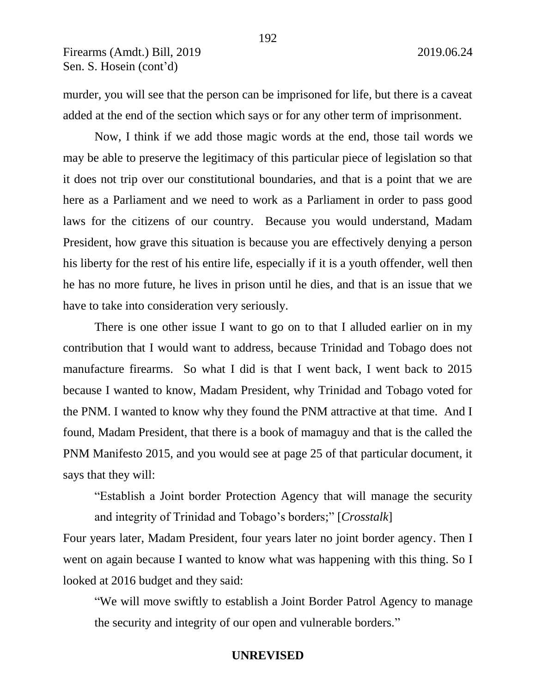murder, you will see that the person can be imprisoned for life, but there is a caveat added at the end of the section which says or for any other term of imprisonment.

Now, I think if we add those magic words at the end, those tail words we may be able to preserve the legitimacy of this particular piece of legislation so that it does not trip over our constitutional boundaries, and that is a point that we are here as a Parliament and we need to work as a Parliament in order to pass good laws for the citizens of our country. Because you would understand, Madam President, how grave this situation is because you are effectively denying a person his liberty for the rest of his entire life, especially if it is a youth offender, well then he has no more future, he lives in prison until he dies, and that is an issue that we have to take into consideration very seriously.

There is one other issue I want to go on to that I alluded earlier on in my contribution that I would want to address, because Trinidad and Tobago does not manufacture firearms. So what I did is that I went back, I went back to 2015 because I wanted to know, Madam President, why Trinidad and Tobago voted for the PNM. I wanted to know why they found the PNM attractive at that time. And I found, Madam President, that there is a book of mamaguy and that is the called the PNM Manifesto 2015, and you would see at page 25 of that particular document, it says that they will:

"Establish a Joint border Protection Agency that will manage the security and integrity of Trinidad and Tobago's borders;" [*Crosstalk*]

Four years later, Madam President, four years later no joint border agency. Then I went on again because I wanted to know what was happening with this thing. So I looked at 2016 budget and they said:

"We will move swiftly to establish a Joint Border Patrol Agency to manage the security and integrity of our open and vulnerable borders."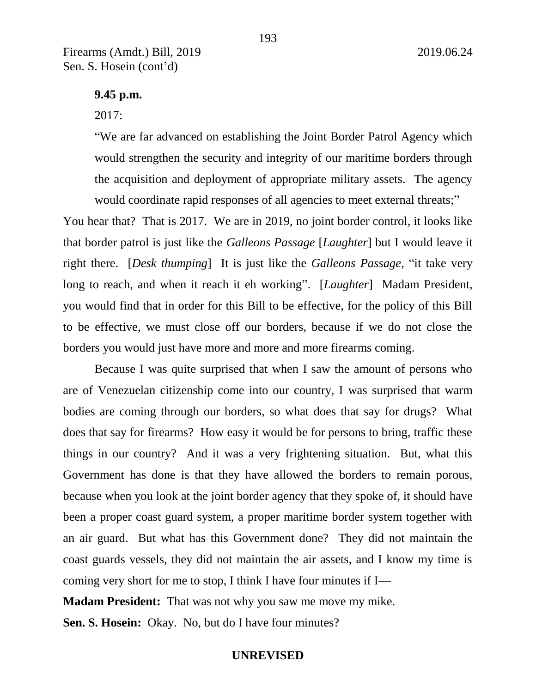193

## **9.45 p.m.**

## 2017:

"We are far advanced on establishing the Joint Border Patrol Agency which would strengthen the security and integrity of our maritime borders through the acquisition and deployment of appropriate military assets. The agency would coordinate rapid responses of all agencies to meet external threats;"

You hear that? That is 2017. We are in 2019, no joint border control, it looks like that border patrol is just like the *Galleons Passage* [*Laughter*] but I would leave it right there. [*Desk thumping*] It is just like the *Galleons Passage*, "it take very long to reach, and when it reach it eh working". [*Laughter*] Madam President, you would find that in order for this Bill to be effective, for the policy of this Bill to be effective, we must close off our borders, because if we do not close the borders you would just have more and more and more firearms coming.

Because I was quite surprised that when I saw the amount of persons who are of Venezuelan citizenship come into our country, I was surprised that warm bodies are coming through our borders, so what does that say for drugs? What does that say for firearms? How easy it would be for persons to bring, traffic these things in our country? And it was a very frightening situation. But, what this Government has done is that they have allowed the borders to remain porous, because when you look at the joint border agency that they spoke of, it should have been a proper coast guard system, a proper maritime border system together with an air guard. But what has this Government done? They did not maintain the coast guards vessels, they did not maintain the air assets, and I know my time is coming very short for me to stop, I think I have four minutes if I—

**Madam President:** That was not why you saw me move my mike.

**Sen. S. Hosein:** Okay. No, but do I have four minutes?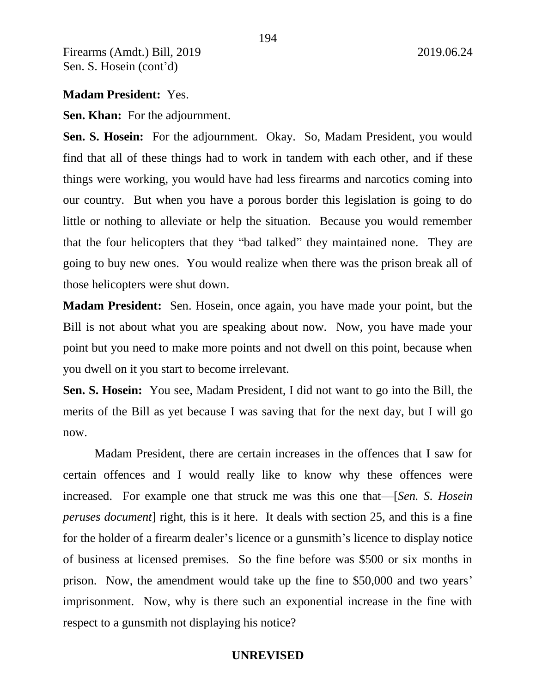## **Madam President:** Yes.

**Sen. Khan:** For the adjournment.

**Sen. S. Hosein:** For the adjournment. Okay. So, Madam President, you would find that all of these things had to work in tandem with each other, and if these things were working, you would have had less firearms and narcotics coming into our country. But when you have a porous border this legislation is going to do little or nothing to alleviate or help the situation. Because you would remember that the four helicopters that they "bad talked" they maintained none. They are going to buy new ones. You would realize when there was the prison break all of those helicopters were shut down.

**Madam President:** Sen. Hosein, once again, you have made your point, but the Bill is not about what you are speaking about now. Now, you have made your point but you need to make more points and not dwell on this point, because when you dwell on it you start to become irrelevant.

**Sen. S. Hosein:** You see, Madam President, I did not want to go into the Bill, the merits of the Bill as yet because I was saving that for the next day, but I will go now.

Madam President, there are certain increases in the offences that I saw for certain offences and I would really like to know why these offences were increased. For example one that struck me was this one that—[*Sen. S. Hosein peruses document*] right, this is it here. It deals with section 25, and this is a fine for the holder of a firearm dealer's licence or a gunsmith's licence to display notice of business at licensed premises. So the fine before was \$500 or six months in prison. Now, the amendment would take up the fine to \$50,000 and two years' imprisonment. Now, why is there such an exponential increase in the fine with respect to a gunsmith not displaying his notice?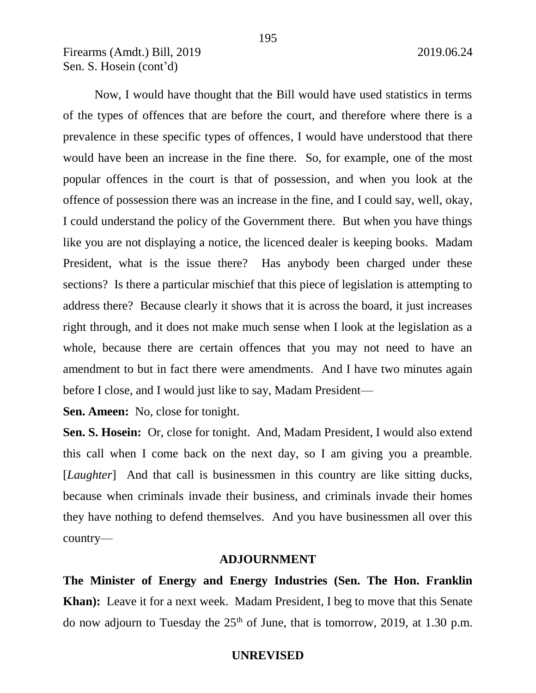Now, I would have thought that the Bill would have used statistics in terms of the types of offences that are before the court, and therefore where there is a prevalence in these specific types of offences, I would have understood that there would have been an increase in the fine there. So, for example, one of the most popular offences in the court is that of possession, and when you look at the offence of possession there was an increase in the fine, and I could say, well, okay, I could understand the policy of the Government there. But when you have things like you are not displaying a notice, the licenced dealer is keeping books. Madam President, what is the issue there? Has anybody been charged under these sections? Is there a particular mischief that this piece of legislation is attempting to address there? Because clearly it shows that it is across the board, it just increases right through, and it does not make much sense when I look at the legislation as a whole, because there are certain offences that you may not need to have an amendment to but in fact there were amendments. And I have two minutes again before I close, and I would just like to say, Madam President—

**Sen. Ameen:** No, close for tonight.

**Sen. S. Hosein:** Or, close for tonight. And, Madam President, I would also extend this call when I come back on the next day, so I am giving you a preamble. [*Laughter*] And that call is businessmen in this country are like sitting ducks, because when criminals invade their business, and criminals invade their homes they have nothing to defend themselves. And you have businessmen all over this country—

## **ADJOURNMENT**

**The Minister of Energy and Energy Industries (Sen. The Hon. Franklin Khan):** Leave it for a next week. Madam President, I beg to move that this Senate do now adjourn to Tuesday the  $25<sup>th</sup>$  of June, that is tomorrow, 2019, at 1.30 p.m.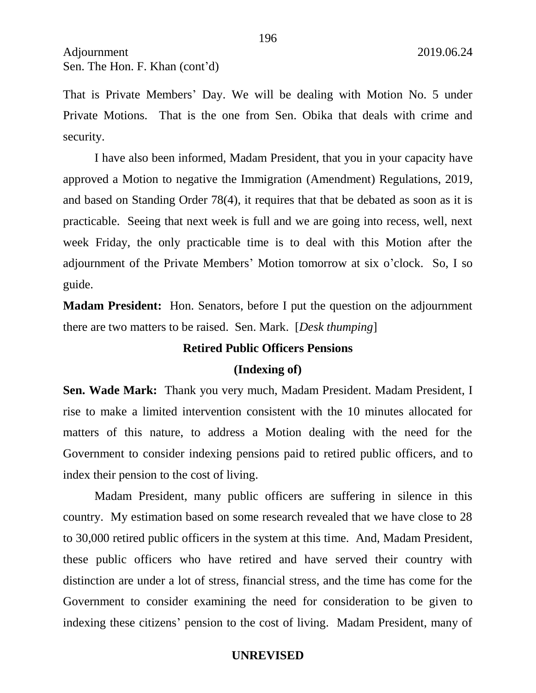Adjournment 2019.06.24 Sen. The Hon. F. Khan (cont'd)

That is Private Members' Day. We will be dealing with Motion No. 5 under Private Motions. That is the one from Sen. Obika that deals with crime and security.

I have also been informed, Madam President, that you in your capacity have approved a Motion to negative the Immigration (Amendment) Regulations, 2019, and based on Standing Order 78(4), it requires that that be debated as soon as it is practicable. Seeing that next week is full and we are going into recess, well, next week Friday, the only practicable time is to deal with this Motion after the adjournment of the Private Members' Motion tomorrow at six o'clock. So, I so guide.

**Madam President:** Hon. Senators, before I put the question on the adjournment there are two matters to be raised. Sen. Mark. [*Desk thumping*]

## **Retired Public Officers Pensions**

#### **(Indexing of)**

**Sen. Wade Mark:** Thank you very much, Madam President. Madam President, I rise to make a limited intervention consistent with the 10 minutes allocated for matters of this nature, to address a Motion dealing with the need for the Government to consider indexing pensions paid to retired public officers, and to index their pension to the cost of living.

Madam President, many public officers are suffering in silence in this country. My estimation based on some research revealed that we have close to 28 to 30,000 retired public officers in the system at this time. And, Madam President, these public officers who have retired and have served their country with distinction are under a lot of stress, financial stress, and the time has come for the Government to consider examining the need for consideration to be given to indexing these citizens' pension to the cost of living. Madam President, many of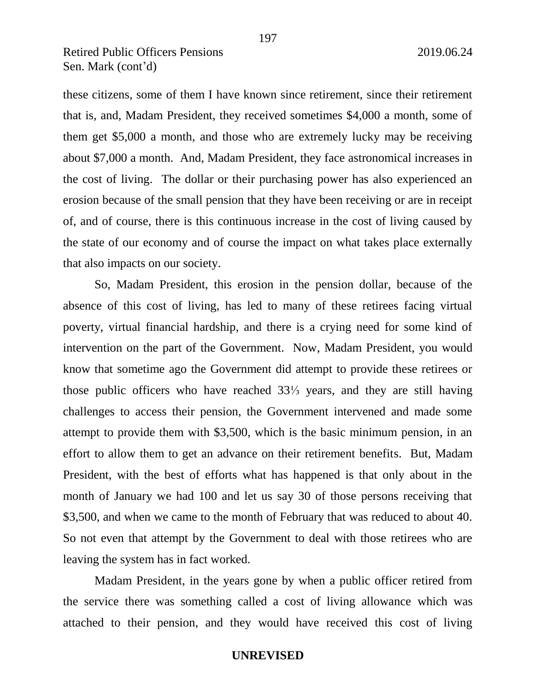# Retired Public Officers Pensions 2019.06.24 Sen. Mark (cont'd)

these citizens, some of them I have known since retirement, since their retirement that is, and, Madam President, they received sometimes \$4,000 a month, some of them get \$5,000 a month, and those who are extremely lucky may be receiving about \$7,000 a month. And, Madam President, they face astronomical increases in the cost of living. The dollar or their purchasing power has also experienced an erosion because of the small pension that they have been receiving or are in receipt of, and of course, there is this continuous increase in the cost of living caused by the state of our economy and of course the impact on what takes place externally that also impacts on our society.

So, Madam President, this erosion in the pension dollar, because of the absence of this cost of living, has led to many of these retirees facing virtual poverty, virtual financial hardship, and there is a crying need for some kind of intervention on the part of the Government. Now, Madam President, you would know that sometime ago the Government did attempt to provide these retirees or those public officers who have reached 33⅓ years, and they are still having challenges to access their pension, the Government intervened and made some attempt to provide them with \$3,500, which is the basic minimum pension, in an effort to allow them to get an advance on their retirement benefits. But, Madam President, with the best of efforts what has happened is that only about in the month of January we had 100 and let us say 30 of those persons receiving that \$3,500, and when we came to the month of February that was reduced to about 40. So not even that attempt by the Government to deal with those retirees who are leaving the system has in fact worked.

Madam President, in the years gone by when a public officer retired from the service there was something called a cost of living allowance which was attached to their pension, and they would have received this cost of living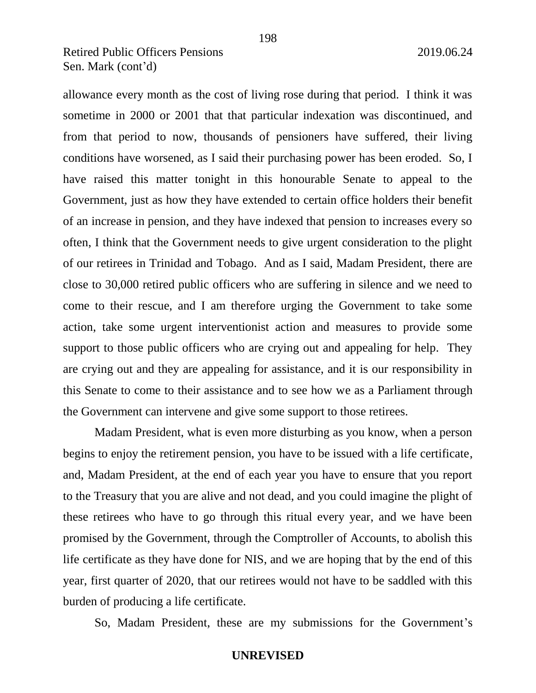# Retired Public Officers Pensions 2019.06.24 Sen. Mark (cont'd)

allowance every month as the cost of living rose during that period. I think it was sometime in 2000 or 2001 that that particular indexation was discontinued, and from that period to now, thousands of pensioners have suffered, their living conditions have worsened, as I said their purchasing power has been eroded. So, I have raised this matter tonight in this honourable Senate to appeal to the Government, just as how they have extended to certain office holders their benefit of an increase in pension, and they have indexed that pension to increases every so often, I think that the Government needs to give urgent consideration to the plight of our retirees in Trinidad and Tobago. And as I said, Madam President, there are close to 30,000 retired public officers who are suffering in silence and we need to come to their rescue, and I am therefore urging the Government to take some action, take some urgent interventionist action and measures to provide some support to those public officers who are crying out and appealing for help. They are crying out and they are appealing for assistance, and it is our responsibility in this Senate to come to their assistance and to see how we as a Parliament through the Government can intervene and give some support to those retirees.

Madam President, what is even more disturbing as you know, when a person begins to enjoy the retirement pension, you have to be issued with a life certificate, and, Madam President, at the end of each year you have to ensure that you report to the Treasury that you are alive and not dead, and you could imagine the plight of these retirees who have to go through this ritual every year, and we have been promised by the Government, through the Comptroller of Accounts, to abolish this life certificate as they have done for NIS, and we are hoping that by the end of this year, first quarter of 2020, that our retirees would not have to be saddled with this burden of producing a life certificate.

So, Madam President, these are my submissions for the Government's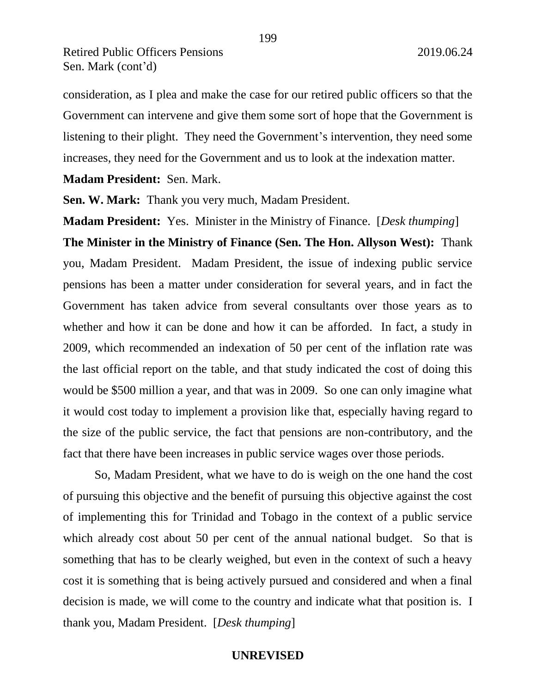consideration, as I plea and make the case for our retired public officers so that the Government can intervene and give them some sort of hope that the Government is listening to their plight. They need the Government's intervention, they need some increases, they need for the Government and us to look at the indexation matter.

199

**Madam President:** Sen. Mark.

**Sen. W. Mark:** Thank you very much, Madam President.

**Madam President:** Yes. Minister in the Ministry of Finance. [*Desk thumping*] **The Minister in the Ministry of Finance (Sen. The Hon. Allyson West):** Thank you, Madam President. Madam President, the issue of indexing public service pensions has been a matter under consideration for several years, and in fact the Government has taken advice from several consultants over those years as to whether and how it can be done and how it can be afforded. In fact, a study in 2009, which recommended an indexation of 50 per cent of the inflation rate was the last official report on the table, and that study indicated the cost of doing this would be \$500 million a year, and that was in 2009. So one can only imagine what it would cost today to implement a provision like that, especially having regard to the size of the public service, the fact that pensions are non-contributory, and the fact that there have been increases in public service wages over those periods.

So, Madam President, what we have to do is weigh on the one hand the cost of pursuing this objective and the benefit of pursuing this objective against the cost of implementing this for Trinidad and Tobago in the context of a public service which already cost about 50 per cent of the annual national budget. So that is something that has to be clearly weighed, but even in the context of such a heavy cost it is something that is being actively pursued and considered and when a final decision is made, we will come to the country and indicate what that position is. I thank you, Madam President. [*Desk thumping*]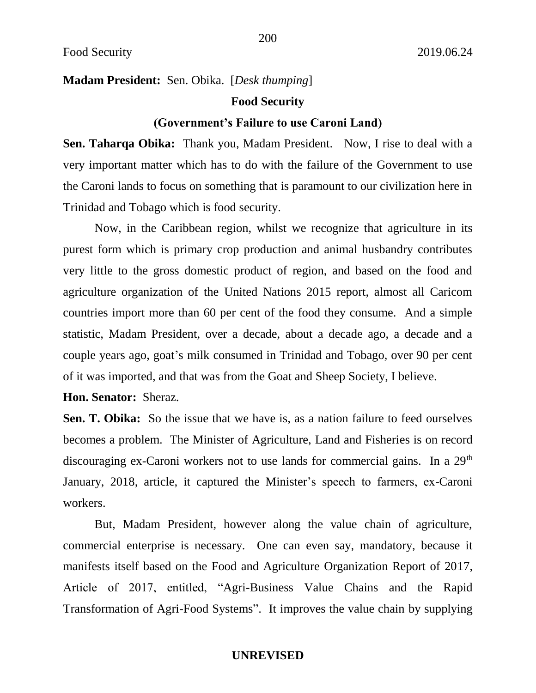# **Madam President:** Sen. Obika. [*Desk thumping*]

## **Food Security**

### **(Government's Failure to use Caroni Land)**

**Sen. Taharqa Obika:** Thank you, Madam President. Now, I rise to deal with a very important matter which has to do with the failure of the Government to use the Caroni lands to focus on something that is paramount to our civilization here in Trinidad and Tobago which is food security.

Now, in the Caribbean region, whilst we recognize that agriculture in its purest form which is primary crop production and animal husbandry contributes very little to the gross domestic product of region, and based on the food and agriculture organization of the United Nations 2015 report, almost all Caricom countries import more than 60 per cent of the food they consume. And a simple statistic, Madam President, over a decade, about a decade ago, a decade and a couple years ago, goat's milk consumed in Trinidad and Tobago, over 90 per cent of it was imported, and that was from the Goat and Sheep Society, I believe.

## **Hon. Senator:** Sheraz.

**Sen. T. Obika:** So the issue that we have is, as a nation failure to feed ourselves becomes a problem. The Minister of Agriculture, Land and Fisheries is on record discouraging ex-Caroni workers not to use lands for commercial gains. In a 29<sup>th</sup> January, 2018, article, it captured the Minister's speech to farmers, ex-Caroni workers.

But, Madam President, however along the value chain of agriculture, commercial enterprise is necessary. One can even say, mandatory, because it manifests itself based on the Food and Agriculture Organization Report of 2017, Article of 2017, entitled, "Agri-Business Value Chains and the Rapid Transformation of Agri-Food Systems". It improves the value chain by supplying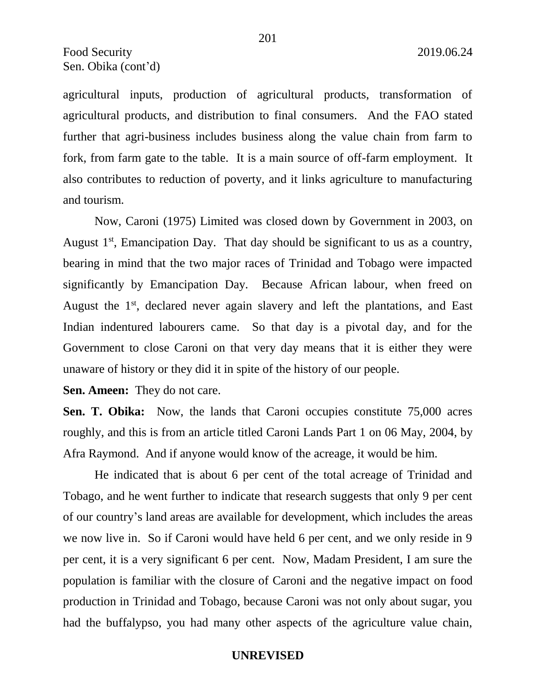agricultural inputs, production of agricultural products, transformation of agricultural products, and distribution to final consumers. And the FAO stated further that agri-business includes business along the value chain from farm to fork, from farm gate to the table. It is a main source of off-farm employment. It also contributes to reduction of poverty, and it links agriculture to manufacturing and tourism.

Now, Caroni (1975) Limited was closed down by Government in 2003, on August  $1<sup>st</sup>$ , Emancipation Day. That day should be significant to us as a country, bearing in mind that the two major races of Trinidad and Tobago were impacted significantly by Emancipation Day. Because African labour, when freed on August the 1<sup>st</sup>, declared never again slavery and left the plantations, and East Indian indentured labourers came. So that day is a pivotal day, and for the Government to close Caroni on that very day means that it is either they were unaware of history or they did it in spite of the history of our people.

**Sen. Ameen:** They do not care.

Sen. T. Obika: Now, the lands that Caroni occupies constitute 75,000 acres roughly, and this is from an article titled Caroni Lands Part 1 on 06 May, 2004, by Afra Raymond. And if anyone would know of the acreage, it would be him.

He indicated that is about 6 per cent of the total acreage of Trinidad and Tobago, and he went further to indicate that research suggests that only 9 per cent of our country's land areas are available for development, which includes the areas we now live in. So if Caroni would have held 6 per cent, and we only reside in 9 per cent, it is a very significant 6 per cent. Now, Madam President, I am sure the population is familiar with the closure of Caroni and the negative impact on food production in Trinidad and Tobago, because Caroni was not only about sugar, you had the buffalypso, you had many other aspects of the agriculture value chain,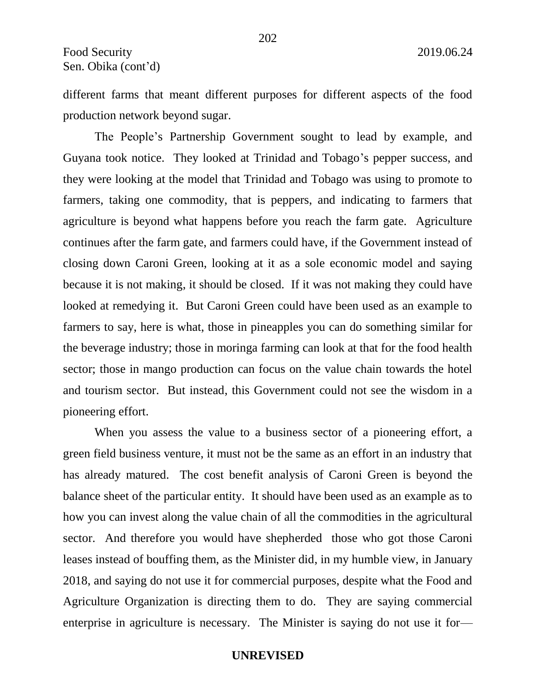different farms that meant different purposes for different aspects of the food production network beyond sugar.

The People's Partnership Government sought to lead by example, and Guyana took notice. They looked at Trinidad and Tobago's pepper success, and they were looking at the model that Trinidad and Tobago was using to promote to farmers, taking one commodity, that is peppers, and indicating to farmers that agriculture is beyond what happens before you reach the farm gate. Agriculture continues after the farm gate, and farmers could have, if the Government instead of closing down Caroni Green, looking at it as a sole economic model and saying because it is not making, it should be closed. If it was not making they could have looked at remedying it. But Caroni Green could have been used as an example to farmers to say, here is what, those in pineapples you can do something similar for the beverage industry; those in moringa farming can look at that for the food health sector; those in mango production can focus on the value chain towards the hotel and tourism sector. But instead, this Government could not see the wisdom in a pioneering effort.

When you assess the value to a business sector of a pioneering effort, a green field business venture, it must not be the same as an effort in an industry that has already matured. The cost benefit analysis of Caroni Green is beyond the balance sheet of the particular entity. It should have been used as an example as to how you can invest along the value chain of all the commodities in the agricultural sector. And therefore you would have shepherded those who got those Caroni leases instead of bouffing them, as the Minister did, in my humble view, in January 2018, and saying do not use it for commercial purposes, despite what the Food and Agriculture Organization is directing them to do. They are saying commercial enterprise in agriculture is necessary. The Minister is saying do not use it for—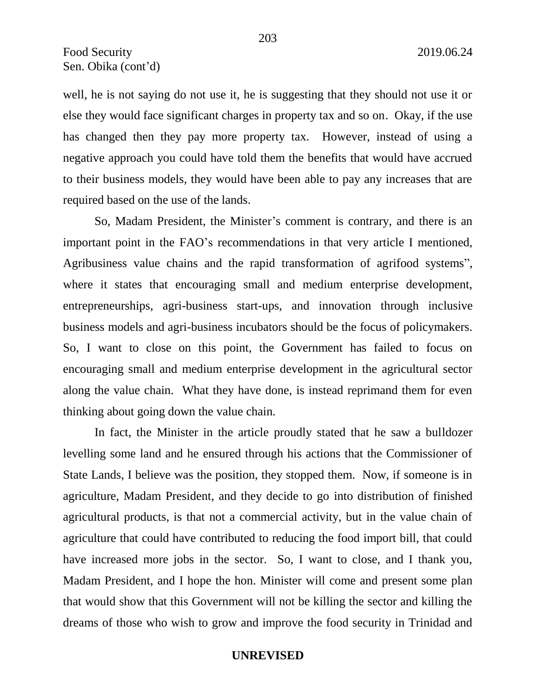well, he is not saying do not use it, he is suggesting that they should not use it or else they would face significant charges in property tax and so on. Okay, if the use has changed then they pay more property tax. However, instead of using a negative approach you could have told them the benefits that would have accrued to their business models, they would have been able to pay any increases that are required based on the use of the lands.

So, Madam President, the Minister's comment is contrary, and there is an important point in the FAO's recommendations in that very article I mentioned, Agribusiness value chains and the rapid transformation of agrifood systems", where it states that encouraging small and medium enterprise development, entrepreneurships, agri-business start-ups, and innovation through inclusive business models and agri-business incubators should be the focus of policymakers. So, I want to close on this point, the Government has failed to focus on encouraging small and medium enterprise development in the agricultural sector along the value chain. What they have done, is instead reprimand them for even thinking about going down the value chain.

In fact, the Minister in the article proudly stated that he saw a bulldozer levelling some land and he ensured through his actions that the Commissioner of State Lands, I believe was the position, they stopped them. Now, if someone is in agriculture, Madam President, and they decide to go into distribution of finished agricultural products, is that not a commercial activity, but in the value chain of agriculture that could have contributed to reducing the food import bill, that could have increased more jobs in the sector. So, I want to close, and I thank you, Madam President, and I hope the hon. Minister will come and present some plan that would show that this Government will not be killing the sector and killing the dreams of those who wish to grow and improve the food security in Trinidad and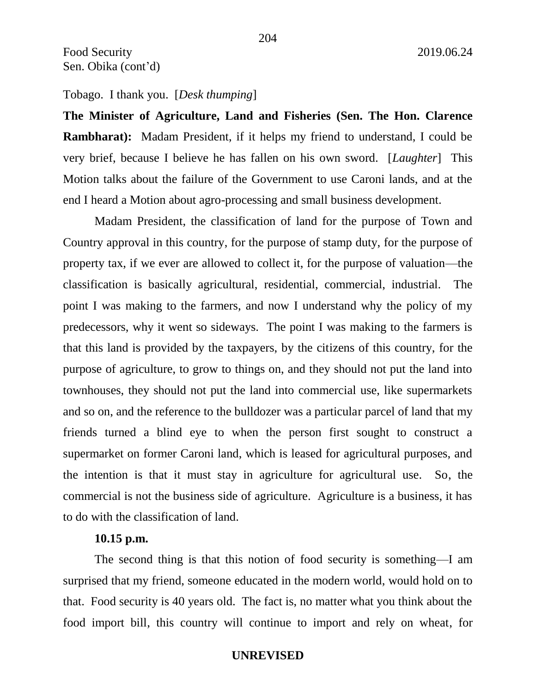**The Minister of Agriculture, Land and Fisheries (Sen. The Hon. Clarence Rambharat):** Madam President, if it helps my friend to understand, I could be very brief, because I believe he has fallen on his own sword. [*Laughter*] This Motion talks about the failure of the Government to use Caroni lands, and at the end I heard a Motion about agro-processing and small business development.

Madam President, the classification of land for the purpose of Town and Country approval in this country, for the purpose of stamp duty, for the purpose of property tax, if we ever are allowed to collect it, for the purpose of valuation—the classification is basically agricultural, residential, commercial, industrial. The point I was making to the farmers, and now I understand why the policy of my predecessors, why it went so sideways. The point I was making to the farmers is that this land is provided by the taxpayers, by the citizens of this country, for the purpose of agriculture, to grow to things on, and they should not put the land into townhouses, they should not put the land into commercial use, like supermarkets and so on, and the reference to the bulldozer was a particular parcel of land that my friends turned a blind eye to when the person first sought to construct a supermarket on former Caroni land, which is leased for agricultural purposes, and the intention is that it must stay in agriculture for agricultural use. So, the commercial is not the business side of agriculture. Agriculture is a business, it has to do with the classification of land.

## **10.15 p.m.**

The second thing is that this notion of food security is something—I am surprised that my friend, someone educated in the modern world, would hold on to that. Food security is 40 years old. The fact is, no matter what you think about the food import bill, this country will continue to import and rely on wheat, for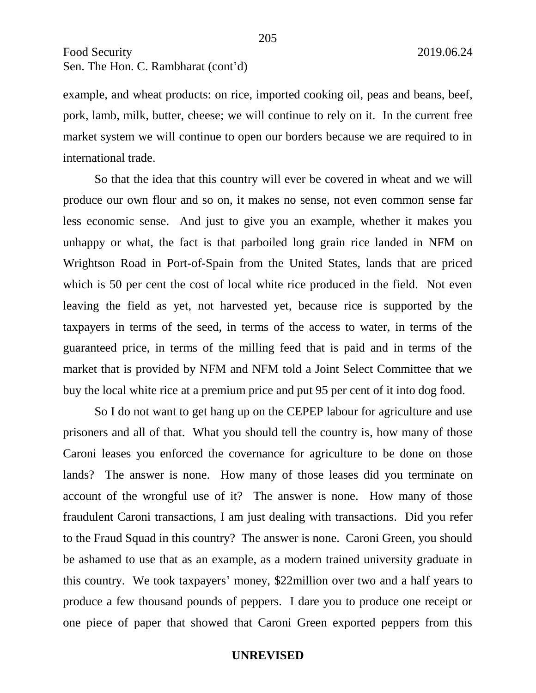Food Security 2019.06.24 Sen. The Hon. C. Rambharat (cont'd)

example, and wheat products: on rice, imported cooking oil, peas and beans, beef, pork, lamb, milk, butter, cheese; we will continue to rely on it. In the current free market system we will continue to open our borders because we are required to in international trade.

So that the idea that this country will ever be covered in wheat and we will produce our own flour and so on, it makes no sense, not even common sense far less economic sense. And just to give you an example, whether it makes you unhappy or what, the fact is that parboiled long grain rice landed in NFM on Wrightson Road in Port-of-Spain from the United States, lands that are priced which is 50 per cent the cost of local white rice produced in the field. Not even leaving the field as yet, not harvested yet, because rice is supported by the taxpayers in terms of the seed, in terms of the access to water, in terms of the guaranteed price, in terms of the milling feed that is paid and in terms of the market that is provided by NFM and NFM told a Joint Select Committee that we buy the local white rice at a premium price and put 95 per cent of it into dog food.

So I do not want to get hang up on the CEPEP labour for agriculture and use prisoners and all of that. What you should tell the country is, how many of those Caroni leases you enforced the covernance for agriculture to be done on those lands? The answer is none. How many of those leases did you terminate on account of the wrongful use of it? The answer is none. How many of those fraudulent Caroni transactions, I am just dealing with transactions. Did you refer to the Fraud Squad in this country? The answer is none. Caroni Green, you should be ashamed to use that as an example, as a modern trained university graduate in this country. We took taxpayers' money, \$22million over two and a half years to produce a few thousand pounds of peppers. I dare you to produce one receipt or one piece of paper that showed that Caroni Green exported peppers from this